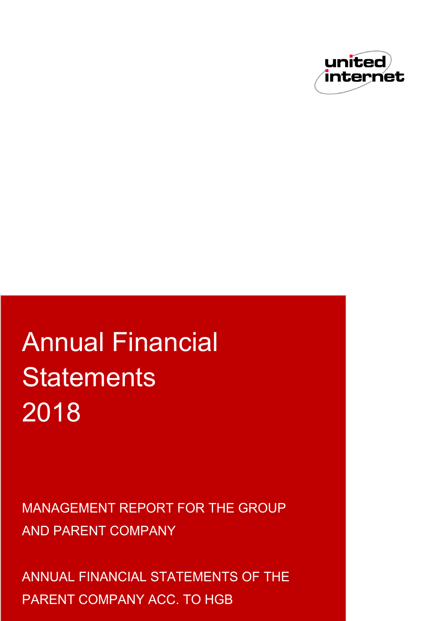

# Annual Financial **Statements** 2018

MANAGEMENT REPORT FOR THE GROUP AND PARENT COMPANY

ANNUAL FINANCIAL STATEMENTS OF THE PARENT COMPANY ACC. TO HGB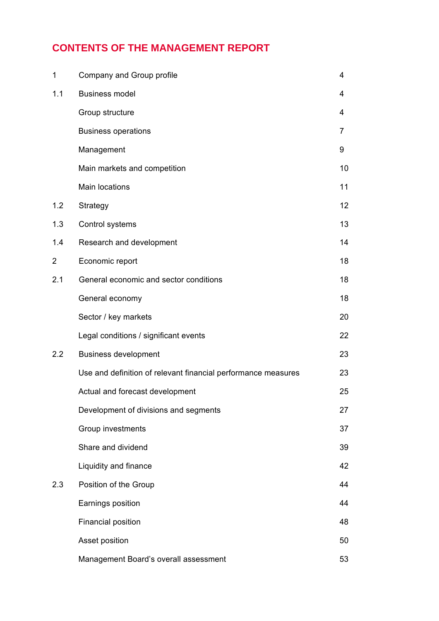# **CONTENTS OF THE MANAGEMENT REPORT**

| 1   | Company and Group profile                                     | 4  |
|-----|---------------------------------------------------------------|----|
| 1.1 | <b>Business model</b>                                         | 4  |
|     | Group structure                                               | 4  |
|     | <b>Business operations</b>                                    | 7  |
|     | Management                                                    | 9  |
|     | Main markets and competition                                  | 10 |
|     | Main locations                                                | 11 |
| 1.2 | Strategy                                                      | 12 |
| 1.3 | Control systems                                               | 13 |
| 1.4 | Research and development                                      | 14 |
| 2   | Economic report                                               | 18 |
| 2.1 | General economic and sector conditions                        | 18 |
|     | General economy                                               | 18 |
|     | Sector / key markets                                          | 20 |
|     | Legal conditions / significant events                         | 22 |
| 2.2 | <b>Business development</b>                                   | 23 |
|     | Use and definition of relevant financial performance measures | 23 |
|     | Actual and forecast development                               | 25 |
|     | Development of divisions and segments                         | 27 |
|     | Group investments                                             | 37 |
|     | Share and dividend                                            | 39 |
|     | Liquidity and finance                                         | 42 |
| 2.3 | Position of the Group                                         | 44 |
|     | Earnings position                                             | 44 |
|     | <b>Financial position</b>                                     | 48 |
|     | Asset position                                                | 50 |
|     | Management Board's overall assessment                         | 53 |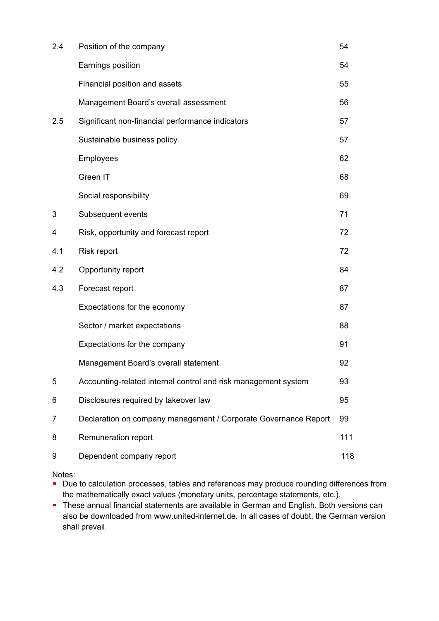| 2.4 | Position of the company                                         | 54  |
|-----|-----------------------------------------------------------------|-----|
|     | Earnings position                                               | 54  |
|     | Financial position and assets                                   | 55  |
|     | Management Board's overall assessment                           | 56  |
| 2.5 | Significant non-financial performance indicators                | 57  |
|     | Sustainable business policy                                     | 57  |
|     | Employees                                                       | 62  |
|     | Green IT                                                        | 68  |
|     | Social responsibility                                           | 69  |
| 3   | Subsequent events                                               | 71  |
| 4   | Risk, opportunity and forecast report                           | 72  |
| 4.1 | Risk report                                                     | 72  |
| 4.2 | Opportunity report                                              | 84  |
| 4.3 | Forecast report                                                 | 87  |
|     | Expectations for the economy                                    | 87  |
|     | Sector / market expectations                                    | 88  |
|     | Expectations for the company                                    | 91  |
|     | Management Board's overall statement                            | 92  |
| 5   | Accounting-related internal control and risk management system  | 93  |
| 6   | Disclosures required by takeover law                            | 95  |
| 7   | Declaration on company management / Corporate Governance Report | 99  |
| 8   | Remuneration report                                             | 111 |
| 9   | Dependent company report                                        | 118 |

Notes:

- Due to calculation processes, tables and references may produce rounding differences from the mathematically exact values (monetary units, percentage statements, etc.).
- **These annual financial statements are available in German and English. Both versions can** also be downloaded from www.united-internet.de. In all cases of doubt, the German version shall prevail.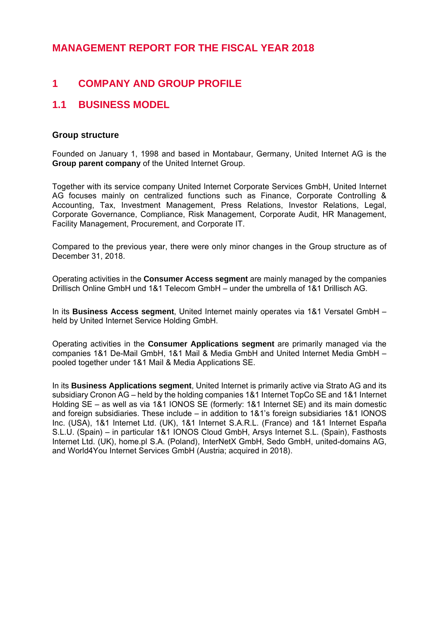# **MANAGEMENT REPORT FOR THE FISCAL YEAR 2018**

# **1 COMPANY AND GROUP PROFILE**

# **1.1 BUSINESS MODEL**

# **Group structure**

Founded on January 1, 1998 and based in Montabaur, Germany, United Internet AG is the **Group parent company** of the United Internet Group.

Together with its service company United Internet Corporate Services GmbH, United Internet AG focuses mainly on centralized functions such as Finance, Corporate Controlling & Accounting, Tax, Investment Management, Press Relations, Investor Relations, Legal. Corporate Governance, Compliance, Risk Management, Corporate Audit, HR Management, Facility Management, Procurement, and Corporate IT.

Compared to the previous year, there were only minor changes in the Group structure as of December 31, 2018.

Operating activities in the **Consumer Access segment** are mainly managed by the companies Drillisch Online GmbH und 1&1 Telecom GmbH – under the umbrella of 1&1 Drillisch AG.

In its **Business Access segment**, United Internet mainly operates via 1&1 Versatel GmbH – held by United Internet Service Holding GmbH.

Operating activities in the **Consumer Applications segment** are primarily managed via the companies 1&1 De-Mail GmbH, 1&1 Mail & Media GmbH and United Internet Media GmbH – pooled together under 1&1 Mail & Media Applications SE.

In its **Business Applications segment**, United Internet is primarily active via Strato AG and its subsidiary Cronon AG – held by the holding companies 1&1 Internet TopCo SE and 1&1 Internet Holding SE – as well as via 1&1 IONOS SE (formerly: 1&1 Internet SE) and its main domestic and foreign subsidiaries. These include – in addition to 1&1's foreign subsidiaries 1&1 IONOS Inc. (USA), 1&1 Internet Ltd. (UK), 1&1 Internet S.A.R.L. (France) and 1&1 Internet España S.L.U. (Spain) – in particular 1&1 IONOS Cloud GmbH, Arsys Internet S.L. (Spain), Fasthosts Internet Ltd. (UK), home.pl S.A. (Poland), InterNetX GmbH, Sedo GmbH, united-domains AG, and World4You Internet Services GmbH (Austria; acquired in 2018).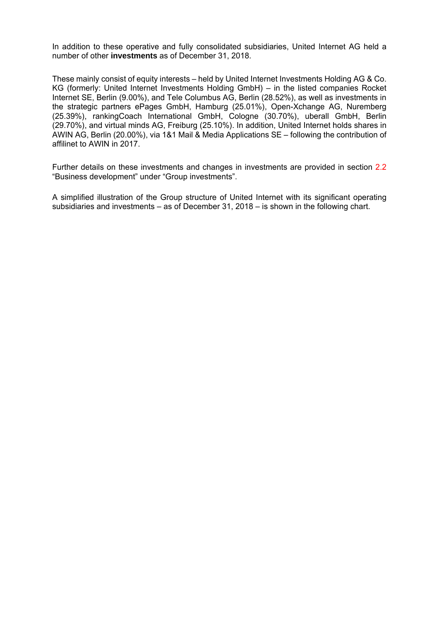In addition to these operative and fully consolidated subsidiaries, United Internet AG held a number of other **investments** as of December 31, 2018.

These mainly consist of equity interests – held by United Internet Investments Holding AG & Co. KG (formerly: United Internet Investments Holding GmbH) – in the listed companies Rocket Internet SE, Berlin (9.00%), and Tele Columbus AG, Berlin (28.52%), as well as investments in the strategic partners ePages GmbH, Hamburg (25.01%), Open-Xchange AG, Nuremberg (25.39%), rankingCoach International GmbH, Cologne (30.70%), uberall GmbH, Berlin (29.70%), and virtual minds AG, Freiburg (25.10%). In addition, United Internet holds shares in AWIN AG, Berlin (20.00%), via 1&1 Mail & Media Applications SE – following the contribution of affilinet to AWIN in 2017.

Further details on these investments and changes in investments are provided in section 2.2 "Business development" under "Group investments".

A simplified illustration of the Group structure of United Internet with its significant operating subsidiaries and investments – as of December 31, 2018 – is shown in the following chart.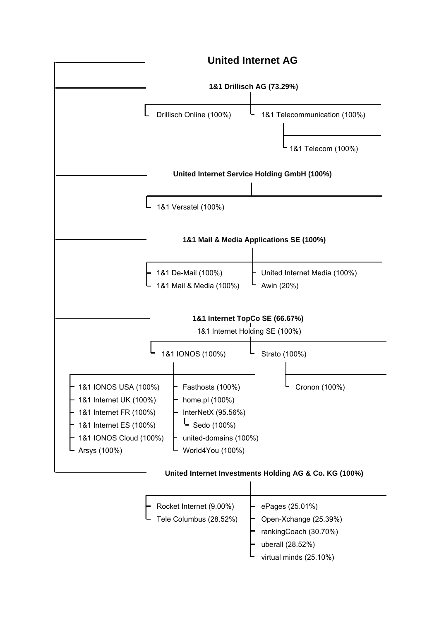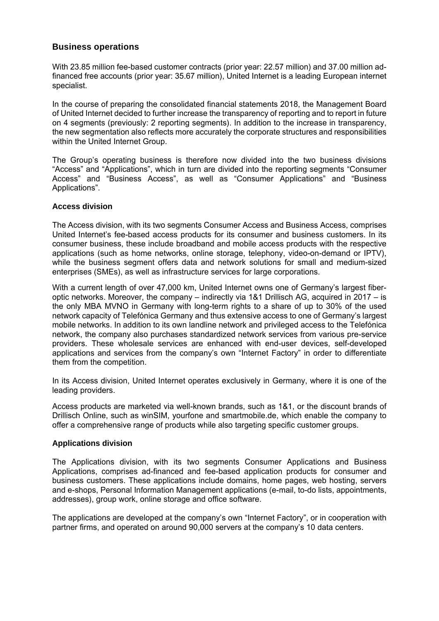## **Business operations**

With 23.85 million fee-based customer contracts (prior year: 22.57 million) and 37.00 million adfinanced free accounts (prior year: 35.67 million), United Internet is a leading European internet specialist.

In the course of preparing the consolidated financial statements 2018, the Management Board of United Internet decided to further increase the transparency of reporting and to report in future on 4 segments (previously: 2 reporting segments). In addition to the increase in transparency, the new segmentation also reflects more accurately the corporate structures and responsibilities within the United Internet Group.

The Group's operating business is therefore now divided into the two business divisions "Access" and "Applications", which in turn are divided into the reporting segments "Consumer Access" and "Business Access", as well as "Consumer Applications" and "Business Applications".

#### **Access division**

The Access division, with its two segments Consumer Access and Business Access, comprises United Internet's fee-based access products for its consumer and business customers. In its consumer business, these include broadband and mobile access products with the respective applications (such as home networks, online storage, telephony, video-on-demand or IPTV), while the business segment offers data and network solutions for small and medium-sized enterprises (SMEs), as well as infrastructure services for large corporations.

With a current length of over 47,000 km, United Internet owns one of Germany's largest fiberoptic networks. Moreover, the company – indirectly via 1&1 Drillisch AG, acquired in 2017 – is the only MBA MVNO in Germany with long-term rights to a share of up to 30% of the used network capacity of Telefónica Germany and thus extensive access to one of Germany's largest mobile networks. In addition to its own landline network and privileged access to the Telefónica network, the company also purchases standardized network services from various pre-service providers. These wholesale services are enhanced with end-user devices, self-developed applications and services from the company's own "Internet Factory" in order to differentiate them from the competition.

In its Access division, United Internet operates exclusively in Germany, where it is one of the leading providers.

Access products are marketed via well-known brands, such as 1&1, or the discount brands of Drillisch Online, such as winSIM, yourfone and smartmobile.de, which enable the company to offer a comprehensive range of products while also targeting specific customer groups.

#### **Applications division**

The Applications division, with its two segments Consumer Applications and Business Applications, comprises ad-financed and fee-based application products for consumer and business customers. These applications include domains, home pages, web hosting, servers and e-shops, Personal Information Management applications (e-mail, to-do lists, appointments, addresses), group work, online storage and office software.

The applications are developed at the company's own "Internet Factory", or in cooperation with partner firms, and operated on around 90,000 servers at the company's 10 data centers.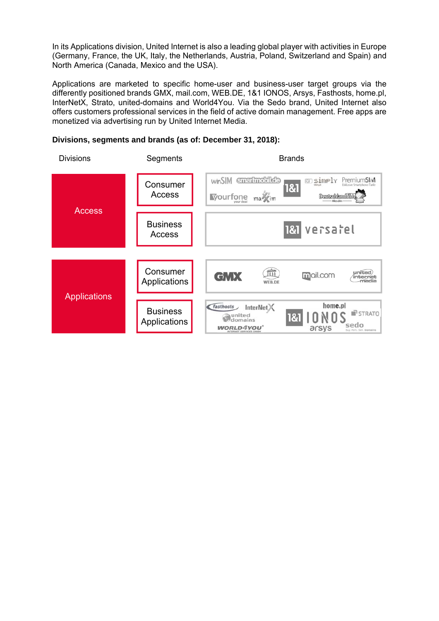In its Applications division, United Internet is also a leading global player with activities in Europe (Germany, France, the UK, Italy, the Netherlands, Austria, Poland, Switzerland and Spain) and North America (Canada, Mexico and the USA).

Applications are marketed to specific home-user and business-user target groups via the differently positioned brands GMX, mail.com, WEB.DE, 1&1 IONOS, Arsys, Fasthosts, home.pl, InterNetX, Strato, united-domains and World4You. Via the Sedo brand, United Internet also offers customers professional services in the field of active domain management. Free apps are monetized via advertising run by United Internet Media.

**Divisions, segments and brands (as of: December 31, 2018):**

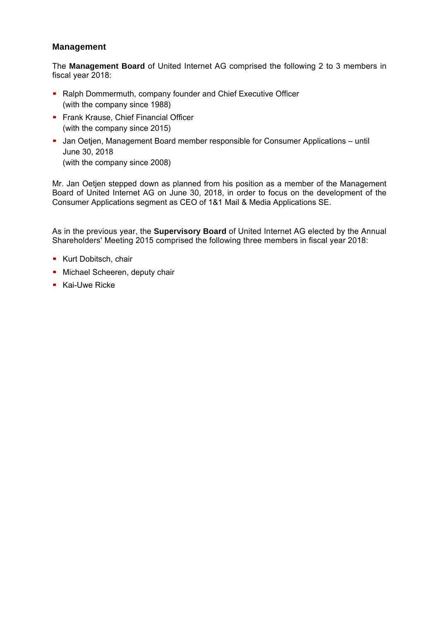# **Management**

The **Management Board** of United Internet AG comprised the following 2 to 3 members in fiscal year 2018:

- Ralph Dommermuth, company founder and Chief Executive Officer (with the company since 1988)
- **Frank Krause, Chief Financial Officer** (with the company since 2015)
- Jan Oetjen, Management Board member responsible for Consumer Applications until June 30, 2018 (with the company since 2008)

Mr. Jan Oetjen stepped down as planned from his position as a member of the Management Board of United Internet AG on June 30, 2018, in order to focus on the development of the Consumer Applications segment as CEO of 1&1 Mail & Media Applications SE.

As in the previous year, the **Supervisory Board** of United Internet AG elected by the Annual Shareholders' Meeting 2015 comprised the following three members in fiscal year 2018:

- **Kurt Dobitsch, chair**
- **Michael Scheeren, deputy chair**
- **Kai-Uwe Ricke**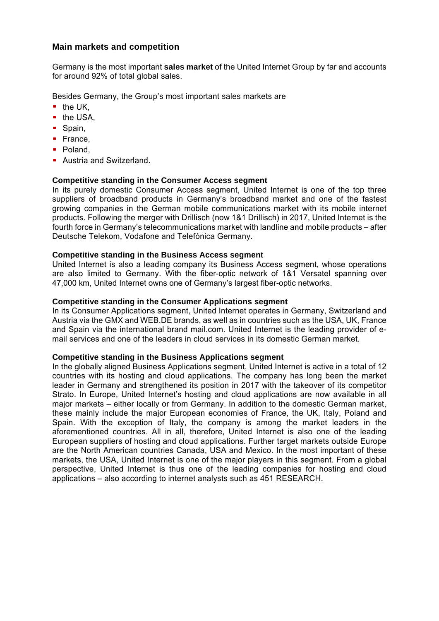## **Main markets and competition**

Germany is the most important **sales market** of the United Internet Group by far and accounts for around 92% of total global sales.

Besides Germany, the Group's most important sales markets are

- $\blacksquare$  the UK.
- $\blacksquare$  the USA,
- Spain.
- France.
- Poland,
- **Austria and Switzerland.**

#### **Competitive standing in the Consumer Access segment**

In its purely domestic Consumer Access segment, United Internet is one of the top three suppliers of broadband products in Germany's broadband market and one of the fastest growing companies in the German mobile communications market with its mobile internet products. Following the merger with Drillisch (now 1&1 Drillisch) in 2017, United Internet is the fourth force in Germany's telecommunications market with landline and mobile products – after Deutsche Telekom, Vodafone and Telefónica Germany.

#### **Competitive standing in the Business Access segment**

United Internet is also a leading company its Business Access segment, whose operations are also limited to Germany. With the fiber-optic network of 1&1 Versatel spanning over 47,000 km, United Internet owns one of Germany's largest fiber-optic networks.

#### **Competitive standing in the Consumer Applications segment**

In its Consumer Applications segment, United Internet operates in Germany, Switzerland and Austria via the GMX and WEB.DE brands, as well as in countries such as the USA, UK, France and Spain via the international brand mail.com. United Internet is the leading provider of email services and one of the leaders in cloud services in its domestic German market.

#### **Competitive standing in the Business Applications segment**

In the globally aligned Business Applications segment, United Internet is active in a total of 12 countries with its hosting and cloud applications. The company has long been the market leader in Germany and strengthened its position in 2017 with the takeover of its competitor Strato. In Europe, United Internet's hosting and cloud applications are now available in all major markets – either locally or from Germany. In addition to the domestic German market, these mainly include the major European economies of France, the UK, Italy, Poland and Spain. With the exception of Italy, the company is among the market leaders in the aforementioned countries. All in all, therefore, United Internet is also one of the leading European suppliers of hosting and cloud applications. Further target markets outside Europe are the North American countries Canada, USA and Mexico. In the most important of these markets, the USA, United Internet is one of the major players in this segment. From a global perspective, United Internet is thus one of the leading companies for hosting and cloud applications – also according to internet analysts such as 451 RESEARCH.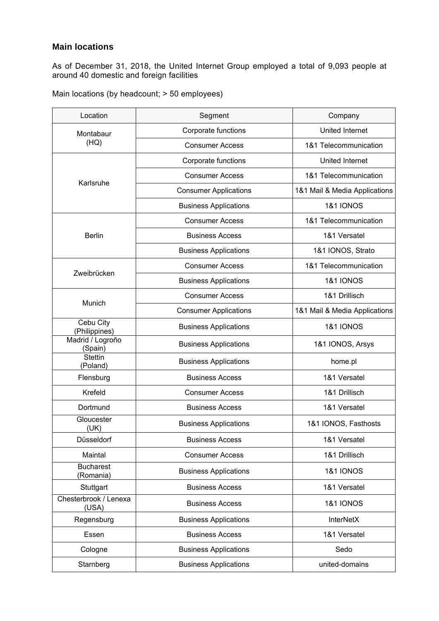# **Main locations**

As of December 31, 2018, the United Internet Group employed a total of 9,093 people at around 40 domestic and foreign facilities

|  |  |  | Main locations (by headcount; > 50 employees) |
|--|--|--|-----------------------------------------------|
|--|--|--|-----------------------------------------------|

| Location                       | Segment                      | Company                       |
|--------------------------------|------------------------------|-------------------------------|
| Montabaur                      | Corporate functions          | United Internet               |
| (HQ)                           | <b>Consumer Access</b>       | 1&1 Telecommunication         |
|                                | Corporate functions          | United Internet               |
|                                | <b>Consumer Access</b>       | 1&1 Telecommunication         |
| Karlsruhe                      | <b>Consumer Applications</b> | 1&1 Mail & Media Applications |
|                                | <b>Business Applications</b> | <b>1&amp;1 IONOS</b>          |
|                                | <b>Consumer Access</b>       | 1&1 Telecommunication         |
| <b>Berlin</b>                  | <b>Business Access</b>       | 1&1 Versatel                  |
|                                | <b>Business Applications</b> | 1&1 IONOS, Strato             |
|                                | <b>Consumer Access</b>       | 1&1 Telecommunication         |
| Zweibrücken                    | <b>Business Applications</b> | <b>1&amp;1 IONOS</b>          |
| Munich                         | <b>Consumer Access</b>       | 1&1 Drillisch                 |
|                                | <b>Consumer Applications</b> | 1&1 Mail & Media Applications |
| Cebu City<br>(Philippines)     | <b>Business Applications</b> | <b>1&amp;1 IONOS</b>          |
| Madrid / Logroño<br>(Spain)    | <b>Business Applications</b> | 1&1 IONOS, Arsys              |
| <b>Stettin</b><br>(Poland)     | <b>Business Applications</b> | home.pl                       |
| Flensburg                      | <b>Business Access</b>       | 1&1 Versatel                  |
| Krefeld                        | <b>Consumer Access</b>       | 1&1 Drillisch                 |
| Dortmund                       | <b>Business Access</b>       | 1&1 Versatel                  |
| Gloucester<br>(UK)             | <b>Business Applications</b> | 1&1 IONOS, Fasthosts          |
| Düsseldorf                     | <b>Business Access</b>       | 1&1 Versatel                  |
| Maintal                        | <b>Consumer Access</b>       | 1&1 Drillisch                 |
| <b>Bucharest</b><br>(Romania)  | <b>Business Applications</b> | <b>1&amp;1 IONOS</b>          |
| Stuttgart                      | <b>Business Access</b>       | 1&1 Versatel                  |
| Chesterbrook / Lenexa<br>(USA) | <b>Business Access</b>       | <b>1&amp;1 IONOS</b>          |
| Regensburg                     | <b>Business Applications</b> | <b>InterNetX</b>              |
| Essen                          | <b>Business Access</b>       | 1&1 Versatel                  |
| Cologne                        | <b>Business Applications</b> | Sedo                          |
| Starnberg                      | <b>Business Applications</b> | united-domains                |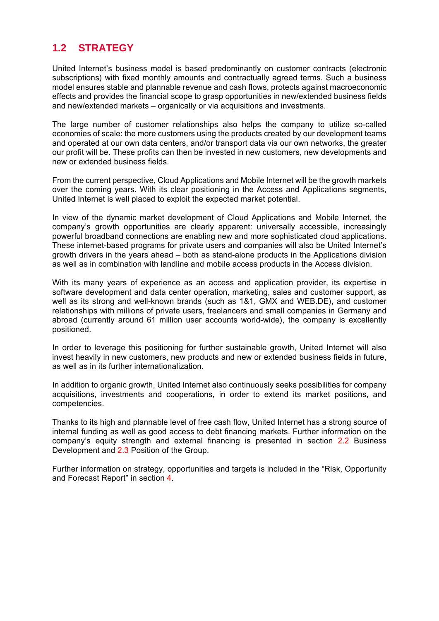# **1.2 STRATEGY**

United Internet's business model is based predominantly on customer contracts (electronic subscriptions) with fixed monthly amounts and contractually agreed terms. Such a business model ensures stable and plannable revenue and cash flows, protects against macroeconomic effects and provides the financial scope to grasp opportunities in new/extended business fields and new/extended markets – organically or via acquisitions and investments.

The large number of customer relationships also helps the company to utilize so-called economies of scale: the more customers using the products created by our development teams and operated at our own data centers, and/or transport data via our own networks, the greater our profit will be. These profits can then be invested in new customers, new developments and new or extended business fields.

From the current perspective, Cloud Applications and Mobile Internet will be the growth markets over the coming years. With its clear positioning in the Access and Applications segments, United Internet is well placed to exploit the expected market potential.

In view of the dynamic market development of Cloud Applications and Mobile Internet, the company's growth opportunities are clearly apparent: universally accessible, increasingly powerful broadband connections are enabling new and more sophisticated cloud applications. These internet-based programs for private users and companies will also be United Internet's growth drivers in the years ahead – both as stand-alone products in the Applications division as well as in combination with landline and mobile access products in the Access division.

With its many years of experience as an access and application provider, its expertise in software development and data center operation, marketing, sales and customer support, as well as its strong and well-known brands (such as 1&1, GMX and WEB.DE), and customer relationships with millions of private users, freelancers and small companies in Germany and abroad (currently around 61 million user accounts world-wide), the company is excellently positioned.

In order to leverage this positioning for further sustainable growth, United Internet will also invest heavily in new customers, new products and new or extended business fields in future, as well as in its further internationalization.

In addition to organic growth, United Internet also continuously seeks possibilities for company acquisitions, investments and cooperations, in order to extend its market positions, and competencies.

Thanks to its high and plannable level of free cash flow, United Internet has a strong source of internal funding as well as good access to debt financing markets. Further information on the company's equity strength and external financing is presented in section 2.2 Business Development and 2.3 Position of the Group.

Further information on strategy, opportunities and targets is included in the "Risk, Opportunity and Forecast Report" in section 4.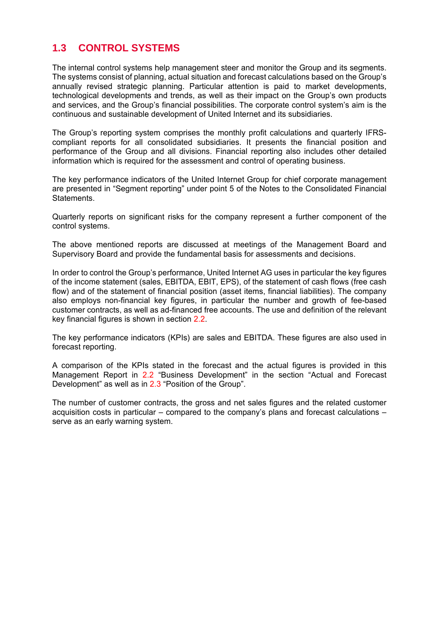# **1.3 CONTROL SYSTEMS**

The internal control systems help management steer and monitor the Group and its segments. The systems consist of planning, actual situation and forecast calculations based on the Group's annually revised strategic planning. Particular attention is paid to market developments, technological developments and trends, as well as their impact on the Group's own products and services, and the Group's financial possibilities. The corporate control system's aim is the continuous and sustainable development of United Internet and its subsidiaries.

The Group's reporting system comprises the monthly profit calculations and quarterly IFRScompliant reports for all consolidated subsidiaries. It presents the financial position and performance of the Group and all divisions. Financial reporting also includes other detailed information which is required for the assessment and control of operating business.

The key performance indicators of the United Internet Group for chief corporate management are presented in "Segment reporting" under point 5 of the Notes to the Consolidated Financial Statements.

Quarterly reports on significant risks for the company represent a further component of the control systems.

The above mentioned reports are discussed at meetings of the Management Board and Supervisory Board and provide the fundamental basis for assessments and decisions.

In order to control the Group's performance, United Internet AG uses in particular the key figures of the income statement (sales, EBITDA, EBIT, EPS), of the statement of cash flows (free cash flow) and of the statement of financial position (asset items, financial liabilities). The company also employs non-financial key figures, in particular the number and growth of fee-based customer contracts, as well as ad-financed free accounts. The use and definition of the relevant key financial figures is shown in section 2.2.

The key performance indicators (KPIs) are sales and EBITDA. These figures are also used in forecast reporting.

A comparison of the KPIs stated in the forecast and the actual figures is provided in this Management Report in 2.2 "Business Development" in the section "Actual and Forecast Development" as well as in 2.3 "Position of the Group".

The number of customer contracts, the gross and net sales figures and the related customer acquisition costs in particular – compared to the company's plans and forecast calculations – serve as an early warning system.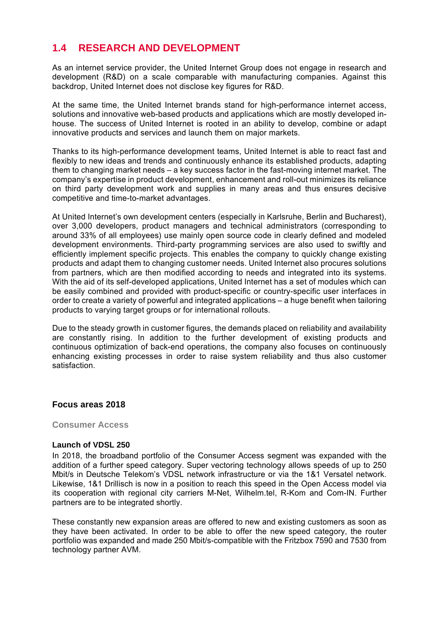# **1.4 RESEARCH AND DEVELOPMENT**

As an internet service provider, the United Internet Group does not engage in research and development (R&D) on a scale comparable with manufacturing companies. Against this backdrop, United Internet does not disclose key figures for R&D.

At the same time, the United Internet brands stand for high-performance internet access, solutions and innovative web-based products and applications which are mostly developed inhouse. The success of United Internet is rooted in an ability to develop, combine or adapt innovative products and services and launch them on major markets.

Thanks to its high-performance development teams, United Internet is able to react fast and flexibly to new ideas and trends and continuously enhance its established products, adapting them to changing market needs – a key success factor in the fast-moving internet market. The company's expertise in product development, enhancement and roll-out minimizes its reliance on third party development work and supplies in many areas and thus ensures decisive competitive and time-to-market advantages.

At United Internet's own development centers (especially in Karlsruhe, Berlin and Bucharest), over 3,000 developers, product managers and technical administrators (corresponding to around 33% of all employees) use mainly open source code in clearly defined and modeled development environments. Third-party programming services are also used to swiftly and efficiently implement specific projects. This enables the company to quickly change existing products and adapt them to changing customer needs. United Internet also procures solutions from partners, which are then modified according to needs and integrated into its systems. With the aid of its self-developed applications, United Internet has a set of modules which can be easily combined and provided with product-specific or country-specific user interfaces in order to create a variety of powerful and integrated applications – a huge benefit when tailoring products to varying target groups or for international rollouts.

Due to the steady growth in customer figures, the demands placed on reliability and availability are constantly rising. In addition to the further development of existing products and continuous optimization of back-end operations, the company also focuses on continuously enhancing existing processes in order to raise system reliability and thus also customer satisfaction.

#### **Focus areas 2018**

#### **Consumer Access**

#### **Launch of VDSL 250**

In 2018, the broadband portfolio of the Consumer Access segment was expanded with the addition of a further speed category. Super vectoring technology allows speeds of up to 250 Mbit/s in Deutsche Telekom's VDSL network infrastructure or via the 1&1 Versatel network. Likewise, 1&1 Drillisch is now in a position to reach this speed in the Open Access model via its cooperation with regional city carriers M-Net, Wilhelm.tel, R-Kom and Com-IN. Further partners are to be integrated shortly.

These constantly new expansion areas are offered to new and existing customers as soon as they have been activated. In order to be able to offer the new speed category, the router portfolio was expanded and made 250 Mbit/s-compatible with the Fritzbox 7590 and 7530 from technology partner AVM.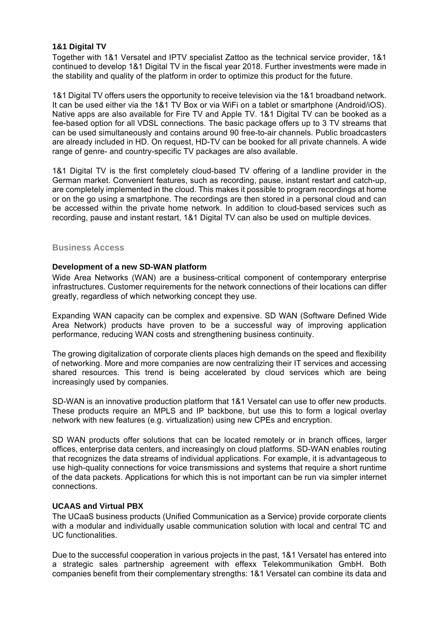#### **1&1 Digital TV**

Together with 1&1 Versatel and IPTV specialist Zattoo as the technical service provider, 1&1 continued to develop 1&1 Digital TV in the fiscal year 2018. Further investments were made in the stability and quality of the platform in order to optimize this product for the future.

1&1 Digital TV offers users the opportunity to receive television via the 1&1 broadband network. It can be used either via the 1&1 TV Box or via WiFi on a tablet or smartphone (Android/iOS). Native apps are also available for Fire TV and Apple TV. 1&1 Digital TV can be booked as a fee-based option for all VDSL connections. The basic package offers up to 3 TV streams that can be used simultaneously and contains around 90 free-to-air channels. Public broadcasters are already included in HD. On request, HD-TV can be booked for all private channels. A wide range of genre- and country-specific TV packages are also available.

1&1 Digital TV is the first completely cloud-based TV offering of a landline provider in the German market. Convenient features, such as recording, pause, instant restart and catch-up, are completely implemented in the cloud. This makes it possible to program recordings at home or on the go using a smartphone. The recordings are then stored in a personal cloud and can be accessed within the private home network. In addition to cloud-based services such as recording, pause and instant restart, 1&1 Digital TV can also be used on multiple devices.

#### **Business Access**

#### **Development of a new SD-WAN platform**

Wide Area Networks (WAN) are a business-critical component of contemporary enterprise infrastructures. Customer requirements for the network connections of their locations can differ greatly, regardless of which networking concept they use.

Expanding WAN capacity can be complex and expensive. SD WAN (Software Defined Wide Area Network) products have proven to be a successful way of improving application performance, reducing WAN costs and strengthening business continuity.

The growing digitalization of corporate clients places high demands on the speed and flexibility of networking. More and more companies are now centralizing their IT services and accessing shared resources. This trend is being accelerated by cloud services which are being increasingly used by companies.

SD-WAN is an innovative production platform that 1&1 Versatel can use to offer new products. These products require an MPLS and IP backbone, but use this to form a logical overlay network with new features (e.g. virtualization) using new CPEs and encryption.

SD WAN products offer solutions that can be located remotely or in branch offices, larger offices, enterprise data centers, and increasingly on cloud platforms. SD-WAN enables routing that recognizes the data streams of individual applications. For example, it is advantageous to use high-quality connections for voice transmissions and systems that require a short runtime of the data packets. Applications for which this is not important can be run via simpler internet connections.

#### **UCAAS and Virtual PBX**

The UCaaS business products (Unified Communication as a Service) provide corporate clients with a modular and individually usable communication solution with local and central TC and UC functionalities.

Due to the successful cooperation in various projects in the past, 1&1 Versatel has entered into a strategic sales partnership agreement with effexx Telekommunikation GmbH. Both companies benefit from their complementary strengths: 1&1 Versatel can combine its data and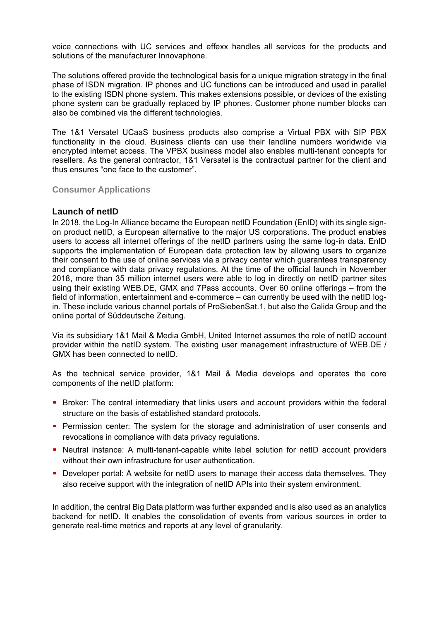voice connections with UC services and effexx handles all services for the products and solutions of the manufacturer Innovaphone.

The solutions offered provide the technological basis for a unique migration strategy in the final phase of ISDN migration. IP phones and UC functions can be introduced and used in parallel to the existing ISDN phone system. This makes extensions possible, or devices of the existing phone system can be gradually replaced by IP phones. Customer phone number blocks can also be combined via the different technologies.

The 1&1 Versatel UCaaS business products also comprise a Virtual PBX with SIP PBX functionality in the cloud. Business clients can use their landline numbers worldwide via encrypted internet access. The VPBX business model also enables multi-tenant concepts for resellers. As the general contractor, 1&1 Versatel is the contractual partner for the client and thus ensures "one face to the customer".

**Consumer Applications** 

#### **Launch of netID**

In 2018, the Log-In Alliance became the European netID Foundation (EnID) with its single signon product netID, a European alternative to the major US corporations. The product enables users to access all internet offerings of the netID partners using the same log-in data. EnID supports the implementation of European data protection law by allowing users to organize their consent to the use of online services via a privacy center which guarantees transparency and compliance with data privacy regulations. At the time of the official launch in November 2018, more than 35 million internet users were able to log in directly on netID partner sites using their existing WEB.DE, GMX and 7Pass accounts. Over 60 online offerings – from the field of information, entertainment and e-commerce – can currently be used with the netID login. These include various channel portals of ProSiebenSat.1, but also the Calida Group and the online portal of Süddeutsche Zeitung.

Via its subsidiary 1&1 Mail & Media GmbH, United Internet assumes the role of netID account provider within the netID system. The existing user management infrastructure of WEB.DE / GMX has been connected to netID.

As the technical service provider, 1&1 Mail & Media develops and operates the core components of the netID platform:

- **Broker:** The central intermediary that links users and account providers within the federal structure on the basis of established standard protocols.
- **Permission center: The system for the storage and administration of user consents and** revocations in compliance with data privacy regulations.
- Neutral instance: A multi-tenant-capable white label solution for netID account providers without their own infrastructure for user authentication.
- Developer portal: A website for netID users to manage their access data themselves. They also receive support with the integration of netID APIs into their system environment.

In addition, the central Big Data platform was further expanded and is also used as an analytics backend for netID. It enables the consolidation of events from various sources in order to generate real-time metrics and reports at any level of granularity.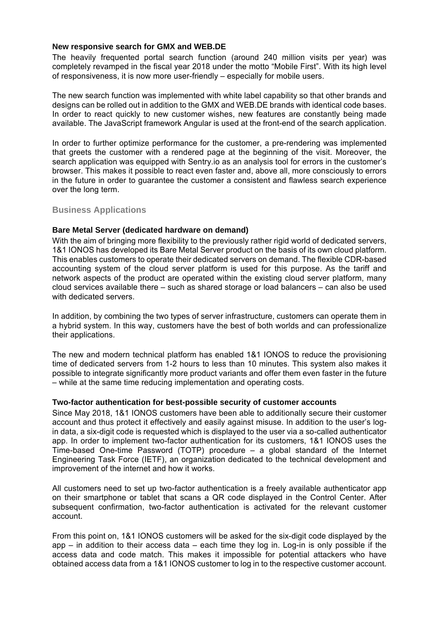#### **New responsive search for GMX and WEB.DE**

The heavily frequented portal search function (around 240 million visits per year) was completely revamped in the fiscal year 2018 under the motto "Mobile First". With its high level of responsiveness, it is now more user-friendly – especially for mobile users.

The new search function was implemented with white label capability so that other brands and designs can be rolled out in addition to the GMX and WEB.DE brands with identical code bases. In order to react quickly to new customer wishes, new features are constantly being made available. The JavaScript framework Angular is used at the front-end of the search application.

In order to further optimize performance for the customer, a pre-rendering was implemented that greets the customer with a rendered page at the beginning of the visit. Moreover, the search application was equipped with Sentry.io as an analysis tool for errors in the customer's browser. This makes it possible to react even faster and, above all, more consciously to errors in the future in order to guarantee the customer a consistent and flawless search experience over the long term.

#### **Business Applications**

#### **Bare Metal Server (dedicated hardware on demand)**

With the aim of bringing more flexibility to the previously rather rigid world of dedicated servers, 1&1 IONOS has developed its Bare Metal Server product on the basis of its own cloud platform. This enables customers to operate their dedicated servers on demand. The flexible CDR-based accounting system of the cloud server platform is used for this purpose. As the tariff and network aspects of the product are operated within the existing cloud server platform, many cloud services available there – such as shared storage or load balancers – can also be used with dedicated servers.

In addition, by combining the two types of server infrastructure, customers can operate them in a hybrid system. In this way, customers have the best of both worlds and can professionalize their applications.

The new and modern technical platform has enabled 1&1 IONOS to reduce the provisioning time of dedicated servers from 1-2 hours to less than 10 minutes. This system also makes it possible to integrate significantly more product variants and offer them even faster in the future – while at the same time reducing implementation and operating costs.

#### **Two-factor authentication for best-possible security of customer accounts**

Since May 2018, 1&1 IONOS customers have been able to additionally secure their customer account and thus protect it effectively and easily against misuse. In addition to the user's login data, a six-digit code is requested which is displayed to the user via a so-called authenticator app. In order to implement two-factor authentication for its customers, 1&1 IONOS uses the Time-based One-time Password (TOTP) procedure – a global standard of the Internet Engineering Task Force (IETF), an organization dedicated to the technical development and improvement of the internet and how it works.

All customers need to set up two-factor authentication is a freely available authenticator app on their smartphone or tablet that scans a QR code displayed in the Control Center. After subsequent confirmation, two-factor authentication is activated for the relevant customer account.

From this point on, 1&1 IONOS customers will be asked for the six-digit code displayed by the app – in addition to their access data – each time they log in. Log-in is only possible if the access data and code match. This makes it impossible for potential attackers who have obtained access data from a 1&1 IONOS customer to log in to the respective customer account.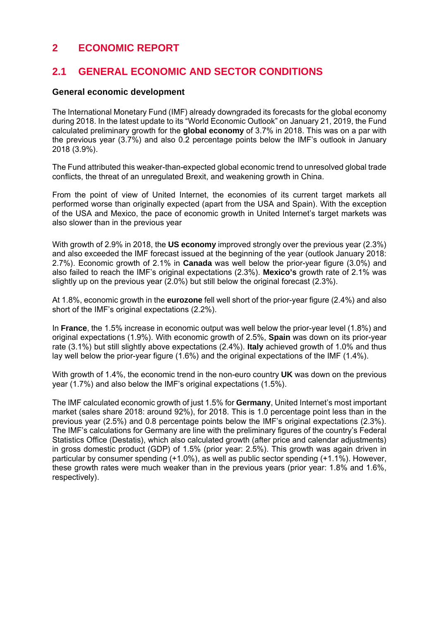# **2 ECONOMIC REPORT**

# **2.1 GENERAL ECONOMIC AND SECTOR CONDITIONS**

# **General economic development**

The International Monetary Fund (IMF) already downgraded its forecasts for the global economy during 2018. In the latest update to its "World Economic Outlook" on January 21, 2019, the Fund calculated preliminary growth for the **global economy** of 3.7% in 2018. This was on a par with the previous year (3.7%) and also 0.2 percentage points below the IMF's outlook in January 2018 (3.9%).

The Fund attributed this weaker-than-expected global economic trend to unresolved global trade conflicts, the threat of an unregulated Brexit, and weakening growth in China.

From the point of view of United Internet, the economies of its current target markets all performed worse than originally expected (apart from the USA and Spain). With the exception of the USA and Mexico, the pace of economic growth in United Internet's target markets was also slower than in the previous year

With growth of 2.9% in 2018, the **US economy** improved strongly over the previous year (2.3%) and also exceeded the IMF forecast issued at the beginning of the year (outlook January 2018: 2.7%). Economic growth of 2.1% in **Canada** was well below the prior-year figure (3.0%) and also failed to reach the IMF's original expectations (2.3%). **Mexico's** growth rate of 2.1% was slightly up on the previous year (2.0%) but still below the original forecast (2.3%).

At 1.8%, economic growth in the **eurozone** fell well short of the prior-year figure (2.4%) and also short of the IMF's original expectations (2.2%).

In **France**, the 1.5% increase in economic output was well below the prior-year level (1.8%) and original expectations (1.9%). With economic growth of 2.5%, **Spain** was down on its prior-year rate (3.1%) but still slightly above expectations (2.4%). **Italy** achieved growth of 1.0% and thus lay well below the prior-year figure (1.6%) and the original expectations of the IMF (1.4%).

With growth of 1.4%, the economic trend in the non-euro country **UK** was down on the previous year (1.7%) and also below the IMF's original expectations (1.5%).

The IMF calculated economic growth of just 1.5% for **Germany**, United Internet's most important market (sales share 2018: around 92%), for 2018. This is 1.0 percentage point less than in the previous year (2.5%) and 0.8 percentage points below the IMF's original expectations (2.3%). The IMF's calculations for Germany are line with the preliminary figures of the country's Federal Statistics Office (Destatis), which also calculated growth (after price and calendar adjustments) in gross domestic product (GDP) of 1.5% (prior year: 2.5%). This growth was again driven in particular by consumer spending (+1.0%), as well as public sector spending (+1.1%). However, these growth rates were much weaker than in the previous years (prior year: 1.8% and 1.6%, respectively).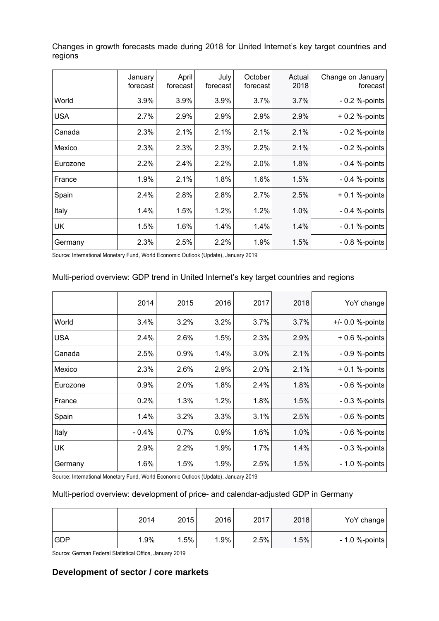|            | January<br>forecast | April<br>forecast | July<br>forecast | October<br>forecast | Actual<br>2018 | Change on January<br>forecast |
|------------|---------------------|-------------------|------------------|---------------------|----------------|-------------------------------|
| World      | 3.9%                | 3.9%              | 3.9%             | 3.7%                | 3.7%           | $-0.2$ %-points               |
| <b>USA</b> | 2.7%                | 2.9%              | 2.9%             | 2.9%                | 2.9%           | $+0.2$ %-points               |
| Canada     | 2.3%                | 2.1%              | 2.1%             | 2.1%                | 2.1%           | $-0.2$ %-points               |
| Mexico     | 2.3%                | 2.3%              | 2.3%             | 2.2%                | 2.1%           | $-0.2$ %-points               |
| Eurozone   | 2.2%                | 2.4%              | 2.2%             | 2.0%                | 1.8%           | $-0.4$ %-points               |
| France     | 1.9%                | 2.1%              | 1.8%             | 1.6%                | 1.5%           | $-0.4$ %-points               |
| Spain      | 2.4%                | 2.8%              | 2.8%             | 2.7%                | 2.5%           | $+0.1$ %-points               |
| Italy      | 1.4%                | 1.5%              | 1.2%             | 1.2%                | 1.0%           | $-0.4$ %-points               |
| UK         | 1.5%                | 1.6%              | 1.4%             | 1.4%                | 1.4%           | $-0.1$ %-points               |
| Germany    | 2.3%                | 2.5%              | 2.2%             | 1.9%                | 1.5%           | $-0.8$ %-points               |

Changes in growth forecasts made during 2018 for United Internet's key target countries and regions

Source: International Monetary Fund, World Economic Outlook (Update), January 2019

#### Multi-period overview: GDP trend in United Internet's key target countries and regions

|            | 2014    | 2015 | 2016 | 2017 | 2018 | YoY change          |
|------------|---------|------|------|------|------|---------------------|
| World      | 3.4%    | 3.2% | 3.2% | 3.7% | 3.7% | $+/- 0.0 %$ -points |
| <b>USA</b> | 2.4%    | 2.6% | 1.5% | 2.3% | 2.9% | $+0.6$ %-points     |
| Canada     | 2.5%    | 0.9% | 1.4% | 3.0% | 2.1% | - 0.9 %-points      |
| Mexico     | 2.3%    | 2.6% | 2.9% | 2.0% | 2.1% | $+0.1$ %-points     |
| Eurozone   | 0.9%    | 2.0% | 1.8% | 2.4% | 1.8% | $-0.6$ %-points     |
| France     | 0.2%    | 1.3% | 1.2% | 1.8% | 1.5% | - 0.3 %-points      |
| Spain      | 1.4%    | 3.2% | 3.3% | 3.1% | 2.5% | $-0.6$ %-points     |
| Italy      | $-0.4%$ | 0.7% | 0.9% | 1.6% | 1.0% | $-0.6$ %-points     |
| <b>UK</b>  | 2.9%    | 2.2% | 1.9% | 1.7% | 1.4% | $-0.3$ %-points     |
| Germany    | 1.6%    | 1.5% | 1.9% | 2.5% | 1.5% | $-1.0$ %-points     |
|            |         |      |      |      |      |                     |

Source: International Monetary Fund, World Economic Outlook (Update), January 2019

#### Multi-period overview: development of price- and calendar-adjusted GDP in Germany

|            | 2014 | 2015 | 2016   | 2017 | 2018 | YoY change      |
|------------|------|------|--------|------|------|-----------------|
| <b>GDP</b> | 1.9% | 1.5% | $.9\%$ | 2.5% | 1.5% | $-1.0$ %-points |

Source: German Federal Statistical Office, January 2019

# **Development of sector / core markets**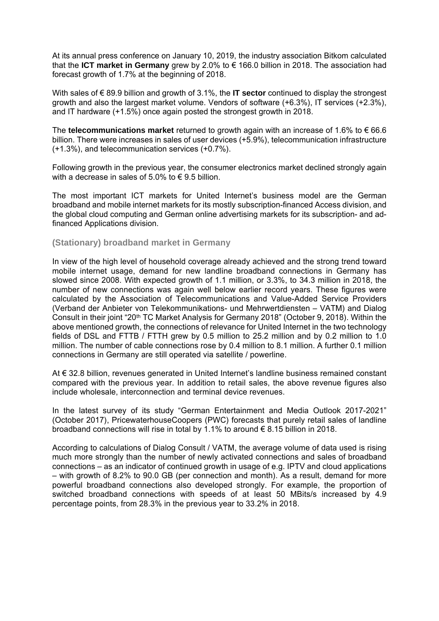At its annual press conference on January 10, 2019, the industry association Bitkom calculated that the **ICT market in Germany** grew by 2.0% to € 166.0 billion in 2018. The association had forecast growth of 1.7% at the beginning of 2018.

With sales of € 89.9 billion and growth of 3.1%, the **IT sector** continued to display the strongest growth and also the largest market volume. Vendors of software (+6.3%), IT services (+2.3%), and IT hardware (+1.5%) once again posted the strongest growth in 2018.

The **telecommunications market** returned to growth again with an increase of 1.6% to € 66.6 billion. There were increases in sales of user devices (+5.9%), telecommunication infrastructure (+1.3%), and telecommunication services (+0.7%).

Following growth in the previous year, the consumer electronics market declined strongly again with a decrease in sales of 5.0% to  $\epsilon$  9.5 billion.

The most important ICT markets for United Internet's business model are the German broadband and mobile internet markets for its mostly subscription-financed Access division, and the global cloud computing and German online advertising markets for its subscription- and adfinanced Applications division.

#### **(Stationary) broadband market in Germany**

In view of the high level of household coverage already achieved and the strong trend toward mobile internet usage, demand for new landline broadband connections in Germany has slowed since 2008. With expected growth of 1.1 million, or 3.3%, to 34.3 million in 2018, the number of new connections was again well below earlier record years. These figures were calculated by the Association of Telecommunications and Value-Added Service Providers (Verband der Anbieter von Telekommunikations- und Mehrwertdiensten – VATM) and Dialog Consult in their joint "20th TC Market Analysis for Germany 2018" (October 9, 2018). Within the above mentioned growth, the connections of relevance for United Internet in the two technology fields of DSL and FTTB / FTTH grew by 0.5 million to 25.2 million and by 0.2 million to 1.0 million. The number of cable connections rose by 0.4 million to 8.1 million. A further 0.1 million connections in Germany are still operated via satellite / powerline.

At € 32.8 billion, revenues generated in United Internet's landline business remained constant compared with the previous year. In addition to retail sales, the above revenue figures also include wholesale, interconnection and terminal device revenues.

In the latest survey of its study "German Entertainment and Media Outlook 2017-2021" (October 2017), PricewaterhouseCoopers (PWC) forecasts that purely retail sales of landline broadband connections will rise in total by 1.1% to around  $\epsilon$  8.15 billion in 2018.

According to calculations of Dialog Consult / VATM, the average volume of data used is rising much more strongly than the number of newly activated connections and sales of broadband connections – as an indicator of continued growth in usage of e.g. IPTV and cloud applications – with growth of 8.2% to 90.0 GB (per connection and month). As a result, demand for more powerful broadband connections also developed strongly. For example, the proportion of switched broadband connections with speeds of at least 50 MBits/s increased by 4.9 percentage points, from 28.3% in the previous year to 33.2% in 2018.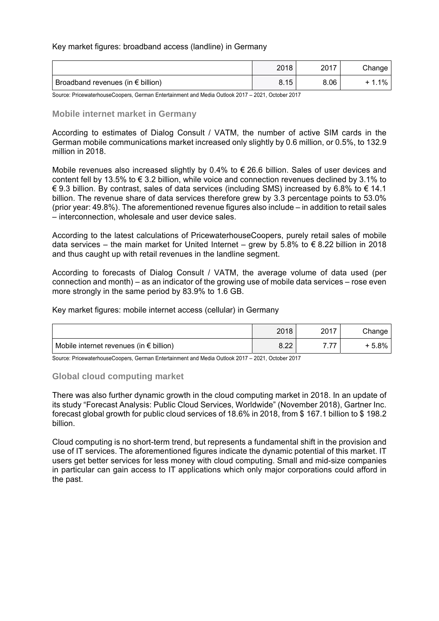#### Key market figures: broadband access (landline) in Germany

|                                            | 2018 | 2017 | Change |
|--------------------------------------------|------|------|--------|
| Broadband revenues (in $\epsilon$ billion) | 8.15 | 8.06 | 1%     |

Source: PricewaterhouseCoopers, German Entertainment and Media Outlook 2017 – 2021, October 2017

#### **Mobile internet market in Germany**

According to estimates of Dialog Consult / VATM, the number of active SIM cards in the German mobile communications market increased only slightly by 0.6 million, or 0.5%, to 132.9 million in 2018.

Mobile revenues also increased slightly by 0.4% to € 26.6 billion. Sales of user devices and content fell by 13.5% to  $\epsilon$  3.2 billion, while voice and connection revenues declined by 3.1% to € 9.3 billion. By contrast, sales of data services (including SMS) increased by 6.8% to € 14.1 billion. The revenue share of data services therefore grew by 3.3 percentage points to 53.0% (prior year: 49.8%). The aforementioned revenue figures also include – in addition to retail sales – interconnection, wholesale and user device sales.

According to the latest calculations of PricewaterhouseCoopers, purely retail sales of mobile data services – the main market for United Internet – grew by 5.8% to  $\epsilon$  8.22 billion in 2018 and thus caught up with retail revenues in the landline segment.

According to forecasts of Dialog Consult / VATM, the average volume of data used (per connection and month) – as an indicator of the growing use of mobile data services – rose even more strongly in the same period by 83.9% to 1.6 GB.

Key market figures: mobile internet access (cellular) in Germany

|                                                  | 2018       | 2017          | Change |
|--------------------------------------------------|------------|---------------|--------|
| Mobile internet revenues (in $\epsilon$ billion) | ററ<br>0.ZZ | $\rightarrow$ | + 5.8% |

Source: PricewaterhouseCoopers, German Entertainment and Media Outlook 2017 – 2021, October 2017

#### **Global cloud computing market**

There was also further dynamic growth in the cloud computing market in 2018. In an update of its study "Forecast Analysis: Public Cloud Services, Worldwide" (November 2018), Gartner Inc. forecast global growth for public cloud services of 18.6% in 2018, from \$ 167.1 billion to \$ 198.2 billion.

Cloud computing is no short-term trend, but represents a fundamental shift in the provision and use of IT services. The aforementioned figures indicate the dynamic potential of this market. IT users get better services for less money with cloud computing. Small and mid-size companies in particular can gain access to IT applications which only major corporations could afford in the past.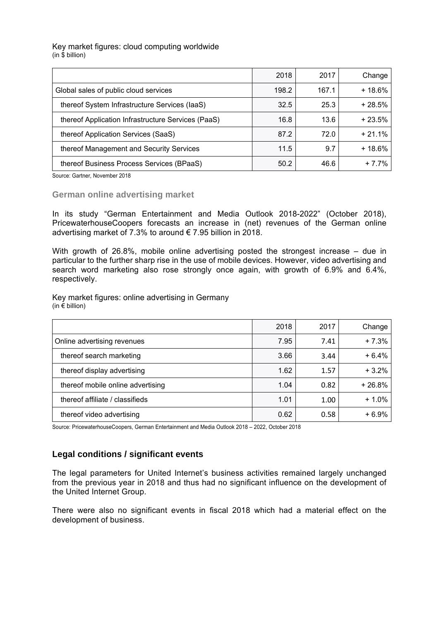#### Key market figures: cloud computing worldwide  $(in $ billion)$

|                                                    | 2018  | 2017  | Change   |
|----------------------------------------------------|-------|-------|----------|
| Global sales of public cloud services              | 198.2 | 167.1 | $+18.6%$ |
| thereof System Infrastructure Services (IaaS)      | 32.5  | 25.3  | $+28.5%$ |
| thereof Application Infrastructure Services (PaaS) | 16.8  | 13.6  | $+23.5%$ |
| thereof Application Services (SaaS)                | 87.2  | 72.0  | $+21.1%$ |
| thereof Management and Security Services           | 11.5  | 9.7   | $+18.6%$ |
| thereof Business Process Services (BPaaS)          | 50.2  | 46.6  | $+7.7%$  |

Source: Gartner, November 2018

#### **German online advertising market**

In its study "German Entertainment and Media Outlook 2018-2022" (October 2018), PricewaterhouseCoopers forecasts an increase in (net) revenues of the German online advertising market of 7.3% to around  $\epsilon$  7.95 billion in 2018.

With growth of 26.8%, mobile online advertising posted the strongest increase – due in particular to the further sharp rise in the use of mobile devices. However, video advertising and search word marketing also rose strongly once again, with growth of 6.9% and 6.4%, respectively.

Key market figures: online advertising in Germany (in  $\epsilon$  billion)

|                                   | 2018 | 2017 | Change   |
|-----------------------------------|------|------|----------|
| Online advertising revenues       | 7.95 | 7.41 | $+7.3%$  |
| thereof search marketing          | 3.66 | 3.44 | $+6.4%$  |
| thereof display advertising       | 1.62 | 1.57 | $+3.2%$  |
| thereof mobile online advertising | 1.04 | 0.82 | $+26.8%$ |
| thereof affiliate / classifieds   | 1.01 | 1.00 | $+1.0%$  |
| thereof video advertising         | 0.62 | 0.58 | $+6.9%$  |

Source: PricewaterhouseCoopers, German Entertainment and Media Outlook 2018 – 2022, October 2018

#### **Legal conditions / significant events**

The legal parameters for United Internet's business activities remained largely unchanged from the previous year in 2018 and thus had no significant influence on the development of the United Internet Group.

There were also no significant events in fiscal 2018 which had a material effect on the development of business.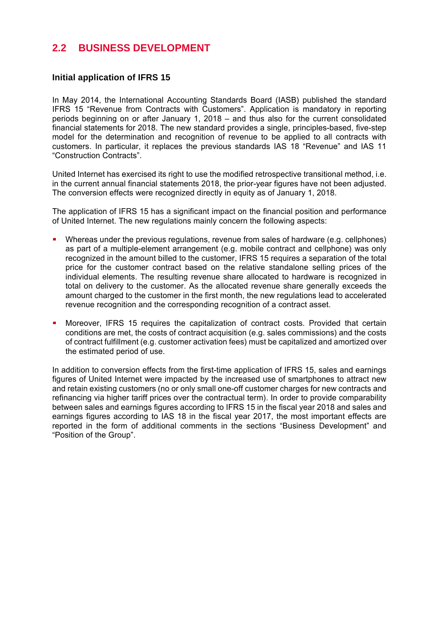# **2.2 BUSINESS DEVELOPMENT**

# **Initial application of IFRS 15**

In May 2014, the International Accounting Standards Board (IASB) published the standard IFRS 15 "Revenue from Contracts with Customers". Application is mandatory in reporting periods beginning on or after January 1, 2018 – and thus also for the current consolidated financial statements for 2018. The new standard provides a single, principles-based, five-step model for the determination and recognition of revenue to be applied to all contracts with customers. In particular, it replaces the previous standards IAS 18 "Revenue" and IAS 11 "Construction Contracts".

United Internet has exercised its right to use the modified retrospective transitional method, i.e. in the current annual financial statements 2018, the prior-year figures have not been adjusted. The conversion effects were recognized directly in equity as of January 1, 2018.

The application of IFRS 15 has a significant impact on the financial position and performance of United Internet. The new regulations mainly concern the following aspects:

- Whereas under the previous regulations, revenue from sales of hardware (e.g. cellphones) as part of a multiple-element arrangement (e.g. mobile contract and cellphone) was only recognized in the amount billed to the customer, IFRS 15 requires a separation of the total price for the customer contract based on the relative standalone selling prices of the individual elements. The resulting revenue share allocated to hardware is recognized in total on delivery to the customer. As the allocated revenue share generally exceeds the amount charged to the customer in the first month, the new regulations lead to accelerated revenue recognition and the corresponding recognition of a contract asset.
- Moreover, IFRS 15 requires the capitalization of contract costs. Provided that certain conditions are met, the costs of contract acquisition (e.g. sales commissions) and the costs of contract fulfillment (e.g. customer activation fees) must be capitalized and amortized over the estimated period of use.

In addition to conversion effects from the first-time application of IFRS 15, sales and earnings figures of United Internet were impacted by the increased use of smartphones to attract new and retain existing customers (no or only small one-off customer charges for new contracts and refinancing via higher tariff prices over the contractual term). In order to provide comparability between sales and earnings figures according to IFRS 15 in the fiscal year 2018 and sales and earnings figures according to IAS 18 in the fiscal year 2017, the most important effects are reported in the form of additional comments in the sections "Business Development" and "Position of the Group".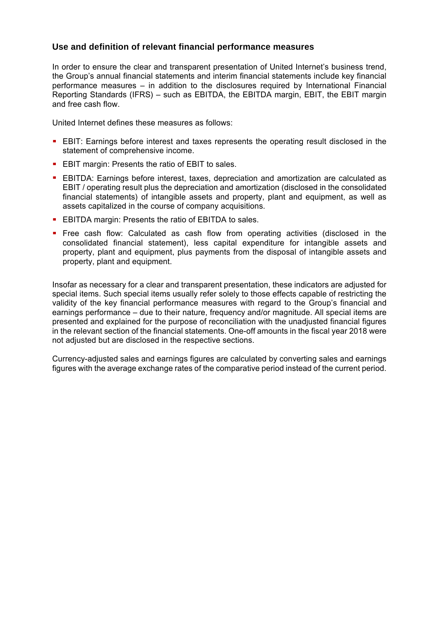# **Use and definition of relevant financial performance measures**

In order to ensure the clear and transparent presentation of United Internet's business trend, the Group's annual financial statements and interim financial statements include key financial performance measures – in addition to the disclosures required by International Financial Reporting Standards (IFRS) – such as EBITDA, the EBITDA margin, EBIT, the EBIT margin and free cash flow.

United Internet defines these measures as follows:

- EBIT: Earnings before interest and taxes represents the operating result disclosed in the statement of comprehensive income.
- **EBIT margin: Presents the ratio of EBIT to sales.**
- EBITDA: Earnings before interest, taxes, depreciation and amortization are calculated as EBIT / operating result plus the depreciation and amortization (disclosed in the consolidated financial statements) of intangible assets and property, plant and equipment, as well as assets capitalized in the course of company acquisitions.
- **EBITDA margin: Presents the ratio of EBITDA to sales.**
- Free cash flow: Calculated as cash flow from operating activities (disclosed in the consolidated financial statement), less capital expenditure for intangible assets and property, plant and equipment, plus payments from the disposal of intangible assets and property, plant and equipment.

Insofar as necessary for a clear and transparent presentation, these indicators are adjusted for special items. Such special items usually refer solely to those effects capable of restricting the validity of the key financial performance measures with regard to the Group's financial and earnings performance – due to their nature, frequency and/or magnitude. All special items are presented and explained for the purpose of reconciliation with the unadjusted financial figures in the relevant section of the financial statements. One-off amounts in the fiscal year 2018 were not adjusted but are disclosed in the respective sections.

Currency-adjusted sales and earnings figures are calculated by converting sales and earnings figures with the average exchange rates of the comparative period instead of the current period.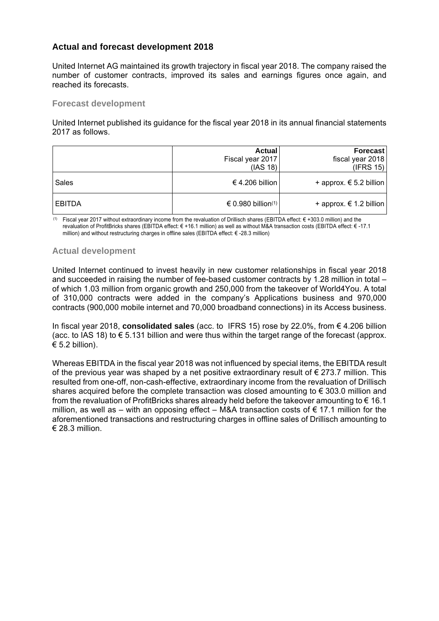# **Actual and forecast development 2018**

United Internet AG maintained its growth trajectory in fiscal year 2018. The company raised the number of customer contracts, improved its sales and earnings figures once again, and reached its forecasts.

#### **Forecast development**

United Internet published its guidance for the fiscal year 2018 in its annual financial statements 2017 as follows.

|        | Actual<br>Fiscal year 2017<br>(IAS 18) | Forecast<br>fiscal year 2018<br>(IFRS 15) |
|--------|----------------------------------------|-------------------------------------------|
| Sales  | € 4.206 billion                        | + approx. $€ 5.2$ billion                 |
| EBITDA | € 0.980 billion(1)                     | + approx. $€ 1.2$ billion                 |

 (1) Fiscal year 2017 without extraordinary income from the revaluation of Drillisch shares (EBITDA effect: € +303.0 million) and the revaluation of ProfitBricks shares (EBITDA effect: € +16.1 million) as well as without M&A transaction costs (EBITDA effect: € -17.1 million) and without restructuring charges in offline sales (EBITDA effect: € -28.3 million)

## **Actual development**

United Internet continued to invest heavily in new customer relationships in fiscal year 2018 and succeeded in raising the number of fee-based customer contracts by 1.28 million in total – of which 1.03 million from organic growth and 250,000 from the takeover of World4You. A total of 310,000 contracts were added in the company's Applications business and 970,000 contracts (900,000 mobile internet and 70,000 broadband connections) in its Access business.

In fiscal year 2018, **consolidated sales** (acc. to IFRS 15) rose by 22.0%, from € 4.206 billion (acc. to IAS 18) to  $\epsilon$  5.131 billion and were thus within the target range of the forecast (approx.  $\epsilon$  5.2 billion).

Whereas EBITDA in the fiscal year 2018 was not influenced by special items, the EBITDA result of the previous year was shaped by a net positive extraordinary result of  $\epsilon$  273.7 million. This resulted from one-off, non-cash-effective, extraordinary income from the revaluation of Drillisch shares acquired before the complete transaction was closed amounting to  $\epsilon$  303.0 million and from the revaluation of ProfitBricks shares already held before the takeover amounting to  $\epsilon$  16.1 million, as well as – with an opposing effect – M&A transaction costs of  $\epsilon$  17.1 million for the aforementioned transactions and restructuring charges in offline sales of Drillisch amounting to € 28.3 million.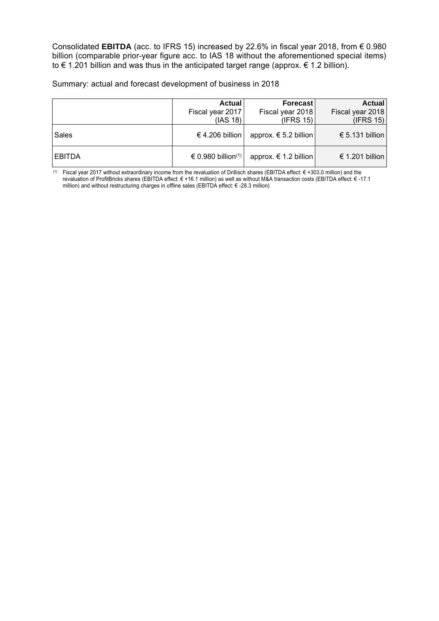Consolidated **EBITDA** (acc. to IFRS 15) increased by 22.6% in fiscal year 2018, from € 0.980 billion (comparable prior-year figure acc. to IAS 18 without the aforementioned special items) to  $\epsilon$  1.201 billion and was thus in the anticipated target range (approx.  $\epsilon$  1.2 billion).

Summary: actual and forecast development of business in 2018

|               | Actual<br>Fiscal year 2017<br>(IAS 18) | Forecast<br>Fiscal year 2018<br>(IFRS 15) | Actual<br>Fiscal year 2018<br>(IFRS 15) |
|---------------|----------------------------------------|-------------------------------------------|-----------------------------------------|
| Sales         | € 4.206 billion                        | approx. $€ 5.2$ billion                   | € 5.131 billion                         |
| <b>EBITDA</b> | $\in$ 0.980 billion(1)                 | approx. $€ 1.2$ billion                   | € 1.201 billion                         |

 (1) Fiscal year 2017 without extraordinary income from the revaluation of Drillisch shares (EBITDA effect: € +303.0 million) and the revaluation of ProfitBricks shares (EBITDA effect: € +16.1 million) as well as without M&A transaction costs (EBITDA effect: € -17.1 million) and without restructuring charges in offline sales (EBITDA effect: € -28.3 million)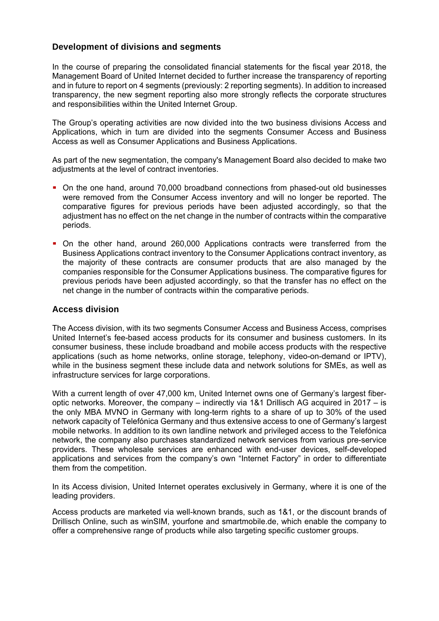# **Development of divisions and segments**

In the course of preparing the consolidated financial statements for the fiscal year 2018, the Management Board of United Internet decided to further increase the transparency of reporting and in future to report on 4 segments (previously: 2 reporting segments). In addition to increased transparency, the new segment reporting also more strongly reflects the corporate structures and responsibilities within the United Internet Group.

The Group's operating activities are now divided into the two business divisions Access and Applications, which in turn are divided into the segments Consumer Access and Business Access as well as Consumer Applications and Business Applications.

As part of the new segmentation, the company's Management Board also decided to make two adjustments at the level of contract inventories.

- On the one hand, around 70,000 broadband connections from phased-out old businesses were removed from the Consumer Access inventory and will no longer be reported. The comparative figures for previous periods have been adjusted accordingly, so that the adjustment has no effect on the net change in the number of contracts within the comparative periods.
- On the other hand, around 260,000 Applications contracts were transferred from the Business Applications contract inventory to the Consumer Applications contract inventory, as the majority of these contracts are consumer products that are also managed by the companies responsible for the Consumer Applications business. The comparative figures for previous periods have been adjusted accordingly, so that the transfer has no effect on the net change in the number of contracts within the comparative periods.

#### **Access division**

The Access division, with its two segments Consumer Access and Business Access, comprises United Internet's fee-based access products for its consumer and business customers. In its consumer business, these include broadband and mobile access products with the respective applications (such as home networks, online storage, telephony, video-on-demand or IPTV), while in the business segment these include data and network solutions for SMEs, as well as infrastructure services for large corporations.

With a current length of over 47,000 km, United Internet owns one of Germany's largest fiberoptic networks. Moreover, the company – indirectly via 1&1 Drillisch AG acquired in 2017 – is the only MBA MVNO in Germany with long-term rights to a share of up to 30% of the used network capacity of Telefónica Germany and thus extensive access to one of Germany's largest mobile networks. In addition to its own landline network and privileged access to the Telefónica network, the company also purchases standardized network services from various pre-service providers. These wholesale services are enhanced with end-user devices, self-developed applications and services from the company's own "Internet Factory" in order to differentiate them from the competition.

In its Access division, United Internet operates exclusively in Germany, where it is one of the leading providers.

Access products are marketed via well-known brands, such as 1&1, or the discount brands of Drillisch Online, such as winSIM, yourfone and smartmobile.de, which enable the company to offer a comprehensive range of products while also targeting specific customer groups.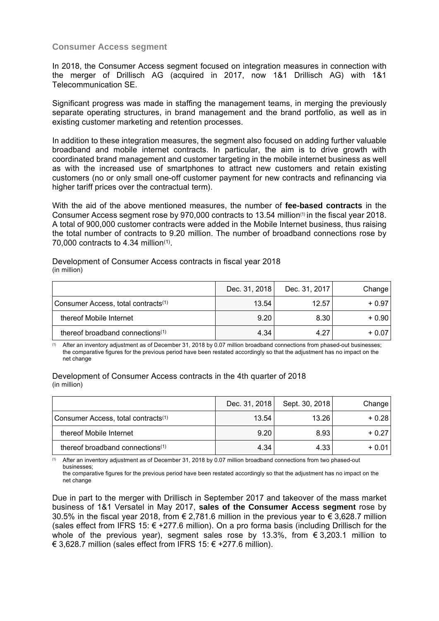## **Consumer Access segment**

In 2018, the Consumer Access segment focused on integration measures in connection with the merger of Drillisch AG (acquired in 2017, now 1&1 Drillisch AG) with 1&1 Telecommunication SE.

Significant progress was made in staffing the management teams, in merging the previously separate operating structures, in brand management and the brand portfolio, as well as in existing customer marketing and retention processes.

In addition to these integration measures, the segment also focused on adding further valuable broadband and mobile internet contracts. In particular, the aim is to drive growth with coordinated brand management and customer targeting in the mobile internet business as well as with the increased use of smartphones to attract new customers and retain existing customers (no or only small one-off customer payment for new contracts and refinancing via higher tariff prices over the contractual term).

With the aid of the above mentioned measures, the number of **fee-based contracts** in the Consumer Access segment rose by 970,000 contracts to 13.54 million<sup>(1)</sup> in the fiscal year 2018. A total of 900,000 customer contracts were added in the Mobile Internet business, thus raising the total number of contracts to 9.20 million. The number of broadband connections rose by 70,000 contracts to 4.34 million(1).

Development of Consumer Access contracts in fiscal year 2018 (in million)

|                                                 | Dec. 31, 2018 | Dec. 31, 2017 | Change  |
|-------------------------------------------------|---------------|---------------|---------|
| Consumer Access, total contracts <sup>(1)</sup> | 13.54         | 12.57         | $+0.97$ |
| thereof Mobile Internet                         | 9.20          | 8.30          | $+0.90$ |
| thereof broadband connections <sup>(1)</sup>    | 4.34          | 4.27          | $+0.07$ |

(1) After an inventory adjustment as of December 31, 2018 by 0.07 million broadband connections from phased-out businesses; the comparative figures for the previous period have been restated accordingly so that the adjustment has no impact on the net change

#### Development of Consumer Access contracts in the 4th quarter of 2018 (in million)

|                                                 | Dec. 31, 2018 | Sept. 30, 2018 | Change  |
|-------------------------------------------------|---------------|----------------|---------|
| Consumer Access, total contracts <sup>(1)</sup> | 13.54         | 13.26          | $+0.28$ |
| thereof Mobile Internet                         | 9.20          | 8.93           | $+0.27$ |
| thereof broadband connections <sup>(1)</sup>    | 4.34          | 4.33           | $+0.01$ |

(1) After an inventory adjustment as of December 31, 2018 by 0.07 million broadband connections from two phased-out businesses;

the comparative figures for the previous period have been restated accordingly so that the adjustment has no impact on the net change

Due in part to the merger with Drillisch in September 2017 and takeover of the mass market business of 1&1 Versatel in May 2017, **sales of the Consumer Access segment** rose by 30.5% in the fiscal year 2018, from € 2,781.6 million in the previous year to € 3,628.7 million (sales effect from IFRS 15:  $€ +277.6$  million). On a pro forma basis (including Drillisch for the whole of the previous year), segment sales rose by 13.3%, from  $\epsilon$  3,203.1 million to € 3,628.7 million (sales effect from IFRS 15:  $∈$  +277.6 million).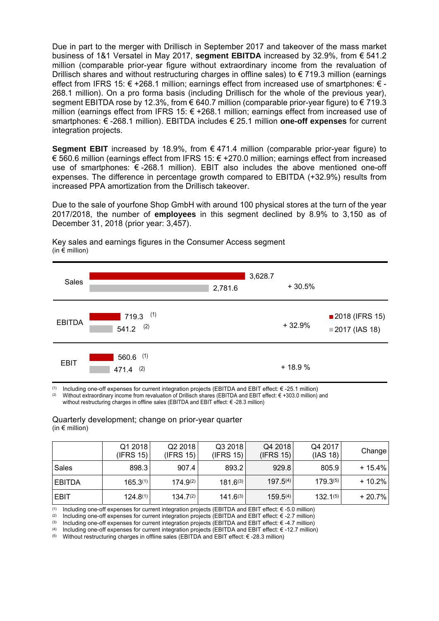Due in part to the merger with Drillisch in September 2017 and takeover of the mass market business of 1&1 Versatel in May 2017, **segment EBITDA** increased by 32.9%, from € 541.2 million (comparable prior-year figure without extraordinary income from the revaluation of Drillisch shares and without restructuring charges in offline sales) to €719.3 million (earnings effect from IFRS 15:  $\epsilon$  +268.1 million; earnings effect from increased use of smartphones:  $\epsilon$  -268.1 million). On a pro forma basis (including Drillisch for the whole of the previous year), segment EBITDA rose by 12.3%, from  $\in 640.7$  million (comparable prior-year figure) to  $\in 719.3$ million (earnings effect from IFRS 15: € +268.1 million; earnings effect from increased use of smartphones: € -268.1 million). EBITDA includes € 25.1 million **one-off expenses** for current integration projects.

**Segment EBIT** increased by 18.9%, from € 471.4 million (comparable prior-year figure) to € 560.6 million (earnings effect from IFRS 15: € +270.0 million; earnings effect from increased use of smartphones: € -268.1 million). EBIT also includes the above mentioned one-off expenses. The difference in percentage growth compared to EBITDA (+32.9%) results from increased PPA amortization from the Drillisch takeover.

Due to the sale of yourfone Shop GmbH with around 100 physical stores at the turn of the year 2017/2018, the number of **employees** in this segment declined by 8.9% to 3,150 as of December 31, 2018 (prior year: 3,457).

| Sales         |                             | 2,781.6 | 3,628.7 | $+30.5%$ |                                   |
|---------------|-----------------------------|---------|---------|----------|-----------------------------------|
| <b>EBITDA</b> | $719.3$ (1)<br>$541.2$ (2)  |         |         | $+32.9%$ | ■ 2018 (IFRS 15)<br>2017 (IAS 18) |
| <b>EBIT</b>   | $560.6$ (1)<br>(2)<br>471.4 |         |         | $+18.9%$ |                                   |

Key sales and earnings figures in the Consumer Access segment (in  $\epsilon$  million)

(1) Including one-off expenses for current integration projects (EBITDA and EBIT effect: € -25.1 million) (2) Without extraordinary income from revaluation of Drillisch shares (EBITDA and EBIT effect: € +303.0 million)

without restructuring charges in offline sales (EBITDA and EBIT effect: € -28.3 million)

#### Quarterly development; change on prior-year quarter (in € million)

|               | Q1 2018<br>(IFRS 15) | Q2 2018<br>(IFRS 15) | Q32018<br>(IFRS 15) | Q4 2018<br>(IFRS 15) | Q4 2017<br>(IAS 18) | Change    |
|---------------|----------------------|----------------------|---------------------|----------------------|---------------------|-----------|
| Sales         | 898.3                | 907.4                | 893.2               | 929.8                | 805.9               | $+15.4\%$ |
| <b>EBITDA</b> | $165.3^{(1)}$        | $174.9^{(2)}$        | $181.6^{(3)}$       | $197.5^{(4)}$        | $179.3^{(5)}$       | $+10.2\%$ |
| <b>EBIT</b>   | $124.8^{(1)}$        | $134.7^{(2)}$        | $141.6^{(3)}$       | $159.5^{(4)}$        | $132.1^{(5)}$       | $+20.7\%$ |

(1) Including one-off expenses for current integration projects (EBITDA and EBIT effect: € -5.0 million)

(2) Including one-off expenses for current integration projects (EBITDA and EBIT effect: € -2.7 million)

(3) Including one-off expenses for current integration projects (EBITDA and EBIT effect: € -4.7 million)

(4) Including one-off expenses for current integration projects (EBITDA and EBIT effect:  $\epsilon$ -12.7 million)

Without restructuring charges in offline sales (EBITDA and EBIT effect: € -28.3 million)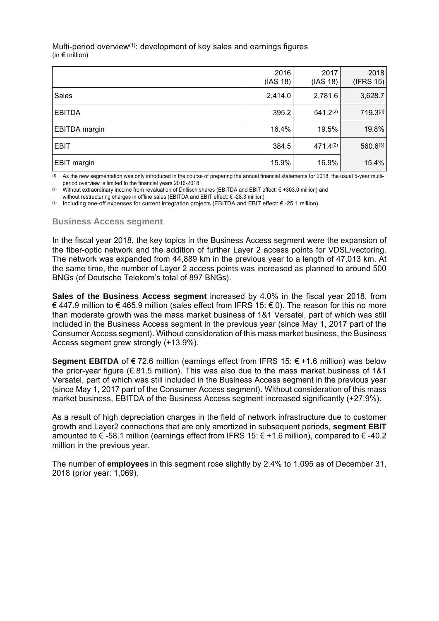#### Multi-period overview<sup>(1)</sup>: development of key sales and earnings figures (in  $\epsilon$  million)

|                      | 2016<br>(IAS 18) | 2017<br>(IAS 18) | 2018<br>(IFRS 15) |
|----------------------|------------------|------------------|-------------------|
| Sales                | 2,414.0          | 2,781.6          | 3,628.7           |
| <b>EBITDA</b>        | 395.2            | 541.2(2)         | 719.3(3)          |
| <b>EBITDA</b> margin | 16.4%            | 19.5%            | 19.8%             |
| <b>EBIT</b>          | 384.5            | 471.4(2)         | 560.6(3)          |
| EBIT margin          | 15.9%            | 16.9%            | 15.4%             |

(1) As the new segmentation was only introduced in the course of preparing the annual financial statements for 2018, the usual 5-year multiperiod overview is limited to the financial years 2016-2018

(2) Without extraordinary income from revaluation of Drillisch shares (EBITDA and EBIT effect: € +303.0 million) and without restructuring charges in offline sales (EBITDA and EBIT effect: € -28.3 million)

(3) Including one-off expenses for current integration projects (EBITDA and EBIT effect: € -25.1 million)

## **Business Access segment**

In the fiscal year 2018, the key topics in the Business Access segment were the expansion of the fiber-optic network and the addition of further Layer 2 access points for VDSL/vectoring. The network was expanded from 44,889 km in the previous year to a length of 47,013 km. At the same time, the number of Layer 2 access points was increased as planned to around 500 BNGs (of Deutsche Telekom's total of 897 BNGs).

**Sales of the Business Access segment** increased by 4.0% in the fiscal year 2018, from € 447.9 million to € 465.9 million (sales effect from IFRS 15: € 0). The reason for this no more than moderate growth was the mass market business of 1&1 Versatel, part of which was still included in the Business Access segment in the previous year (since May 1, 2017 part of the Consumer Access segment). Without consideration of this mass market business, the Business Access segment grew strongly (+13.9%).

**Segment EBITDA** of € 72.6 million (earnings effect from IFRS 15: € +1.6 million) was below the prior-year figure ( $\in$  81.5 million). This was also due to the mass market business of 1&1 Versatel, part of which was still included in the Business Access segment in the previous year (since May 1, 2017 part of the Consumer Access segment). Without consideration of this mass market business, EBITDA of the Business Access segment increased significantly (+27.9%).

As a result of high depreciation charges in the field of network infrastructure due to customer growth and Layer2 connections that are only amortized in subsequent periods, **segment EBIT** amounted to € -58.1 million (earnings effect from IFRS 15: € +1.6 million), compared to € -40.2 million in the previous year.

The number of **employees** in this segment rose slightly by 2.4% to 1,095 as of December 31, 2018 (prior year: 1,069).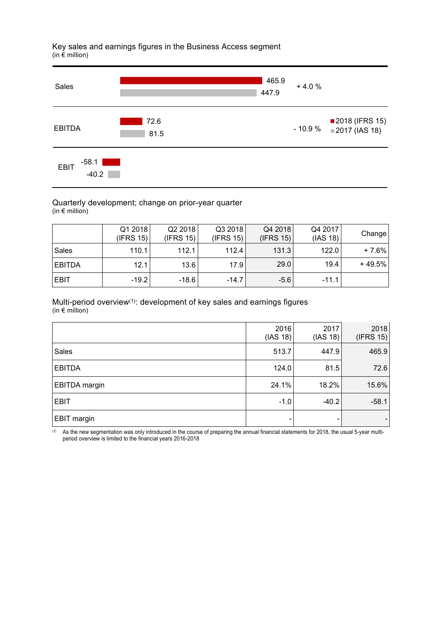Key sales and earnings figures in the Business Access segment  $(in \in m$ 



#### Quarterly development; change on prior-year quarter (in  $\epsilon$  million)

|               | Q1 2018<br>(IFRS 15) | Q2 2018<br>(IFRS 15) | Q3 2018<br>(IFRS 15) | Q4 2018<br>(IFRS 15) | Q4 2017<br>(IAS 18) | Change   |
|---------------|----------------------|----------------------|----------------------|----------------------|---------------------|----------|
| Sales         | 110.1                | 112.1                | 112.4                | 131.3                | 122.0               | $+7.6%$  |
| <b>EBITDA</b> | 12.1                 | 13.6                 | 17.9                 | 29.0                 | 19.4                | $+49.5%$ |
| <b>EBIT</b>   | $-19.2$              | $-18.6$              | $-14.7$              | $-5.6$               | $-11.1$             |          |

#### Multi-period overview(1): development of key sales and earnings figures (in  $\epsilon$  million)

|                      | 2016<br>(IAS 18) | 2017<br>(IAS 18) | 2018<br>(IFRS 15) |
|----------------------|------------------|------------------|-------------------|
| <b>Sales</b>         | 513.7            | 447.9            | 465.9             |
| <b>EBITDA</b>        | 124.0            | 81.5             | 72.6              |
| <b>EBITDA</b> margin | 24.1%            | 18.2%            | 15.6%             |
| <b>EBIT</b>          | $-1.0$           | $-40.2$          | $-58.1$           |
| EBIT margin          |                  |                  |                   |

(1) As the new segmentation was only introduced in the course of preparing the annual financial statements for 2018, the usual 5-year multiperiod overview is limited to the financial years 2016-2018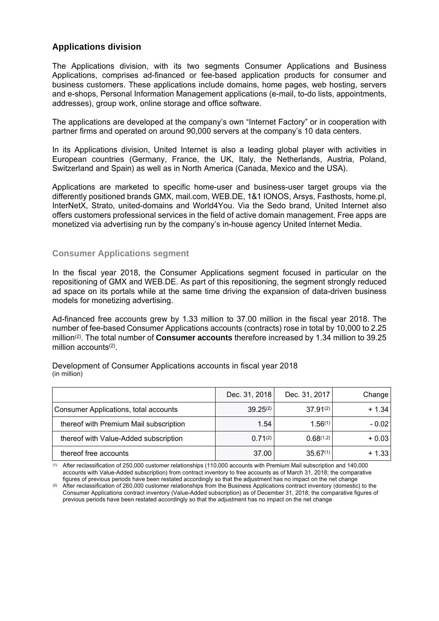# **Applications division**

The Applications division, with its two segments Consumer Applications and Business Applications, comprises ad-financed or fee-based application products for consumer and business customers. These applications include domains, home pages, web hosting, servers and e-shops, Personal Information Management applications (e-mail, to-do lists, appointments, addresses), group work, online storage and office software.

The applications are developed at the company's own "Internet Factory" or in cooperation with partner firms and operated on around 90,000 servers at the company's 10 data centers.

In its Applications division, United Internet is also a leading global player with activities in European countries (Germany, France, the UK, Italy, the Netherlands, Austria, Poland, Switzerland and Spain) as well as in North America (Canada, Mexico and the USA).

Applications are marketed to specific home-user and business-user target groups via the differently positioned brands GMX, mail.com, WEB.DE, 1&1 IONOS, Arsys, Fasthosts, home.pl, InterNetX, Strato, united-domains and World4You. Via the Sedo brand, United Internet also offers customers professional services in the field of active domain management. Free apps are monetized via advertising run by the company's in-house agency United Internet Media.

#### **Consumer Applications segment**

In the fiscal year 2018, the Consumer Applications segment focused in particular on the repositioning of GMX and WEB.DE. As part of this repositioning, the segment strongly reduced ad space on its portals while at the same time driving the expansion of data-driven business models for monetizing advertising.

Ad-financed free accounts grew by 1.33 million to 37.00 million in the fiscal year 2018. The number of fee-based Consumer Applications accounts (contracts) rose in total by 10,000 to 2.25 million(2). The total number of **Consumer accounts** therefore increased by 1.34 million to 39.25 million accounts<sup>(2)</sup>.

|                                              | Dec. 31, 2018 | Dec. 31, 2017 | Change  |
|----------------------------------------------|---------------|---------------|---------|
| <b>Consumer Applications, total accounts</b> | $39.25^{(2)}$ | $37.91^{(2)}$ | $+1.34$ |
| thereof with Premium Mail subscription       | 1.54          | 1.56(1)       | $-0.02$ |
| thereof with Value-Added subscription        | $0.71^{(2)}$  | 0.68(1,2)     | $+0.03$ |
| thereof free accounts                        | 37.00         | $35.67^{(1)}$ | $+1.33$ |

Development of Consumer Applications accounts in fiscal year 2018 (in million)

(1) After reclassification of 250,000 customer relationships (110,000 accounts with Premium Mail subscription and 140,000 accounts with Value-Added subscription) from contract inventory to free accounts as of March 31, 2018; the comparative figures of previous periods have been restated accordingly so that the adjustment has no impact on the net change

(2) After reclassification of 260,000 customer relationships from the Business Applications contract inventory (domestic) to the Consumer Applications contract inventory (Value-Added subscription) as of December 31, 2018; the comparative figures of previous periods have been restated accordingly so that the adjustment has no impact on the net change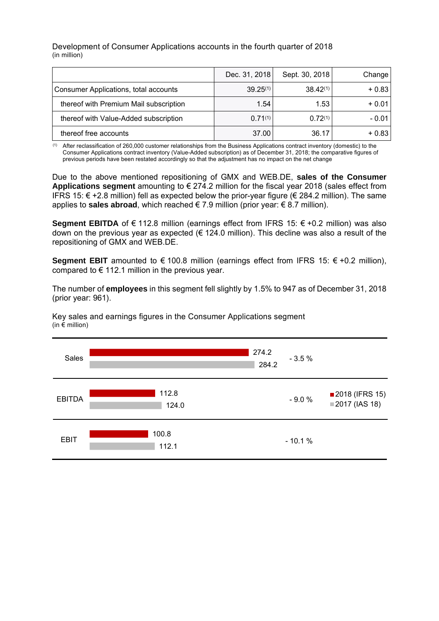Development of Consumer Applications accounts in the fourth quarter of 2018 (in million)

|                                              | Dec. 31, 2018 | Sept. 30, 2018 | Change  |
|----------------------------------------------|---------------|----------------|---------|
| <b>Consumer Applications, total accounts</b> | $39.25^{(1)}$ | $38.42^{(1)}$  | $+0.83$ |
| thereof with Premium Mail subscription       | 1.54          | 1.53           | $+0.01$ |
| thereof with Value-Added subscription        | $0.71^{(1)}$  | 0.72(1)        | $-0.01$ |
| thereof free accounts                        | 37.00         | 36.17          | $+0.83$ |

(1) After reclassification of 260,000 customer relationships from the Business Applications contract inventory (domestic) to the Consumer Applications contract inventory (Value-Added subscription) as of December 31, 2018; the comparative figures of previous periods have been restated accordingly so that the adjustment has no impact on the net change

Due to the above mentioned repositioning of GMX and WEB.DE, **sales of the Consumer Applications segment** amounting to € 274.2 million for the fiscal year 2018 (sales effect from IFRS 15: € +2.8 million) fell as expected below the prior-year figure (€ 284.2 million). The same applies to sales abroad, which reached  $\in 7.9$  million (prior year:  $\in 8.7$  million).

**Segment EBITDA** of € 112.8 million (earnings effect from IFRS 15: € +0.2 million) was also down on the previous year as expected ( $\epsilon$  124.0 million). This decline was also a result of the repositioning of GMX and WEB.DE.

Segment EBIT amounted to  $€ 100.8$  million (earnings effect from IFRS 15:  $€ +0.2$  million), compared to  $\epsilon$  112.1 million in the previous year.

The number of **employees** in this segment fell slightly by 1.5% to 947 as of December 31, 2018 (prior year: 961).

Key sales and earnings figures in the Consumer Applications segment (in  $\epsilon$  million)

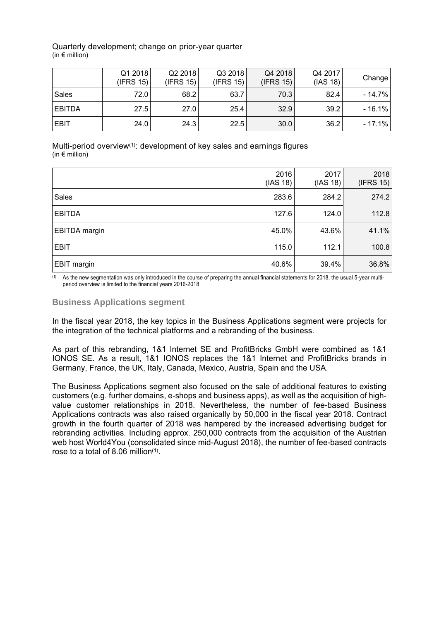#### Quarterly development; change on prior-year quarter  $(in \in$  million)

|               | Q1 2018<br>(IFRS 15) | Q22018<br>(IFRS 15) | Q3 2018<br>(IFRS 15) | Q4 2018<br>(IFRS 15) | Q4 2017<br>(IAS 18) | Change    |
|---------------|----------------------|---------------------|----------------------|----------------------|---------------------|-----------|
| Sales         | 72.0                 | 68.2                | 63.7                 | 70.3                 | 82.4                | $-14.7\%$ |
| <b>EBITDA</b> | 27.5                 | 27.0                | 25.4                 | 32.9                 | 39.2                | $-16.1%$  |
| <b>EBIT</b>   | 24.0                 | 24.3                | 22.5                 | 30.0                 | 36.2                | $-17.1%$  |

Multi-period overview<sup>(1)</sup>: development of key sales and earnings figures (in  $\epsilon$  million)

|               | 2016<br>(IAS 18) | 2017<br>(IAS 18) | 2018<br>(IFRS 15) |
|---------------|------------------|------------------|-------------------|
| <b>Sales</b>  | 283.6            | 284.2            | 274.2             |
| <b>EBITDA</b> | 127.6            | 124.0            | 112.8             |
| EBITDA margin | 45.0%            | 43.6%            | 41.1%             |
| <b>EBIT</b>   | 115.0            | 112.1            | 100.8             |
| EBIT margin   | 40.6%            | 39.4%            | 36.8%             |

(1) As the new segmentation was only introduced in the course of preparing the annual financial statements for 2018, the usual 5-year multiperiod overview is limited to the financial years 2016-2018

## **Business Applications segment**

In the fiscal year 2018, the key topics in the Business Applications segment were projects for the integration of the technical platforms and a rebranding of the business.

As part of this rebranding, 1&1 Internet SE and ProfitBricks GmbH were combined as 1&1 IONOS SE. As a result, 1&1 IONOS replaces the 1&1 Internet and ProfitBricks brands in Germany, France, the UK, Italy, Canada, Mexico, Austria, Spain and the USA.

The Business Applications segment also focused on the sale of additional features to existing customers (e.g. further domains, e-shops and business apps), as well as the acquisition of highvalue customer relationships in 2018. Nevertheless, the number of fee-based Business Applications contracts was also raised organically by 50,000 in the fiscal year 2018. Contract growth in the fourth quarter of 2018 was hampered by the increased advertising budget for rebranding activities. Including approx. 250,000 contracts from the acquisition of the Austrian web host World4You (consolidated since mid-August 2018), the number of fee-based contracts rose to a total of 8.06 million $(1)$ .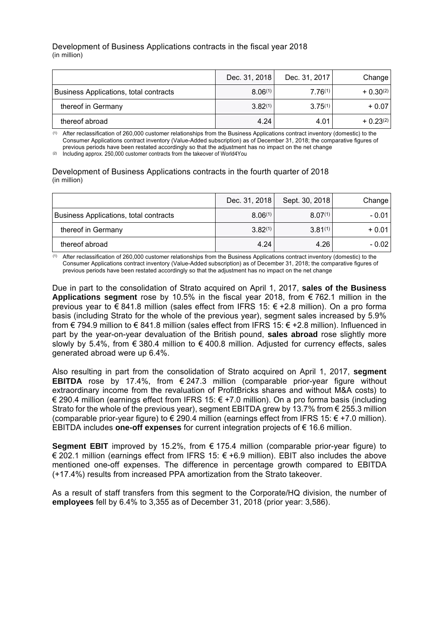#### Development of Business Applications contracts in the fiscal year 2018 (in million)

|                                        | Dec. 31, 2018 | Dec. 31, 2017 | Change         |
|----------------------------------------|---------------|---------------|----------------|
| Business Applications, total contracts | 8.06(1)       | 7.76(1)       | $+ 0.30^{(2)}$ |
| thereof in Germany                     | $3.82^{(1)}$  | $3.75^{(1)}$  | $+0.07$        |
| thereof abroad                         | 4.24          | 4.01          | $+0.23^{(2)}$  |

(1) After reclassification of 260,000 customer relationships from the Business Applications contract inventory (domestic) to the Consumer Applications contract inventory (Value-Added subscription) as of December 31, 2018; the comparative figures of previous periods have been restated accordingly so that the adjustment has no impact on the net change

 $(2)$  Including approx. 250,000 customer contracts from the takeover of World4You

Development of Business Applications contracts in the fourth quarter of 2018 (in million)

|                                               | Dec. 31, 2018 | Sept. 30, 2018 | Change  |
|-----------------------------------------------|---------------|----------------|---------|
| <b>Business Applications, total contracts</b> | 8.06(1)       | $8.07^{(1)}$   | - 0.01  |
| thereof in Germany                            | $3.82^{(1)}$  | $3.81^{(1)}$   | $+0.01$ |
| thereof abroad                                | 4.24          | 4.26           | $-0.02$ |

(1) After reclassification of 260,000 customer relationships from the Business Applications contract inventory (domestic) to the Consumer Applications contract inventory (Value-Added subscription) as of December 31, 2018; the comparative figures of previous periods have been restated accordingly so that the adjustment has no impact on the net change

Due in part to the consolidation of Strato acquired on April 1, 2017, **sales of the Business Applications segment** rose by 10.5% in the fiscal year 2018, from € 762.1 million in the previous year to  $\epsilon$  841.8 million (sales effect from IFRS 15:  $\epsilon$  +2.8 million). On a pro forma basis (including Strato for the whole of the previous year), segment sales increased by 5.9% from € 794.9 million to € 841.8 million (sales effect from IFRS 15: € +2.8 million). Influenced in part by the year-on-year devaluation of the British pound, **sales abroad** rose slightly more slowly by 5.4%, from  $\epsilon$  380.4 million to  $\epsilon$  400.8 million. Adjusted for currency effects, sales generated abroad were up 6.4%.

Also resulting in part from the consolidation of Strato acquired on April 1, 2017, **segment EBITDA** rose by 17.4%, from € 247.3 million (comparable prior-year figure without extraordinary income from the revaluation of ProfitBricks shares and without M&A costs) to € 290.4 million (earnings effect from IFRS 15:  $∈ +7.0$  million). On a pro forma basis (including Strato for the whole of the previous year), segment EBITDA grew by 13.7% from  $\epsilon$  255.3 million (comparable prior-year figure) to  $\epsilon$  290.4 million (earnings effect from IFRS 15:  $\epsilon$  +7.0 million). EBITDA includes **one-off expenses** for current integration projects of € 16.6 million.

Segment EBIT improved by 15.2%, from  $\epsilon$  175.4 million (comparable prior-year figure) to € 202.1 million (earnings effect from IFRS 15: € +6.9 million). EBIT also includes the above mentioned one-off expenses. The difference in percentage growth compared to EBITDA (+17.4%) results from increased PPA amortization from the Strato takeover.

As a result of staff transfers from this segment to the Corporate/HQ division, the number of **employees** fell by 6.4% to 3,355 as of December 31, 2018 (prior year: 3,586).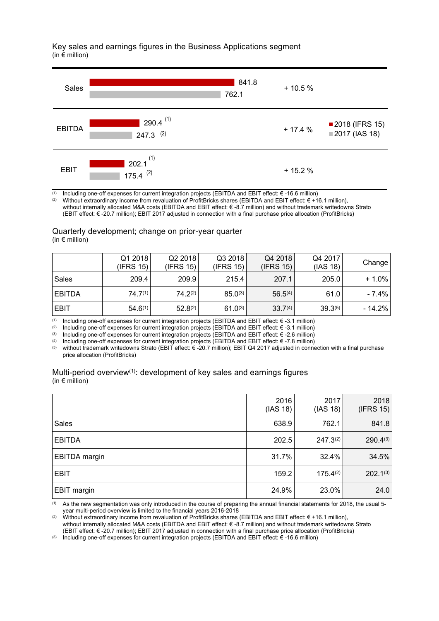Key sales and earnings figures in the Business Applications segment (in € million)



(1) Including one-off expenses for current integration projects (EBITDA and EBIT effect:  $\epsilon$  -16.6 million)<br>(2) Without extraordinary income from revaluation of ProfitBricks shares (EBITDA and EBIT effect:  $\epsilon$  +11

(2) Without extraordinary income from revaluation of ProfitBricks shares (EBITDA and EBIT effect: € +16.1 million),

without internally allocated M&A costs (EBITDA and EBIT effect: € -8.7 million) and without trademark writedowns Strato (EBIT effect: € -20.7 million); EBIT 2017 adjusted in connection with a final purchase price allocation (ProfitBricks)

#### Quarterly development; change on prior-year quarter (in  $\notin$  million)

|               | Q1 2018<br>(IFRS 15) | Q2 2018<br>(IFRS 15) | Q3 2018<br>(IFRS 15) | Q4 2018<br>(IFRS 15) | Q4 2017<br>(IAS 18) | Change   |
|---------------|----------------------|----------------------|----------------------|----------------------|---------------------|----------|
| Sales         | 209.4                | 209.9                | 215.4                | 207.1                | 205.0               | $+1.0\%$ |
| <b>EBITDA</b> | $74.7^{(1)}$         | $74.2^{(2)}$         | $85.0^{(3)}$         | $56.5^{(4)}$         | 61.0                | - 7.4%   |
| <b>EBIT</b>   | $54.6^{(1)}$         | $52.8^{(2)}$         | $61.0^{(3)}$         | 33.7 <sup>(4)</sup>  | $39.3^{(5)}$        | - 14.2%  |

(1) Including one-off expenses for current integration projects (EBITDA and EBIT effect: € -3.1 million)<br>(2) Including one-off expenses for current integration projects (EBITDA and EBIT effect: € -3.1 million)

Including one-off expenses for current integration projects (EBITDA and EBIT effect:  $\epsilon$  -3.1 million)

(3) Including one-off expenses for current integration projects (EBITDA and EBIT effect: € -2.6 million)

(4) Including one-off expenses for current integration projects (EBITDA and EBIT effect: € -7.8 million)<br>(5) without trademark writedowns Strato (EBIT effect: € -20.7 million): EBIT O4.2017 adjusted in conne

without trademark writedowns Strato (EBIT effect: € -20.7 million); EBIT Q4 2017 adjusted in connection with a final purchase price allocation (ProfitBricks)

| Multi-period overview <sup>(1)</sup> : development of key sales and earnings figures |  |  |
|--------------------------------------------------------------------------------------|--|--|
| (in $\epsilon$ million)                                                              |  |  |

|                      | 2016<br>(IAS 18) | 2017<br>(IAS 18) | 2018<br>(IFRS 15) |
|----------------------|------------------|------------------|-------------------|
| <b>Sales</b>         | 638.9            | 762.1            | 841.8             |
| <b>EBITDA</b>        | 202.5            | $247.3^{(2)}$    | 290.4(3)          |
| <b>EBITDA</b> margin | 31.7%            | 32.4%            | 34.5%             |
| <b>EBIT</b>          | 159.2            | 175.4(2)         | $202.1^{(3)}$     |
| <b>EBIT margin</b>   | 24.9%            | 23.0%            | 24.0              |

(1) As the new segmentation was only introduced in the course of preparing the annual financial statements for 2018, the usual 5 year multi-period overview is limited to the financial years 2016-2018

(2) Without extraordinary income from revaluation of ProfitBricks shares (EBITDA and EBIT effect: € +16.1 million), without internally allocated M&A costs (EBITDA and EBIT effect: € -8.7 million) and without trademark writedowns Strato (EBIT effect: € -20.7 million); EBIT 2017 adjusted in connection with a final purchase price allocation (ProfitBricks)

(3) Including one-off expenses for current integration projects (EBITDA and EBIT effect:  $\epsilon$  -16.6 million)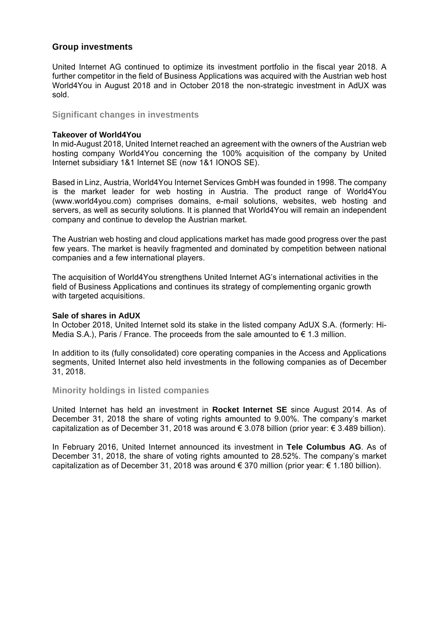## **Group investments**

United Internet AG continued to optimize its investment portfolio in the fiscal year 2018. A further competitor in the field of Business Applications was acquired with the Austrian web host World4You in August 2018 and in October 2018 the non-strategic investment in AdUX was sold.

## **Significant changes in investments**

#### **Takeover of World4You**

In mid-August 2018, United Internet reached an agreement with the owners of the Austrian web hosting company World4You concerning the 100% acquisition of the company by United Internet subsidiary 1&1 Internet SE (now 1&1 IONOS SE).

Based in Linz, Austria, World4You Internet Services GmbH was founded in 1998. The company is the market leader for web hosting in Austria. The product range of World4You (www.world4you.com) comprises domains, e-mail solutions, websites, web hosting and servers, as well as security solutions. It is planned that World4You will remain an independent company and continue to develop the Austrian market.

The Austrian web hosting and cloud applications market has made good progress over the past few years. The market is heavily fragmented and dominated by competition between national companies and a few international players.

The acquisition of World4You strengthens United Internet AG's international activities in the field of Business Applications and continues its strategy of complementing organic growth with targeted acquisitions.

#### **Sale of shares in AdUX**

In October 2018, United Internet sold its stake in the listed company AdUX S.A. (formerly: Hi-Media S.A.), Paris / France. The proceeds from the sale amounted to  $\epsilon$  1.3 million.

In addition to its (fully consolidated) core operating companies in the Access and Applications segments, United Internet also held investments in the following companies as of December 31, 2018.

## **Minority holdings in listed companies**

United Internet has held an investment in **Rocket Internet SE** since August 2014. As of December 31, 2018 the share of voting rights amounted to 9.00%. The company's market capitalization as of December 31, 2018 was around  $\epsilon$  3.078 billion (prior year:  $\epsilon$  3.489 billion).

In February 2016, United Internet announced its investment in **Tele Columbus AG**. As of December 31, 2018, the share of voting rights amounted to 28.52%. The company's market capitalization as of December 31, 2018 was around  $\epsilon$  370 million (prior year:  $\epsilon$  1.180 billion).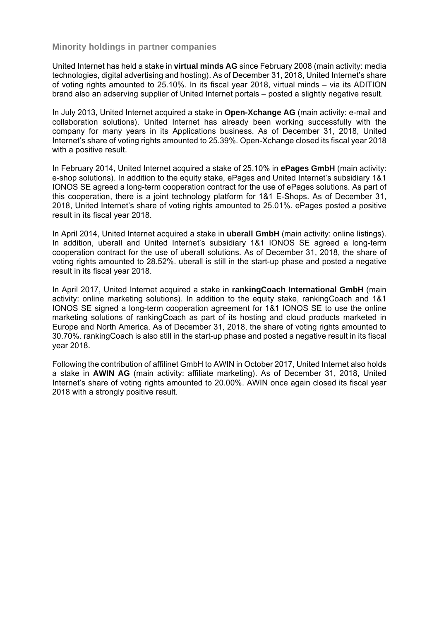#### **Minority holdings in partner companies**

United Internet has held a stake in **virtual minds AG** since February 2008 (main activity: media technologies, digital advertising and hosting). As of December 31, 2018, United Internet's share of voting rights amounted to 25.10%. In its fiscal year 2018, virtual minds – via its ADITION brand also an adserving supplier of United Internet portals – posted a slightly negative result.

In July 2013, United Internet acquired a stake in **Open-Xchange AG** (main activity: e-mail and collaboration solutions). United Internet has already been working successfully with the company for many years in its Applications business. As of December 31, 2018, United Internet's share of voting rights amounted to 25.39%. Open-Xchange closed its fiscal year 2018 with a positive result.

In February 2014, United Internet acquired a stake of 25.10% in **ePages GmbH** (main activity: e-shop solutions). In addition to the equity stake, ePages and United Internet's subsidiary 1&1 IONOS SE agreed a long-term cooperation contract for the use of ePages solutions. As part of this cooperation, there is a joint technology platform for 1&1 E-Shops. As of December 31, 2018, United Internet's share of voting rights amounted to 25.01%. ePages posted a positive result in its fiscal year 2018.

In April 2014, United Internet acquired a stake in **uberall GmbH** (main activity: online listings). In addition, uberall and United Internet's subsidiary 1&1 IONOS SE agreed a long-term cooperation contract for the use of uberall solutions. As of December 31, 2018, the share of voting rights amounted to 28.52%. uberall is still in the start-up phase and posted a negative result in its fiscal year 2018.

In April 2017, United Internet acquired a stake in **rankingCoach International GmbH** (main activity: online marketing solutions). In addition to the equity stake, rankingCoach and 1&1 IONOS SE signed a long-term cooperation agreement for 1&1 IONOS SE to use the online marketing solutions of rankingCoach as part of its hosting and cloud products marketed in Europe and North America. As of December 31, 2018, the share of voting rights amounted to 30.70%. rankingCoach is also still in the start-up phase and posted a negative result in its fiscal year 2018.

Following the contribution of affilinet GmbH to AWIN in October 2017, United Internet also holds a stake in **AWIN AG** (main activity: affiliate marketing). As of December 31, 2018, United Internet's share of voting rights amounted to 20.00%. AWIN once again closed its fiscal year 2018 with a strongly positive result.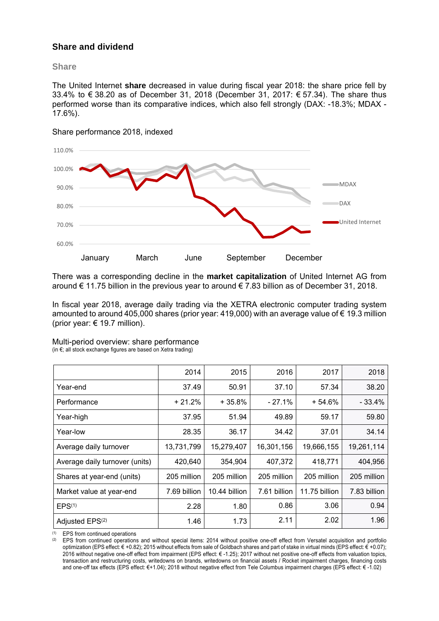# **Share and dividend**

#### **Share**

The United Internet **share** decreased in value during fiscal year 2018: the share price fell by 33.4% to € 38.20 as of December 31, 2018 (December 31, 2017: € 57.34). The share thus performed worse than its comparative indices, which also fell strongly (DAX: -18.3%; MDAX - 17.6%).



Share performance 2018, indexed

There was a corresponding decline in the **market capitalization** of United Internet AG from around  $\epsilon$  11.75 billion in the previous year to around  $\epsilon$  7.83 billion as of December 31, 2018.

In fiscal year 2018, average daily trading via the XETRA electronic computer trading system amounted to around 405,000 shares (prior year: 419,000) with an average value of  $\epsilon$  19.3 million (prior year:  $\epsilon$  19.7 million).

|                                | 2014         | 2015          | 2016         | 2017          | 2018         |
|--------------------------------|--------------|---------------|--------------|---------------|--------------|
| Year-end                       | 37.49        | 50.91         | 37.10        | 57.34         | 38.20        |
| Performance                    | $+21.2%$     | $+35.8%$      | $-27.1%$     | $+54.6%$      | $-33.4%$     |
| Year-high                      | 37.95        | 51.94         | 49.89        | 59.17         | 59.80        |
| Year-low                       | 28.35        | 36.17         | 34.42        | 37.01         | 34.14        |
| Average daily turnover         | 13,731,799   | 15,279,407    | 16,301,156   | 19,666,155    | 19,261,114   |
| Average daily turnover (units) | 420,640      | 354,904       | 407,372      | 418,771       | 404,956      |
| Shares at year-end (units)     | 205 million  | 205 million   | 205 million  | 205 million   | 205 million  |
| Market value at year-end       | 7.69 billion | 10.44 billion | 7.61 billion | 11.75 billion | 7.83 billion |
| EPS <sup>(1)</sup>             | 2.28         | 1.80          | 0.86         | 3.06          | 0.94         |
| Adjusted EPS <sup>(2)</sup>    | 1.46         | 1.73          | 2.11         | 2.02          | 1.96         |

Multi-period overview: share performance (in €; all stock exchange figures are based on Xetra trading)

(1) EPS from continued operations

(2) EPS from continued operations and without special items: 2014 without positive one-off effect from Versatel acquisition and portfolio optimization (EPS effect: € +0.82); 2015 without effects from sale of Goldbach shares and part of stake in virtual minds (EPS effect: € +0.07); 2016 without negative one-off effect from impairment (EPS effect: € -1.25); 2017 without net positive one-off effects from valuation topics, transaction and restructuring costs, writedowns on brands, writedowns on financial assets / Rocket impairment charges, financing costs and one-off tax effects (EPS effect: €+1.04); 2018 without negative effect from Tele Columbus impairment charges (EPS effect: € -1.02)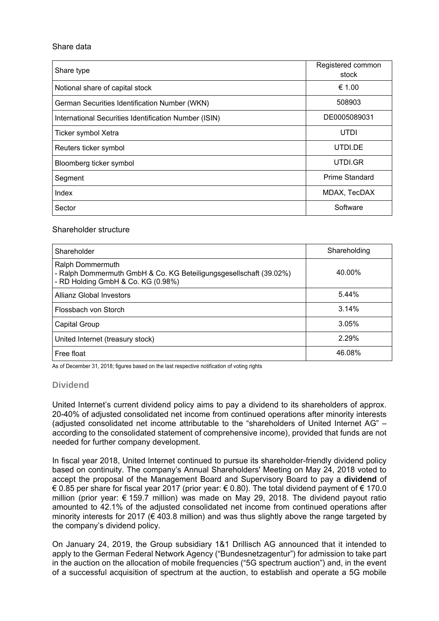#### Share data

| Share type                                            | Registered common<br>stock |
|-------------------------------------------------------|----------------------------|
| Notional share of capital stock                       | € 1.00                     |
| German Securities Identification Number (WKN)         | 508903                     |
| International Securities Identification Number (ISIN) | DE0005089031               |
| Ticker symbol Xetra                                   | UTDI                       |
| Reuters ticker symbol                                 | UTDI.DE                    |
| Bloomberg ticker symbol                               | UTDI.GR                    |
| Segment                                               | <b>Prime Standard</b>      |
| Index                                                 | MDAX, TecDAX               |
| Sector                                                | Software                   |

#### Shareholder structure

| Shareholder                                                                                                                  | Shareholding |
|------------------------------------------------------------------------------------------------------------------------------|--------------|
| Ralph Dommermuth<br>- Ralph Dommermuth GmbH & Co. KG Beteiligungsgesellschaft (39.02%)<br>- RD Holding GmbH & Co. KG (0.98%) | 40.00%       |
| Allianz Global Investors                                                                                                     | 5.44%        |
| Flossbach von Storch                                                                                                         | 3.14%        |
| Capital Group                                                                                                                | 3.05%        |
| United Internet (treasury stock)                                                                                             | 2.29%        |
| Free float                                                                                                                   | 46.08%       |

As of December 31, 2018; figures based on the last respective notification of voting rights

## **Dividend**

United Internet's current dividend policy aims to pay a dividend to its shareholders of approx. 20-40% of adjusted consolidated net income from continued operations after minority interests (adjusted consolidated net income attributable to the "shareholders of United Internet AG" – according to the consolidated statement of comprehensive income), provided that funds are not needed for further company development.

In fiscal year 2018, United Internet continued to pursue its shareholder-friendly dividend policy based on continuity. The company's Annual Shareholders' Meeting on May 24, 2018 voted to accept the proposal of the Management Board and Supervisory Board to pay a **dividend** of € 0.85 per share for fiscal year 2017 (prior year: € 0.80). The total dividend payment of € 170.0 million (prior year: € 159.7 million) was made on May 29, 2018. The dividend payout ratio amounted to 42.1% of the adjusted consolidated net income from continued operations after minority interests for 2017 ( $\in$  403.8 million) and was thus slightly above the range targeted by the company's dividend policy.

On January 24, 2019, the Group subsidiary 1&1 Drillisch AG announced that it intended to apply to the German Federal Network Agency ("Bundesnetzagentur") for admission to take part in the auction on the allocation of mobile frequencies ("5G spectrum auction") and, in the event of a successful acquisition of spectrum at the auction, to establish and operate a 5G mobile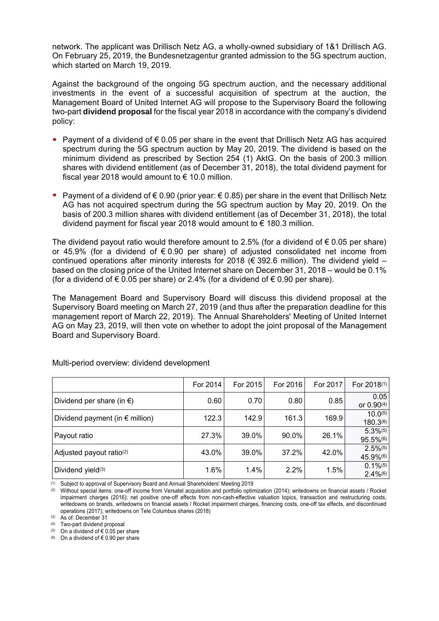network. The applicant was Drillisch Netz AG, a wholly-owned subsidiary of 1&1 Drillisch AG. On February 25, 2019, the Bundesnetzagentur granted admission to the 5G spectrum auction, which started on March 19, 2019.

Against the background of the ongoing 5G spectrum auction, and the necessary additional investments in the event of a successful acquisition of spectrum at the auction, the Management Board of United Internet AG will propose to the Supervisory Board the following two-part **dividend proposal** for the fiscal year 2018 in accordance with the company's dividend policy:

- Payment of a dividend of  $\epsilon$  0.05 per share in the event that Drillisch Netz AG has acquired spectrum during the 5G spectrum auction by May 20, 2019. The dividend is based on the minimum dividend as prescribed by Section 254 (1) AktG. On the basis of 200.3 million shares with dividend entitlement (as of December 31, 2018), the total dividend payment for fiscal year 2018 would amount to  $\epsilon$  10.0 million.
- Payment of a dividend of  $\epsilon$  0.90 (prior year:  $\epsilon$  0.85) per share in the event that Drillisch Netz AG has not acquired spectrum during the 5G spectrum auction by May 20, 2019. On the basis of 200.3 million shares with dividend entitlement (as of December 31, 2018), the total dividend payment for fiscal year 2018 would amount to  $\epsilon$  180.3 million.

The dividend payout ratio would therefore amount to 2.5% (for a dividend of  $\epsilon$  0.05 per share) or 45.9% (for a dividend of € 0.90 per share) of adjusted consolidated net income from continued operations after minority interests for 2018 ( $\epsilon$  392.6 million). The dividend yield – based on the closing price of the United Internet share on December 31, 2018 – would be 0.1% (for a dividend of  $\epsilon$  0.05 per share) or 2.4% (for a dividend of  $\epsilon$  0.90 per share).

The Management Board and Supervisory Board will discuss this dividend proposal at the Supervisory Board meeting on March 27, 2019 (and thus after the preparation deadline for this management report of March 22, 2019). The Annual Shareholders' Meeting of United Internet AG on May 23, 2019, will then vote on whether to adopt the joint proposal of the Management Board and Supervisory Board.

|                                          | For 2014 | For 2015 | For 2016 | For 2017 | For 2018 <sup>(1)</sup>                          |
|------------------------------------------|----------|----------|----------|----------|--------------------------------------------------|
| Dividend per share (in $\epsilon$ )      | 0.60     | 0.70     | 0.80     | 0.85     | 0.05<br>or 0.90(4)                               |
| Dividend payment (in $\epsilon$ million) | 122.3    | 142.9    | 161.3    | 169.9    | $10.0^{(5)}$<br>180.3(6)                         |
| Payout ratio                             | 27.3%    | 39.0%    | 90.0%    | 26.1%    | $5.3\%$ <sup>(5)</sup><br>95.5%(6)               |
| Adjusted payout ratio <sup>(2)</sup>     | 43.0%    | 39.0%    | 37.2%    | 42.0%    | $2.5\%$ <sup>(5)</sup><br>45.9%(6)               |
| Dividend yield <sup>(3)</sup>            | 1.6%     | 1.4%     | $2.2\%$  | 1.5%     | $0.1\%$ <sup>(5)</sup><br>$2.4\%$ <sup>(6)</sup> |

Multi-period overview: dividend development

(1) Subject to approval of Supervisory Board and Annual Shareholders' Meeting 2019

(3) As of: December 31

(4) Two-part dividend proposal

(5) On a dividend of  $\epsilon$  0.05 per share

(6) On a dividend of  $\epsilon$  0.90 per share

<sup>(2)</sup> Without special items: one-off income from Versatel acquisition and portfolio optimization (2014); writedowns on financial assets / Rocket impairment charges (2016); net positive one-off effects from non-cash-effective valuation topics, transaction and restructuring costs, writedowns on brands, writedowns on financial assets / Rocket impairment charges, financing costs, one-off tax effects, and discontinued operations (2017); writedowns on Tele Columbus shares (2018)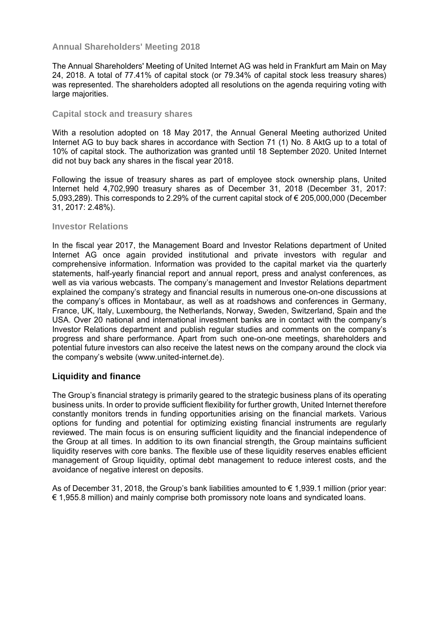# **Annual Shareholders' Meeting 2018**

The Annual Shareholders' Meeting of United Internet AG was held in Frankfurt am Main on May 24, 2018. A total of 77.41% of capital stock (or 79.34% of capital stock less treasury shares) was represented. The shareholders adopted all resolutions on the agenda requiring voting with large majorities.

#### **Capital stock and treasury shares**

With a resolution adopted on 18 May 2017, the Annual General Meeting authorized United Internet AG to buy back shares in accordance with Section 71 (1) No. 8 AktG up to a total of 10% of capital stock. The authorization was granted until 18 September 2020. United Internet did not buy back any shares in the fiscal year 2018.

Following the issue of treasury shares as part of employee stock ownership plans, United Internet held 4,702,990 treasury shares as of December 31, 2018 (December 31, 2017: 5,093,289). This corresponds to 2.29% of the current capital stock of € 205,000,000 (December 31, 2017: 2.48%).

#### **Investor Relations**

In the fiscal year 2017, the Management Board and Investor Relations department of United Internet AG once again provided institutional and private investors with regular and comprehensive information. Information was provided to the capital market via the quarterly statements, half-yearly financial report and annual report, press and analyst conferences, as well as via various webcasts. The company's management and Investor Relations department explained the company's strategy and financial results in numerous one-on-one discussions at the company's offices in Montabaur, as well as at roadshows and conferences in Germany, France, UK, Italy, Luxembourg, the Netherlands, Norway, Sweden, Switzerland, Spain and the USA. Over 20 national and international investment banks are in contact with the company's Investor Relations department and publish regular studies and comments on the company's progress and share performance. Apart from such one-on-one meetings, shareholders and potential future investors can also receive the latest news on the company around the clock via the company's website (www.united-internet.de).

## **Liquidity and finance**

The Group's financial strategy is primarily geared to the strategic business plans of its operating business units. In order to provide sufficient flexibility for further growth, United Internet therefore constantly monitors trends in funding opportunities arising on the financial markets. Various options for funding and potential for optimizing existing financial instruments are regularly reviewed. The main focus is on ensuring sufficient liquidity and the financial independence of the Group at all times. In addition to its own financial strength, the Group maintains sufficient liquidity reserves with core banks. The flexible use of these liquidity reserves enables efficient management of Group liquidity, optimal debt management to reduce interest costs, and the avoidance of negative interest on deposits.

As of December 31, 2018, the Group's bank liabilities amounted to  $\epsilon$  1,939.1 million (prior year: € 1,955.8 million) and mainly comprise both promissory note loans and syndicated loans.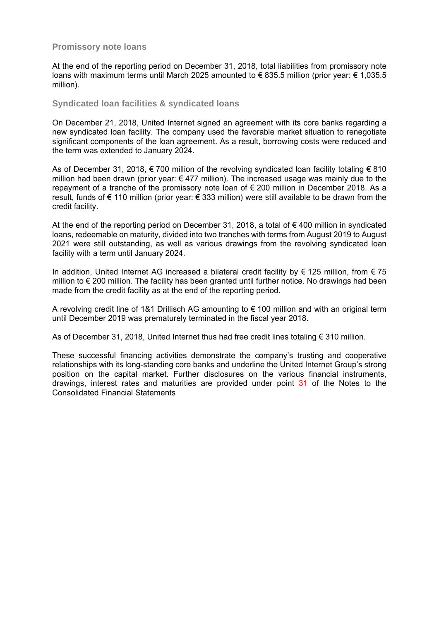## **Promissory note loans**

At the end of the reporting period on December 31, 2018, total liabilities from promissory note loans with maximum terms until March 2025 amounted to € 835.5 million (prior year: € 1,035.5 million).

#### **Syndicated loan facilities & syndicated loans**

On December 21, 2018, United Internet signed an agreement with its core banks regarding a new syndicated loan facility. The company used the favorable market situation to renegotiate significant components of the loan agreement. As a result, borrowing costs were reduced and the term was extended to January 2024.

As of December 31, 2018, € 700 million of the revolving syndicated loan facility totaling € 810 million had been drawn (prior year:  $\epsilon$  477 million). The increased usage was mainly due to the repayment of a tranche of the promissory note loan of € 200 million in December 2018. As a result, funds of € 110 million (prior year: € 333 million) were still available to be drawn from the credit facility.

At the end of the reporting period on December 31, 2018, a total of  $\epsilon$  400 million in syndicated loans, redeemable on maturity, divided into two tranches with terms from August 2019 to August 2021 were still outstanding, as well as various drawings from the revolving syndicated loan facility with a term until January 2024.

In addition, United Internet AG increased a bilateral credit facility by € 125 million, from € 75 million to € 200 million. The facility has been granted until further notice. No drawings had been made from the credit facility as at the end of the reporting period.

A revolving credit line of 1&1 Drillisch AG amounting to € 100 million and with an original term until December 2019 was prematurely terminated in the fiscal year 2018.

As of December 31, 2018, United Internet thus had free credit lines totaling € 310 million.

These successful financing activities demonstrate the company's trusting and cooperative relationships with its long-standing core banks and underline the United Internet Group's strong position on the capital market. Further disclosures on the various financial instruments, drawings, interest rates and maturities are provided under point 31 of the Notes to the Consolidated Financial Statements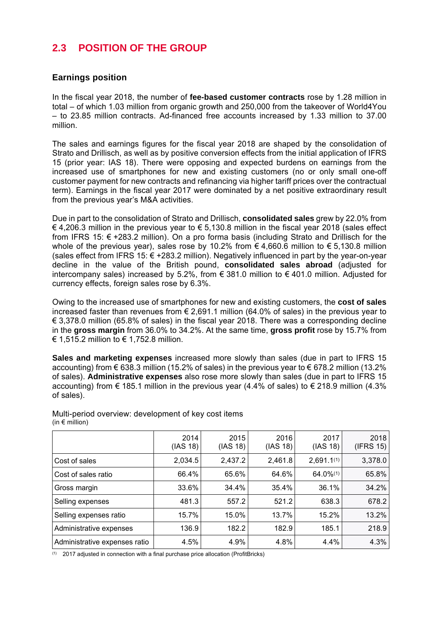# **2.3 POSITION OF THE GROUP**

# **Earnings position**

In the fiscal year 2018, the number of **fee-based customer contracts** rose by 1.28 million in total – of which 1.03 million from organic growth and 250,000 from the takeover of World4You – to 23.85 million contracts. Ad-financed free accounts increased by 1.33 million to 37.00 million.

The sales and earnings figures for the fiscal year 2018 are shaped by the consolidation of Strato and Drillisch, as well as by positive conversion effects from the initial application of IFRS 15 (prior year: IAS 18). There were opposing and expected burdens on earnings from the increased use of smartphones for new and existing customers (no or only small one-off customer payment for new contracts and refinancing via higher tariff prices over the contractual term). Earnings in the fiscal year 2017 were dominated by a net positive extraordinary result from the previous year's M&A activities.

Due in part to the consolidation of Strato and Drillisch, **consolidated sales** grew by 22.0% from € 4,206.3 million in the previous year to € 5,130.8 million in the fiscal year 2018 (sales effect from IFRS 15: € +283.2 million). On a pro forma basis (including Strato and Drillisch for the whole of the previous year), sales rose by 10.2% from  $\epsilon$  4,660.6 million to  $\epsilon$  5,130.8 million (sales effect from IFRS 15:  $\epsilon$  +283.2 million). Negatively influenced in part by the year-on-year decline in the value of the British pound, **consolidated sales abroad** (adjusted for intercompany sales) increased by 5.2%, from € 381.0 million to  $\epsilon$  401.0 million. Adjusted for currency effects, foreign sales rose by 6.3%.

Owing to the increased use of smartphones for new and existing customers, the **cost of sales** increased faster than revenues from  $\epsilon$  2.691.1 million (64.0% of sales) in the previous vear to  $\epsilon$  3,378.0 million (65.8% of sales) in the fiscal year 2018. There was a corresponding decline in the **gross margin** from 36.0% to 34.2%. At the same time, **gross profit** rose by 15.7% from € 1,515.2 million to € 1,752.8 million.

**Sales and marketing expenses** increased more slowly than sales (due in part to IFRS 15 accounting) from  $\epsilon$  638.3 million (15.2% of sales) in the previous year to  $\epsilon$  678.2 million (13.2% of sales). **Administrative expenses** also rose more slowly than sales (due in part to IFRS 15 accounting) from  $\epsilon$  185.1 million in the previous year (4.4% of sales) to  $\epsilon$  218.9 million (4.3% of sales).

|                               | 2014<br>(IAS 18) | 2015<br>(IAS 18) | 2016<br>(IAS 18) | 2017<br>(IAS 18) | 2018<br>(IFRS 15) |
|-------------------------------|------------------|------------------|------------------|------------------|-------------------|
| Cost of sales                 | 2,034.5          | 2,437.2          | 2,461.8          | $2,691.1^{(1)}$  | 3,378.0           |
| Cost of sales ratio           | 66.4%            | 65.6%            | 64.6%            | 64.0%(1)         | 65.8%             |
| Gross margin                  | 33.6%            | 34.4%            | 35.4%            | 36.1%            | 34.2%             |
| Selling expenses              | 481.3            | 557.2            | 521.2            | 638.3            | 678.2             |
| Selling expenses ratio        | 15.7%            | 15.0%            | 13.7%            | 15.2%            | 13.2%             |
| Administrative expenses       | 136.9            | 182.2            | 182.9            | 185.1            | 218.9             |
| Administrative expenses ratio | 4.5%             | 4.9%             | 4.8%             | 4.4%             | 4.3%              |

Multi-period overview: development of key cost items (in  $\epsilon$  million)

(1) 2017 adjusted in connection with a final purchase price allocation (ProfitBricks)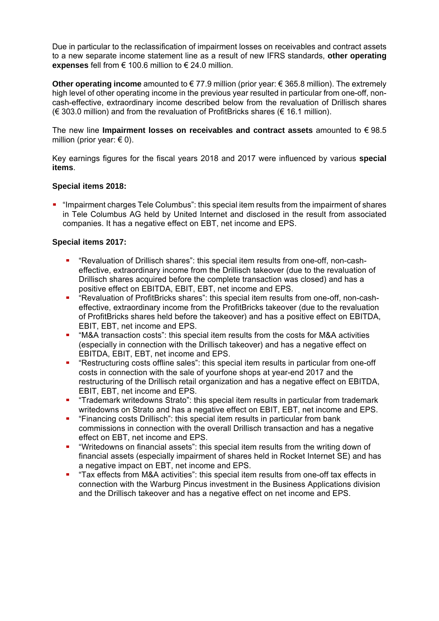Due in particular to the reclassification of impairment losses on receivables and contract assets to a new separate income statement line as a result of new IFRS standards, **other operating expenses** fell from € 100.6 million to € 24.0 million.

**Other operating income** amounted to € 77.9 million (prior year: € 365.8 million). The extremely high level of other operating income in the previous year resulted in particular from one-off, noncash-effective, extraordinary income described below from the revaluation of Drillisch shares  $(\in$  303.0 million) and from the revaluation of ProfitBricks shares ( $\xi$  16.1 million).

The new line **Impairment losses on receivables and contract assets** amounted to € 98.5 million (prior year:  $\in$  0).

Key earnings figures for the fiscal years 2018 and 2017 were influenced by various **special items**.

**Special items 2018:** 

 "Impairment charges Tele Columbus": this special item results from the impairment of shares in Tele Columbus AG held by United Internet and disclosed in the result from associated companies. It has a negative effect on EBT, net income and EPS.

**Special items 2017:** 

- "Revaluation of Drillisch shares": this special item results from one-off, non-casheffective, extraordinary income from the Drillisch takeover (due to the revaluation of Drillisch shares acquired before the complete transaction was closed) and has a positive effect on EBITDA, EBIT, EBT, net income and EPS.
- "Revaluation of ProfitBricks shares": this special item results from one-off, non-casheffective, extraordinary income from the ProfitBricks takeover (due to the revaluation of ProfitBricks shares held before the takeover) and has a positive effect on EBITDA, EBIT, EBT, net income and EPS.
- "M&A transaction costs": this special item results from the costs for M&A activities (especially in connection with the Drillisch takeover) and has a negative effect on EBITDA, EBIT, EBT, net income and EPS.
- "Restructuring costs offline sales": this special item results in particular from one-off costs in connection with the sale of yourfone shops at year-end 2017 and the restructuring of the Drillisch retail organization and has a negative effect on EBITDA, EBIT, EBT, net income and EPS.
- "Trademark writedowns Strato": this special item results in particular from trademark writedowns on Strato and has a negative effect on EBIT, EBT, net income and EPS.
- "Financing costs Drillisch": this special item results in particular from bank commissions in connection with the overall Drillisch transaction and has a negative effect on EBT, net income and EPS.
- "Writedowns on financial assets": this special item results from the writing down of financial assets (especially impairment of shares held in Rocket Internet SE) and has a negative impact on EBT, net income and EPS.
- "Tax effects from M&A activities": this special item results from one-off tax effects in connection with the Warburg Pincus investment in the Business Applications division and the Drillisch takeover and has a negative effect on net income and EPS.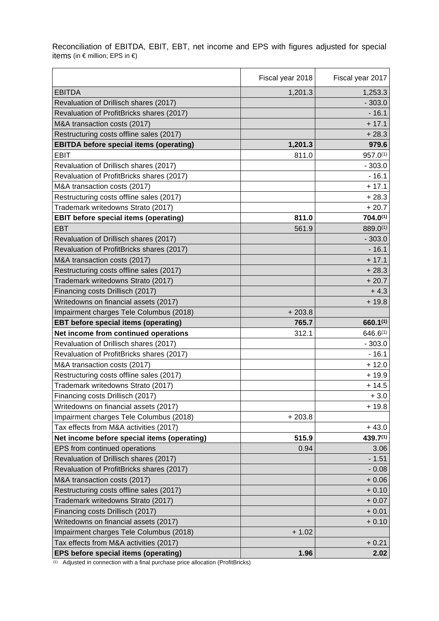Reconciliation of EBITDA, EBIT, EBT, net income and EPS with figures adjusted for special items (in € million; EPS in €)

 $\mathbb{R}^2$ 

|                                                | Fiscal year 2018 | Fiscal year 2017 |
|------------------------------------------------|------------------|------------------|
| <b>EBITDA</b>                                  | 1,201.3          | 1,253.3          |
| Revaluation of Drillisch shares (2017)         |                  | $-303.0$         |
| Revaluation of ProfitBricks shares (2017)      |                  | $-16.1$          |
| M&A transaction costs (2017)                   |                  | $+17.1$          |
| Restructuring costs offline sales (2017)       |                  | $+28.3$          |
| <b>EBITDA before special items (operating)</b> | 1,201.3          | 979.6            |
| <b>EBIT</b>                                    | 811.0            | 957.0(1)         |
| Revaluation of Drillisch shares (2017)         |                  | $-303.0$         |
| Revaluation of ProfitBricks shares (2017)      |                  | $-16.1$          |
| M&A transaction costs (2017)                   |                  | $+17.1$          |
| Restructuring costs offline sales (2017)       |                  | $+28.3$          |
| Trademark writedowns Strato (2017)             |                  | $+20.7$          |
| EBIT before special items (operating)          | 811.0            | $704.0^{(1)}$    |
| EBT                                            | 561.9            | 889.0(1)         |
| Revaluation of Drillisch shares (2017)         |                  | $-303.0$         |
| Revaluation of ProfitBricks shares (2017)      |                  | $-16.1$          |
| M&A transaction costs (2017)                   |                  | $+17.1$          |
| Restructuring costs offline sales (2017)       |                  | $+28.3$          |
| Trademark writedowns Strato (2017)             |                  | $+20.7$          |
| Financing costs Drillisch (2017)               |                  | $+4.3$           |
| Writedowns on financial assets (2017)          |                  | $+19.8$          |
| Impairment charges Tele Columbus (2018)        | $+203.8$         |                  |
| EBT before special items (operating)           | 765.7            | $660.1^{(1)}$    |
| Net income from continued operations           | 312.1            | $646.6^{(1)}$    |
| Revaluation of Drillisch shares (2017)         |                  | $-303.0$         |
| Revaluation of ProfitBricks shares (2017)      |                  | $-16.1$          |
| M&A transaction costs (2017)                   |                  | $+12.0$          |
| Restructuring costs offline sales (2017)       |                  | $+19.9$          |
| Trademark writedowns Strato (2017)             |                  | $+14.5$          |
| Financing costs Drillisch (2017)               |                  | $+3.0$           |
| Writedowns on financial assets (2017)          |                  | $+19.8$          |
| Impairment charges Tele Columbus (2018)        | $+203.8$         |                  |
| Tax effects from M&A activities (2017)         |                  | $+43.0$          |
| Net income before special items (operating)    | 515.9            | 439.7(1)         |
| EPS from continued operations                  | 0.94             | 3.06             |
| Revaluation of Drillisch shares (2017)         |                  | $-1.51$          |
| Revaluation of ProfitBricks shares (2017)      |                  | $-0.08$          |
| M&A transaction costs (2017)                   |                  | $+0.06$          |
| Restructuring costs offline sales (2017)       |                  | $+0.10$          |
| Trademark writedowns Strato (2017)             |                  | $+0.07$          |
| Financing costs Drillisch (2017)               |                  | $+0.01$          |
| Writedowns on financial assets (2017)          |                  | $+0.10$          |
| Impairment charges Tele Columbus (2018)        | $+1.02$          |                  |
| Tax effects from M&A activities (2017)         |                  | $+0.21$          |
| EPS before special items (operating)           | 1.96             | 2.02             |

(1) Adjusted in connection with a final purchase price allocation (ProfitBricks)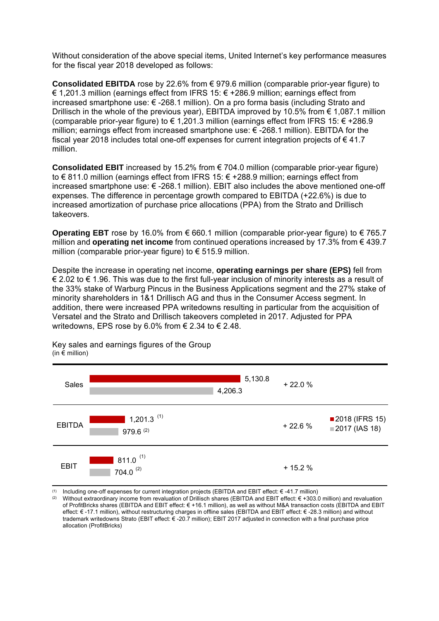Without consideration of the above special items, United Internet's key performance measures for the fiscal year 2018 developed as follows:

**Consolidated EBITDA** rose by 22.6% from € 979.6 million (comparable prior-year figure) to € 1,201.3 million (earnings effect from IFRS 15: € +286.9 million; earnings effect from increased smartphone use: € -268.1 million). On a pro forma basis (including Strato and Drillisch in the whole of the previous year), EBITDA improved by 10.5% from € 1,087.1 million (comparable prior-year figure) to € 1,201.3 million (earnings effect from IFRS 15:  $∈$  +286.9 million; earnings effect from increased smartphone use: € -268.1 million). EBITDA for the fiscal year 2018 includes total one-off expenses for current integration projects of € 41.7 million.

**Consolidated EBIT** increased by 15.2% from € 704.0 million (comparable prior-year figure) to € 811.0 million (earnings effect from IFRS 15: € +288.9 million; earnings effect from increased smartphone use: € -268.1 million). EBIT also includes the above mentioned one-off expenses. The difference in percentage growth compared to EBITDA (+22.6%) is due to increased amortization of purchase price allocations (PPA) from the Strato and Drillisch takeovers.

**Operating EBT** rose by 16.0% from € 660.1 million (comparable prior-year figure) to € 765.7 million and **operating net income** from continued operations increased by 17.3% from € 439.7 million (comparable prior-year figure) to  $\epsilon$  515.9 million.

Despite the increase in operating net income, **operating earnings per share (EPS)** fell from € 2.02 to € 1.96. This was due to the first full-year inclusion of minority interests as a result of the 33% stake of Warburg Pincus in the Business Applications segment and the 27% stake of minority shareholders in 1&1 Drillisch AG and thus in the Consumer Access segment. In addition, there were increased PPA writedowns resulting in particular from the acquisition of Versatel and the Strato and Drillisch takeovers completed in 2017. Adjusted for PPA writedowns, EPS rose by 6.0% from  $\epsilon$  2.34 to  $\epsilon$  2.48.



Key sales and earnings figures of the Group (in  $\epsilon$  million)

(1) Including one-off expenses for current integration projects (EBITDA and EBIT effect: € -41.7 million)

(2) Without extraordinary income from revaluation of Drillisch shares (EBITDA and EBIT effect: € +303.0 million) and revaluation of ProfitBricks shares (EBITDA and EBIT effect: € +16.1 million), as well as without M&A transaction costs (EBITDA and EBIT effect: € -17.1 million), without restructuring charges in offline sales (EBITDA and EBIT effect: € -28.3 million) and without trademark writedowns Strato (EBIT effect: € -20.7 million); EBIT 2017 adjusted in connection with a final purchase price allocation (ProfitBricks)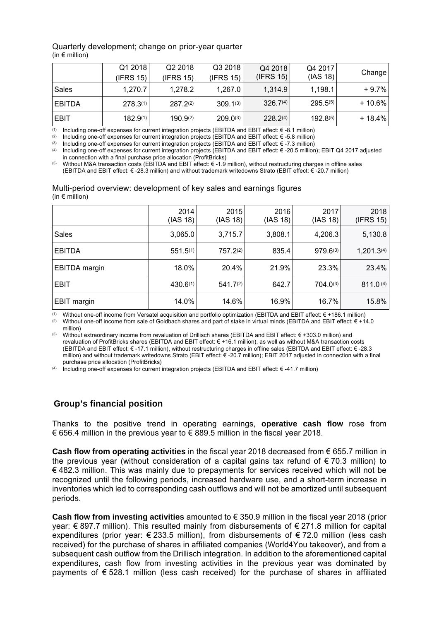#### Quarterly development; change on prior-year quarter (in  $\epsilon$  million)

|               | Q1 2018       | Q22018        | Q3 2018       | Q4 2018              | Q4 2017       | Change    |
|---------------|---------------|---------------|---------------|----------------------|---------------|-----------|
|               | (IFRS 15)     | (IFRS 15)     | (IFRS 15)     | (IFRS 15)            | (IAS 18)      |           |
| Sales         | 1,270.7       | 1,278.2       | 1,267.0       | 1,314.9              | 1,198.1       | $+9.7%$   |
| <b>EBITDA</b> | $278.3^{(1)}$ | $287.2^{(2)}$ | $309.1^{(3)}$ | $326.7^{(4)}$        | $295.5^{(5)}$ | $+10.6\%$ |
| <b>EBIT</b>   | $182.9^{(1)}$ | $190.9^{(2)}$ | $209.0^{(3)}$ | 228.2 <sup>(4)</sup> | $192.8^{(5)}$ | $+18.4%$  |

(1) Including one-off expenses for current integration projects (EBITDA and EBIT effect:  $\epsilon$  -8.1 million)

(2) Including one-off expenses for current integration projects (EBITDA and EBIT effect:  $\epsilon$  -5.8 million)

(3) Including one-off expenses for current integration projects (EBITDA and EBIT effect: € -7.3 million)

(4) Including one-off expenses for current integration projects (EBITDA and EBIT effect: € -20.5 million); EBIT Q4 2017 adjusted in connection with a final purchase price allocation (ProfitBricks)

(5) Without M&A transaction costs (EBITDA and EBIT effect: € -1.9 million), without restructuring charges in offline sales (EBITDA and EBIT effect: € -28.3 million) and without trademark writedowns Strato (EBIT effect: € -20.7 million)

#### Multi-period overview: development of key sales and earnings figures (in  $\epsilon$  million)

|               | 2014<br>(IAS 18) | 2015<br>(IAS 18) | 2016<br>(IAS 18) | 2017<br>(IAS 18) | 2018<br>(IFRS 15)      |
|---------------|------------------|------------------|------------------|------------------|------------------------|
| <b>Sales</b>  | 3,065.0          | 3,715.7          | 3,808.1          | 4,206.3          | 5,130.8                |
| <b>EBITDA</b> | $551.5^{(1)}$    | $757.2^{(2)}$    | 835.4            | 979.6(3)         | 1,201.3 <sup>(4)</sup> |
| EBITDA margin | 18.0%            | 20.4%            | 21.9%            | 23.3%            | 23.4%                  |
| EBIT          | $430.6^{(1)}$    | $541.7^{(2)}$    | 642.7            | $704.0^{(3)}$    | 811.0(4)               |
| EBIT margin   | 14.0%            | 14.6%            | 16.9%            | 16.7%            | 15.8%                  |

(1) Without one-off income from Versatel acquisition and portfolio optimization (EBITDA and EBIT effect: € +186.1 million)

(2) Without one-off income from sale of Goldbach shares and part of stake in virtual minds (EBITDA and EBIT effect:  $\epsilon$  +14.0 million)

(3) Without extraordinary income from revaluation of Drillisch shares (EBITDA and EBIT effect: € +303.0 million) and revaluation of ProfitBricks shares (EBITDA and EBIT effect: € +16.1 million), as well as without M&A transaction costs (EBITDA and EBIT effect: € -17.1 million), without restructuring charges in offline sales (EBITDA and EBIT effect: € -28.3 million) and without trademark writedowns Strato (EBIT effect: € -20.7 million); EBIT 2017 adjusted in connection with a final purchase price allocation (ProfitBricks)

(4) Including one-off expenses for current integration projects (EBITDA and EBIT effect: € -41.7 million)

# **Group's financial position**

Thanks to the positive trend in operating earnings, **operative cash flow** rose from € 656.4 million in the previous year to € 889.5 million in the fiscal year 2018.

**Cash flow from operating activities** in the fiscal year 2018 decreased from € 655.7 million in the previous year (without consideration of a capital gains tax refund of  $\epsilon$  70.3 million) to  $\epsilon$  482.3 million. This was mainly due to prepayments for services received which will not be recognized until the following periods, increased hardware use, and a short-term increase in inventories which led to corresponding cash outflows and will not be amortized until subsequent periods.

**Cash flow from investing activities** amounted to € 350.9 million in the fiscal year 2018 (prior year: € 897.7 million). This resulted mainly from disbursements of € 271.8 million for capital expenditures (prior year:  $\epsilon$  233.5 million), from disbursements of  $\epsilon$  72.0 million (less cash received) for the purchase of shares in affiliated companies (World4You takeover), and from a subsequent cash outflow from the Drillisch integration. In addition to the aforementioned capital expenditures, cash flow from investing activities in the previous year was dominated by payments of  $\epsilon$  528.1 million (less cash received) for the purchase of shares in affiliated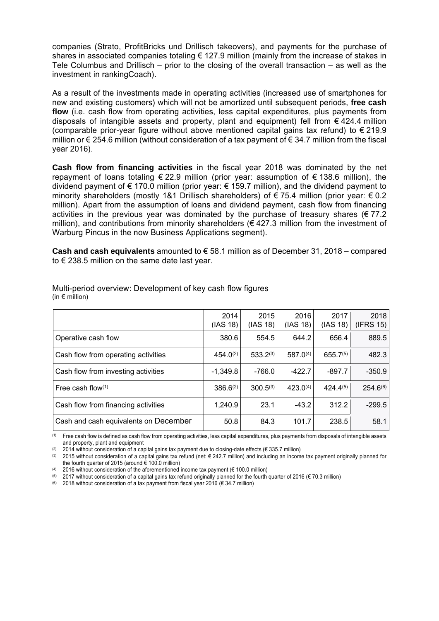companies (Strato, ProfitBricks und Drillisch takeovers), and payments for the purchase of shares in associated companies totaling € 127.9 million (mainly from the increase of stakes in Tele Columbus and Drillisch – prior to the closing of the overall transaction – as well as the investment in rankingCoach).

As a result of the investments made in operating activities (increased use of smartphones for new and existing customers) which will not be amortized until subsequent periods, **free cash flow** (i.e. cash flow from operating activities, less capital expenditures, plus payments from disposals of intangible assets and property, plant and equipment) fell from  $\epsilon$  424.4 million (comparable prior-year figure without above mentioned capital gains tax refund) to  $\epsilon$  219.9 million or € 254.6 million (without consideration of a tax payment of € 34.7 million from the fiscal year 2016).

**Cash flow from financing activities** in the fiscal year 2018 was dominated by the net repayment of loans totaling  $\in$  22.9 million (prior year: assumption of  $\in$  138.6 million), the dividend payment of € 170.0 million (prior year: € 159.7 million), and the dividend payment to minority shareholders (mostly 1&1 Drillisch shareholders) of  $\epsilon$  75.4 million (prior year:  $\epsilon$  0.2 million). Apart from the assumption of loans and dividend payment, cash flow from financing activities in the previous vear was dominated by the purchase of treasury shares ( $\epsilon$  77.2) million), and contributions from minority shareholders ( $\epsilon$  427.3 million from the investment of Warburg Pincus in the now Business Applications segment).

**Cash and cash equivalents** amounted to € 58.1 million as of December 31, 2018 – compared to € 238.5 million on the same date last year.

|                                       | 2014<br>(IAS 18) | 2015<br>(IAS 18) | 2016<br>(IAS 18) | 2017<br>(IAS 18) | 2018<br>(IFRS 15) |
|---------------------------------------|------------------|------------------|------------------|------------------|-------------------|
| Operative cash flow                   | 380.6            | 554.5            | 644.2            | 656.4            | 889.5             |
| Cash flow from operating activities   | $454.0^{(2)}$    | $533.2^{(3)}$    | $587.0^{(4)}$    | $655.7^{(5)}$    | 482.3             |
| Cash flow from investing activities   | $-1,349.8$       | $-766.0$         | $-422.7$         | $-897.7$         | $-350.9$          |
| Free cash flow $(1)$                  | $386.6^{(2)}$    | $300.5^{(3)}$    | $423.0^{(4)}$    | $424.4^{(5)}$    | $254.6^{(6)}$     |
| Cash flow from financing activities   | 1,240.9          | 23.1             | $-43.2$          | 312.2            | $-299.5$          |
| Cash and cash equivalents on December | 50.8             | 84.3             | 101.7            | 238.5            | 58.1              |

Multi-period overview: Development of key cash flow figures (in  $\epsilon$  million)

(1) Free cash flow is defined as cash flow from operating activities, less capital expenditures, plus payments from disposals of intangible assets and property, plant and equipment

(2) 2014 without consideration of a capital gains tax payment due to closing-date effects (€ 335.7 million)<br>(3) 2015 without consideration of a capital gains tax refund (net: € 242.7 million) and including an incom-

2015 without consideration of a capital gains tax refund (net: € 242.7 million) and including an income tax payment originally planned for the fourth quarter of 2015 (around  $\epsilon$  100.0 million)

(4) 2016 without consideration of the aforementioned income tax payment ( $\notin$  100.0 million)

2017 without consideration of a capital gains tax refund originally planned for the fourth quarter of 2016 ( $\in$  70.3 million)

(6) 2018 without consideration of a tax payment from fiscal year 2016 ( $\epsilon$  34.7 million)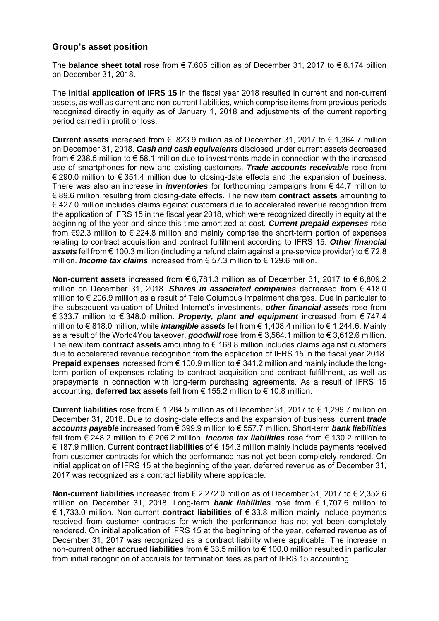# **Group's asset position**

The **balance sheet total** rose from € 7.605 billion as of December 31, 2017 to € 8.174 billion on December 31, 2018.

The **initial application of IFRS 15** in the fiscal year 2018 resulted in current and non-current assets, as well as current and non-current liabilities, which comprise items from previous periods recognized directly in equity as of January 1, 2018 and adjustments of the current reporting period carried in profit or loss.

**Current assets** increased from € 823.9 million as of December 31, 2017 to € 1,364.7 million on December 31, 2018. *Cash and cash equivalents* disclosed under current assets decreased from € 238.5 million to € 58.1 million due to investments made in connection with the increased use of smartphones for new and existing customers. *Trade accounts receivable* rose from € 290.0 million to € 351.4 million due to closing-date effects and the expansion of business. There was also an increase in *inventories* for forthcoming campaigns from € 44.7 million to € 89.6 million resulting from closing-date effects. The new item **contract assets** amounting to € 427.0 million includes claims against customers due to accelerated revenue recognition from the application of IFRS 15 in the fiscal year 2018, which were recognized directly in equity at the beginning of the year and since this time amortized at cost. *Current prepaid expenses* rose from €92.3 million to € 224.8 million and mainly comprise the short-term portion of expenses relating to contract acquisition and contract fulfillment according to IFRS 15. *Other financial assets* fell from € 100.3 million (including a refund claim against a pre-service provider) to € 72.8 million. *Income tax claims* increased from € 57.3 million to € 129.6 million.

**Non-current assets** increased from € 6,781.3 million as of December 31, 2017 to € 6,809.2 million on December 31, 2018. *Shares in associated companies* decreased from € 418.0 million to € 206.9 million as a result of Tele Columbus impairment charges. Due in particular to the subsequent valuation of United Internet's investments, *other financial assets* rose from € 333.7 million to € 348.0 million. *Property, plant and equipment* increased from € 747.4 million to € 818.0 million, while *intangible assets* fell from € 1,408.4 million to € 1,244.6. Mainly as a result of the World4You takeover, *goodwill* rose from € 3,564.1 million to € 3,612.6 million. The new item **contract assets** amounting to € 168.8 million includes claims against customers due to accelerated revenue recognition from the application of IFRS 15 in the fiscal year 2018. **Prepaid expenses** increased from € 100.9 million to € 341.2 million and mainly include the longterm portion of expenses relating to contract acquisition and contract fulfillment, as well as prepayments in connection with long-term purchasing agreements. As a result of IFRS 15 accounting, **deferred tax assets** fell from € 155.2 million to € 10.8 million.

**Current liabilities** rose from € 1,284.5 million as of December 31, 2017 to € 1,299.7 million on December 31, 2018. Due to closing-date effects and the expansion of business, current *trade accounts payable* increased from € 399.9 million to € 557.7 million. Short-term *bank liabilities* fell from € 248.2 million to € 206.2 million. *Income tax liabilities* rose from € 130.2 million to € 187.9 million. Current **contract liabilities** of € 154.3 million mainly include payments received from customer contracts for which the performance has not yet been completely rendered. On initial application of IFRS 15 at the beginning of the year, deferred revenue as of December 31, 2017 was recognized as a contract liability where applicable.

**Non-current liabilities** increased from € 2,272.0 million as of December 31, 2017 to € 2,352.6 million on December 31, 2018. Long-term *bank liabilities* rose from € 1,707.6 million to € 1,733.0 million. Non-current **contract liabilities** of € 33.8 million mainly include payments received from customer contracts for which the performance has not yet been completely rendered. On initial application of IFRS 15 at the beginning of the year, deferred revenue as of December 31, 2017 was recognized as a contract liability where applicable. The increase in non-current **other accrued liabilities** from € 33.5 million to € 100.0 million resulted in particular from initial recognition of accruals for termination fees as part of IFRS 15 accounting.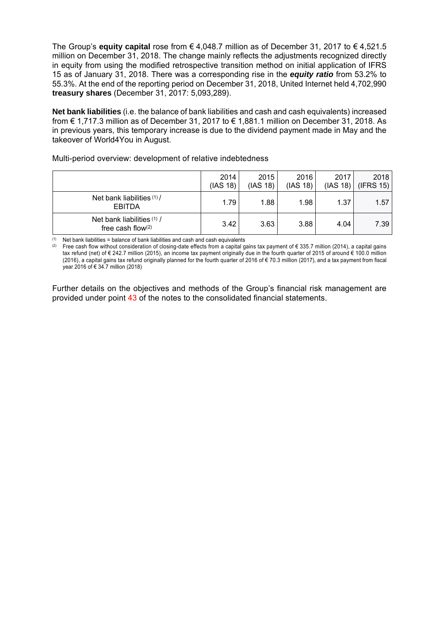The Group's **equity capital** rose from € 4,048.7 million as of December 31, 2017 to € 4,521.5 million on December 31, 2018. The change mainly reflects the adjustments recognized directly in equity from using the modified retrospective transition method on initial application of IFRS 15 as of January 31, 2018. There was a corresponding rise in the *equity ratio* from 53.2% to 55.3%. At the end of the reporting period on December 31, 2018, United Internet held 4,702,990 **treasury shares** (December 31, 2017: 5,093,289).

**Net bank liabilities** (i.e. the balance of bank liabilities and cash and cash equivalents) increased from € 1,717.3 million as of December 31, 2017 to € 1,881.1 million on December 31, 2018. As in previous years, this temporary increase is due to the dividend payment made in May and the takeover of World4You in August.

| Multi-period overview: development of relative indebtedness |
|-------------------------------------------------------------|
|-------------------------------------------------------------|

|                                                 | 2014<br>(IAS 18) | 2015<br>(IAS 18) | 2016<br>(IAS 18) | 2017 | 2018<br>$(IAS 18)$ (IFRS 15) |
|-------------------------------------------------|------------------|------------------|------------------|------|------------------------------|
| Net bank liabilities (1) /<br>EBITDA            | 1.79             | 1.88             | 1.98             | 1.37 | 1.57                         |
| Net bank liabilities (1) /<br>free cash flow(2) | 3.42             | 3.63             | 3.88             | 4.04 | 7.39                         |

 $(1)$  Net bank liabilities = balance of bank liabilities and cash and cash equivalents

(2) Free cash flow without consideration of closing-date effects from a capital gains tax payment of € 335.7 million (2014), a capital gains tax refund (net) of € 242.7 million (2015), an income tax payment originally due in the fourth quarter of 2015 of around € 100.0 million (2016), a capital gains tax refund originally planned for the fourth quarter of 2016 of  $\epsilon$  70.3 million (2017), and a tax payment from fiscal year 2016 of € 34.7 million (2018)

Further details on the objectives and methods of the Group's financial risk management are provided under point 43 of the notes to the consolidated financial statements.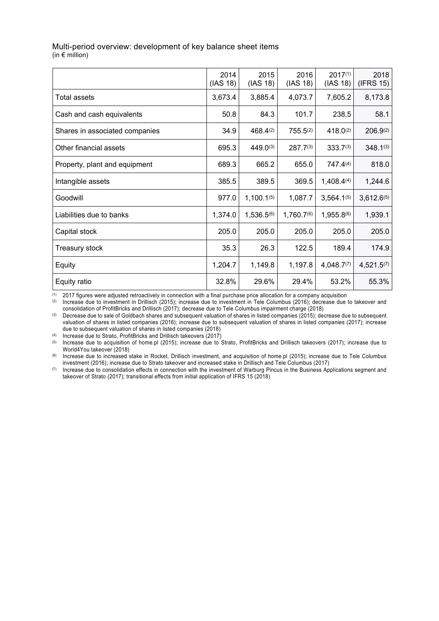| 2014<br>(IAS 18) | 2015<br>(IAS 18) | 2016<br>(IAS 18)       | $2017^{(1)}$<br>(IAS 18) | 2018<br>(IFRS 15) |
|------------------|------------------|------------------------|--------------------------|-------------------|
| 3,673.4          | 3,885.4          | 4,073.7                | 7,605.2                  | 8,173.8           |
| 50.8             | 84.3             | 101.7                  | 238.5                    | 58.1              |
| 34.9             | 468.4(2)         | $755.5^{(2)}$          | 418.0(2)                 | $206.9^{(2)}$     |
| 695.3            | 449.0(3)         | $287.7^{(3)}$          | $333.7^{(3)}$            | $348.1^{(3)}$     |
| 689.3            | 665.2            | 655.0                  | 747.4(4)                 | 818.0             |
| 385.5            | 389.5            | 369.5                  | 1,408.4(4)               | 1,244.6           |
| 977.0            | $1,100.1^{(5)}$  | 1,087.7                | $3,564.1^{(5)}$          | $3,612.6^{(5)}$   |
| 1,374.0          | $1,536.5^{(6)}$  | 1,760.7 <sup>(6)</sup> | 1,955.8(6)               | 1,939.1           |
| 205.0            | 205.0            | 205.0                  | 205.0                    | 205.0             |
| 35.3             | 26.3             | 122.5                  | 189.4                    | 174.9             |
| 1,204.7          | 1,149.8          | 1,197.8                | $4,048.7^{(7)}$          | $4,521.5^{(7)}$   |
| 32.8%            | 29.6%            | 29.4%                  | 53.2%                    | 55.3%             |
|                  |                  |                        |                          |                   |

# Multi-period overview: development of key balance sheet items

(in € million)

(1) 2017 figures were adjusted retroactively in connection with a final purchase price allocation for a company acquisition

Increase due to investment in Drillisch (2015); increase due to investment in Tele Columbus (2016); decrease due to takeover and consolidation of ProfitBricks and Drillisch (2017); decrease due to Tele Columbus impairment charge (2018)

(3) Decrease due to sale of Goldbach shares and subsequent valuation of shares in listed companies (2015); decrease due to subsequent valuation of shares in listed companies (2016); increase due to subsequent valuation of shares in listed companies (2017); increase due to subsequent valuation of shares in listed companies (2018)

(4) Increase due to Strato, ProfitBricks and Drillisch takeovers (2017)

(5) Increase due to acquisition of home.pl (2015); increase due to Strato, ProfitBricks and Drillisch takeovers (2017); increase due to World4You takeover (2018)

(6) Increase due to increased stake in Rocket, Drillisch investment, and acquisition of home.pl (2015); increase due to Tele Columbus investment (2016); increase due to Strato takeover and increased stake in Drillisch and Tele Columbus (2017)

(7) Increase due to consolidation effects in connection with the investment of Warburg Pincus in the Business Applications segment and takeover of Strato (2017); transitional effects from initial application of IFRS 15 (2018)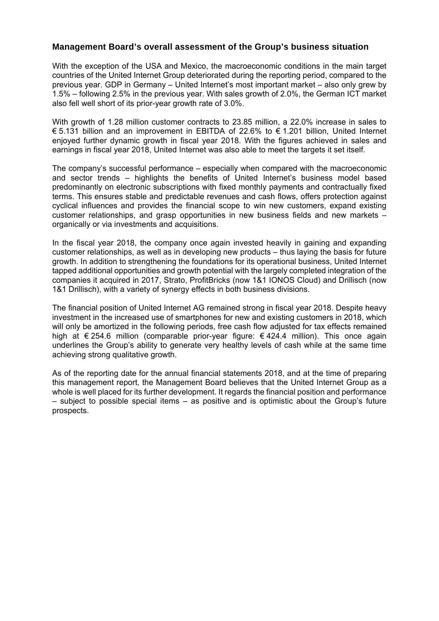# **Management Board's overall assessment of the Group's business situation**

With the exception of the USA and Mexico, the macroeconomic conditions in the main target countries of the United Internet Group deteriorated during the reporting period, compared to the previous year. GDP in Germany – United Internet's most important market – also only grew by 1.5% – following 2.5% in the previous year. With sales growth of 2.0%, the German ICT market also fell well short of its prior-year growth rate of 3.0%.

With growth of 1.28 million customer contracts to 23.85 million, a 22.0% increase in sales to € 5.131 billion and an improvement in EBITDA of 22.6% to € 1.201 billion, United Internet enjoyed further dynamic growth in fiscal year 2018. With the figures achieved in sales and earnings in fiscal year 2018, United Internet was also able to meet the targets it set itself.

The company's successful performance – especially when compared with the macroeconomic and sector trends – highlights the benefits of United Internet's business model based predominantly on electronic subscriptions with fixed monthly payments and contractually fixed terms. This ensures stable and predictable revenues and cash flows, offers protection against cyclical influences and provides the financial scope to win new customers, expand existing customer relationships, and grasp opportunities in new business fields and new markets – organically or via investments and acquisitions.

In the fiscal year 2018, the company once again invested heavily in gaining and expanding customer relationships, as well as in developing new products – thus laying the basis for future growth. In addition to strengthening the foundations for its operational business, United Internet tapped additional opportunities and growth potential with the largely completed integration of the companies it acquired in 2017, Strato, ProfitBricks (now 1&1 IONOS Cloud) and Drillisch (now 1&1 Drillisch), with a variety of synergy effects in both business divisions.

The financial position of United Internet AG remained strong in fiscal year 2018. Despite heavy investment in the increased use of smartphones for new and existing customers in 2018, which will only be amortized in the following periods, free cash flow adjusted for tax effects remained high at € 254.6 million (comparable prior-year figure: € 424.4 million). This once again underlines the Group's ability to generate very healthy levels of cash while at the same time achieving strong qualitative growth.

As of the reporting date for the annual financial statements 2018, and at the time of preparing this management report, the Management Board believes that the United Internet Group as a whole is well placed for its further development. It regards the financial position and performance – subject to possible special items – as positive and is optimistic about the Group's future prospects.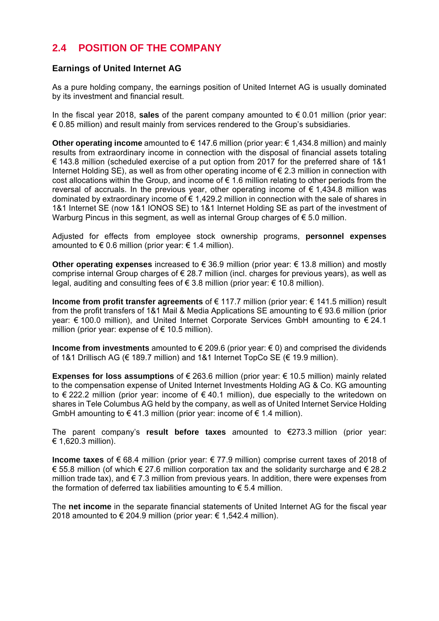# **2.4 POSITION OF THE COMPANY**

# **Earnings of United Internet AG**

As a pure holding company, the earnings position of United Internet AG is usually dominated by its investment and financial result.

In the fiscal year 2018, **sales** of the parent company amounted to € 0.01 million (prior year:  $\epsilon$  0.85 million) and result mainly from services rendered to the Group's subsidiaries.

**Other operating income** amounted to € 147.6 million (prior year: € 1,434.8 million) and mainly results from extraordinary income in connection with the disposal of financial assets totaling € 143.8 million (scheduled exercise of a put option from 2017 for the preferred share of 1&1 Internet Holding SE), as well as from other operating income of  $\epsilon$  2.3 million in connection with cost allocations within the Group, and income of  $\epsilon$  1.6 million relating to other periods from the reversal of accruals. In the previous year, other operating income of  $\epsilon$  1,434.8 million was dominated by extraordinary income of € 1,429.2 million in connection with the sale of shares in 1&1 Internet SE (now 1&1 IONOS SE) to 1&1 Internet Holding SE as part of the investment of Warburg Pincus in this segment, as well as internal Group charges of  $\epsilon$  5.0 million.

Adjusted for effects from employee stock ownership programs, **personnel expenses**  amounted to  $\epsilon$  0.6 million (prior year:  $\epsilon$  1.4 million).

**Other operating expenses** increased to € 36.9 million (prior year: € 13.8 million) and mostly comprise internal Group charges of  $\epsilon$  28.7 million (incl. charges for previous years), as well as legal, auditing and consulting fees of  $\epsilon$  3.8 million (prior year:  $\epsilon$  10.8 million).

**Income from profit transfer agreements** of € 117.7 million (prior year: € 141.5 million) result from the profit transfers of 1&1 Mail & Media Applications SE amounting to € 93.6 million (prior year: € 100.0 million), and United Internet Corporate Services GmbH amounting to € 24.1 million (prior year: expense of  $\epsilon$  10.5 million).

**Income from investments** amounted to € 209.6 (prior year: € 0) and comprised the dividends of 1&1 Drillisch AG (€ 189.7 million) and 1&1 Internet TopCo SE (€ 19.9 million).

**Expenses for loss assumptions** of € 263.6 million (prior year: € 10.5 million) mainly related to the compensation expense of United Internet Investments Holding AG & Co. KG amounting to € 222.2 million (prior year: income of € 40.1 million), due especially to the writedown on shares in Tele Columbus AG held by the company, as well as of United Internet Service Holding GmbH amounting to  $\epsilon$  41.3 million (prior year: income of  $\epsilon$  1.4 million).

The parent company's **result before taxes** amounted to €273.3 million (prior year: € 1,620.3 million).

**Income taxes** of € 68.4 million (prior year: € 77.9 million) comprise current taxes of 2018 of € 55.8 million (of which € 27.6 million corporation tax and the solidarity surcharge and € 28.2 million trade tax), and  $\epsilon$  7.3 million from previous years. In addition, there were expenses from the formation of deferred tax liabilities amounting to  $\epsilon$  5.4 million.

The **net income** in the separate financial statements of United Internet AG for the fiscal year 2018 amounted to € 204.9 million (prior year:  $€ 1,542.4$  million).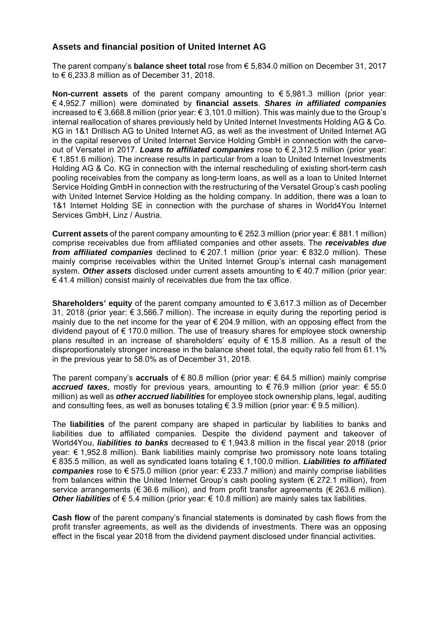# **Assets and financial position of United Internet AG**

The parent company's **balance sheet total** rose from € 5,834.0 million on December 31, 2017 to € 6,233.8 million as of December 31, 2018.

**Non-current assets** of the parent company amounting to € 5,981.3 million (prior year: € 4,952.7 million) were dominated by **financial assets**. *Shares in affiliated companies*  increased to € 3,668.8 million (prior year: € 3,101.0 million). This was mainly due to the Group's internal reallocation of shares previously held by United Internet Investments Holding AG & Co. KG in 1&1 Drillisch AG to United Internet AG, as well as the investment of United Internet AG in the capital reserves of United Internet Service Holding GmbH in connection with the carveout of Versatel in 2017. *Loans to affiliated companies* rose to € 2,312.5 million (prior year: € 1,851.6 million). The increase results in particular from a loan to United Internet Investments Holding AG & Co. KG in connection with the internal rescheduling of existing short-term cash pooling receivables from the company as long-term loans, as well as a loan to United Internet Service Holding GmbH in connection with the restructuring of the Versatel Group's cash pooling with United Internet Service Holding as the holding company. In addition, there was a loan to 1&1 Internet Holding SE in connection with the purchase of shares in World4You Internet Services GmbH, Linz / Austria.

**Current assets** of the parent company amounting to € 252.3 million (prior year: € 881.1 million) comprise receivables due from affiliated companies and other assets. The *receivables due from affiliated companies* declined to € 207.1 million (prior year: € 832.0 million). These mainly comprise receivables within the United Internet Group's internal cash management system. *Other assets* disclosed under current assets amounting to € 40.7 million (prior year:  $\epsilon$  41.4 million) consist mainly of receivables due from the tax office.

**Shareholders' equity** of the parent company amounted to € 3,617.3 million as of December 31, 2018 (prior year: € 3,566.7 million). The increase in equity during the reporting period is mainly due to the net income for the year of  $\epsilon$  204.9 million, with an opposing effect from the dividend payout of € 170.0 million. The use of treasury shares for employee stock ownership plans resulted in an increase of shareholders' equity of  $\epsilon$  15.8 million. As a result of the disproportionately stronger increase in the balance sheet total, the equity ratio fell from 61.1% in the previous year to 58.0% as of December 31, 2018.

The parent company's **accruals** of € 80.8 million (prior year: € 64.5 million) mainly comprise *accrued taxes,* mostly for previous years, amounting to € 76.9 million (prior year: € 55.0 million) as well as *other accrued liabilities* for employee stock ownership plans, legal, auditing and consulting fees, as well as bonuses totaling  $\epsilon$  3.9 million (prior year:  $\epsilon$  9.5 million).

The **liabilities** of the parent company are shaped in particular by liabilities to banks and liabilities due to affiliated companies. Despite the dividend payment and takeover of World4You, *liabilities to banks* decreased to € 1,943.8 million in the fiscal year 2018 (prior year: € 1,952.8 million). Bank liabilities mainly comprise two promissory note loans totaling € 835.5 million, as well as syndicated loans totaling € 1,100.0 million. *Liabilities to affiliated companies* rose to € 575.0 million (prior year: € 233.7 million) and mainly comprise liabilities from balances within the United Internet Group's cash pooling system (€ 272.1 million), from service arrangements ( $\epsilon$  36.6 million), and from profit transfer agreements ( $\epsilon$  263.6 million). *Other liabilities* of € 5.4 million (prior year: € 10.8 million) are mainly sales tax liabilities.

**Cash flow** of the parent company's financial statements is dominated by cash flows from the profit transfer agreements, as well as the dividends of investments. There was an opposing effect in the fiscal year 2018 from the dividend payment disclosed under financial activities.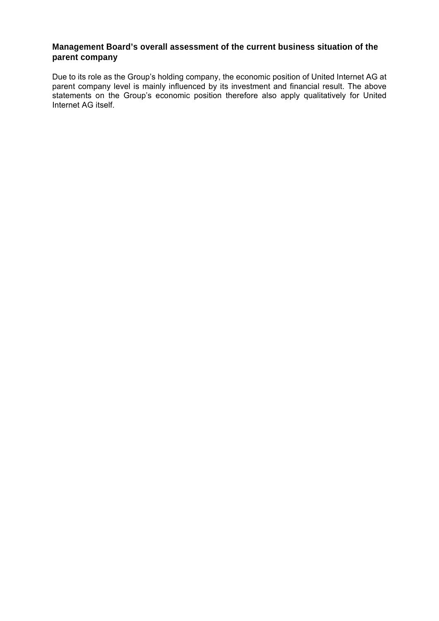# **Management Board's overall assessment of the current business situation of the parent company**

Due to its role as the Group's holding company, the economic position of United Internet AG at parent company level is mainly influenced by its investment and financial result. The above statements on the Group's economic position therefore also apply qualitatively for United Internet AG itself.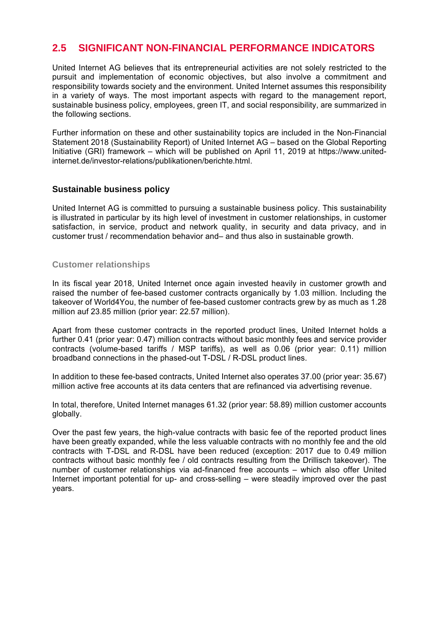# **2.5 SIGNIFICANT NON-FINANCIAL PERFORMANCE INDICATORS**

United Internet AG believes that its entrepreneurial activities are not solely restricted to the pursuit and implementation of economic objectives, but also involve a commitment and responsibility towards society and the environment. United Internet assumes this responsibility in a variety of ways. The most important aspects with regard to the management report, sustainable business policy, employees, green IT, and social responsibility, are summarized in the following sections.

Further information on these and other sustainability topics are included in the Non-Financial Statement 2018 (Sustainability Report) of United Internet AG – based on the Global Reporting Initiative (GRI) framework – which will be published on April 11, 2019 at https://www.unitedinternet.de/investor-relations/publikationen/berichte.html.

# **Sustainable business policy**

United Internet AG is committed to pursuing a sustainable business policy. This sustainability is illustrated in particular by its high level of investment in customer relationships, in customer satisfaction, in service, product and network quality, in security and data privacy, and in customer trust / recommendation behavior and– and thus also in sustainable growth.

# **Customer relationships**

In its fiscal year 2018, United Internet once again invested heavily in customer growth and raised the number of fee-based customer contracts organically by 1.03 million. Including the takeover of World4You, the number of fee-based customer contracts grew by as much as 1.28 million auf 23.85 million (prior year: 22.57 million).

Apart from these customer contracts in the reported product lines, United Internet holds a further 0.41 (prior year: 0.47) million contracts without basic monthly fees and service provider contracts (volume-based tariffs / MSP tariffs), as well as 0.06 (prior year: 0.11) million broadband connections in the phased-out T-DSL / R-DSL product lines.

In addition to these fee-based contracts, United Internet also operates 37.00 (prior year: 35.67) million active free accounts at its data centers that are refinanced via advertising revenue.

In total, therefore, United Internet manages 61.32 (prior year: 58.89) million customer accounts globally.

Over the past few years, the high-value contracts with basic fee of the reported product lines have been greatly expanded, while the less valuable contracts with no monthly fee and the old contracts with T-DSL and R-DSL have been reduced (exception: 2017 due to 0.49 million contracts without basic monthly fee / old contracts resulting from the Drillisch takeover). The number of customer relationships via ad-financed free accounts – which also offer United Internet important potential for up- and cross-selling – were steadily improved over the past years.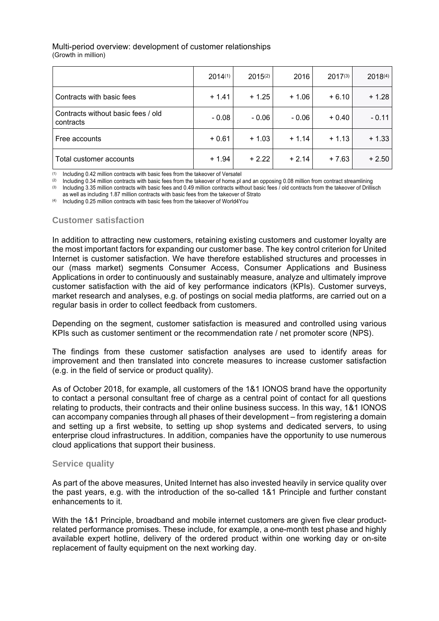# Multi-period overview: development of customer relationships

(Growth in million)

|                                                 | 2014(1) | $2015^{(2)}$ | 2016    | $2017^{(3)}$ | 2018(4) |
|-------------------------------------------------|---------|--------------|---------|--------------|---------|
| Contracts with basic fees                       | $+1.41$ | $+1.25$      | $+1.06$ | $+6.10$      | $+1.28$ |
| Contracts without basic fees / old<br>contracts | $-0.08$ | $-0.06$      | $-0.06$ | $+0.40$      | - 0.11  |
| Free accounts                                   | $+0.61$ | $+1.03$      | $+1.14$ | $+1.13$      | $+1.33$ |
| Total customer accounts                         | $+1.94$ | $+2.22$      | $+2.14$ | $+7.63$      | $+2.50$ |

(1) Including 0.42 million contracts with basic fees from the takeover of Versatel

(2) Including 0.34 million contracts with basic fees from the takeover of home.pl and an opposing 0.08 million from contract streamlining

(3) Including 3.35 million contracts with basic fees and 0.49 million contracts without basic fees / old contracts from the takeover of Drillisch

as well as including 1.87 million contracts with basic fees from the takeover of Strato

(4) Including 0.25 million contracts with basic fees from the takeover of World4You

# **Customer satisfaction**

In addition to attracting new customers, retaining existing customers and customer loyalty are the most important factors for expanding our customer base. The key control criterion for United Internet is customer satisfaction. We have therefore established structures and processes in our (mass market) segments Consumer Access, Consumer Applications and Business Applications in order to continuously and sustainably measure, analyze and ultimately improve customer satisfaction with the aid of key performance indicators (KPIs). Customer surveys, market research and analyses, e.g. of postings on social media platforms, are carried out on a regular basis in order to collect feedback from customers.

Depending on the segment, customer satisfaction is measured and controlled using various KPIs such as customer sentiment or the recommendation rate / net promoter score (NPS).

The findings from these customer satisfaction analyses are used to identify areas for improvement and then translated into concrete measures to increase customer satisfaction (e.g. in the field of service or product quality).

As of October 2018, for example, all customers of the 1&1 IONOS brand have the opportunity to contact a personal consultant free of charge as a central point of contact for all questions relating to products, their contracts and their online business success. In this way, 1&1 IONOS can accompany companies through all phases of their development – from registering a domain and setting up a first website, to setting up shop systems and dedicated servers, to using enterprise cloud infrastructures. In addition, companies have the opportunity to use numerous cloud applications that support their business.

## **Service quality**

As part of the above measures, United Internet has also invested heavily in service quality over the past years, e.g. with the introduction of the so-called 1&1 Principle and further constant enhancements to it.

With the 1&1 Principle, broadband and mobile internet customers are given five clear productrelated performance promises. These include, for example, a one-month test phase and highly available expert hotline, delivery of the ordered product within one working day or on-site replacement of faulty equipment on the next working day.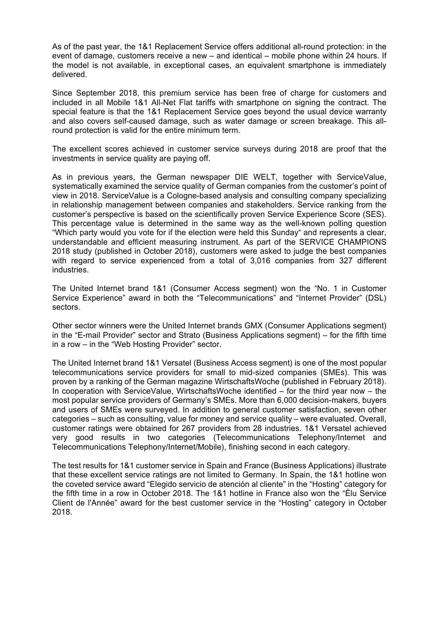As of the past year, the 1&1 Replacement Service offers additional all-round protection: in the event of damage, customers receive a new – and identical – mobile phone within 24 hours. If the model is not available, in exceptional cases, an equivalent smartphone is immediately delivered.

Since September 2018, this premium service has been free of charge for customers and included in all Mobile 1&1 All-Net Flat tariffs with smartphone on signing the contract. The special feature is that the 1&1 Replacement Service goes beyond the usual device warranty and also covers self-caused damage, such as water damage or screen breakage. This allround protection is valid for the entire minimum term.

The excellent scores achieved in customer service surveys during 2018 are proof that the investments in service quality are paying off.

As in previous years, the German newspaper DIE WELT, together with ServiceValue, systematically examined the service quality of German companies from the customer's point of view in 2018. ServiceValue is a Cologne-based analysis and consulting company specializing in relationship management between companies and stakeholders. Service ranking from the customer's perspective is based on the scientifically proven Service Experience Score (SES). This percentage value is determined in the same way as the well-known polling question "Which party would you vote for if the election were held this Sunday" and represents a clear, understandable and efficient measuring instrument. As part of the SERVICE CHAMPIONS 2018 study (published in October 2018), customers were asked to judge the best companies with regard to service experienced from a total of 3,016 companies from 327 different industries.

The United Internet brand 1&1 (Consumer Access segment) won the "No. 1 in Customer Service Experience" award in both the "Telecommunications" and "Internet Provider" (DSL) sectors.

Other sector winners were the United Internet brands GMX (Consumer Applications segment) in the "E-mail Provider" sector and Strato (Business Applications segment) – for the fifth time in a row – in the "Web Hosting Provider" sector.

The United Internet brand 1&1 Versatel (Business Access segment) is one of the most popular telecommunications service providers for small to mid-sized companies (SMEs). This was proven by a ranking of the German magazine WirtschaftsWoche (published in February 2018). In cooperation with ServiceValue, WirtschaftsWoche identified – for the third year now – the most popular service providers of Germany's SMEs. More than 6,000 decision-makers, buyers and users of SMEs were surveyed. In addition to general customer satisfaction, seven other categories – such as consulting, value for money and service quality – were evaluated. Overall, customer ratings were obtained for 267 providers from 28 industries. 1&1 Versatel achieved very good results in two categories (Telecommunications Telephony/Internet and Telecommunications Telephony/Internet/Mobile), finishing second in each category.

The test results for 1&1 customer service in Spain and France (Business Applications) illustrate that these excellent service ratings are not limited to Germany. In Spain, the 1&1 hotline won the coveted service award "Elegido servicio de atención al cliente" in the "Hosting" category for the fifth time in a row in October 2018. The 1&1 hotline in France also won the "Élu Service Client de l'Année" award for the best customer service in the "Hosting" category in October 2018.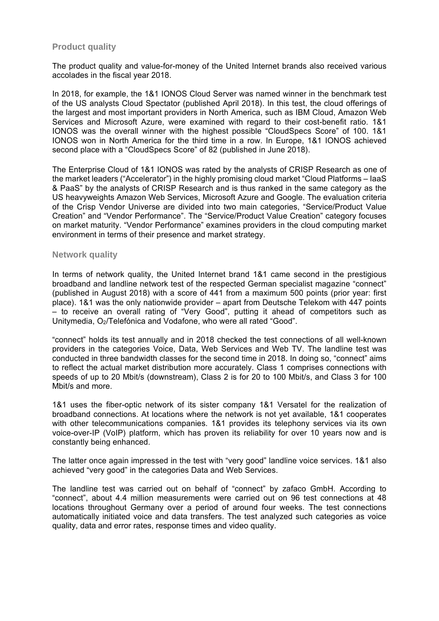# **Product quality**

The product quality and value-for-money of the United Internet brands also received various accolades in the fiscal year 2018.

In 2018, for example, the 1&1 IONOS Cloud Server was named winner in the benchmark test of the US analysts Cloud Spectator (published April 2018). In this test, the cloud offerings of the largest and most important providers in North America, such as IBM Cloud, Amazon Web Services and Microsoft Azure, were examined with regard to their cost-benefit ratio. 1&1 IONOS was the overall winner with the highest possible "CloudSpecs Score" of 100. 1&1 IONOS won in North America for the third time in a row. In Europe, 1&1 IONOS achieved second place with a "CloudSpecs Score" of 82 (published in June 2018).

The Enterprise Cloud of 1&1 IONOS was rated by the analysts of CRISP Research as one of the market leaders ("Accelerator") in the highly promising cloud market "Cloud Platforms – IaaS & PaaS" by the analysts of CRISP Research and is thus ranked in the same category as the US heavyweights Amazon Web Services, Microsoft Azure and Google. The evaluation criteria of the Crisp Vendor Universe are divided into two main categories, "Service/Product Value Creation" and "Vendor Performance". The "Service/Product Value Creation" category focuses on market maturity. "Vendor Performance" examines providers in the cloud computing market environment in terms of their presence and market strategy.

#### **Network quality**

In terms of network quality, the United Internet brand 1&1 came second in the prestigious broadband and landline network test of the respected German specialist magazine "connect" (published in August 2018) with a score of 441 from a maximum 500 points (prior year: first place). 1&1 was the only nationwide provider – apart from Deutsche Telekom with 447 points – to receive an overall rating of "Very Good", putting it ahead of competitors such as Unitymedia, O2/Telefónica and Vodafone, who were all rated "Good".

"connect" holds its test annually and in 2018 checked the test connections of all well-known providers in the categories Voice, Data, Web Services and Web TV. The landline test was conducted in three bandwidth classes for the second time in 2018. In doing so, "connect" aims to reflect the actual market distribution more accurately. Class 1 comprises connections with speeds of up to 20 Mbit/s (downstream), Class 2 is for 20 to 100 Mbit/s, and Class 3 for 100 Mbit/s and more.

1&1 uses the fiber-optic network of its sister company 1&1 Versatel for the realization of broadband connections. At locations where the network is not yet available, 1&1 cooperates with other telecommunications companies. 1&1 provides its telephony services via its own voice-over-IP (VoIP) platform, which has proven its reliability for over 10 years now and is constantly being enhanced.

The latter once again impressed in the test with "very good" landline voice services. 1&1 also achieved "very good" in the categories Data and Web Services.

The landline test was carried out on behalf of "connect" by zafaco GmbH. According to "connect", about 4.4 million measurements were carried out on 96 test connections at 48 locations throughout Germany over a period of around four weeks. The test connections automatically initiated voice and data transfers. The test analyzed such categories as voice quality, data and error rates, response times and video quality.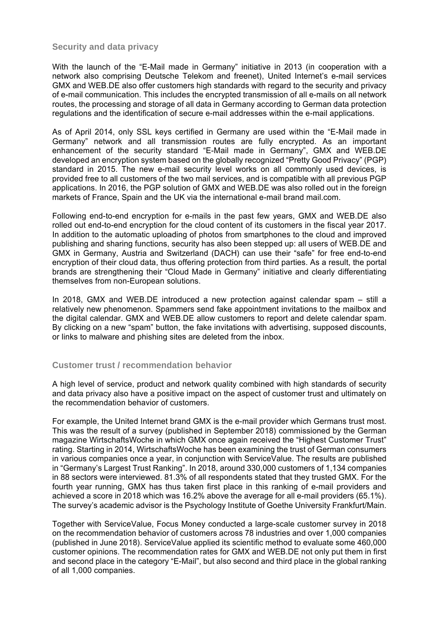# **Security and data privacy**

With the launch of the "E-Mail made in Germany" initiative in 2013 (in cooperation with a network also comprising Deutsche Telekom and freenet), United Internet's e-mail services GMX and WEB.DE also offer customers high standards with regard to the security and privacy of e-mail communication. This includes the encrypted transmission of all e-mails on all network routes, the processing and storage of all data in Germany according to German data protection regulations and the identification of secure e-mail addresses within the e-mail applications.

As of April 2014, only SSL keys certified in Germany are used within the "E-Mail made in Germany" network and all transmission routes are fully encrypted. As an important enhancement of the security standard "E-Mail made in Germany", GMX and WEB.DE developed an encryption system based on the globally recognized "Pretty Good Privacy" (PGP) standard in 2015. The new e-mail security level works on all commonly used devices, is provided free to all customers of the two mail services, and is compatible with all previous PGP applications. In 2016, the PGP solution of GMX and WEB.DE was also rolled out in the foreign markets of France, Spain and the UK via the international e-mail brand mail.com.

Following end-to-end encryption for e-mails in the past few years, GMX and WEB.DE also rolled out end-to-end encryption for the cloud content of its customers in the fiscal year 2017. In addition to the automatic uploading of photos from smartphones to the cloud and improved publishing and sharing functions, security has also been stepped up: all users of WEB.DE and GMX in Germany, Austria and Switzerland (DACH) can use their "safe" for free end-to-end encryption of their cloud data, thus offering protection from third parties. As a result, the portal brands are strengthening their "Cloud Made in Germany" initiative and clearly differentiating themselves from non-European solutions.

In 2018, GMX and WEB.DE introduced a new protection against calendar spam – still a relatively new phenomenon. Spammers send fake appointment invitations to the mailbox and the digital calendar. GMX and WEB.DE allow customers to report and delete calendar spam. By clicking on a new "spam" button, the fake invitations with advertising, supposed discounts, or links to malware and phishing sites are deleted from the inbox.

## **Customer trust / recommendation behavior**

A high level of service, product and network quality combined with high standards of security and data privacy also have a positive impact on the aspect of customer trust and ultimately on the recommendation behavior of customers.

For example, the United Internet brand GMX is the e-mail provider which Germans trust most. This was the result of a survey (published in September 2018) commissioned by the German magazine WirtschaftsWoche in which GMX once again received the "Highest Customer Trust" rating. Starting in 2014, WirtschaftsWoche has been examining the trust of German consumers in various companies once a year, in conjunction with ServiceValue. The results are published in "Germany's Largest Trust Ranking". In 2018, around 330,000 customers of 1,134 companies in 88 sectors were interviewed. 81.3% of all respondents stated that they trusted GMX. For the fourth year running, GMX has thus taken first place in this ranking of e-mail providers and achieved a score in 2018 which was 16.2% above the average for all e-mail providers (65.1%). The survey's academic advisor is the Psychology Institute of Goethe University Frankfurt/Main.

Together with ServiceValue, Focus Money conducted a large-scale customer survey in 2018 on the recommendation behavior of customers across 78 industries and over 1,000 companies (published in June 2018). ServiceValue applied its scientific method to evaluate some 460,000 customer opinions. The recommendation rates for GMX and WEB.DE not only put them in first and second place in the category "E-Mail", but also second and third place in the global ranking of all 1,000 companies.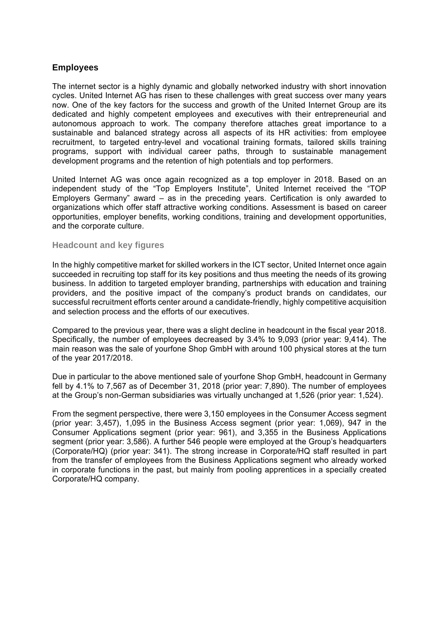# **Employees**

The internet sector is a highly dynamic and globally networked industry with short innovation cycles. United Internet AG has risen to these challenges with great success over many years now. One of the key factors for the success and growth of the United Internet Group are its dedicated and highly competent employees and executives with their entrepreneurial and autonomous approach to work. The company therefore attaches great importance to a sustainable and balanced strategy across all aspects of its HR activities: from employee recruitment, to targeted entry-level and vocational training formats, tailored skills training programs, support with individual career paths, through to sustainable management development programs and the retention of high potentials and top performers.

United Internet AG was once again recognized as a top employer in 2018. Based on an independent study of the "Top Employers Institute", United Internet received the "TOP Employers Germany" award – as in the preceding years. Certification is only awarded to organizations which offer staff attractive working conditions. Assessment is based on career opportunities, employer benefits, working conditions, training and development opportunities, and the corporate culture.

#### **Headcount and key figures**

In the highly competitive market for skilled workers in the ICT sector, United Internet once again succeeded in recruiting top staff for its key positions and thus meeting the needs of its growing business. In addition to targeted employer branding, partnerships with education and training providers, and the positive impact of the company's product brands on candidates, our successful recruitment efforts center around a candidate-friendly, highly competitive acquisition and selection process and the efforts of our executives.

Compared to the previous year, there was a slight decline in headcount in the fiscal year 2018. Specifically, the number of employees decreased by 3.4% to 9,093 (prior year: 9,414). The main reason was the sale of yourfone Shop GmbH with around 100 physical stores at the turn of the year 2017/2018.

Due in particular to the above mentioned sale of yourfone Shop GmbH, headcount in Germany fell by 4.1% to 7,567 as of December 31, 2018 (prior year: 7,890). The number of employees at the Group's non-German subsidiaries was virtually unchanged at 1,526 (prior year: 1,524).

From the segment perspective, there were 3,150 employees in the Consumer Access segment (prior year: 3,457), 1,095 in the Business Access segment (prior year: 1,069), 947 in the Consumer Applications segment (prior year: 961), and 3,355 in the Business Applications segment (prior year: 3,586). A further 546 people were employed at the Group's headquarters (Corporate/HQ) (prior year: 341). The strong increase in Corporate/HQ staff resulted in part from the transfer of employees from the Business Applications segment who already worked in corporate functions in the past, but mainly from pooling apprentices in a specially created Corporate/HQ company.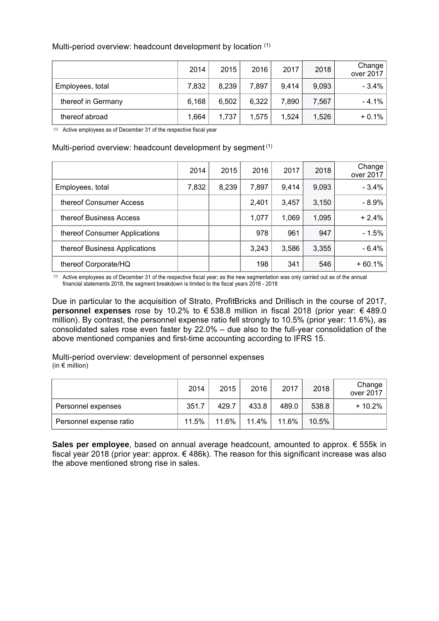|                    | 2014  | 2015  | 2016  | 2017  | 2018  | Change<br>over 2017 |
|--------------------|-------|-------|-------|-------|-------|---------------------|
| Employees, total   | 7,832 | 8,239 | 7,897 | 9,414 | 9,093 | $-3.4%$             |
| thereof in Germany | 6,168 | 6,502 | 6,322 | 7,890 | 7,567 | $-4.1%$             |
| thereof abroad     | 1,664 | 1,737 | 1,575 | 1,524 | 1,526 | $+0.1%$             |

#### Multi-period overview: headcount development by location (1)

(1) Active employees as of December 31 of the respective fiscal year

#### Multi-period overview: headcount development by segment<sup>(1)</sup>

|                               | 2014  | 2015  | 2016  | 2017  | 2018  | Change<br>over 2017 |
|-------------------------------|-------|-------|-------|-------|-------|---------------------|
| Employees, total              | 7,832 | 8,239 | 7,897 | 9,414 | 9,093 | $-3.4%$             |
| thereof Consumer Access       |       |       | 2,401 | 3,457 | 3,150 | $-8.9%$             |
| thereof Business Access       |       |       | 1,077 | 1,069 | 1,095 | $+2.4%$             |
| thereof Consumer Applications |       |       | 978   | 961   | 947   | $-1.5%$             |
| thereof Business Applications |       |       | 3,243 | 3,586 | 3,355 | $-6.4%$             |
| thereof Corporate/HQ          |       |       | 198   | 341   | 546   | $+60.1%$            |

(1) Active employees as of December 31 of the respective fiscal year; as the new segmentation was only carried out as of the annual financial statements 2018, the segment breakdown is limited to the fiscal years 2016 - 2018

Due in particular to the acquisition of Strato, ProfitBricks and Drillisch in the course of 2017, **personnel expenses** rose by 10.2% to € 538.8 million in fiscal 2018 (prior year: € 489.0 million). By contrast, the personnel expense ratio fell strongly to 10.5% (prior year: 11.6%), as consolidated sales rose even faster by 22.0% – due also to the full-year consolidation of the above mentioned companies and first-time accounting according to IFRS 15.

Multi-period overview: development of personnel expenses (in  $\epsilon$  million)

|                         | 2014  | 2015  | 2016     | 2017  | 2018  | Change<br>over 2017 |
|-------------------------|-------|-------|----------|-------|-------|---------------------|
| Personnel expenses      | 351.7 | 429.7 | 433.8    | 489.0 | 538.8 | $+10.2%$            |
| Personnel expense ratio | 11.5% | 11.6% | $11.4\%$ | 11.6% | 10.5% |                     |

**Sales per employee**, based on annual average headcount, amounted to approx. € 555k in fiscal year 2018 (prior year: approx. € 486k). The reason for this significant increase was also the above mentioned strong rise in sales.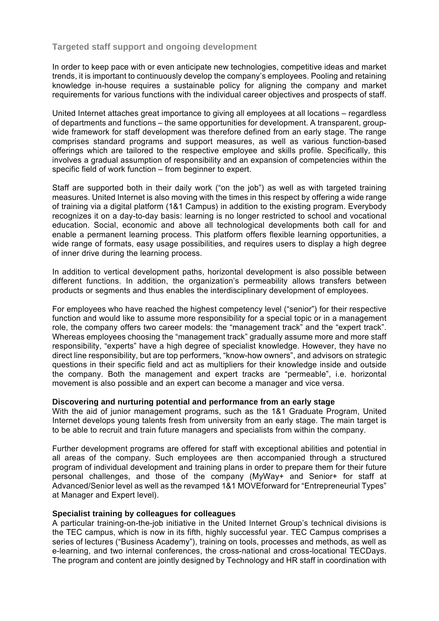# **Targeted staff support and ongoing development**

In order to keep pace with or even anticipate new technologies, competitive ideas and market trends, it is important to continuously develop the company's employees. Pooling and retaining knowledge in-house requires a sustainable policy for aligning the company and market requirements for various functions with the individual career objectives and prospects of staff.

United Internet attaches great importance to giving all employees at all locations – regardless of departments and functions – the same opportunities for development. A transparent, groupwide framework for staff development was therefore defined from an early stage. The range comprises standard programs and support measures, as well as various function-based offerings which are tailored to the respective employee and skills profile. Specifically, this involves a gradual assumption of responsibility and an expansion of competencies within the specific field of work function – from beginner to expert.

Staff are supported both in their daily work ("on the job") as well as with targeted training measures. United Internet is also moving with the times in this respect by offering a wide range of training via a digital platform (1&1 Campus) in addition to the existing program. Everybody recognizes it on a day-to-day basis: learning is no longer restricted to school and vocational education. Social, economic and above all technological developments both call for and enable a permanent learning process. This platform offers flexible learning opportunities, a wide range of formats, easy usage possibilities, and requires users to display a high degree of inner drive during the learning process.

In addition to vertical development paths, horizontal development is also possible between different functions. In addition, the organization's permeability allows transfers between products or segments and thus enables the interdisciplinary development of employees.

For employees who have reached the highest competency level ("senior") for their respective function and would like to assume more responsibility for a special topic or in a management role, the company offers two career models: the "management track" and the "expert track". Whereas employees choosing the "management track" gradually assume more and more staff responsibility, "experts" have a high degree of specialist knowledge. However, they have no direct line responsibility, but are top performers, "know-how owners", and advisors on strategic questions in their specific field and act as multipliers for their knowledge inside and outside the company. Both the management and expert tracks are "permeable", i.e. horizontal movement is also possible and an expert can become a manager and vice versa.

#### **Discovering and nurturing potential and performance from an early stage**

With the aid of junior management programs, such as the 1&1 Graduate Program, United Internet develops young talents fresh from university from an early stage. The main target is to be able to recruit and train future managers and specialists from within the company.

Further development programs are offered for staff with exceptional abilities and potential in all areas of the company. Such employees are then accompanied through a structured program of individual development and training plans in order to prepare them for their future personal challenges, and those of the company (MyWay+ and Senior+ for staff at Advanced/Senior level as well as the revamped 1&1 MOVEforward for "Entrepreneurial Types" at Manager and Expert level).

#### **Specialist training by colleagues for colleagues**

A particular training-on-the-job initiative in the United Internet Group's technical divisions is the TEC campus, which is now in its fifth, highly successful year. TEC Campus comprises a series of lectures ("Business Academy"), training on tools, processes and methods, as well as e-learning, and two internal conferences, the cross-national and cross-locational TECDays. The program and content are jointly designed by Technology and HR staff in coordination with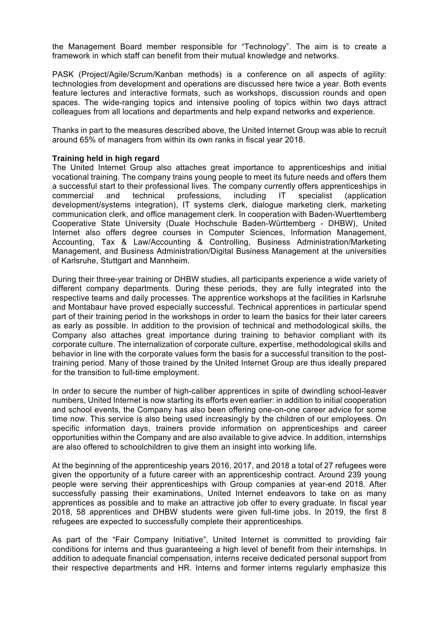the Management Board member responsible for "Technology". The aim is to create a framework in which staff can benefit from their mutual knowledge and networks.

PASK (Project/Agile/Scrum/Kanban methods) is a conference on all aspects of agility: technologies from development and operations are discussed here twice a year. Both events feature lectures and interactive formats, such as workshops, discussion rounds and open spaces. The wide-ranging topics and intensive pooling of topics within two days attract colleagues from all locations and departments and help expand networks and experience.

Thanks in part to the measures described above, the United Internet Group was able to recruit around 65% of managers from within its own ranks in fiscal year 2018.

#### **Training held in high regard**

The United Internet Group also attaches great importance to apprenticeships and initial vocational training. The company trains young people to meet its future needs and offers them a successful start to their professional lives. The company currently offers apprenticeships in commercial and technical professions, including IT specialist (application development/systems integration), IT systems clerk, dialogue marketing clerk, marketing communication clerk, and office management clerk. In cooperation with Baden-Wuerttemberg Cooperative State University (Duale Hochschule Baden-Württemberg - DHBW), United Internet also offers degree courses in Computer Sciences, Information Management, Accounting, Tax & Law/Accounting & Controlling, Business Administration/Marketing Management, and Business Administration/Digital Business Management at the universities of Karlsruhe, Stuttgart and Mannheim.

During their three-year training or DHBW studies, all participants experience a wide variety of different company departments. During these periods, they are fully integrated into the respective teams and daily processes. The apprentice workshops at the facilities in Karlsruhe and Montabaur have proved especially successful. Technical apprentices in particular spend part of their training period in the workshops in order to learn the basics for their later careers as early as possible. In addition to the provision of technical and methodological skills, the Company also attaches great importance during training to behavior compliant with its corporate culture. The internalization of corporate culture, expertise, methodological skills and behavior in line with the corporate values form the basis for a successful transition to the posttraining period. Many of those trained by the United Internet Group are thus ideally prepared for the transition to full-time employment.

In order to secure the number of high-caliber apprentices in spite of dwindling school-leaver numbers, United Internet is now starting its efforts even earlier: in addition to initial cooperation and school events, the Company has also been offering one-on-one career advice for some time now. This service is also being used increasingly by the children of our employees. On specific information days, trainers provide information on apprenticeships and career opportunities within the Company and are also available to give advice. In addition, internships are also offered to schoolchildren to give them an insight into working life.

At the beginning of the apprenticeship years 2016, 2017, and 2018 a total of 27 refugees were given the opportunity of a future career with an apprenticeship contract. Around 239 young people were serving their apprenticeships with Group companies at year-end 2018. After successfully passing their examinations, United Internet endeavors to take on as many apprentices as possible and to make an attractive job offer to every graduate. In fiscal year 2018, 58 apprentices and DHBW students were given full-time jobs. In 2019, the first 8 refugees are expected to successfully complete their apprenticeships.

As part of the "Fair Company Initiative", United Internet is committed to providing fair conditions for interns and thus guaranteeing a high level of benefit from their internships. In addition to adequate financial compensation, interns receive dedicated personal support from their respective departments and HR. Interns and former interns regularly emphasize this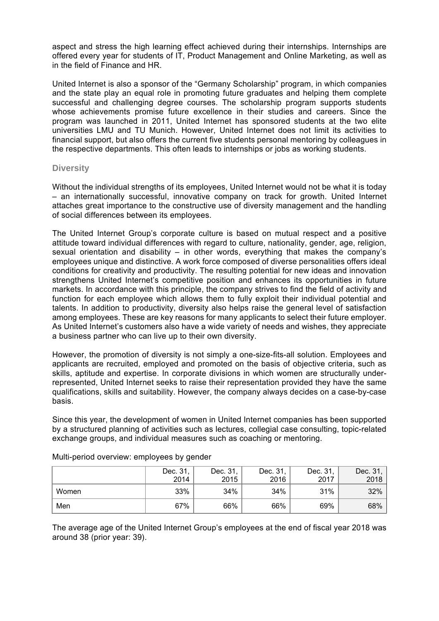aspect and stress the high learning effect achieved during their internships. Internships are offered every year for students of IT, Product Management and Online Marketing, as well as in the field of Finance and HR.

United Internet is also a sponsor of the "Germany Scholarship" program, in which companies and the state play an equal role in promoting future graduates and helping them complete successful and challenging degree courses. The scholarship program supports students whose achievements promise future excellence in their studies and careers. Since the program was launched in 2011, United Internet has sponsored students at the two elite universities LMU and TU Munich. However, United Internet does not limit its activities to financial support, but also offers the current five students personal mentoring by colleagues in the respective departments. This often leads to internships or jobs as working students.

## **Diversity**

Without the individual strengths of its employees, United Internet would not be what it is today – an internationally successful, innovative company on track for growth. United Internet attaches great importance to the constructive use of diversity management and the handling of social differences between its employees.

The United Internet Group's corporate culture is based on mutual respect and a positive attitude toward individual differences with regard to culture, nationality, gender, age, religion, sexual orientation and disability – in other words, everything that makes the company's employees unique and distinctive. A work force composed of diverse personalities offers ideal conditions for creativity and productivity. The resulting potential for new ideas and innovation strengthens United Internet's competitive position and enhances its opportunities in future markets. In accordance with this principle, the company strives to find the field of activity and function for each employee which allows them to fully exploit their individual potential and talents. In addition to productivity, diversity also helps raise the general level of satisfaction among employees. These are key reasons for many applicants to select their future employer. As United Internet's customers also have a wide variety of needs and wishes, they appreciate a business partner who can live up to their own diversity.

However, the promotion of diversity is not simply a one-size-fits-all solution. Employees and applicants are recruited, employed and promoted on the basis of objective criteria, such as skills, aptitude and expertise. In corporate divisions in which women are structurally underrepresented, United Internet seeks to raise their representation provided they have the same qualifications, skills and suitability. However, the company always decides on a case-by-case basis.

Since this year, the development of women in United Internet companies has been supported by a structured planning of activities such as lectures, collegial case consulting, topic-related exchange groups, and individual measures such as coaching or mentoring.

|       | Dec. 31,<br>2014 | Dec. 31,<br>2015 | Dec. 31,<br>2016 | Dec. 31,<br>2017 | Dec. 31,<br>2018 |
|-------|------------------|------------------|------------------|------------------|------------------|
| Women | 33%              | 34%              | 34%              | 31%              | 32%              |
| Men   | 67%              | 66%              | 66%              | 69%              | 68%              |

Multi-period overview: employees by gender

The average age of the United Internet Group's employees at the end of fiscal year 2018 was around 38 (prior year: 39).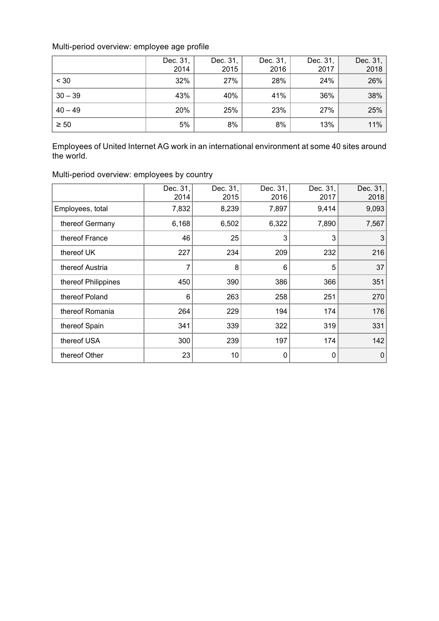# Multi-period overview: employee age profile

|           | Dec. 31,<br>2014 | Dec. 31,<br>2015 | Dec. 31,<br>2016 | Dec. 31,<br>2017 | Dec. 31,<br>2018 |
|-----------|------------------|------------------|------------------|------------------|------------------|
| < 30      | 32%              | 27%              | 28%              | 24%              | 26%              |
| $30 - 39$ | 43%              | 40%              | 41%              | 36%              | 38%              |
| $40 - 49$ | 20%              | 25%              | 23%              | 27%              | 25%              |
| $\geq 50$ | 5%               | 8%               | 8%               | 13%              | 11%              |

Employees of United Internet AG work in an international environment at some 40 sites around the world.

| Multi-period overview: employees by country |  |  |  |  |
|---------------------------------------------|--|--|--|--|
|---------------------------------------------|--|--|--|--|

|                     | Dec. 31,<br>2014 | Dec. 31,<br>2015 | Dec. 31,<br>2016 | Dec. 31,<br>2017 | Dec. 31,<br>2018 |
|---------------------|------------------|------------------|------------------|------------------|------------------|
| Employees, total    | 7,832            | 8,239            | 7,897            | 9,414            | 9,093            |
| thereof Germany     | 6,168            | 6,502            | 6,322            | 7,890            | 7,567            |
| thereof France      | 46               | 25               | 3                | 3                | 3                |
| thereof UK          | 227              | 234              | 209              | 232              | 216              |
| thereof Austria     | 7                | 8                | 6                | 5                | 37               |
| thereof Philippines | 450              | 390              | 386              | 366              | 351              |
| thereof Poland      | 6                | 263              | 258              | 251              | 270              |
| thereof Romania     | 264              | 229              | 194              | 174              | 176              |
| thereof Spain       | 341              | 339              | 322              | 319              | 331              |
| thereof USA         | 300              | 239              | 197              | 174              | 142              |
| thereof Other       | 23               | 10               | 0                | 0                | 0                |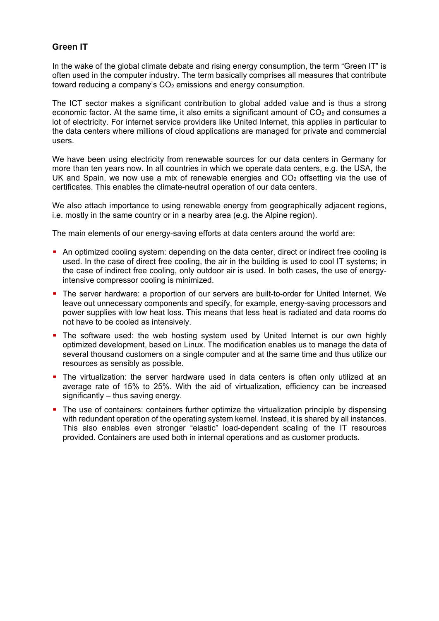# **Green IT**

In the wake of the global climate debate and rising energy consumption, the term "Green IT" is often used in the computer industry. The term basically comprises all measures that contribute toward reducing a company's  $CO<sub>2</sub>$  emissions and energy consumption.

The ICT sector makes a significant contribution to global added value and is thus a strong economic factor. At the same time, it also emits a significant amount of  $CO<sub>2</sub>$  and consumes a lot of electricity. For internet service providers like United Internet, this applies in particular to the data centers where millions of cloud applications are managed for private and commercial users.

We have been using electricity from renewable sources for our data centers in Germany for more than ten years now. In all countries in which we operate data centers, e.g. the USA, the UK and Spain, we now use a mix of renewable energies and  $CO<sub>2</sub>$  offsetting via the use of certificates. This enables the climate-neutral operation of our data centers.

We also attach importance to using renewable energy from geographically adjacent regions, i.e. mostly in the same country or in a nearby area (e.g. the Alpine region).

The main elements of our energy-saving efforts at data centers around the world are:

- An optimized cooling system: depending on the data center, direct or indirect free cooling is used. In the case of direct free cooling, the air in the building is used to cool IT systems; in the case of indirect free cooling, only outdoor air is used. In both cases, the use of energyintensive compressor cooling is minimized.
- The server hardware: a proportion of our servers are built-to-order for United Internet. We leave out unnecessary components and specify, for example, energy-saving processors and power supplies with low heat loss. This means that less heat is radiated and data rooms do not have to be cooled as intensively.
- The software used: the web hosting system used by United Internet is our own highly optimized development, based on Linux. The modification enables us to manage the data of several thousand customers on a single computer and at the same time and thus utilize our resources as sensibly as possible.
- The virtualization: the server hardware used in data centers is often only utilized at an average rate of 15% to 25%. With the aid of virtualization, efficiency can be increased significantly – thus saving energy.
- The use of containers: containers further optimize the virtualization principle by dispensing with redundant operation of the operating system kernel. Instead, it is shared by all instances. This also enables even stronger "elastic" load-dependent scaling of the IT resources provided. Containers are used both in internal operations and as customer products.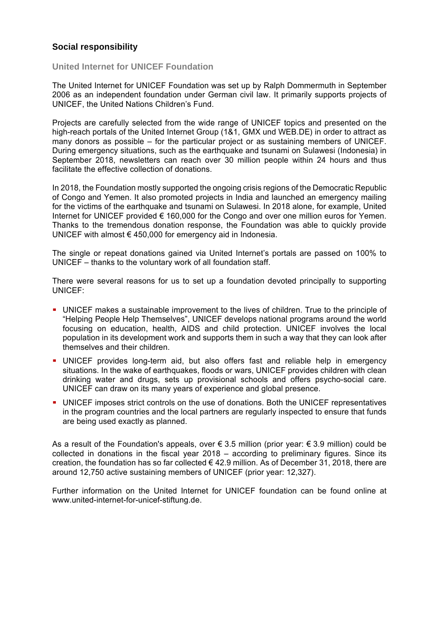# **Social responsibility**

#### **United Internet for UNICEF Foundation**

The United Internet for UNICEF Foundation was set up by Ralph Dommermuth in September 2006 as an independent foundation under German civil law. It primarily supports projects of UNICEF, the United Nations Children's Fund.

Projects are carefully selected from the wide range of UNICEF topics and presented on the high-reach portals of the United Internet Group (1&1, GMX und WEB.DE) in order to attract as many donors as possible – for the particular project or as sustaining members of UNICEF. During emergency situations, such as the earthquake and tsunami on Sulawesi (Indonesia) in September 2018, newsletters can reach over 30 million people within 24 hours and thus facilitate the effective collection of donations.

In 2018, the Foundation mostly supported the ongoing crisis regions of the Democratic Republic of Congo and Yemen. It also promoted projects in India and launched an emergency mailing for the victims of the earthquake and tsunami on Sulawesi. In 2018 alone, for example, United Internet for UNICEF provided € 160,000 for the Congo and over one million euros for Yemen. Thanks to the tremendous donation response, the Foundation was able to quickly provide UNICEF with almost € 450,000 for emergency aid in Indonesia.

The single or repeat donations gained via United Internet's portals are passed on 100% to UNICEF – thanks to the voluntary work of all foundation staff.

There were several reasons for us to set up a foundation devoted principally to supporting UNICEF:

- UNICEF makes a sustainable improvement to the lives of children. True to the principle of "Helping People Help Themselves", UNICEF develops national programs around the world focusing on education, health, AIDS and child protection. UNICEF involves the local population in its development work and supports them in such a way that they can look after themselves and their children.
- UNICEF provides long-term aid, but also offers fast and reliable help in emergency situations. In the wake of earthquakes, floods or wars, UNICEF provides children with clean drinking water and drugs, sets up provisional schools and offers psycho-social care. UNICEF can draw on its many years of experience and global presence.
- UNICEF imposes strict controls on the use of donations. Both the UNICEF representatives in the program countries and the local partners are regularly inspected to ensure that funds are being used exactly as planned.

As a result of the Foundation's appeals, over  $\epsilon$  3.5 million (prior year:  $\epsilon$  3.9 million) could be collected in donations in the fiscal year 2018 – according to preliminary figures. Since its creation, the foundation has so far collected  $\epsilon$  42.9 million. As of December 31, 2018, there are around 12,750 active sustaining members of UNICEF (prior year: 12,327).

Further information on the United Internet for UNICEF foundation can be found online at www.united-internet-for-unicef-stiftung.de.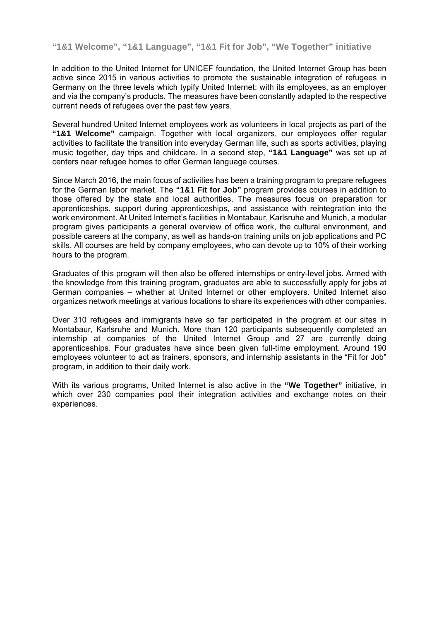**"1&1 Welcome", "1&1 Language", "1&1 Fit for Job", "We Together" initiative** 

In addition to the United Internet for UNICEF foundation, the United Internet Group has been active since 2015 in various activities to promote the sustainable integration of refugees in Germany on the three levels which typify United Internet: with its employees, as an employer and via the company's products. The measures have been constantly adapted to the respective current needs of refugees over the past few years.

Several hundred United Internet employees work as volunteers in local projects as part of the **"1&1 Welcome"** campaign. Together with local organizers, our employees offer regular activities to facilitate the transition into everyday German life, such as sports activities, playing music together, day trips and childcare. In a second step, **"1&1 Language"** was set up at centers near refugee homes to offer German language courses.

Since March 2016, the main focus of activities has been a training program to prepare refugees for the German labor market. The **"1&1 Fit for Job"** program provides courses in addition to those offered by the state and local authorities. The measures focus on preparation for apprenticeships, support during apprenticeships, and assistance with reintegration into the work environment. At United Internet's facilities in Montabaur, Karlsruhe and Munich, a modular program gives participants a general overview of office work, the cultural environment, and possible careers at the company, as well as hands-on training units on job applications and PC skills. All courses are held by company employees, who can devote up to 10% of their working hours to the program.

Graduates of this program will then also be offered internships or entry-level jobs. Armed with the knowledge from this training program, graduates are able to successfully apply for jobs at German companies – whether at United Internet or other employers. United Internet also organizes network meetings at various locations to share its experiences with other companies.

Over 310 refugees and immigrants have so far participated in the program at our sites in Montabaur, Karlsruhe and Munich. More than 120 participants subsequently completed an internship at companies of the United Internet Group and 27 are currently doing apprenticeships. Four graduates have since been given full-time employment. Around 190 employees volunteer to act as trainers, sponsors, and internship assistants in the "Fit for Job" program, in addition to their daily work.

With its various programs, United Internet is also active in the **"We Together"** initiative, in which over 230 companies pool their integration activities and exchange notes on their experiences.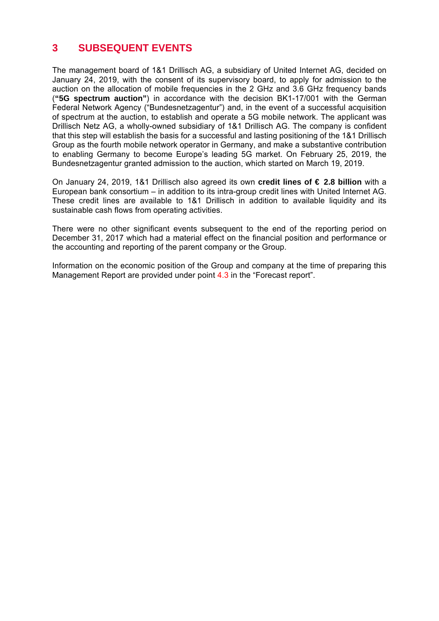# **3 SUBSEQUENT EVENTS**

The management board of 1&1 Drillisch AG, a subsidiary of United Internet AG, decided on January 24, 2019, with the consent of its supervisory board, to apply for admission to the auction on the allocation of mobile frequencies in the 2 GHz and 3.6 GHz frequency bands (**"5G spectrum auction"**) in accordance with the decision BK1-17/001 with the German Federal Network Agency ("Bundesnetzagentur") and, in the event of a successful acquisition of spectrum at the auction, to establish and operate a 5G mobile network. The applicant was Drillisch Netz AG, a wholly-owned subsidiary of 1&1 Drillisch AG. The company is confident that this step will establish the basis for a successful and lasting positioning of the 1&1 Drillisch Group as the fourth mobile network operator in Germany, and make a substantive contribution to enabling Germany to become Europe's leading 5G market. On February 25, 2019, the Bundesnetzagentur granted admission to the auction, which started on March 19, 2019.

On January 24, 2019, 1&1 Drillisch also agreed its own **credit lines of € 2.8 billion** with a European bank consortium – in addition to its intra-group credit lines with United Internet AG. These credit lines are available to 1&1 Drillisch in addition to available liquidity and its sustainable cash flows from operating activities.

There were no other significant events subsequent to the end of the reporting period on December 31, 2017 which had a material effect on the financial position and performance or the accounting and reporting of the parent company or the Group.

Information on the economic position of the Group and company at the time of preparing this Management Report are provided under point 4.3 in the "Forecast report".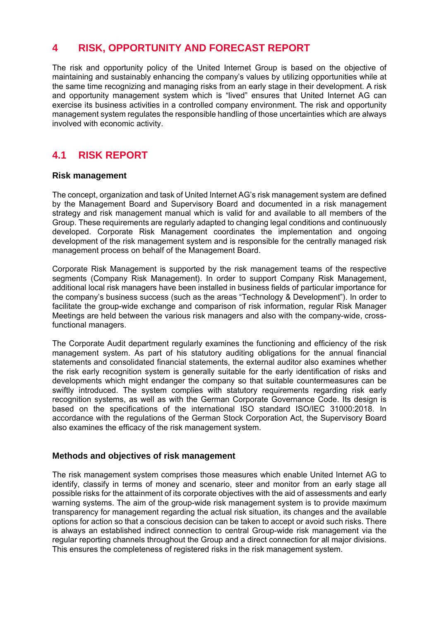# **4 RISK, OPPORTUNITY AND FORECAST REPORT**

The risk and opportunity policy of the United Internet Group is based on the objective of maintaining and sustainably enhancing the company's values by utilizing opportunities while at the same time recognizing and managing risks from an early stage in their development. A risk and opportunity management system which is "lived" ensures that United Internet AG can exercise its business activities in a controlled company environment. The risk and opportunity management system regulates the responsible handling of those uncertainties which are always involved with economic activity.

# **4.1 RISK REPORT**

# **Risk management**

The concept, organization and task of United Internet AG's risk management system are defined by the Management Board and Supervisory Board and documented in a risk management strategy and risk management manual which is valid for and available to all members of the Group. These requirements are regularly adapted to changing legal conditions and continuously developed. Corporate Risk Management coordinates the implementation and ongoing development of the risk management system and is responsible for the centrally managed risk management process on behalf of the Management Board.

Corporate Risk Management is supported by the risk management teams of the respective segments (Company Risk Management). In order to support Company Risk Management, additional local risk managers have been installed in business fields of particular importance for the company's business success (such as the areas "Technology & Development"). In order to facilitate the group-wide exchange and comparison of risk information, regular Risk Manager Meetings are held between the various risk managers and also with the company-wide, crossfunctional managers.

The Corporate Audit department regularly examines the functioning and efficiency of the risk management system. As part of his statutory auditing obligations for the annual financial statements and consolidated financial statements, the external auditor also examines whether the risk early recognition system is generally suitable for the early identification of risks and developments which might endanger the company so that suitable countermeasures can be swiftly introduced. The system complies with statutory requirements regarding risk early recognition systems, as well as with the German Corporate Governance Code. Its design is based on the specifications of the international ISO standard ISO/IEC 31000:2018. In accordance with the regulations of the German Stock Corporation Act, the Supervisory Board also examines the efficacy of the risk management system.

# **Methods and objectives of risk management**

The risk management system comprises those measures which enable United Internet AG to identify, classify in terms of money and scenario, steer and monitor from an early stage all possible risks for the attainment of its corporate objectives with the aid of assessments and early warning systems. The aim of the group-wide risk management system is to provide maximum transparency for management regarding the actual risk situation, its changes and the available options for action so that a conscious decision can be taken to accept or avoid such risks. There is always an established indirect connection to central Group-wide risk management via the regular reporting channels throughout the Group and a direct connection for all major divisions. This ensures the completeness of registered risks in the risk management system.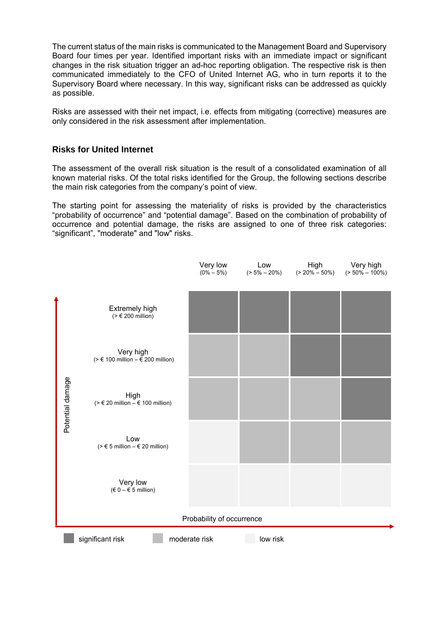The current status of the main risks is communicated to the Management Board and Supervisory Board four times per year. Identified important risks with an immediate impact or significant changes in the risk situation trigger an ad-hoc reporting obligation. The respective risk is then communicated immediately to the CFO of United Internet AG, who in turn reports it to the Supervisory Board where necessary. In this way, significant risks can be addressed as quickly as possible.

Risks are assessed with their net impact, i.e. effects from mitigating (corrective) measures are only considered in the risk assessment after implementation.

# **Risks for United Internet**

The assessment of the overall risk situation is the result of a consolidated examination of all known material risks. Of the total risks identified for the Group, the following sections describe the main risk categories from the company's point of view.

The starting point for assessing the materiality of risks is provided by the characteristics "probability of occurrence" and "potential damage". Based on the combination of probability of occurrence and potential damage, the risks are assigned to one of three risk categories: "significant", "moderate" and "low" risks.

|                  |                                                         | Very low<br>$(0\% - 5\%)$ | Low<br>$(5\% - 20\%)$ | High<br>$( > 20\% - 50\%)$ | Very high<br>$( > 50\% - 100\%)$ |
|------------------|---------------------------------------------------------|---------------------------|-----------------------|----------------------------|----------------------------------|
|                  |                                                         |                           |                       |                            |                                  |
|                  | Extremely high<br>$(> \epsilon 200$ million)            |                           |                       |                            |                                  |
|                  | Very high<br>(> € 100 million – € 200 million)          |                           |                       |                            |                                  |
| Potential damage | High<br>(> $∈$ 20 million – $∈$ 100 million)            |                           |                       |                            |                                  |
|                  | Low<br>$(> \epsilon 5$ million $- \epsilon 20$ million) |                           |                       |                            |                                  |
|                  | Very low<br>$(60 - 5 \text{ million})$                  |                           |                       |                            |                                  |
|                  |                                                         | Probability of occurrence |                       |                            |                                  |
|                  | significant risk                                        | moderate risk             | low risk              |                            |                                  |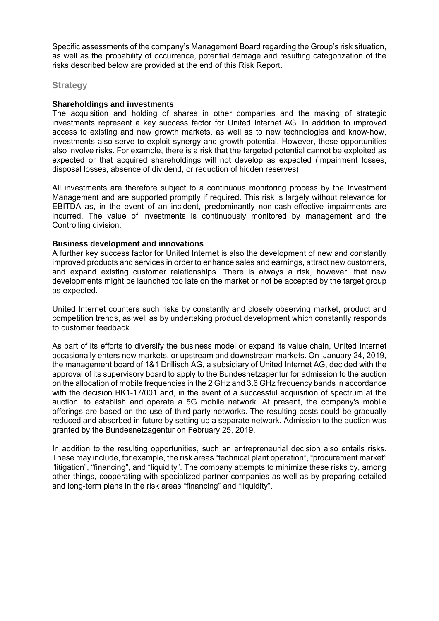Specific assessments of the company's Management Board regarding the Group's risk situation, as well as the probability of occurrence, potential damage and resulting categorization of the risks described below are provided at the end of this Risk Report.

#### **Strategy**

### **Shareholdings and investments**

The acquisition and holding of shares in other companies and the making of strategic investments represent a key success factor for United Internet AG. In addition to improved access to existing and new growth markets, as well as to new technologies and know-how, investments also serve to exploit synergy and growth potential. However, these opportunities also involve risks. For example, there is a risk that the targeted potential cannot be exploited as expected or that acquired shareholdings will not develop as expected (impairment losses, disposal losses, absence of dividend, or reduction of hidden reserves).

All investments are therefore subject to a continuous monitoring process by the Investment Management and are supported promptly if required. This risk is largely without relevance for EBITDA as, in the event of an incident, predominantly non-cash-effective impairments are incurred. The value of investments is continuously monitored by management and the Controlling division.

### **Business development and innovations**

A further key success factor for United Internet is also the development of new and constantly improved products and services in order to enhance sales and earnings, attract new customers, and expand existing customer relationships. There is always a risk, however, that new developments might be launched too late on the market or not be accepted by the target group as expected.

United Internet counters such risks by constantly and closely observing market, product and competition trends, as well as by undertaking product development which constantly responds to customer feedback.

As part of its efforts to diversify the business model or expand its value chain, United Internet occasionally enters new markets, or upstream and downstream markets. On January 24, 2019, the management board of 1&1 Drillisch AG, a subsidiary of United Internet AG, decided with the approval of its supervisory board to apply to the Bundesnetzagentur for admission to the auction on the allocation of mobile frequencies in the 2 GHz and 3.6 GHz frequency bands in accordance with the decision BK1-17/001 and, in the event of a successful acquisition of spectrum at the auction, to establish and operate a 5G mobile network. At present, the company's mobile offerings are based on the use of third-party networks. The resulting costs could be gradually reduced and absorbed in future by setting up a separate network. Admission to the auction was granted by the Bundesnetzagentur on February 25, 2019.

In addition to the resulting opportunities, such an entrepreneurial decision also entails risks. These may include, for example, the risk areas "technical plant operation", "procurement market" "litigation", "financing", and "liquidity". The company attempts to minimize these risks by, among other things, cooperating with specialized partner companies as well as by preparing detailed and long-term plans in the risk areas "financing" and "liquidity".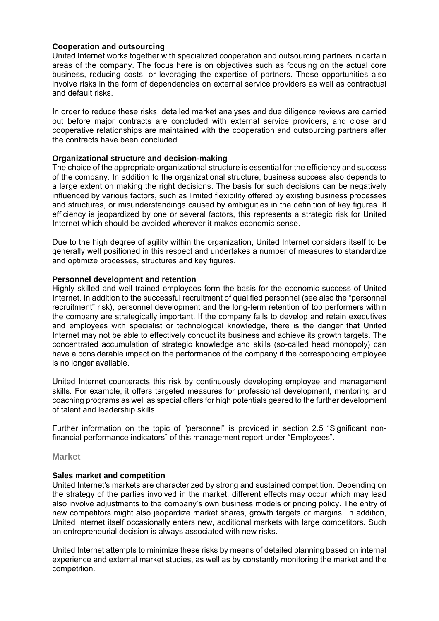### **Cooperation and outsourcing**

United Internet works together with specialized cooperation and outsourcing partners in certain areas of the company. The focus here is on objectives such as focusing on the actual core business, reducing costs, or leveraging the expertise of partners. These opportunities also involve risks in the form of dependencies on external service providers as well as contractual and default risks.

In order to reduce these risks, detailed market analyses and due diligence reviews are carried out before major contracts are concluded with external service providers, and close and cooperative relationships are maintained with the cooperation and outsourcing partners after the contracts have been concluded.

### **Organizational structure and decision-making**

The choice of the appropriate organizational structure is essential for the efficiency and success of the company. In addition to the organizational structure, business success also depends to a large extent on making the right decisions. The basis for such decisions can be negatively influenced by various factors, such as limited flexibility offered by existing business processes and structures, or misunderstandings caused by ambiguities in the definition of key figures. If efficiency is jeopardized by one or several factors, this represents a strategic risk for United Internet which should be avoided wherever it makes economic sense.

Due to the high degree of agility within the organization, United Internet considers itself to be generally well positioned in this respect and undertakes a number of measures to standardize and optimize processes, structures and key figures.

### **Personnel development and retention**

Highly skilled and well trained employees form the basis for the economic success of United Internet. In addition to the successful recruitment of qualified personnel (see also the "personnel recruitment" risk), personnel development and the long-term retention of top performers within the company are strategically important. If the company fails to develop and retain executives and employees with specialist or technological knowledge, there is the danger that United Internet may not be able to effectively conduct its business and achieve its growth targets. The concentrated accumulation of strategic knowledge and skills (so-called head monopoly) can have a considerable impact on the performance of the company if the corresponding employee is no longer available.

United Internet counteracts this risk by continuously developing employee and management skills. For example, it offers targeted measures for professional development, mentoring and coaching programs as well as special offers for high potentials geared to the further development of talent and leadership skills.

Further information on the topic of "personnel" is provided in section 2.5 "Significant nonfinancial performance indicators" of this management report under "Employees".

### **Market**

#### **Sales market and competition**

United Internet's markets are characterized by strong and sustained competition. Depending on the strategy of the parties involved in the market, different effects may occur which may lead also involve adjustments to the company's own business models or pricing policy. The entry of new competitors might also jeopardize market shares, growth targets or margins. In addition, United Internet itself occasionally enters new, additional markets with large competitors. Such an entrepreneurial decision is always associated with new risks.

United Internet attempts to minimize these risks by means of detailed planning based on internal experience and external market studies, as well as by constantly monitoring the market and the competition.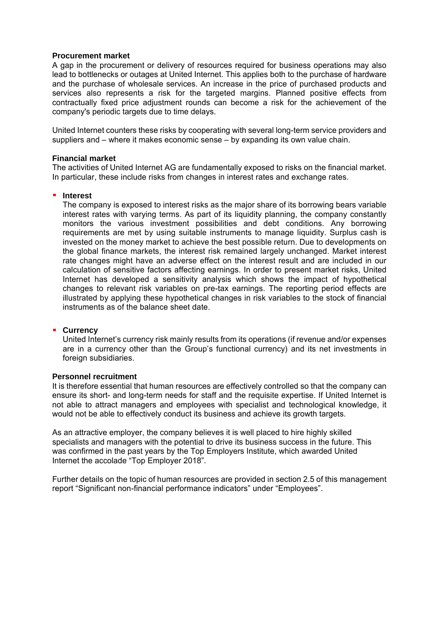#### **Procurement market**

A gap in the procurement or delivery of resources required for business operations may also lead to bottlenecks or outages at United Internet. This applies both to the purchase of hardware and the purchase of wholesale services. An increase in the price of purchased products and services also represents a risk for the targeted margins. Planned positive effects from contractually fixed price adjustment rounds can become a risk for the achievement of the company's periodic targets due to time delays.

United Internet counters these risks by cooperating with several long-term service providers and suppliers and – where it makes economic sense – by expanding its own value chain.

#### **Financial market**

The activities of United Internet AG are fundamentally exposed to risks on the financial market. In particular, these include risks from changes in interest rates and exchange rates.

#### **Interest**

The company is exposed to interest risks as the major share of its borrowing bears variable interest rates with varying terms. As part of its liquidity planning, the company constantly monitors the various investment possibilities and debt conditions. Any borrowing requirements are met by using suitable instruments to manage liquidity. Surplus cash is invested on the money market to achieve the best possible return. Due to developments on the global finance markets, the interest risk remained largely unchanged. Market interest rate changes might have an adverse effect on the interest result and are included in our calculation of sensitive factors affecting earnings. In order to present market risks, United Internet has developed a sensitivity analysis which shows the impact of hypothetical changes to relevant risk variables on pre-tax earnings. The reporting period effects are illustrated by applying these hypothetical changes in risk variables to the stock of financial instruments as of the balance sheet date.

#### **Currency**

United Internet's currency risk mainly results from its operations (if revenue and/or expenses are in a currency other than the Group's functional currency) and its net investments in foreign subsidiaries.

#### **Personnel recruitment**

It is therefore essential that human resources are effectively controlled so that the company can ensure its short- and long-term needs for staff and the requisite expertise. If United Internet is not able to attract managers and employees with specialist and technological knowledge, it would not be able to effectively conduct its business and achieve its growth targets.

As an attractive employer, the company believes it is well placed to hire highly skilled specialists and managers with the potential to drive its business success in the future. This was confirmed in the past years by the Top Employers Institute, which awarded United Internet the accolade "Top Employer 2018".

Further details on the topic of human resources are provided in section 2.5 of this management report "Significant non-financial performance indicators" under "Employees".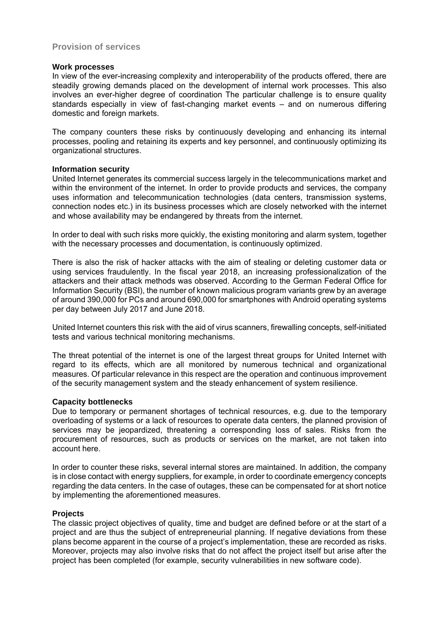# **Provision of services**

#### **Work processes**

In view of the ever-increasing complexity and interoperability of the products offered, there are steadily growing demands placed on the development of internal work processes. This also involves an ever-higher degree of coordination The particular challenge is to ensure quality standards especially in view of fast-changing market events – and on numerous differing domestic and foreign markets.

The company counters these risks by continuously developing and enhancing its internal processes, pooling and retaining its experts and key personnel, and continuously optimizing its organizational structures.

#### **Information security**

United Internet generates its commercial success largely in the telecommunications market and within the environment of the internet. In order to provide products and services, the company uses information and telecommunication technologies (data centers, transmission systems, connection nodes etc.) in its business processes which are closely networked with the internet and whose availability may be endangered by threats from the internet.

In order to deal with such risks more quickly, the existing monitoring and alarm system, together with the necessary processes and documentation, is continuously optimized.

There is also the risk of hacker attacks with the aim of stealing or deleting customer data or using services fraudulently. In the fiscal year 2018, an increasing professionalization of the attackers and their attack methods was observed. According to the German Federal Office for Information Security (BSI), the number of known malicious program variants grew by an average of around 390,000 for PCs and around 690,000 for smartphones with Android operating systems per day between July 2017 and June 2018.

United Internet counters this risk with the aid of virus scanners, firewalling concepts, self-initiated tests and various technical monitoring mechanisms.

The threat potential of the internet is one of the largest threat groups for United Internet with regard to its effects, which are all monitored by numerous technical and organizational measures. Of particular relevance in this respect are the operation and continuous improvement of the security management system and the steady enhancement of system resilience.

#### **Capacity bottlenecks**

Due to temporary or permanent shortages of technical resources, e.g. due to the temporary overloading of systems or a lack of resources to operate data centers, the planned provision of services may be jeopardized, threatening a corresponding loss of sales. Risks from the procurement of resources, such as products or services on the market, are not taken into account here.

In order to counter these risks, several internal stores are maintained. In addition, the company is in close contact with energy suppliers, for example, in order to coordinate emergency concepts regarding the data centers. In the case of outages, these can be compensated for at short notice by implementing the aforementioned measures.

#### **Projects**

The classic project objectives of quality, time and budget are defined before or at the start of a project and are thus the subject of entrepreneurial planning. If negative deviations from these plans become apparent in the course of a project's implementation, these are recorded as risks. Moreover, projects may also involve risks that do not affect the project itself but arise after the project has been completed (for example, security vulnerabilities in new software code).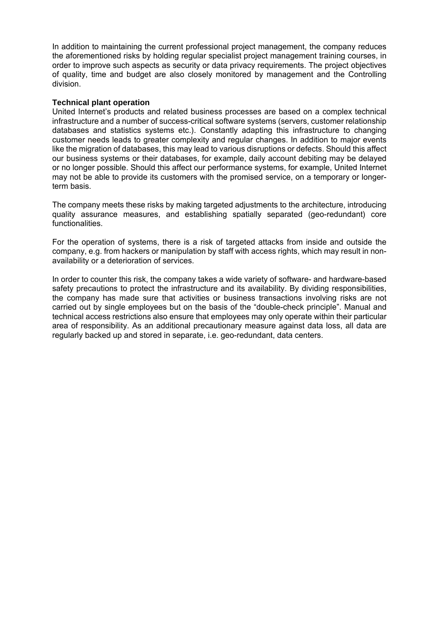In addition to maintaining the current professional project management, the company reduces the aforementioned risks by holding regular specialist project management training courses, in order to improve such aspects as security or data privacy requirements. The project objectives of quality, time and budget are also closely monitored by management and the Controlling division.

#### **Technical plant operation**

United Internet's products and related business processes are based on a complex technical infrastructure and a number of success-critical software systems (servers, customer relationship databases and statistics systems etc.). Constantly adapting this infrastructure to changing customer needs leads to greater complexity and regular changes. In addition to major events like the migration of databases, this may lead to various disruptions or defects. Should this affect our business systems or their databases, for example, daily account debiting may be delayed or no longer possible. Should this affect our performance systems, for example, United Internet may not be able to provide its customers with the promised service, on a temporary or longerterm basis.

The company meets these risks by making targeted adjustments to the architecture, introducing quality assurance measures, and establishing spatially separated (geo-redundant) core functionalities.

For the operation of systems, there is a risk of targeted attacks from inside and outside the company, e.g. from hackers or manipulation by staff with access rights, which may result in nonavailability or a deterioration of services.

In order to counter this risk, the company takes a wide variety of software- and hardware-based safety precautions to protect the infrastructure and its availability. By dividing responsibilities, the company has made sure that activities or business transactions involving risks are not carried out by single employees but on the basis of the "double-check principle". Manual and technical access restrictions also ensure that employees may only operate within their particular area of responsibility. As an additional precautionary measure against data loss, all data are regularly backed up and stored in separate, i.e. geo-redundant, data centers.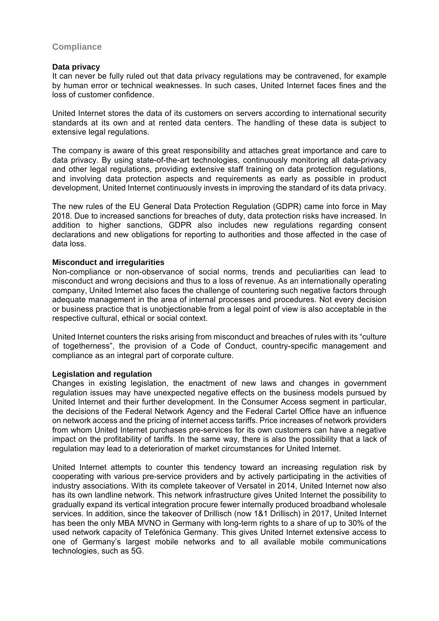# **Compliance**

#### **Data privacy**

It can never be fully ruled out that data privacy regulations may be contravened, for example by human error or technical weaknesses. In such cases, United Internet faces fines and the loss of customer confidence.

United Internet stores the data of its customers on servers according to international security standards at its own and at rented data centers. The handling of these data is subject to extensive legal regulations.

The company is aware of this great responsibility and attaches great importance and care to data privacy. By using state-of-the-art technologies, continuously monitoring all data-privacy and other legal regulations, providing extensive staff training on data protection regulations, and involving data protection aspects and requirements as early as possible in product development, United Internet continuously invests in improving the standard of its data privacy.

The new rules of the EU General Data Protection Regulation (GDPR) came into force in May 2018. Due to increased sanctions for breaches of duty, data protection risks have increased. In addition to higher sanctions, GDPR also includes new regulations regarding consent declarations and new obligations for reporting to authorities and those affected in the case of data loss.

#### **Misconduct and irregularities**

Non-compliance or non-observance of social norms, trends and peculiarities can lead to misconduct and wrong decisions and thus to a loss of revenue. As an internationally operating company, United Internet also faces the challenge of countering such negative factors through adequate management in the area of internal processes and procedures. Not every decision or business practice that is unobjectionable from a legal point of view is also acceptable in the respective cultural, ethical or social context.

United Internet counters the risks arising from misconduct and breaches of rules with its "culture of togetherness", the provision of a Code of Conduct, country-specific management and compliance as an integral part of corporate culture.

### **Legislation and regulation**

Changes in existing legislation, the enactment of new laws and changes in government regulation issues may have unexpected negative effects on the business models pursued by United Internet and their further development. In the Consumer Access segment in particular, the decisions of the Federal Network Agency and the Federal Cartel Office have an influence on network access and the pricing of internet access tariffs. Price increases of network providers from whom United Internet purchases pre-services for its own customers can have a negative impact on the profitability of tariffs. In the same way, there is also the possibility that a lack of regulation may lead to a deterioration of market circumstances for United Internet.

United Internet attempts to counter this tendency toward an increasing regulation risk by cooperating with various pre-service providers and by actively participating in the activities of industry associations. With its complete takeover of Versatel in 2014, United Internet now also has its own landline network. This network infrastructure gives United Internet the possibility to gradually expand its vertical integration procure fewer internally produced broadband wholesale services. In addition, since the takeover of Drillisch (now 1&1 Drillisch) in 2017, United Internet has been the only MBA MVNO in Germany with long-term rights to a share of up to 30% of the used network capacity of Telefónica Germany. This gives United Internet extensive access to one of Germany's largest mobile networks and to all available mobile communications technologies, such as 5G.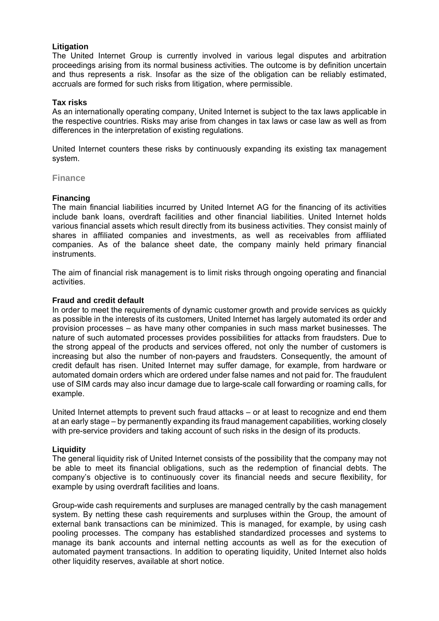### **Litigation**

The United Internet Group is currently involved in various legal disputes and arbitration proceedings arising from its normal business activities. The outcome is by definition uncertain and thus represents a risk. Insofar as the size of the obligation can be reliably estimated, accruals are formed for such risks from litigation, where permissible.

#### **Tax risks**

As an internationally operating company, United Internet is subject to the tax laws applicable in the respective countries. Risks may arise from changes in tax laws or case law as well as from differences in the interpretation of existing regulations.

United Internet counters these risks by continuously expanding its existing tax management system.

#### **Finance**

#### **Financing**

The main financial liabilities incurred by United Internet AG for the financing of its activities include bank loans, overdraft facilities and other financial liabilities. United Internet holds various financial assets which result directly from its business activities. They consist mainly of shares in affiliated companies and investments, as well as receivables from affiliated companies. As of the balance sheet date, the company mainly held primary financial instruments.

The aim of financial risk management is to limit risks through ongoing operating and financial activities.

#### **Fraud and credit default**

In order to meet the requirements of dynamic customer growth and provide services as quickly as possible in the interests of its customers, United Internet has largely automated its order and provision processes – as have many other companies in such mass market businesses. The nature of such automated processes provides possibilities for attacks from fraudsters. Due to the strong appeal of the products and services offered, not only the number of customers is increasing but also the number of non-payers and fraudsters. Consequently, the amount of credit default has risen. United Internet may suffer damage, for example, from hardware or automated domain orders which are ordered under false names and not paid for. The fraudulent use of SIM cards may also incur damage due to large-scale call forwarding or roaming calls, for example.

United Internet attempts to prevent such fraud attacks – or at least to recognize and end them at an early stage – by permanently expanding its fraud management capabilities, working closely with pre-service providers and taking account of such risks in the design of its products.

#### **Liquidity**

The general liquidity risk of United Internet consists of the possibility that the company may not be able to meet its financial obligations, such as the redemption of financial debts. The company's objective is to continuously cover its financial needs and secure flexibility, for example by using overdraft facilities and loans.

Group-wide cash requirements and surpluses are managed centrally by the cash management system. By netting these cash requirements and surpluses within the Group, the amount of external bank transactions can be minimized. This is managed, for example, by using cash pooling processes. The company has established standardized processes and systems to manage its bank accounts and internal netting accounts as well as for the execution of automated payment transactions. In addition to operating liquidity, United Internet also holds other liquidity reserves, available at short notice.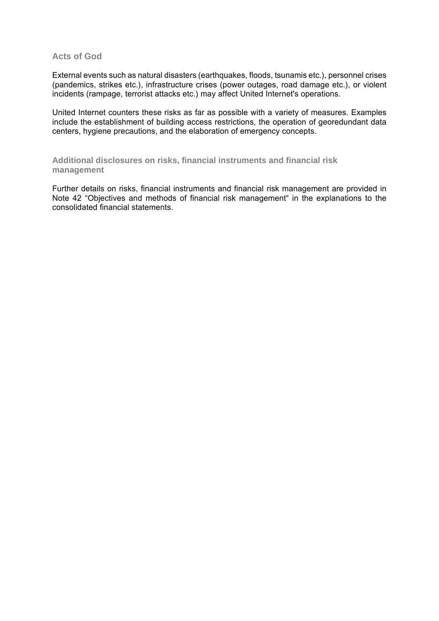### **Acts of God**

External events such as natural disasters (earthquakes, floods, tsunamis etc.), personnel crises (pandemics, strikes etc.), infrastructure crises (power outages, road damage etc.), or violent incidents (rampage, terrorist attacks etc.) may affect United Internet's operations.

United Internet counters these risks as far as possible with a variety of measures. Examples include the establishment of building access restrictions, the operation of georedundant data centers, hygiene precautions, and the elaboration of emergency concepts.

**Additional disclosures on risks, financial instruments and financial risk management** 

Further details on risks, financial instruments and financial risk management are provided in Note 42 "Objectives and methods of financial risk management" in the explanations to the consolidated financial statements.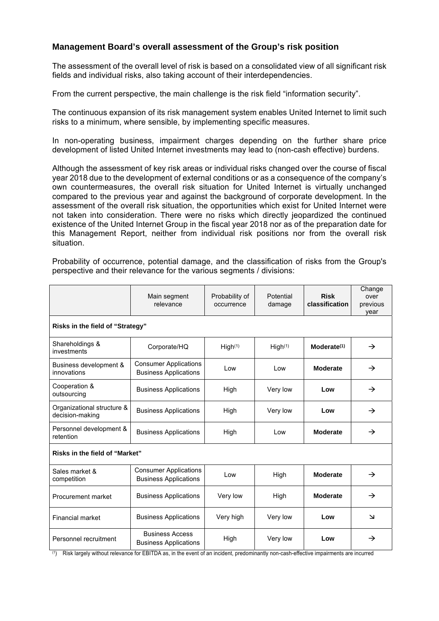# **Management Board's overall assessment of the Group's risk position**

The assessment of the overall level of risk is based on a consolidated view of all significant risk fields and individual risks, also taking account of their interdependencies.

From the current perspective, the main challenge is the risk field "information security".

The continuous expansion of its risk management system enables United Internet to limit such risks to a minimum, where sensible, by implementing specific measures.

In non-operating business, impairment charges depending on the further share price development of listed United Internet investments may lead to (non-cash effective) burdens.

Although the assessment of key risk areas or individual risks changed over the course of fiscal year 2018 due to the development of external conditions or as a consequence of the company's own countermeasures, the overall risk situation for United Internet is virtually unchanged compared to the previous year and against the background of corporate development. In the assessment of the overall risk situation, the opportunities which exist for United Internet were not taken into consideration. There were no risks which directly jeopardized the continued existence of the United Internet Group in the fiscal year 2018 nor as of the preparation date for this Management Report, neither from individual risk positions nor from the overall risk situation.

Probability of occurrence, potential damage, and the classification of risks from the Group's perspective and their relevance for the various segments / divisions:

|                                               | Main segment<br>relevance                                                   | Probability of<br>occurrence | Potential<br>damage | <b>Risk</b><br>classification | Change<br>over<br>previous<br>year |  |
|-----------------------------------------------|-----------------------------------------------------------------------------|------------------------------|---------------------|-------------------------------|------------------------------------|--|
| Risks in the field of "Strategy"              |                                                                             |                              |                     |                               |                                    |  |
| Shareholdings &<br>investments                | Corporate/HQ                                                                | High <sup>(1)</sup>          | High <sup>(1)</sup> | Modelate <sup>(1)</sup>       | $\rightarrow$                      |  |
| Business development &<br>innovations         | <b>Consumer Applications</b><br><b>Business Applications</b>                | Low                          | Low                 | Moderate                      | $\rightarrow$                      |  |
| Cooperation &<br>outsourcing                  | <b>Business Applications</b>                                                | High                         | Very low            | Low                           | $\rightarrow$                      |  |
| Organizational structure &<br>decision-making | <b>Business Applications</b>                                                | High                         | Very low            | Low                           | $\rightarrow$                      |  |
| Personnel development &<br>retention          | <b>Business Applications</b>                                                | High                         | Low                 | Moderate                      | $\rightarrow$                      |  |
| Risks in the field of "Market"                |                                                                             |                              |                     |                               |                                    |  |
| Sales market &<br>competition                 | <b>Consumer Applications</b><br><b>Business Applications</b>                | Low                          | High                | Moderate                      | $\rightarrow$                      |  |
| Procurement market                            | <b>Business Applications</b>                                                | Very low                     | High                | Moderate                      | $\rightarrow$                      |  |
| Financial market                              | <b>Business Applications</b>                                                | Very high                    | Very low            | Low                           | $\overline{\mathbf{v}}$            |  |
| Personnel recruitment<br>milit ta             | <b>Business Access</b><br><b>Business Applications</b><br>$FNITNA \sim 1.0$ | High                         | Very low            | Low                           | $\rightarrow$                      |  |

(1) Risk largely without relevance for EBITDA as, in the event of an incident, predominantly non-cash-effective impairments are incurred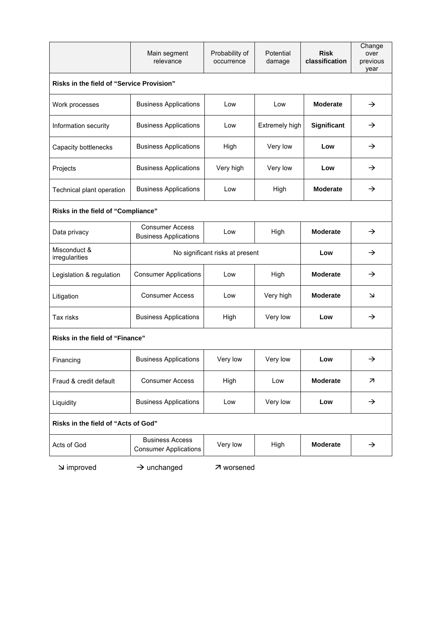|                                           | Main segment<br>relevance                              | Probability of<br>occurrence | Potential<br>damage | <b>Risk</b><br>classification | Change<br>over<br>previous<br>year |  |  |
|-------------------------------------------|--------------------------------------------------------|------------------------------|---------------------|-------------------------------|------------------------------------|--|--|
| Risks in the field of "Service Provision" |                                                        |                              |                     |                               |                                    |  |  |
| Work processes                            | <b>Business Applications</b>                           | Low                          | Low                 | Moderate                      | $\rightarrow$                      |  |  |
| Information security                      | <b>Business Applications</b>                           | Low                          | Extremely high      | Significant                   | →                                  |  |  |
| Capacity bottlenecks                      | <b>Business Applications</b>                           | High                         | Very low            | Low                           | $\rightarrow$                      |  |  |
| Projects                                  | <b>Business Applications</b>                           | Very high                    | Very low            | Low                           | →                                  |  |  |
| Technical plant operation                 | <b>Business Applications</b>                           | Low                          | High                | Moderate                      | →                                  |  |  |
| Risks in the field of "Compliance"        |                                                        |                              |                     |                               |                                    |  |  |
| Data privacy                              | <b>Consumer Access</b><br><b>Business Applications</b> | Low                          | High                | Moderate                      | $\rightarrow$                      |  |  |
| Misconduct &<br>irregularities            | No significant risks at present                        |                              |                     | Low                           | $\rightarrow$                      |  |  |
| Legislation & regulation                  | <b>Consumer Applications</b>                           | Low                          | High                | Moderate                      | →                                  |  |  |
| Litigation                                | <b>Consumer Access</b>                                 | Low                          | Very high           | Moderate                      | لا                                 |  |  |
| Tax risks                                 | <b>Business Applications</b>                           | High                         | Very low            | Low                           | →                                  |  |  |
| Risks in the field of "Finance"           |                                                        |                              |                     |                               |                                    |  |  |
| Financing                                 | <b>Business Applications</b>                           | Very low                     | Very low            | Low                           | →                                  |  |  |
| Fraud & credit default                    | <b>Consumer Access</b>                                 | High                         | Low                 | Moderate                      | ↗                                  |  |  |
| Liquidity                                 | <b>Business Applications</b>                           | Low                          | Very low            | Low                           | $\rightarrow$                      |  |  |
| Risks in the field of "Acts of God"       |                                                        |                              |                     |                               |                                    |  |  |
| Acts of God                               | <b>Business Access</b><br><b>Consumer Applications</b> | Very low                     | High                | Moderate                      | $\rightarrow$                      |  |  |

 $\rightarrow$  unchanged  $\rightarrow$  worsened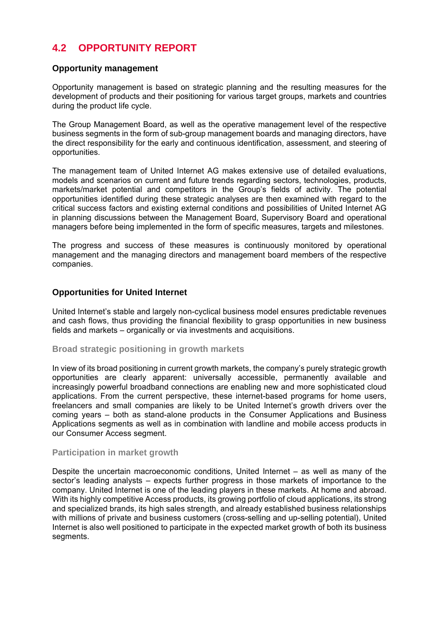# **4.2 OPPORTUNITY REPORT**

# **Opportunity management**

Opportunity management is based on strategic planning and the resulting measures for the development of products and their positioning for various target groups, markets and countries during the product life cycle.

The Group Management Board, as well as the operative management level of the respective business segments in the form of sub-group management boards and managing directors, have the direct responsibility for the early and continuous identification, assessment, and steering of opportunities.

The management team of United Internet AG makes extensive use of detailed evaluations, models and scenarios on current and future trends regarding sectors, technologies, products, markets/market potential and competitors in the Group's fields of activity. The potential opportunities identified during these strategic analyses are then examined with regard to the critical success factors and existing external conditions and possibilities of United Internet AG in planning discussions between the Management Board, Supervisory Board and operational managers before being implemented in the form of specific measures, targets and milestones.

The progress and success of these measures is continuously monitored by operational management and the managing directors and management board members of the respective companies.

# **Opportunities for United Internet**

United Internet's stable and largely non-cyclical business model ensures predictable revenues and cash flows, thus providing the financial flexibility to grasp opportunities in new business fields and markets – organically or via investments and acquisitions.

### **Broad strategic positioning in growth markets**

In view of its broad positioning in current growth markets, the company's purely strategic growth opportunities are clearly apparent: universally accessible, permanently available and increasingly powerful broadband connections are enabling new and more sophisticated cloud applications. From the current perspective, these internet-based programs for home users, freelancers and small companies are likely to be United Internet's growth drivers over the coming years – both as stand-alone products in the Consumer Applications and Business Applications segments as well as in combination with landline and mobile access products in our Consumer Access segment.

### **Participation in market growth**

Despite the uncertain macroeconomic conditions, United Internet – as well as many of the sector's leading analysts – expects further progress in those markets of importance to the company. United Internet is one of the leading players in these markets. At home and abroad. With its highly competitive Access products, its growing portfolio of cloud applications, its strong and specialized brands, its high sales strength, and already established business relationships with millions of private and business customers (cross-selling and up-selling potential), United Internet is also well positioned to participate in the expected market growth of both its business segments.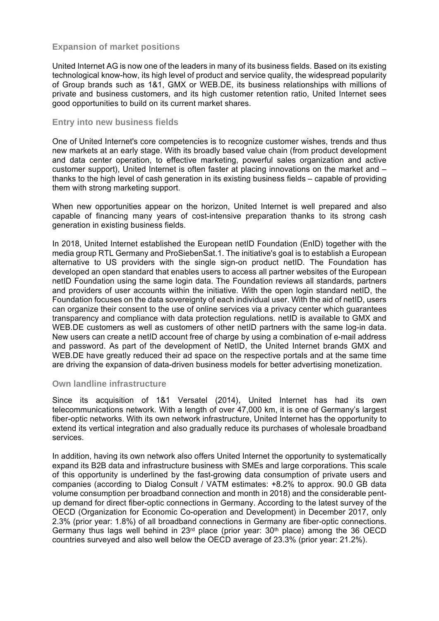# **Expansion of market positions**

United Internet AG is now one of the leaders in many of its business fields. Based on its existing technological know-how, its high level of product and service quality, the widespread popularity of Group brands such as 1&1, GMX or WEB.DE, its business relationships with millions of private and business customers, and its high customer retention ratio, United Internet sees good opportunities to build on its current market shares.

### **Entry into new business fields**

One of United Internet's core competencies is to recognize customer wishes, trends and thus new markets at an early stage. With its broadly based value chain (from product development and data center operation, to effective marketing, powerful sales organization and active customer support), United Internet is often faster at placing innovations on the market and – thanks to the high level of cash generation in its existing business fields – capable of providing them with strong marketing support.

When new opportunities appear on the horizon, United Internet is well prepared and also capable of financing many years of cost-intensive preparation thanks to its strong cash generation in existing business fields.

In 2018, United Internet established the European netID Foundation (EnID) together with the media group RTL Germany and ProSiebenSat.1. The initiative's goal is to establish a European alternative to US providers with the single sign-on product netID. The Foundation has developed an open standard that enables users to access all partner websites of the European netID Foundation using the same login data. The Foundation reviews all standards, partners and providers of user accounts within the initiative. With the open login standard netID, the Foundation focuses on the data sovereignty of each individual user. With the aid of netID, users can organize their consent to the use of online services via a privacy center which guarantees transparency and compliance with data protection regulations. netID is available to GMX and WEB.DE customers as well as customers of other netID partners with the same log-in data. New users can create a netID account free of charge by using a combination of e-mail address and password. As part of the development of NetID, the United Internet brands GMX and WEB.DE have greatly reduced their ad space on the respective portals and at the same time are driving the expansion of data-driven business models for better advertising monetization.

### **Own landline infrastructure**

Since its acquisition of 1&1 Versatel (2014), United Internet has had its own telecommunications network. With a length of over 47,000 km, it is one of Germany's largest fiber-optic networks. With its own network infrastructure, United Internet has the opportunity to extend its vertical integration and also gradually reduce its purchases of wholesale broadband services.

In addition, having its own network also offers United Internet the opportunity to systematically expand its B2B data and infrastructure business with SMEs and large corporations. This scale of this opportunity is underlined by the fast-growing data consumption of private users and companies (according to Dialog Consult / VATM estimates: +8.2% to approx. 90.0 GB data volume consumption per broadband connection and month in 2018) and the considerable pentup demand for direct fiber-optic connections in Germany. According to the latest survey of the OECD (Organization for Economic Co-operation and Development) in December 2017, only 2.3% (prior year: 1.8%) of all broadband connections in Germany are fiber-optic connections. Germany thus lags well behind in 23rd place (prior year: 30th place) among the 36 OECD countries surveyed and also well below the OECD average of 23.3% (prior year: 21.2%).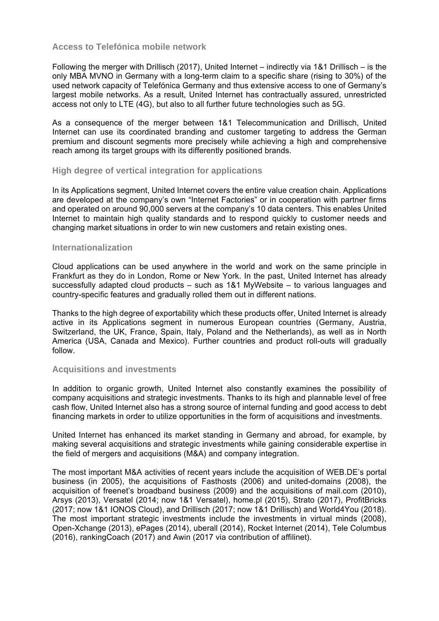## **Access to Telefónica mobile network**

Following the merger with Drillisch (2017), United Internet – indirectly via 1&1 Drillisch – is the only MBA MVNO in Germany with a long-term claim to a specific share (rising to 30%) of the used network capacity of Telefónica Germany and thus extensive access to one of Germany's largest mobile networks. As a result, United Internet has contractually assured, unrestricted access not only to LTE (4G), but also to all further future technologies such as 5G.

As a consequence of the merger between 1&1 Telecommunication and Drillisch, United Internet can use its coordinated branding and customer targeting to address the German premium and discount segments more precisely while achieving a high and comprehensive reach among its target groups with its differently positioned brands.

### **High degree of vertical integration for applications**

In its Applications segment, United Internet covers the entire value creation chain. Applications are developed at the company's own "Internet Factories" or in cooperation with partner firms and operated on around 90,000 servers at the company's 10 data centers. This enables United Internet to maintain high quality standards and to respond quickly to customer needs and changing market situations in order to win new customers and retain existing ones.

### **Internationalization**

Cloud applications can be used anywhere in the world and work on the same principle in Frankfurt as they do in London, Rome or New York. In the past, United Internet has already successfully adapted cloud products – such as 1&1 MyWebsite – to various languages and country-specific features and gradually rolled them out in different nations.

Thanks to the high degree of exportability which these products offer, United Internet is already active in its Applications segment in numerous European countries (Germany, Austria, Switzerland, the UK, France, Spain, Italy, Poland and the Netherlands), as well as in North America (USA, Canada and Mexico). Further countries and product roll-outs will gradually follow.

### **Acquisitions and investments**

In addition to organic growth, United Internet also constantly examines the possibility of company acquisitions and strategic investments. Thanks to its high and plannable level of free cash flow, United Internet also has a strong source of internal funding and good access to debt financing markets in order to utilize opportunities in the form of acquisitions and investments.

United Internet has enhanced its market standing in Germany and abroad, for example, by making several acquisitions and strategic investments while gaining considerable expertise in the field of mergers and acquisitions (M&A) and company integration.

The most important M&A activities of recent years include the acquisition of WEB.DE's portal business (in 2005), the acquisitions of Fasthosts (2006) and united-domains (2008), the acquisition of freenet's broadband business (2009) and the acquisitions of mail.com (2010), Arsys (2013), Versatel (2014; now 1&1 Versatel), home.pl (2015), Strato (2017), ProfitBricks (2017; now 1&1 IONOS Cloud), and Drillisch (2017; now 1&1 Drillisch) and World4You (2018). The most important strategic investments include the investments in virtual minds (2008), Open-Xchange (2013), ePages (2014), uberall (2014), Rocket Internet (2014), Tele Columbus (2016), rankingCoach (2017) and Awin (2017 via contribution of affilinet).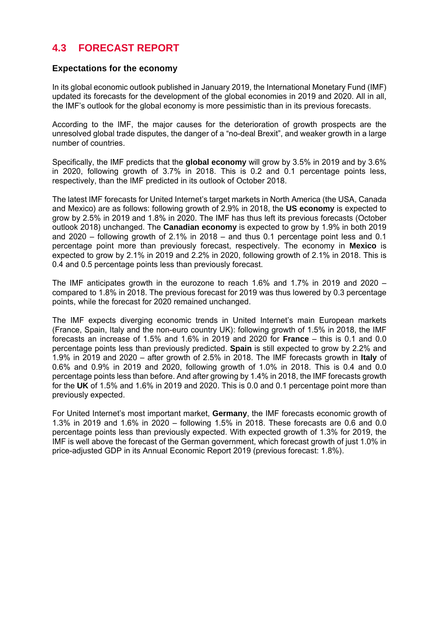# **4.3 FORECAST REPORT**

### **Expectations for the economy**

In its global economic outlook published in January 2019, the International Monetary Fund (IMF) updated its forecasts for the development of the global economies in 2019 and 2020. All in all, the IMF's outlook for the global economy is more pessimistic than in its previous forecasts.

According to the IMF, the major causes for the deterioration of growth prospects are the unresolved global trade disputes, the danger of a "no-deal Brexit", and weaker growth in a large number of countries.

Specifically, the IMF predicts that the **global economy** will grow by 3.5% in 2019 and by 3.6% in 2020, following growth of 3.7% in 2018. This is 0.2 and 0.1 percentage points less, respectively, than the IMF predicted in its outlook of October 2018.

The latest IMF forecasts for United Internet's target markets in North America (the USA, Canada and Mexico) are as follows: following growth of 2.9% in 2018, the **US economy** is expected to grow by 2.5% in 2019 and 1.8% in 2020. The IMF has thus left its previous forecasts (October outlook 2018) unchanged. The **Canadian economy** is expected to grow by 1.9% in both 2019 and 2020 – following growth of 2.1% in 2018 – and thus 0.1 percentage point less and 0.1 percentage point more than previously forecast, respectively. The economy in **Mexico** is expected to grow by 2.1% in 2019 and 2.2% in 2020, following growth of 2.1% in 2018. This is 0.4 and 0.5 percentage points less than previously forecast.

The IMF anticipates growth in the eurozone to reach 1.6% and 1.7% in 2019 and 2020 – compared to 1.8% in 2018. The previous forecast for 2019 was thus lowered by 0.3 percentage points, while the forecast for 2020 remained unchanged.

The IMF expects diverging economic trends in United Internet's main European markets (France, Spain, Italy and the non-euro country UK): following growth of 1.5% in 2018, the IMF forecasts an increase of 1.5% and 1.6% in 2019 and 2020 for **France** – this is 0.1 and 0.0 percentage points less than previously predicted. **Spain** is still expected to grow by 2.2% and 1.9% in 2019 and 2020 – after growth of 2.5% in 2018. The IMF forecasts growth in **Italy** of 0.6% and 0.9% in 2019 and 2020, following growth of 1.0% in 2018. This is 0.4 and 0.0 percentage points less than before. And after growing by 1.4% in 2018, the IMF forecasts growth for the **UK** of 1.5% and 1.6% in 2019 and 2020. This is 0.0 and 0.1 percentage point more than previously expected.

For United Internet's most important market, **Germany**, the IMF forecasts economic growth of 1.3% in 2019 and 1.6% in 2020 – following 1.5% in 2018. These forecasts are 0.6 and 0.0 percentage points less than previously expected. With expected growth of 1.3% for 2019, the IMF is well above the forecast of the German government, which forecast growth of just 1.0% in price-adjusted GDP in its Annual Economic Report 2019 (previous forecast: 1.8%).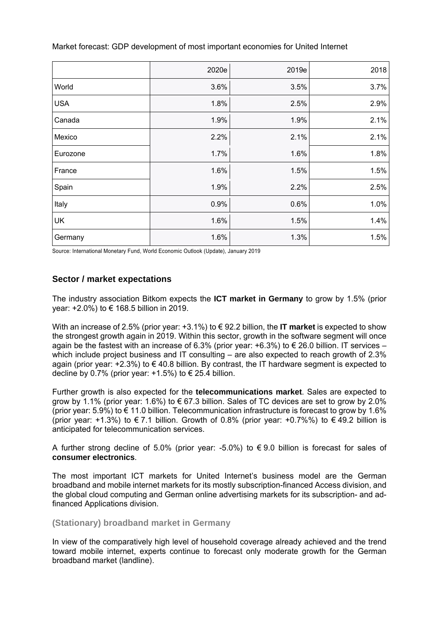|            | 2020e | 2019e | 2018 |
|------------|-------|-------|------|
| World      | 3.6%  | 3.5%  | 3.7% |
| <b>USA</b> | 1.8%  | 2.5%  | 2.9% |
| Canada     | 1.9%  | 1.9%  | 2.1% |
| Mexico     | 2.2%  | 2.1%  | 2.1% |
| Eurozone   | 1.7%  | 1.6%  | 1.8% |
| France     | 1.6%  | 1.5%  | 1.5% |
| Spain      | 1.9%  | 2.2%  | 2.5% |
| Italy      | 0.9%  | 0.6%  | 1.0% |
| UK         | 1.6%  | 1.5%  | 1.4% |
| Germany    | 1.6%  | 1.3%  | 1.5% |

Market forecast: GDP development of most important economies for United Internet

Source: International Monetary Fund, World Economic Outlook (Update), January 2019

# **Sector / market expectations**

The industry association Bitkom expects the **ICT market in Germany** to grow by 1.5% (prior year: +2.0%) to € 168.5 billion in 2019.

With an increase of 2.5% (prior year: +3.1%) to € 92.2 billion, the **IT market** is expected to show the strongest growth again in 2019. Within this sector, growth in the software segment will once again be the fastest with an increase of 6.3% (prior year:  $+6.3$ %) to  $\in$  26.0 billion. IT services – which include project business and IT consulting – are also expected to reach growth of 2.3% again (prior year:  $+2.3\%$ ) to  $\in$  40.8 billion. By contrast, the IT hardware segment is expected to decline by 0.7% (prior year:  $+1.5%$ ) to  $\in$  25.4 billion.

Further growth is also expected for the **telecommunications market**. Sales are expected to grow by 1.1% (prior year: 1.6%) to  $\epsilon$  67.3 billion. Sales of TC devices are set to grow by 2.0% (prior year:  $5.9\%$ ) to  $\epsilon$  11.0 billion. Telecommunication infrastructure is forecast to grow by 1.6% (prior year: +1.3%) to  $\epsilon$  7.1 billion. Growth of 0.8% (prior year: +0.7%%) to  $\epsilon$  49.2 billion is anticipated for telecommunication services.

A further strong decline of 5.0% (prior year: -5.0%) to  $\epsilon$  9.0 billion is forecast for sales of **consumer electronics**.

The most important ICT markets for United Internet's business model are the German broadband and mobile internet markets for its mostly subscription-financed Access division, and the global cloud computing and German online advertising markets for its subscription- and adfinanced Applications division.

### **(Stationary) broadband market in Germany**

In view of the comparatively high level of household coverage already achieved and the trend toward mobile internet, experts continue to forecast only moderate growth for the German broadband market (landline).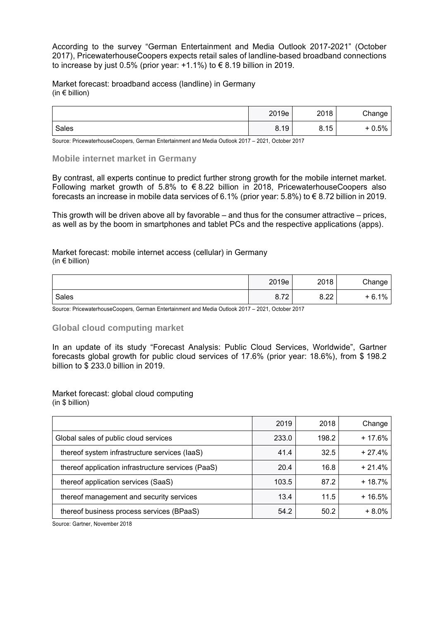According to the survey "German Entertainment and Media Outlook 2017-2021" (October 2017), PricewaterhouseCoopers expects retail sales of landline-based broadband connections to increase by just 0.5% (prior year:  $+1.1\%$ ) to  $\epsilon$  8.19 billion in 2019.

Market forecast: broadband access (landline) in Germany (in  $\epsilon$  billion)

|       | 2019e | 2018             | Change  |
|-------|-------|------------------|---------|
| Sales | 8.19  | 15<br>O<br>0. IO | $+0.5%$ |

Source: PricewaterhouseCoopers, German Entertainment and Media Outlook 2017 – 2021, October 2017

#### **Mobile internet market in Germany**

By contrast, all experts continue to predict further strong growth for the mobile internet market. Following market growth of 5.8% to  $\epsilon$  8.22 billion in 2018, PricewaterhouseCoopers also forecasts an increase in mobile data services of 6.1% (prior year: 5.8%) to € 8.72 billion in 2019.

This growth will be driven above all by favorable – and thus for the consumer attractive – prices, as well as by the boom in smartphones and tablet PCs and the respective applications (apps).

Market forecast: mobile internet access (cellular) in Germany (in  $\epsilon$  billion)

|       | 2019e                | 2018         | Change  |
|-------|----------------------|--------------|---------|
| Sales | 70<br>ິ<br>0. $\ell$ | n nn<br>0.66 | $-6.1%$ |

Source: PricewaterhouseCoopers, German Entertainment and Media Outlook 2017 – 2021, October 2017

### **Global cloud computing market**

In an update of its study "Forecast Analysis: Public Cloud Services, Worldwide", Gartner forecasts global growth for public cloud services of 17.6% (prior year: 18.6%), from \$ 198.2 billion to \$ 233.0 billion in 2019.

Market forecast: global cloud computing (in \$ billion)

|                                                    | 2019  | 2018  | Change   |
|----------------------------------------------------|-------|-------|----------|
| Global sales of public cloud services              | 233.0 | 198.2 | $+17.6%$ |
| thereof system infrastructure services (laaS)      | 41.4  | 32.5  | $+27.4%$ |
| thereof application infrastructure services (PaaS) | 20.4  | 16.8  | $+21.4%$ |
| thereof application services (SaaS)                | 103.5 | 87.2  | $+18.7%$ |
| thereof management and security services           | 13.4  | 11.5  | $+16.5%$ |
| thereof business process services (BPaaS)          | 54.2  | 50.2  | $+8.0%$  |

Source: Gartner, November 2018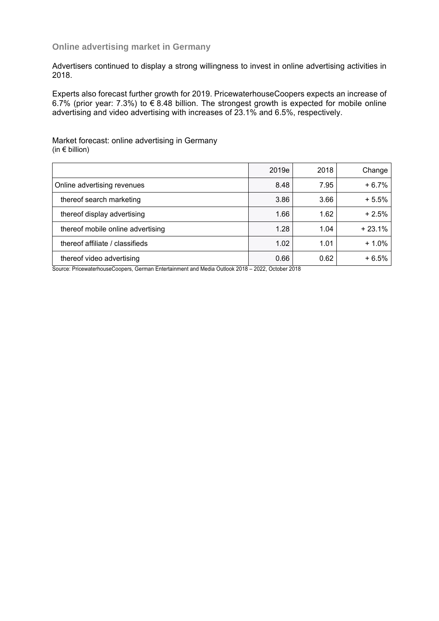## **Online advertising market in Germany**

Advertisers continued to display a strong willingness to invest in online advertising activities in 2018.

Experts also forecast further growth for 2019. PricewaterhouseCoopers expects an increase of 6.7% (prior year: 7.3%) to € 8.48 billion. The strongest growth is expected for mobile online advertising and video advertising with increases of 23.1% and 6.5%, respectively.

Market forecast: online advertising in Germany (in  $\epsilon$  billion)

|                                               | 2019e                                                                                                                | 2018     | Change   |
|-----------------------------------------------|----------------------------------------------------------------------------------------------------------------------|----------|----------|
| Online advertising revenues                   | 8.48                                                                                                                 | 7.95     | $+6.7%$  |
| thereof search marketing                      | 3.86                                                                                                                 | 3.66     | $+5.5%$  |
| thereof display advertising                   | 1.66                                                                                                                 | 1.62     | $+2.5%$  |
| thereof mobile online advertising             | 1.28                                                                                                                 | 1.04     | $+23.1%$ |
| thereof affiliate / classifieds               | 1.02                                                                                                                 | 1.01     | $+1.0%$  |
| thereof video advertising                     | 0.66                                                                                                                 | 0.62     | $+6.5%$  |
| .<br>-<br>$\cdots$ $\cdots$ $\cdots$ $\cdots$ | $\begin{array}{ccccccc}\n\bullet & \bullet & \bullet & \bullet & \bullet & \bullet & \bullet & \bullet\n\end{array}$ | $\cdots$ |          |

Source: PricewaterhouseCoopers, German Entertainment and Media Outlook 2018 – 2022, October 2018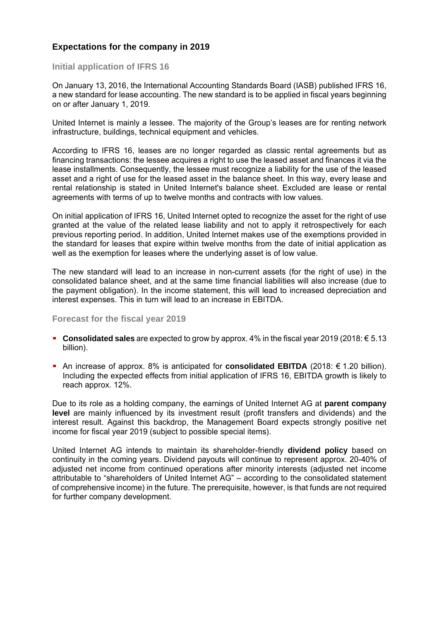# **Expectations for the company in 2019**

### **Initial application of IFRS 16**

On January 13, 2016, the International Accounting Standards Board (IASB) published IFRS 16, a new standard for lease accounting. The new standard is to be applied in fiscal years beginning on or after January 1, 2019.

United Internet is mainly a lessee. The majority of the Group's leases are for renting network infrastructure, buildings, technical equipment and vehicles.

According to IFRS 16, leases are no longer regarded as classic rental agreements but as financing transactions: the lessee acquires a right to use the leased asset and finances it via the lease installments. Consequently, the lessee must recognize a liability for the use of the leased asset and a right of use for the leased asset in the balance sheet. In this way, every lease and rental relationship is stated in United Internet's balance sheet. Excluded are lease or rental agreements with terms of up to twelve months and contracts with low values.

On initial application of IFRS 16, United Internet opted to recognize the asset for the right of use granted at the value of the related lease liability and not to apply it retrospectively for each previous reporting period. In addition, United Internet makes use of the exemptions provided in the standard for leases that expire within twelve months from the date of initial application as well as the exemption for leases where the underlying asset is of low value.

The new standard will lead to an increase in non-current assets (for the right of use) in the consolidated balance sheet, and at the same time financial liabilities will also increase (due to the payment obligation). In the income statement, this will lead to increased depreciation and interest expenses. This in turn will lead to an increase in EBITDA.

### **Forecast for the fiscal year 2019**

- **Consolidated sales** are expected to grow by approx. 4% in the fiscal year 2019 (2018: € 5.13 billion).
- An increase of approx. 8% is anticipated for **consolidated EBITDA** (2018: € 1.20 billion). Including the expected effects from initial application of IFRS 16, EBITDA growth is likely to reach approx. 12%.

Due to its role as a holding company, the earnings of United Internet AG at **parent company level** are mainly influenced by its investment result (profit transfers and dividends) and the interest result. Against this backdrop, the Management Board expects strongly positive net income for fiscal year 2019 (subject to possible special items).

United Internet AG intends to maintain its shareholder-friendly **dividend policy** based on continuity in the coming years. Dividend payouts will continue to represent approx. 20-40% of adjusted net income from continued operations after minority interests (adjusted net income attributable to "shareholders of United Internet AG" – according to the consolidated statement of comprehensive income) in the future. The prerequisite, however, is that funds are not required for further company development.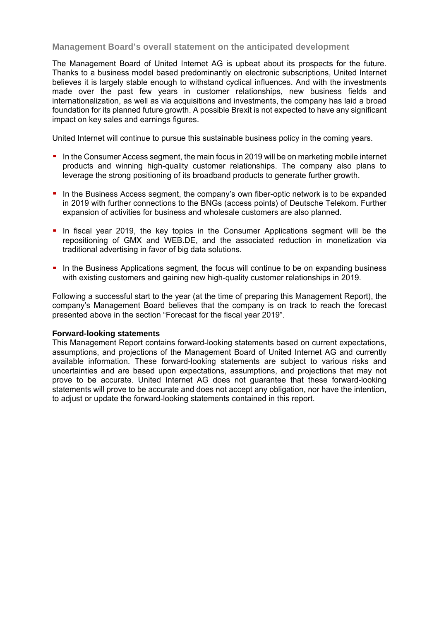# **Management Board's overall statement on the anticipated development**

The Management Board of United Internet AG is upbeat about its prospects for the future. Thanks to a business model based predominantly on electronic subscriptions, United Internet believes it is largely stable enough to withstand cyclical influences. And with the investments made over the past few years in customer relationships, new business fields and internationalization, as well as via acquisitions and investments, the company has laid a broad foundation for its planned future growth. A possible Brexit is not expected to have any significant impact on key sales and earnings figures.

United Internet will continue to pursue this sustainable business policy in the coming years.

- In the Consumer Access segment, the main focus in 2019 will be on marketing mobile internet products and winning high-quality customer relationships. The company also plans to leverage the strong positioning of its broadband products to generate further growth.
- In the Business Access segment, the company's own fiber-optic network is to be expanded in 2019 with further connections to the BNGs (access points) of Deutsche Telekom. Further expansion of activities for business and wholesale customers are also planned.
- In fiscal year 2019, the key topics in the Consumer Applications segment will be the repositioning of GMX and WEB.DE, and the associated reduction in monetization via traditional advertising in favor of big data solutions.
- In the Business Applications segment, the focus will continue to be on expanding business with existing customers and gaining new high-quality customer relationships in 2019.

Following a successful start to the year (at the time of preparing this Management Report), the company's Management Board believes that the company is on track to reach the forecast presented above in the section "Forecast for the fiscal year 2019".

### **Forward-looking statements**

This Management Report contains forward-looking statements based on current expectations, assumptions, and projections of the Management Board of United Internet AG and currently available information. These forward-looking statements are subject to various risks and uncertainties and are based upon expectations, assumptions, and projections that may not prove to be accurate. United Internet AG does not guarantee that these forward-looking statements will prove to be accurate and does not accept any obligation, nor have the intention, to adjust or update the forward-looking statements contained in this report.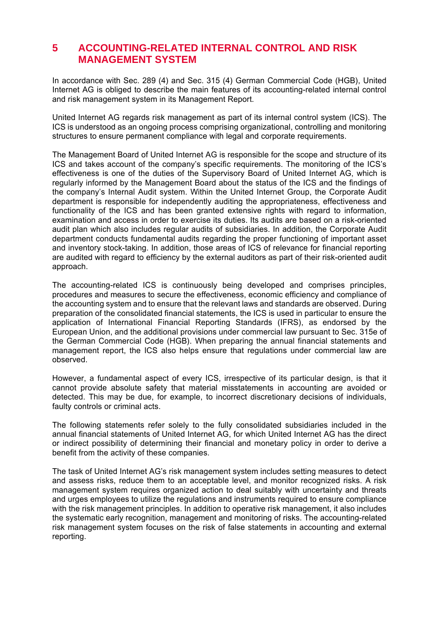# **5 ACCOUNTING-RELATED INTERNAL CONTROL AND RISK MANAGEMENT SYSTEM**

In accordance with Sec. 289 (4) and Sec. 315 (4) German Commercial Code (HGB), United Internet AG is obliged to describe the main features of its accounting-related internal control and risk management system in its Management Report.

United Internet AG regards risk management as part of its internal control system (ICS). The ICS is understood as an ongoing process comprising organizational, controlling and monitoring structures to ensure permanent compliance with legal and corporate requirements.

The Management Board of United Internet AG is responsible for the scope and structure of its ICS and takes account of the company's specific requirements. The monitoring of the ICS's effectiveness is one of the duties of the Supervisory Board of United Internet AG, which is regularly informed by the Management Board about the status of the ICS and the findings of the company's Internal Audit system. Within the United Internet Group, the Corporate Audit department is responsible for independently auditing the appropriateness, effectiveness and functionality of the ICS and has been granted extensive rights with regard to information, examination and access in order to exercise its duties. Its audits are based on a risk-oriented audit plan which also includes regular audits of subsidiaries. In addition, the Corporate Audit department conducts fundamental audits regarding the proper functioning of important asset and inventory stock-taking. In addition, those areas of ICS of relevance for financial reporting are audited with regard to efficiency by the external auditors as part of their risk-oriented audit approach.

The accounting-related ICS is continuously being developed and comprises principles, procedures and measures to secure the effectiveness, economic efficiency and compliance of the accounting system and to ensure that the relevant laws and standards are observed. During preparation of the consolidated financial statements, the ICS is used in particular to ensure the application of International Financial Reporting Standards (IFRS), as endorsed by the European Union, and the additional provisions under commercial law pursuant to Sec. 315e of the German Commercial Code (HGB). When preparing the annual financial statements and management report, the ICS also helps ensure that regulations under commercial law are observed.

However, a fundamental aspect of every ICS, irrespective of its particular design, is that it cannot provide absolute safety that material misstatements in accounting are avoided or detected. This may be due, for example, to incorrect discretionary decisions of individuals, faulty controls or criminal acts.

The following statements refer solely to the fully consolidated subsidiaries included in the annual financial statements of United Internet AG, for which United Internet AG has the direct or indirect possibility of determining their financial and monetary policy in order to derive a benefit from the activity of these companies.

The task of United Internet AG's risk management system includes setting measures to detect and assess risks, reduce them to an acceptable level, and monitor recognized risks. A risk management system requires organized action to deal suitably with uncertainty and threats and urges employees to utilize the regulations and instruments required to ensure compliance with the risk management principles. In addition to operative risk management, it also includes the systematic early recognition, management and monitoring of risks. The accounting-related risk management system focuses on the risk of false statements in accounting and external reporting.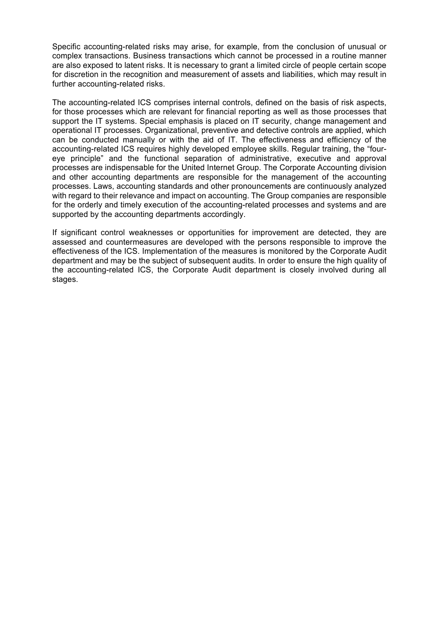Specific accounting-related risks may arise, for example, from the conclusion of unusual or complex transactions. Business transactions which cannot be processed in a routine manner are also exposed to latent risks. It is necessary to grant a limited circle of people certain scope for discretion in the recognition and measurement of assets and liabilities, which may result in further accounting-related risks.

The accounting-related ICS comprises internal controls, defined on the basis of risk aspects, for those processes which are relevant for financial reporting as well as those processes that support the IT systems. Special emphasis is placed on IT security, change management and operational IT processes. Organizational, preventive and detective controls are applied, which can be conducted manually or with the aid of IT. The effectiveness and efficiency of the accounting-related ICS requires highly developed employee skills. Regular training, the "foureye principle" and the functional separation of administrative, executive and approval processes are indispensable for the United Internet Group. The Corporate Accounting division and other accounting departments are responsible for the management of the accounting processes. Laws, accounting standards and other pronouncements are continuously analyzed with regard to their relevance and impact on accounting. The Group companies are responsible for the orderly and timely execution of the accounting-related processes and systems and are supported by the accounting departments accordingly.

If significant control weaknesses or opportunities for improvement are detected, they are assessed and countermeasures are developed with the persons responsible to improve the effectiveness of the ICS. Implementation of the measures is monitored by the Corporate Audit department and may be the subject of subsequent audits. In order to ensure the high quality of the accounting-related ICS, the Corporate Audit department is closely involved during all stages.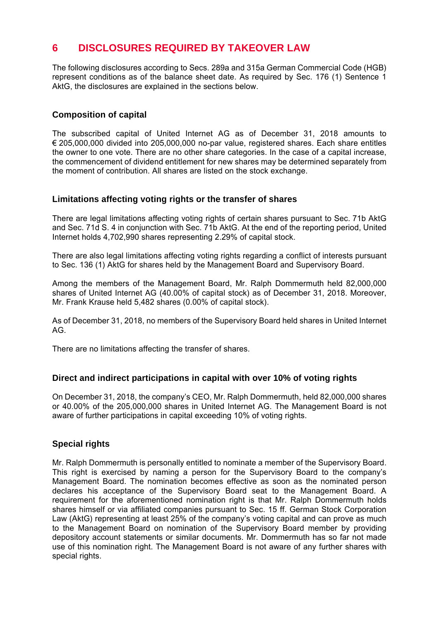# **6 DISCLOSURES REQUIRED BY TAKEOVER LAW**

The following disclosures according to Secs. 289a and 315a German Commercial Code (HGB) represent conditions as of the balance sheet date. As required by Sec. 176 (1) Sentence 1 AktG, the disclosures are explained in the sections below.

# **Composition of capital**

The subscribed capital of United Internet AG as of December 31, 2018 amounts to € 205,000,000 divided into 205,000,000 no-par value, registered shares. Each share entitles the owner to one vote. There are no other share categories. In the case of a capital increase, the commencement of dividend entitlement for new shares may be determined separately from the moment of contribution. All shares are listed on the stock exchange.

# **Limitations affecting voting rights or the transfer of shares**

There are legal limitations affecting voting rights of certain shares pursuant to Sec. 71b AktG and Sec. 71d S. 4 in conjunction with Sec. 71b AktG. At the end of the reporting period, United Internet holds 4,702,990 shares representing 2.29% of capital stock.

There are also legal limitations affecting voting rights regarding a conflict of interests pursuant to Sec. 136 (1) AktG for shares held by the Management Board and Supervisory Board.

Among the members of the Management Board, Mr. Ralph Dommermuth held 82,000,000 shares of United Internet AG (40.00% of capital stock) as of December 31, 2018. Moreover, Mr. Frank Krause held 5,482 shares (0.00% of capital stock).

As of December 31, 2018, no members of the Supervisory Board held shares in United Internet AG.

There are no limitations affecting the transfer of shares.

### **Direct and indirect participations in capital with over 10% of voting rights**

On December 31, 2018, the company's CEO, Mr. Ralph Dommermuth, held 82,000,000 shares or 40.00% of the 205,000,000 shares in United Internet AG. The Management Board is not aware of further participations in capital exceeding 10% of voting rights.

# **Special rights**

Mr. Ralph Dommermuth is personally entitled to nominate a member of the Supervisory Board. This right is exercised by naming a person for the Supervisory Board to the company's Management Board. The nomination becomes effective as soon as the nominated person declares his acceptance of the Supervisory Board seat to the Management Board. A requirement for the aforementioned nomination right is that Mr. Ralph Dommermuth holds shares himself or via affiliated companies pursuant to Sec. 15 ff. German Stock Corporation Law (AktG) representing at least 25% of the company's voting capital and can prove as much to the Management Board on nomination of the Supervisory Board member by providing depository account statements or similar documents. Mr. Dommermuth has so far not made use of this nomination right. The Management Board is not aware of any further shares with special rights.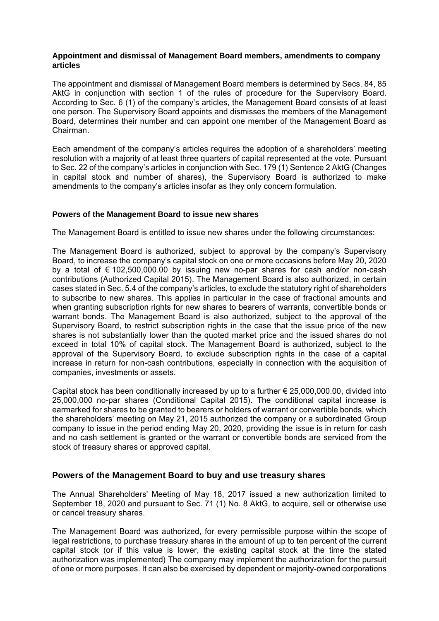#### **Appointment and dismissal of Management Board members, amendments to company articles**

The appointment and dismissal of Management Board members is determined by Secs. 84, 85 AktG in conjunction with section 1 of the rules of procedure for the Supervisory Board. According to Sec. 6 (1) of the company's articles, the Management Board consists of at least one person. The Supervisory Board appoints and dismisses the members of the Management Board, determines their number and can appoint one member of the Management Board as Chairman.

Each amendment of the company's articles requires the adoption of a shareholders' meeting resolution with a majority of at least three quarters of capital represented at the vote. Pursuant to Sec. 22 of the company's articles in conjunction with Sec. 179 (1) Sentence 2 AktG (Changes in capital stock and number of shares), the Supervisory Board is authorized to make amendments to the company's articles insofar as they only concern formulation.

### **Powers of the Management Board to issue new shares**

The Management Board is entitled to issue new shares under the following circumstances:

The Management Board is authorized, subject to approval by the company's Supervisory Board, to increase the company's capital stock on one or more occasions before May 20, 2020 by a total of € 102,500,000.00 by issuing new no-par shares for cash and/or non-cash contributions (Authorized Capital 2015). The Management Board is also authorized, in certain cases stated in Sec. 5.4 of the company's articles, to exclude the statutory right of shareholders to subscribe to new shares. This applies in particular in the case of fractional amounts and when granting subscription rights for new shares to bearers of warrants, convertible bonds or warrant bonds. The Management Board is also authorized, subject to the approval of the Supervisory Board, to restrict subscription rights in the case that the issue price of the new shares is not substantially lower than the quoted market price and the issued shares do not exceed in total 10% of capital stock. The Management Board is authorized, subject to the approval of the Supervisory Board, to exclude subscription rights in the case of a capital increase in return for non-cash contributions, especially in connection with the acquisition of companies, investments or assets.

Capital stock has been conditionally increased by up to a further  $\epsilon$  25,000,000.00, divided into 25,000,000 no-par shares (Conditional Capital 2015). The conditional capital increase is earmarked for shares to be granted to bearers or holders of warrant or convertible bonds, which the shareholders' meeting on May 21, 2015 authorized the company or a subordinated Group company to issue in the period ending May 20, 2020, providing the issue is in return for cash and no cash settlement is granted or the warrant or convertible bonds are serviced from the stock of treasury shares or approved capital.

# **Powers of the Management Board to buy and use treasury shares**

The Annual Shareholders' Meeting of May 18, 2017 issued a new authorization limited to September 18, 2020 and pursuant to Sec. 71 (1) No. 8 AktG, to acquire, sell or otherwise use or cancel treasury shares.

The Management Board was authorized, for every permissible purpose within the scope of legal restrictions, to purchase treasury shares in the amount of up to ten percent of the current capital stock (or if this value is lower, the existing capital stock at the time the stated authorization was implemented) The company may implement the authorization for the pursuit of one or more purposes. It can also be exercised by dependent or majority-owned corporations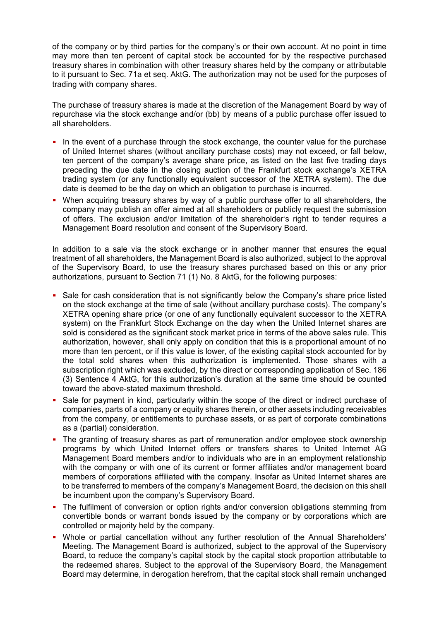of the company or by third parties for the company's or their own account. At no point in time may more than ten percent of capital stock be accounted for by the respective purchased treasury shares in combination with other treasury shares held by the company or attributable to it pursuant to Sec. 71a et seq. AktG. The authorization may not be used for the purposes of trading with company shares.

The purchase of treasury shares is made at the discretion of the Management Board by way of repurchase via the stock exchange and/or (bb) by means of a public purchase offer issued to all shareholders.

- In the event of a purchase through the stock exchange, the counter value for the purchase of United Internet shares (without ancillary purchase costs) may not exceed, or fall below, ten percent of the company's average share price, as listed on the last five trading days preceding the due date in the closing auction of the Frankfurt stock exchange's XETRA trading system (or any functionally equivalent successor of the XETRA system). The due date is deemed to be the day on which an obligation to purchase is incurred.
- When acquiring treasury shares by way of a public purchase offer to all shareholders, the company may publish an offer aimed at all shareholders or publicly request the submission of offers. The exclusion and/or limitation of the shareholder's right to tender requires a Management Board resolution and consent of the Supervisory Board.

In addition to a sale via the stock exchange or in another manner that ensures the equal treatment of all shareholders, the Management Board is also authorized, subject to the approval of the Supervisory Board, to use the treasury shares purchased based on this or any prior authorizations, pursuant to Section 71 (1) No. 8 AktG, for the following purposes:

- Sale for cash consideration that is not significantly below the Company's share price listed on the stock exchange at the time of sale (without ancillary purchase costs). The company's XETRA opening share price (or one of any functionally equivalent successor to the XETRA system) on the Frankfurt Stock Exchange on the day when the United Internet shares are sold is considered as the significant stock market price in terms of the above sales rule. This authorization, however, shall only apply on condition that this is a proportional amount of no more than ten percent, or if this value is lower, of the existing capital stock accounted for by the total sold shares when this authorization is implemented. Those shares with a subscription right which was excluded, by the direct or corresponding application of Sec. 186 (3) Sentence 4 AktG, for this authorization's duration at the same time should be counted toward the above-stated maximum threshold.
- Sale for payment in kind, particularly within the scope of the direct or indirect purchase of companies, parts of a company or equity shares therein, or other assets including receivables from the company, or entitlements to purchase assets, or as part of corporate combinations as a (partial) consideration.
- The granting of treasury shares as part of remuneration and/or employee stock ownership programs by which United Internet offers or transfers shares to United Internet AG Management Board members and/or to individuals who are in an employment relationship with the company or with one of its current or former affiliates and/or management board members of corporations affiliated with the company. Insofar as United Internet shares are to be transferred to members of the company's Management Board, the decision on this shall be incumbent upon the company's Supervisory Board.
- The fulfilment of conversion or option rights and/or conversion obligations stemming from convertible bonds or warrant bonds issued by the company or by corporations which are controlled or majority held by the company.
- Whole or partial cancellation without any further resolution of the Annual Shareholders' Meeting. The Management Board is authorized, subject to the approval of the Supervisory Board, to reduce the company's capital stock by the capital stock proportion attributable to the redeemed shares. Subject to the approval of the Supervisory Board, the Management Board may determine, in derogation herefrom, that the capital stock shall remain unchanged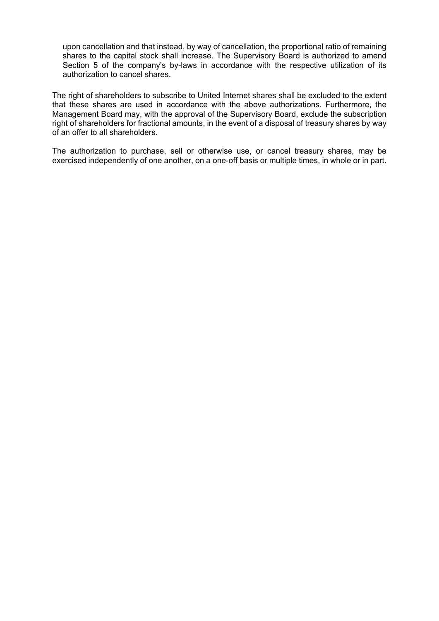upon cancellation and that instead, by way of cancellation, the proportional ratio of remaining shares to the capital stock shall increase. The Supervisory Board is authorized to amend Section 5 of the company's by-laws in accordance with the respective utilization of its authorization to cancel shares.

The right of shareholders to subscribe to United Internet shares shall be excluded to the extent that these shares are used in accordance with the above authorizations. Furthermore, the Management Board may, with the approval of the Supervisory Board, exclude the subscription right of shareholders for fractional amounts, in the event of a disposal of treasury shares by way of an offer to all shareholders.

The authorization to purchase, sell or otherwise use, or cancel treasury shares, may be exercised independently of one another, on a one-off basis or multiple times, in whole or in part.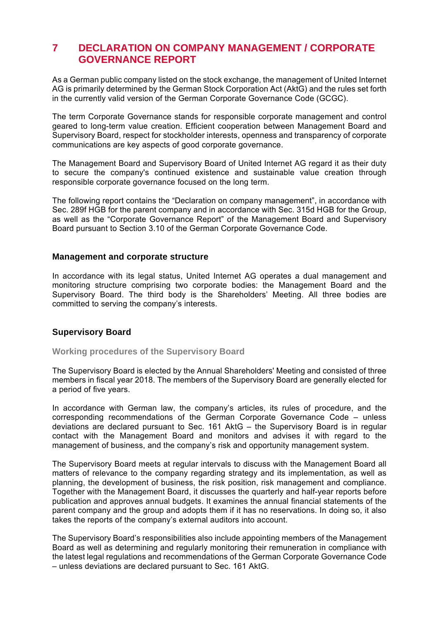# **7 DECLARATION ON COMPANY MANAGEMENT / CORPORATE GOVERNANCE REPORT**

As a German public company listed on the stock exchange, the management of United Internet AG is primarily determined by the German Stock Corporation Act (AktG) and the rules set forth in the currently valid version of the German Corporate Governance Code (GCGC).

The term Corporate Governance stands for responsible corporate management and control geared to long-term value creation. Efficient cooperation between Management Board and Supervisory Board, respect for stockholder interests, openness and transparency of corporate communications are key aspects of good corporate governance.

The Management Board and Supervisory Board of United Internet AG regard it as their duty to secure the company's continued existence and sustainable value creation through responsible corporate governance focused on the long term.

The following report contains the "Declaration on company management", in accordance with Sec. 289f HGB for the parent company and in accordance with Sec. 315d HGB for the Group, as well as the "Corporate Governance Report" of the Management Board and Supervisory Board pursuant to Section 3.10 of the German Corporate Governance Code.

### **Management and corporate structure**

In accordance with its legal status, United Internet AG operates a dual management and monitoring structure comprising two corporate bodies: the Management Board and the Supervisory Board. The third body is the Shareholders' Meeting. All three bodies are committed to serving the company's interests.

# **Supervisory Board**

### **Working procedures of the Supervisory Board**

The Supervisory Board is elected by the Annual Shareholders' Meeting and consisted of three members in fiscal year 2018. The members of the Supervisory Board are generally elected for a period of five years.

In accordance with German law, the company's articles, its rules of procedure, and the corresponding recommendations of the German Corporate Governance Code – unless deviations are declared pursuant to Sec. 161 AktG – the Supervisory Board is in regular contact with the Management Board and monitors and advises it with regard to the management of business, and the company's risk and opportunity management system.

The Supervisory Board meets at regular intervals to discuss with the Management Board all matters of relevance to the company regarding strategy and its implementation, as well as planning, the development of business, the risk position, risk management and compliance. Together with the Management Board, it discusses the quarterly and half-year reports before publication and approves annual budgets. It examines the annual financial statements of the parent company and the group and adopts them if it has no reservations. In doing so, it also takes the reports of the company's external auditors into account.

The Supervisory Board's responsibilities also include appointing members of the Management Board as well as determining and regularly monitoring their remuneration in compliance with the latest legal regulations and recommendations of the German Corporate Governance Code – unless deviations are declared pursuant to Sec. 161 AktG.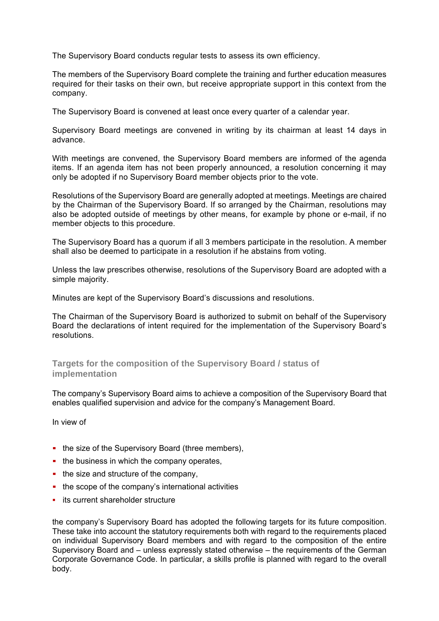The Supervisory Board conducts regular tests to assess its own efficiency.

The members of the Supervisory Board complete the training and further education measures required for their tasks on their own, but receive appropriate support in this context from the company.

The Supervisory Board is convened at least once every quarter of a calendar year.

Supervisory Board meetings are convened in writing by its chairman at least 14 days in advance.

With meetings are convened, the Supervisory Board members are informed of the agenda items. If an agenda item has not been properly announced, a resolution concerning it may only be adopted if no Supervisory Board member objects prior to the vote.

Resolutions of the Supervisory Board are generally adopted at meetings. Meetings are chaired by the Chairman of the Supervisory Board. If so arranged by the Chairman, resolutions may also be adopted outside of meetings by other means, for example by phone or e-mail, if no member objects to this procedure.

The Supervisory Board has a quorum if all 3 members participate in the resolution. A member shall also be deemed to participate in a resolution if he abstains from voting.

Unless the law prescribes otherwise, resolutions of the Supervisory Board are adopted with a simple majority.

Minutes are kept of the Supervisory Board's discussions and resolutions.

The Chairman of the Supervisory Board is authorized to submit on behalf of the Supervisory Board the declarations of intent required for the implementation of the Supervisory Board's resolutions.

# **Targets for the composition of the Supervisory Board / status of implementation**

The company's Supervisory Board aims to achieve a composition of the Supervisory Board that enables qualified supervision and advice for the company's Management Board.

In view of

- the size of the Supervisory Board (three members),
- $\blacksquare$  the business in which the company operates,
- $\blacksquare$  the size and structure of the company,
- the scope of the company's international activities
- **its current shareholder structure**

the company's Supervisory Board has adopted the following targets for its future composition. These take into account the statutory requirements both with regard to the requirements placed on individual Supervisory Board members and with regard to the composition of the entire Supervisory Board and – unless expressly stated otherwise – the requirements of the German Corporate Governance Code. In particular, a skills profile is planned with regard to the overall body.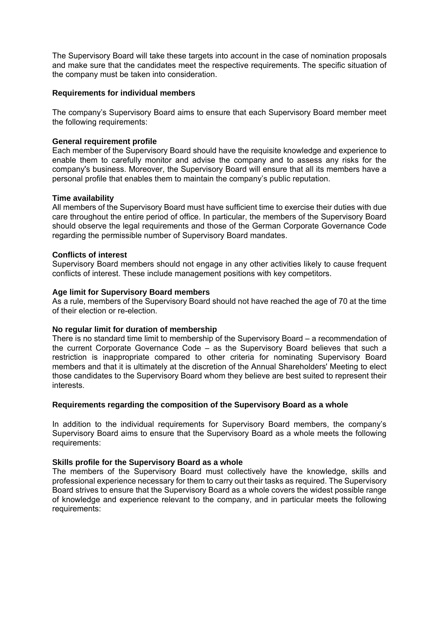The Supervisory Board will take these targets into account in the case of nomination proposals and make sure that the candidates meet the respective requirements. The specific situation of the company must be taken into consideration.

#### **Requirements for individual members**

The company's Supervisory Board aims to ensure that each Supervisory Board member meet the following requirements:

### **General requirement profile**

Each member of the Supervisory Board should have the requisite knowledge and experience to enable them to carefully monitor and advise the company and to assess any risks for the company's business. Moreover, the Supervisory Board will ensure that all its members have a personal profile that enables them to maintain the company's public reputation.

### **Time availability**

All members of the Supervisory Board must have sufficient time to exercise their duties with due care throughout the entire period of office. In particular, the members of the Supervisory Board should observe the legal requirements and those of the German Corporate Governance Code regarding the permissible number of Supervisory Board mandates.

### **Conflicts of interest**

Supervisory Board members should not engage in any other activities likely to cause frequent conflicts of interest. These include management positions with key competitors.

### **Age limit for Supervisory Board members**

As a rule, members of the Supervisory Board should not have reached the age of 70 at the time of their election or re-election.

#### **No regular limit for duration of membership**

There is no standard time limit to membership of the Supervisory Board – a recommendation of the current Corporate Governance Code – as the Supervisory Board believes that such a restriction is inappropriate compared to other criteria for nominating Supervisory Board members and that it is ultimately at the discretion of the Annual Shareholders' Meeting to elect those candidates to the Supervisory Board whom they believe are best suited to represent their interests.

#### **Requirements regarding the composition of the Supervisory Board as a whole**

In addition to the individual requirements for Supervisory Board members, the company's Supervisory Board aims to ensure that the Supervisory Board as a whole meets the following requirements:

#### **Skills profile for the Supervisory Board as a whole**

The members of the Supervisory Board must collectively have the knowledge, skills and professional experience necessary for them to carry out their tasks as required. The Supervisory Board strives to ensure that the Supervisory Board as a whole covers the widest possible range of knowledge and experience relevant to the company, and in particular meets the following requirements: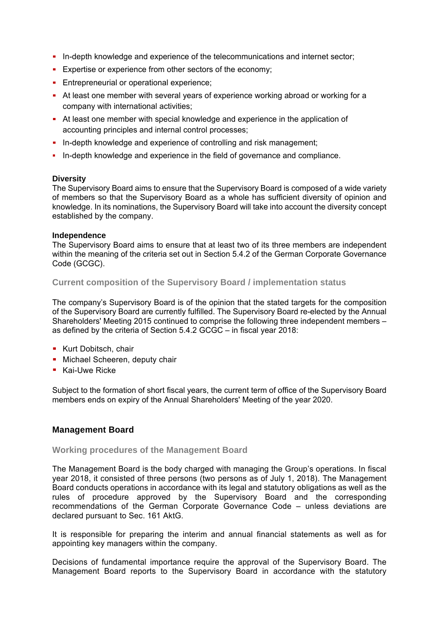- **In-depth knowledge and experience of the telecommunications and internet sector;**
- **Expertise or experience from other sectors of the economy;**
- **Entrepreneurial or operational experience;**
- At least one member with several years of experience working abroad or working for a company with international activities;
- At least one member with special knowledge and experience in the application of accounting principles and internal control processes;
- In-depth knowledge and experience of controlling and risk management;
- In-depth knowledge and experience in the field of governance and compliance.

### **Diversity**

The Supervisory Board aims to ensure that the Supervisory Board is composed of a wide variety of members so that the Supervisory Board as a whole has sufficient diversity of opinion and knowledge. In its nominations, the Supervisory Board will take into account the diversity concept established by the company.

### **Independence**

The Supervisory Board aims to ensure that at least two of its three members are independent within the meaning of the criteria set out in Section 5.4.2 of the German Corporate Governance Code (GCGC).

# **Current composition of the Supervisory Board / implementation status**

The company's Supervisory Board is of the opinion that the stated targets for the composition of the Supervisory Board are currently fulfilled. The Supervisory Board re-elected by the Annual Shareholders' Meeting 2015 continued to comprise the following three independent members – as defined by the criteria of Section 5.4.2 GCGC – in fiscal year 2018:

- **Kurt Dobitsch, chair**
- **Michael Scheeren, deputy chair**
- **Kai-Uwe Ricke**

Subject to the formation of short fiscal years, the current term of office of the Supervisory Board members ends on expiry of the Annual Shareholders' Meeting of the year 2020.

# **Management Board**

### **Working procedures of the Management Board**

The Management Board is the body charged with managing the Group's operations. In fiscal year 2018, it consisted of three persons (two persons as of July 1, 2018). The Management Board conducts operations in accordance with its legal and statutory obligations as well as the rules of procedure approved by the Supervisory Board and the corresponding recommendations of the German Corporate Governance Code – unless deviations are declared pursuant to Sec. 161 AktG.

It is responsible for preparing the interim and annual financial statements as well as for appointing key managers within the company.

Decisions of fundamental importance require the approval of the Supervisory Board. The Management Board reports to the Supervisory Board in accordance with the statutory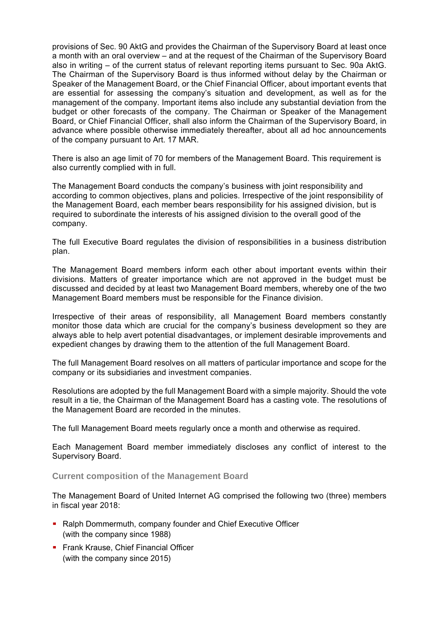provisions of Sec. 90 AktG and provides the Chairman of the Supervisory Board at least once a month with an oral overview – and at the request of the Chairman of the Supervisory Board also in writing – of the current status of relevant reporting items pursuant to Sec. 90a AktG. The Chairman of the Supervisory Board is thus informed without delay by the Chairman or Speaker of the Management Board, or the Chief Financial Officer, about important events that are essential for assessing the company's situation and development, as well as for the management of the company. Important items also include any substantial deviation from the budget or other forecasts of the company. The Chairman or Speaker of the Management Board, or Chief Financial Officer, shall also inform the Chairman of the Supervisory Board, in advance where possible otherwise immediately thereafter, about all ad hoc announcements of the company pursuant to Art. 17 MAR.

There is also an age limit of 70 for members of the Management Board. This requirement is also currently complied with in full.

The Management Board conducts the company's business with joint responsibility and according to common objectives, plans and policies. Irrespective of the joint responsibility of the Management Board, each member bears responsibility for his assigned division, but is required to subordinate the interests of his assigned division to the overall good of the company.

The full Executive Board regulates the division of responsibilities in a business distribution plan.

The Management Board members inform each other about important events within their divisions. Matters of greater importance which are not approved in the budget must be discussed and decided by at least two Management Board members, whereby one of the two Management Board members must be responsible for the Finance division.

Irrespective of their areas of responsibility, all Management Board members constantly monitor those data which are crucial for the company's business development so they are always able to help avert potential disadvantages, or implement desirable improvements and expedient changes by drawing them to the attention of the full Management Board.

The full Management Board resolves on all matters of particular importance and scope for the company or its subsidiaries and investment companies.

Resolutions are adopted by the full Management Board with a simple majority. Should the vote result in a tie, the Chairman of the Management Board has a casting vote. The resolutions of the Management Board are recorded in the minutes.

The full Management Board meets regularly once a month and otherwise as required.

Each Management Board member immediately discloses any conflict of interest to the Supervisory Board.

### **Current composition of the Management Board**

The Management Board of United Internet AG comprised the following two (three) members in fiscal year 2018:

- Ralph Dommermuth, company founder and Chief Executive Officer (with the company since 1988)
- **Frank Krause, Chief Financial Officer** (with the company since 2015)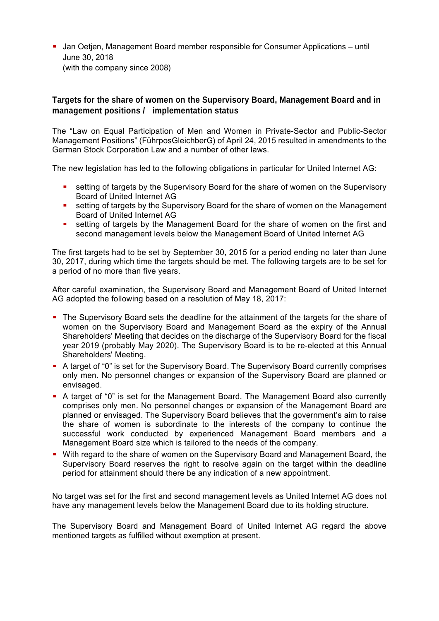Jan Oetjen, Management Board member responsible for Consumer Applications – until June 30, 2018 (with the company since 2008)

# **Targets for the share of women on the Supervisory Board, Management Board and in management positions / implementation status**

The "Law on Equal Participation of Men and Women in Private-Sector and Public-Sector Management Positions" (FührposGleichberG) of April 24, 2015 resulted in amendments to the German Stock Corporation Law and a number of other laws.

The new legislation has led to the following obligations in particular for United Internet AG:

- setting of targets by the Supervisory Board for the share of women on the Supervisory Board of United Internet AG
- **EXECT** setting of targets by the Supervisory Board for the share of women on the Management Board of United Internet AG
- setting of targets by the Management Board for the share of women on the first and second management levels below the Management Board of United Internet AG

The first targets had to be set by September 30, 2015 for a period ending no later than June 30, 2017, during which time the targets should be met. The following targets are to be set for a period of no more than five years.

After careful examination, the Supervisory Board and Management Board of United Internet AG adopted the following based on a resolution of May 18, 2017:

- The Supervisory Board sets the deadline for the attainment of the targets for the share of women on the Supervisory Board and Management Board as the expiry of the Annual Shareholders' Meeting that decides on the discharge of the Supervisory Board for the fiscal year 2019 (probably May 2020). The Supervisory Board is to be re-elected at this Annual Shareholders' Meeting.
- A target of "0" is set for the Supervisory Board. The Supervisory Board currently comprises only men. No personnel changes or expansion of the Supervisory Board are planned or envisaged.
- A target of "0" is set for the Management Board. The Management Board also currently comprises only men. No personnel changes or expansion of the Management Board are planned or envisaged. The Supervisory Board believes that the government's aim to raise the share of women is subordinate to the interests of the company to continue the successful work conducted by experienced Management Board members and a Management Board size which is tailored to the needs of the company.
- With regard to the share of women on the Supervisory Board and Management Board, the Supervisory Board reserves the right to resolve again on the target within the deadline period for attainment should there be any indication of a new appointment.

No target was set for the first and second management levels as United Internet AG does not have any management levels below the Management Board due to its holding structure.

The Supervisory Board and Management Board of United Internet AG regard the above mentioned targets as fulfilled without exemption at present.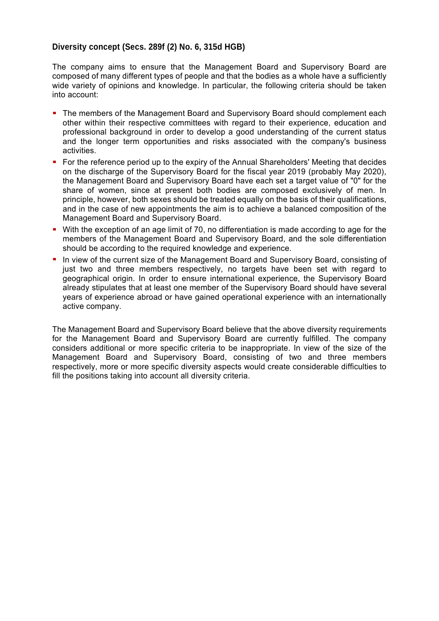# **Diversity concept (Secs. 289f (2) No. 6, 315d HGB)**

The company aims to ensure that the Management Board and Supervisory Board are composed of many different types of people and that the bodies as a whole have a sufficiently wide variety of opinions and knowledge. In particular, the following criteria should be taken into account:

- The members of the Management Board and Supervisory Board should complement each other within their respective committees with regard to their experience, education and professional background in order to develop a good understanding of the current status and the longer term opportunities and risks associated with the company's business activities.
- For the reference period up to the expiry of the Annual Shareholders' Meeting that decides on the discharge of the Supervisory Board for the fiscal year 2019 (probably May 2020), the Management Board and Supervisory Board have each set a target value of "0" for the share of women, since at present both bodies are composed exclusively of men. In principle, however, both sexes should be treated equally on the basis of their qualifications, and in the case of new appointments the aim is to achieve a balanced composition of the Management Board and Supervisory Board.
- With the exception of an age limit of 70, no differentiation is made according to age for the members of the Management Board and Supervisory Board, and the sole differentiation should be according to the required knowledge and experience.
- In view of the current size of the Management Board and Supervisory Board, consisting of just two and three members respectively, no targets have been set with regard to geographical origin. In order to ensure international experience, the Supervisory Board already stipulates that at least one member of the Supervisory Board should have several years of experience abroad or have gained operational experience with an internationally active company.

The Management Board and Supervisory Board believe that the above diversity requirements for the Management Board and Supervisory Board are currently fulfilled. The company considers additional or more specific criteria to be inappropriate. In view of the size of the Management Board and Supervisory Board, consisting of two and three members respectively, more or more specific diversity aspects would create considerable difficulties to fill the positions taking into account all diversity criteria.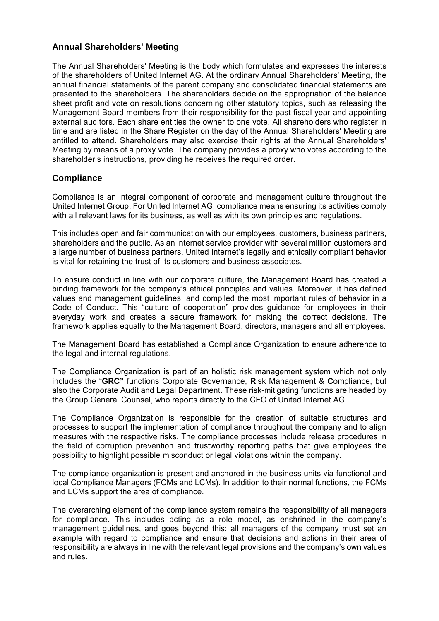# **Annual Shareholders' Meeting**

The Annual Shareholders' Meeting is the body which formulates and expresses the interests of the shareholders of United Internet AG. At the ordinary Annual Shareholders' Meeting, the annual financial statements of the parent company and consolidated financial statements are presented to the shareholders. The shareholders decide on the appropriation of the balance sheet profit and vote on resolutions concerning other statutory topics, such as releasing the Management Board members from their responsibility for the past fiscal year and appointing external auditors. Each share entitles the owner to one vote. All shareholders who register in time and are listed in the Share Register on the day of the Annual Shareholders' Meeting are entitled to attend. Shareholders may also exercise their rights at the Annual Shareholders' Meeting by means of a proxy vote. The company provides a proxy who votes according to the shareholder's instructions, providing he receives the required order.

# **Compliance**

Compliance is an integral component of corporate and management culture throughout the United Internet Group. For United Internet AG, compliance means ensuring its activities comply with all relevant laws for its business, as well as with its own principles and regulations.

This includes open and fair communication with our employees, customers, business partners, shareholders and the public. As an internet service provider with several million customers and a large number of business partners, United Internet's legally and ethically compliant behavior is vital for retaining the trust of its customers and business associates.

To ensure conduct in line with our corporate culture, the Management Board has created a binding framework for the company's ethical principles and values. Moreover, it has defined values and management guidelines, and compiled the most important rules of behavior in a Code of Conduct. This "culture of cooperation" provides guidance for employees in their everyday work and creates a secure framework for making the correct decisions. The framework applies equally to the Management Board, directors, managers and all employees.

The Management Board has established a Compliance Organization to ensure adherence to the legal and internal regulations.

The Compliance Organization is part of an holistic risk management system which not only includes the "**GRC"** functions Corporate **G**overnance, **R**isk Management & **C**ompliance, but also the Corporate Audit and Legal Department. These risk-mitigating functions are headed by the Group General Counsel, who reports directly to the CFO of United Internet AG.

The Compliance Organization is responsible for the creation of suitable structures and processes to support the implementation of compliance throughout the company and to align measures with the respective risks. The compliance processes include release procedures in the field of corruption prevention and trustworthy reporting paths that give employees the possibility to highlight possible misconduct or legal violations within the company.

The compliance organization is present and anchored in the business units via functional and local Compliance Managers (FCMs and LCMs). In addition to their normal functions, the FCMs and LCMs support the area of compliance.

The overarching element of the compliance system remains the responsibility of all managers for compliance. This includes acting as a role model, as enshrined in the company's management guidelines, and goes beyond this: all managers of the company must set an example with regard to compliance and ensure that decisions and actions in their area of responsibility are always in line with the relevant legal provisions and the company's own values and rules.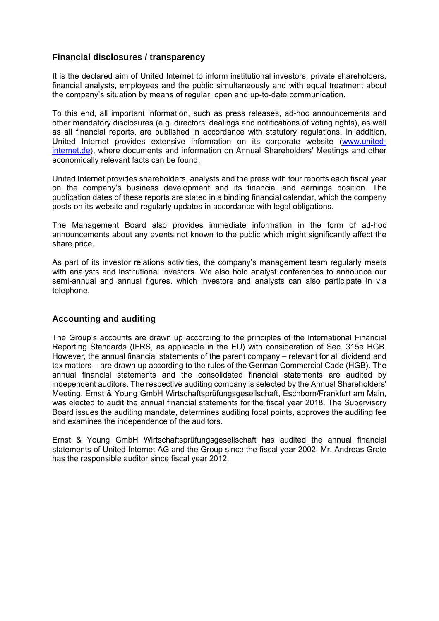# **Financial disclosures / transparency**

It is the declared aim of United Internet to inform institutional investors, private shareholders, financial analysts, employees and the public simultaneously and with equal treatment about the company's situation by means of regular, open and up-to-date communication.

To this end, all important information, such as press releases, ad-hoc announcements and other mandatory disclosures (e.g. directors' dealings and notifications of voting rights), as well as all financial reports, are published in accordance with statutory regulations. In addition, United Internet provides extensive information on its corporate website (www.unitedinternet.de), where documents and information on Annual Shareholders' Meetings and other economically relevant facts can be found.

United Internet provides shareholders, analysts and the press with four reports each fiscal year on the company's business development and its financial and earnings position. The publication dates of these reports are stated in a binding financial calendar, which the company posts on its website and regularly updates in accordance with legal obligations.

The Management Board also provides immediate information in the form of ad-hoc announcements about any events not known to the public which might significantly affect the share price.

As part of its investor relations activities, the company's management team regularly meets with analysts and institutional investors. We also hold analyst conferences to announce our semi-annual and annual figures, which investors and analysts can also participate in via telephone.

# **Accounting and auditing**

The Group's accounts are drawn up according to the principles of the International Financial Reporting Standards (IFRS, as applicable in the EU) with consideration of Sec. 315e HGB. However, the annual financial statements of the parent company – relevant for all dividend and tax matters – are drawn up according to the rules of the German Commercial Code (HGB). The annual financial statements and the consolidated financial statements are audited by independent auditors. The respective auditing company is selected by the Annual Shareholders' Meeting. Ernst & Young GmbH Wirtschaftsprüfungsgesellschaft, Eschborn/Frankfurt am Main, was elected to audit the annual financial statements for the fiscal year 2018. The Supervisory Board issues the auditing mandate, determines auditing focal points, approves the auditing fee and examines the independence of the auditors.

Ernst & Young GmbH Wirtschaftsprüfungsgesellschaft has audited the annual financial statements of United Internet AG and the Group since the fiscal year 2002. Mr. Andreas Grote has the responsible auditor since fiscal year 2012.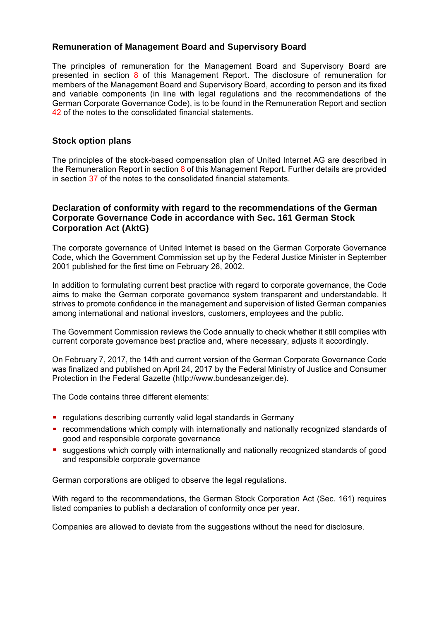# **Remuneration of Management Board and Supervisory Board**

The principles of remuneration for the Management Board and Supervisory Board are presented in section  $8$  of this Management Report. The disclosure of remuneration for members of the Management Board and Supervisory Board, according to person and its fixed and variable components (in line with legal regulations and the recommendations of the German Corporate Governance Code), is to be found in the Remuneration Report and section 42 of the notes to the consolidated financial statements.

# **Stock option plans**

The principles of the stock-based compensation plan of United Internet AG are described in the Remuneration Report in section 8 of this Management Report. Further details are provided in section 37 of the notes to the consolidated financial statements.

# **Declaration of conformity with regard to the recommendations of the German Corporate Governance Code in accordance with Sec. 161 German Stock Corporation Act (AktG)**

The corporate governance of United Internet is based on the German Corporate Governance Code, which the Government Commission set up by the Federal Justice Minister in September 2001 published for the first time on February 26, 2002.

In addition to formulating current best practice with regard to corporate governance, the Code aims to make the German corporate governance system transparent and understandable. It strives to promote confidence in the management and supervision of listed German companies among international and national investors, customers, employees and the public.

The Government Commission reviews the Code annually to check whether it still complies with current corporate governance best practice and, where necessary, adjusts it accordingly.

On February 7, 2017, the 14th and current version of the German Corporate Governance Code was finalized and published on April 24, 2017 by the Federal Ministry of Justice and Consumer Protection in the Federal Gazette (http://www.bundesanzeiger.de).

The Code contains three different elements:

- **F** regulations describing currently valid legal standards in Germany
- recommendations which comply with internationally and nationally recognized standards of good and responsible corporate governance
- suggestions which comply with internationally and nationally recognized standards of good and responsible corporate governance

German corporations are obliged to observe the legal regulations.

With regard to the recommendations, the German Stock Corporation Act (Sec. 161) requires listed companies to publish a declaration of conformity once per year.

Companies are allowed to deviate from the suggestions without the need for disclosure.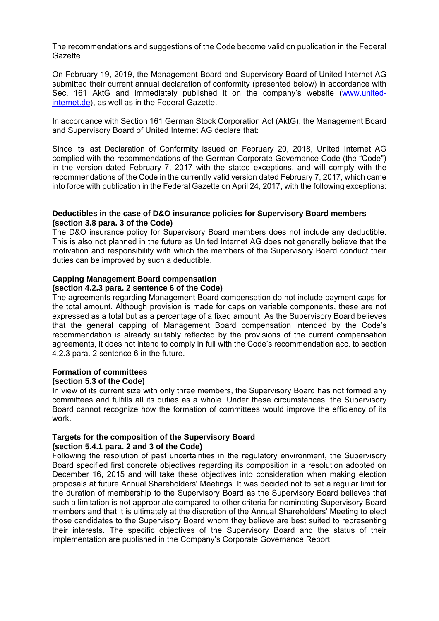The recommendations and suggestions of the Code become valid on publication in the Federal Gazette.

On February 19, 2019, the Management Board and Supervisory Board of United Internet AG submitted their current annual declaration of conformity (presented below) in accordance with Sec. 161 AktG and immediately published it on the company's website (www.unitedinternet.de), as well as in the Federal Gazette.

In accordance with Section 161 German Stock Corporation Act (AktG), the Management Board and Supervisory Board of United Internet AG declare that:

Since its last Declaration of Conformity issued on February 20, 2018, United Internet AG complied with the recommendations of the German Corporate Governance Code (the "Code") in the version dated February 7, 2017 with the stated exceptions, and will comply with the recommendations of the Code in the currently valid version dated February 7, 2017, which came into force with publication in the Federal Gazette on April 24, 2017, with the following exceptions:

**Deductibles in the case of D&O insurance policies for Supervisory Board members (section 3.8 para. 3 of the Code)** 

The D&O insurance policy for Supervisory Board members does not include any deductible. This is also not planned in the future as United Internet AG does not generally believe that the motivation and responsibility with which the members of the Supervisory Board conduct their duties can be improved by such a deductible.

### **Capping Management Board compensation**

### **(section 4.2.3 para. 2 sentence 6 of the Code)**

The agreements regarding Management Board compensation do not include payment caps for the total amount. Although provision is made for caps on variable components, these are not expressed as a total but as a percentage of a fixed amount. As the Supervisory Board believes that the general capping of Management Board compensation intended by the Code's recommendation is already suitably reflected by the provisions of the current compensation agreements, it does not intend to comply in full with the Code's recommendation acc. to section 4.2.3 para. 2 sentence 6 in the future.

### **Formation of committees**

### **(section 5.3 of the Code)**

In view of its current size with only three members, the Supervisory Board has not formed any committees and fulfills all its duties as a whole. Under these circumstances, the Supervisory Board cannot recognize how the formation of committees would improve the efficiency of its work.

### **Targets for the composition of the Supervisory Board**

**(section 5.4.1 para. 2 and 3 of the Code)** 

Following the resolution of past uncertainties in the regulatory environment, the Supervisory Board specified first concrete objectives regarding its composition in a resolution adopted on December 16, 2015 and will take these objectives into consideration when making election proposals at future Annual Shareholders' Meetings. It was decided not to set a regular limit for the duration of membership to the Supervisory Board as the Supervisory Board believes that such a limitation is not appropriate compared to other criteria for nominating Supervisory Board members and that it is ultimately at the discretion of the Annual Shareholders' Meeting to elect those candidates to the Supervisory Board whom they believe are best suited to representing their interests. The specific objectives of the Supervisory Board and the status of their implementation are published in the Company's Corporate Governance Report.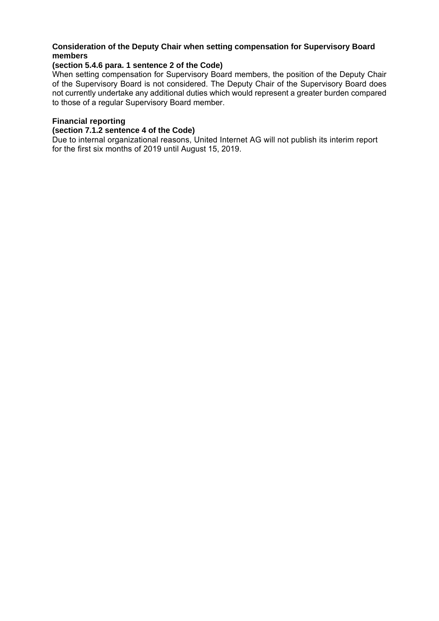# **Consideration of the Deputy Chair when setting compensation for Supervisory Board members**

# **(section 5.4.6 para. 1 sentence 2 of the Code)**

When setting compensation for Supervisory Board members, the position of the Deputy Chair of the Supervisory Board is not considered. The Deputy Chair of the Supervisory Board does not currently undertake any additional duties which would represent a greater burden compared to those of a regular Supervisory Board member.

# **Financial reporting**

**(section 7.1.2 sentence 4 of the Code)** 

Due to internal organizational reasons, United Internet AG will not publish its interim report for the first six months of 2019 until August 15, 2019.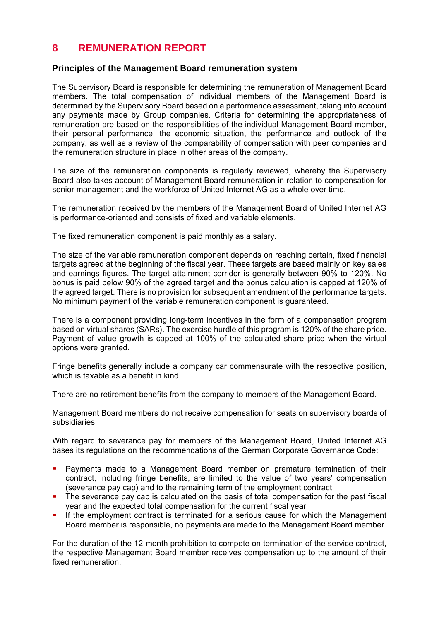# **8 REMUNERATION REPORT**

# **Principles of the Management Board remuneration system**

The Supervisory Board is responsible for determining the remuneration of Management Board members. The total compensation of individual members of the Management Board is determined by the Supervisory Board based on a performance assessment, taking into account any payments made by Group companies. Criteria for determining the appropriateness of remuneration are based on the responsibilities of the individual Management Board member, their personal performance, the economic situation, the performance and outlook of the company, as well as a review of the comparability of compensation with peer companies and the remuneration structure in place in other areas of the company.

The size of the remuneration components is regularly reviewed, whereby the Supervisory Board also takes account of Management Board remuneration in relation to compensation for senior management and the workforce of United Internet AG as a whole over time.

The remuneration received by the members of the Management Board of United Internet AG is performance-oriented and consists of fixed and variable elements.

The fixed remuneration component is paid monthly as a salary.

The size of the variable remuneration component depends on reaching certain, fixed financial targets agreed at the beginning of the fiscal year. These targets are based mainly on key sales and earnings figures. The target attainment corridor is generally between 90% to 120%. No bonus is paid below 90% of the agreed target and the bonus calculation is capped at 120% of the agreed target. There is no provision for subsequent amendment of the performance targets. No minimum payment of the variable remuneration component is guaranteed.

There is a component providing long-term incentives in the form of a compensation program based on virtual shares (SARs). The exercise hurdle of this program is 120% of the share price. Payment of value growth is capped at 100% of the calculated share price when the virtual options were granted.

Fringe benefits generally include a company car commensurate with the respective position, which is taxable as a benefit in kind.

There are no retirement benefits from the company to members of the Management Board.

Management Board members do not receive compensation for seats on supervisory boards of subsidiaries.

With regard to severance pay for members of the Management Board, United Internet AG bases its regulations on the recommendations of the German Corporate Governance Code:

- **Payments made to a Management Board member on premature termination of their** contract, including fringe benefits, are limited to the value of two years' compensation (severance pay cap) and to the remaining term of the employment contract
- The severance pay cap is calculated on the basis of total compensation for the past fiscal year and the expected total compensation for the current fiscal year
- If the employment contract is terminated for a serious cause for which the Management Board member is responsible, no payments are made to the Management Board member

For the duration of the 12-month prohibition to compete on termination of the service contract, the respective Management Board member receives compensation up to the amount of their fixed remuneration.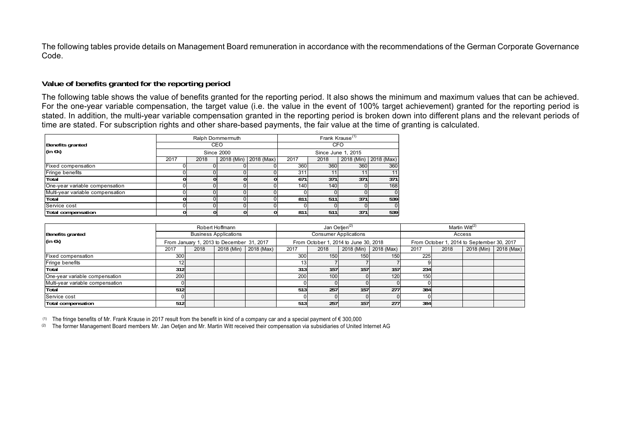The following tables provide details on Management Board remuneration in accordance with the recommendations of the German Corporate Governance Code.

### **Value of benefits granted for the reporting period**

The following table shows the value of benefits granted for the reporting period. It also shows the minimum and maximum values that can be achieved. For the one-year variable compensation, the target value (i.e. the value in the event of 100% target achievement) granted for the reporting period is stated. In addition, the multi-year variable compensation granted in the reporting period is broken down into different plans and the relevant periods of time are stated. For subscription rights and other share-based payments, the fair value at the time of granting is calculated.

|                                  | Ralph Dommermuth  |      |            |            |      | Frank Krause <sup>(1)</sup> |            |            |  |
|----------------------------------|-------------------|------|------------|------------|------|-----------------------------|------------|------------|--|
| Benefits granted                 | CEO               |      |            |            |      |                             | <b>CFO</b> |            |  |
| (in $\epsilon$ k)                | <b>Since 2000</b> |      |            |            |      | Since June 1, 2015          |            |            |  |
|                                  | 2017              | 2018 | 2018 (Min) | 2018 (Max) | 2017 | 2018                        | 2018 (Min) | 2018 (Max) |  |
| Fixed compensation               |                   |      |            |            | 360  | 360                         | 360        | 360        |  |
| Fringe benefits                  |                   |      |            |            | 311  |                             | 11         | 11         |  |
| Total                            |                   |      |            |            | 671  | 371                         | 371        | 371        |  |
| One-year variable compensation   |                   |      |            |            | 140  | 140                         |            | 168        |  |
| Multi-year variable compensation |                   |      |            |            |      |                             |            | 0          |  |
| Total                            |                   |      |            |            | 811  | 511                         | 371        | 539        |  |
| Service cost                     |                   |      |            |            |      |                             |            |            |  |
| <b>Total compensation</b>        |                   |      |            |            | 811  | 511                         | 371        | 539        |  |

|                                  | Robert Hoffmann                           |      |  | Jan Oetjen <sup>(2)</sup> |                                       |                              | Martin Witt <sup>(2)</sup> |                       |                                            |      |  |                       |
|----------------------------------|-------------------------------------------|------|--|---------------------------|---------------------------------------|------------------------------|----------------------------|-----------------------|--------------------------------------------|------|--|-----------------------|
| <b>Benefits granted</b>          | <b>Business Applications</b>              |      |  |                           |                                       | <b>Consumer Applications</b> |                            | Access                |                                            |      |  |                       |
| (in $\epsilon$ k)                | From January 1, 2013 to December 31, 2017 |      |  |                           | From October 1, 2014 to June 30, 2018 |                              |                            |                       | From October 1, 2014 to September 30, 2017 |      |  |                       |
|                                  | 2017                                      | 2018 |  | 2018 (Min) 2018 (Max)     | 2017                                  | 2018                         |                            | 2018 (Min) 2018 (Max) | 2017                                       | 2018 |  | 2018 (Min) 2018 (Max) |
| Fixed compensation               | 300                                       |      |  |                           | 300 <sup>1</sup>                      | 150                          | 150                        | 150                   | 225                                        |      |  |                       |
| Fringe benefits                  |                                           |      |  |                           | 13I                                   |                              |                            |                       |                                            |      |  |                       |
| Total                            | 312                                       |      |  |                           | 313 <sub>l</sub>                      | 157                          | 157 <sub>1</sub>           | 157                   | 234                                        |      |  |                       |
| One-year variable compensation   | 200                                       |      |  |                           | 200                                   | 100                          |                            | 120                   | 150                                        |      |  |                       |
| Multi-year variable compensation |                                           |      |  |                           |                                       |                              |                            |                       |                                            |      |  |                       |
| Total                            | 512                                       |      |  |                           | 513                                   | 257                          | 157                        | 277                   | 384                                        |      |  |                       |
| Service cost                     |                                           |      |  |                           |                                       |                              |                            |                       |                                            |      |  |                       |
| <b>Total compensation</b>        | 512                                       |      |  |                           | 513 <sub>I</sub>                      | 257                          | 157 <sub>1</sub>           | 277                   | 384                                        |      |  |                       |

(1) The fringe benefits of Mr. Frank Krause in 2017 result from the benefit in kind of a company car and a special payment of  $\epsilon$  300,000

(2) The former Management Board members Mr. Jan Oetjen and Mr. Martin Witt received their compensation via subsidiaries of United Internet AG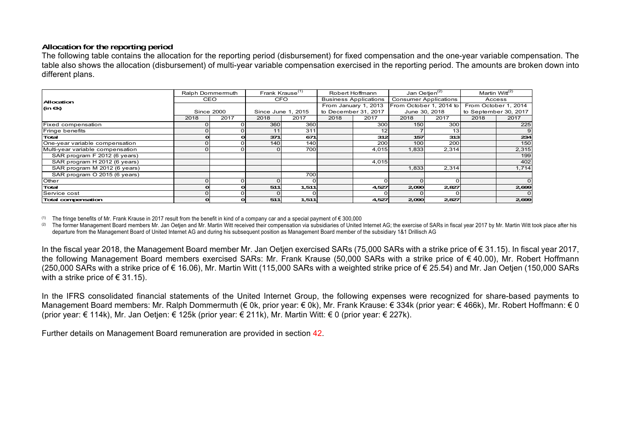# **Allocation for the reporting period**

The following table contains the allocation for the reporting period (disbursement) for fixed compensation and the one-year variable compensation. The table also shows the allocation (disbursement) of multi-year variable compensation exercised in the reporting period. The amounts are broken down into different plans.

|                                  |      | Frank Krause <sup>(1)</sup><br>Ralph Dommermuth |            |                    | Robert Hoffmann              | <u>Jan </u> Oetjen <sup>(2)</sup> |                              | Martin Witt <sup>(2)</sup> |        |                       |
|----------------------------------|------|-------------------------------------------------|------------|--------------------|------------------------------|-----------------------------------|------------------------------|----------------------------|--------|-----------------------|
| Allocation                       |      | <b>CEO</b>                                      | <b>CFO</b> |                    | <b>Business Applications</b> |                                   | <b>Consumer Applications</b> |                            | Access |                       |
| (in $\in$ k)                     |      |                                                 |            |                    |                              | From January 1, 2013              | From October 1, 2014 to      |                            |        | From October 1, 2014  |
|                                  |      | <b>Since 2000</b>                               |            | Since June 1, 2015 |                              | to December 31, 2017              |                              | June 30, 2018              |        | to September 30, 2017 |
|                                  | 2018 | 2017                                            | 2018       | 2017               | 2018                         | 2017                              | 2018                         | 2017                       | 2018   | 2017                  |
| Fixed compensation               |      |                                                 | 360        | 360                |                              | 300                               | 150                          | 300                        |        | 225                   |
| Fringe benefits                  |      |                                                 |            | 311                |                              |                                   |                              | 13.                        |        |                       |
| Total                            |      | ΩI                                              | 371        | 671                |                              | 312                               | 157                          | 313                        |        | 234                   |
| One-year variable compensation   |      | οI                                              | 140        | 140                |                              | 200                               | 100                          | 200                        |        | 150                   |
| Multi-year variable compensation |      | οI                                              |            | 700                |                              | 4,015                             | 1,833                        | 2,314                      |        | 2,315                 |
| SAR program F 2012 (6 years)     |      |                                                 |            |                    |                              |                                   |                              |                            |        | 199                   |
| SAR program H 2012 (6 years)     |      |                                                 |            |                    |                              | 4.015                             |                              |                            |        | 402                   |
| SAR program M 2012 (6 years)     |      |                                                 |            |                    |                              |                                   | 1,833                        | 2,314                      |        | 1,714                 |
| SAR program O 2015 (6 years)     |      |                                                 |            | 700                |                              |                                   |                              |                            |        |                       |
| Other                            |      | οI                                              |            |                    |                              |                                   |                              |                            |        | $\Omega$              |
| Total                            |      | ΩI                                              | 511        | 1,511              |                              | 4,527                             | 2,090                        | 2,827                      |        | 2,699                 |
| Service cost                     |      |                                                 |            |                    |                              |                                   |                              |                            |        |                       |
| Total compensation               |      | οI                                              | 511        | 1,511              |                              | 4,527                             | 2,090                        | 2,827                      |        | 2,699                 |

(1) The fringe benefits of Mr. Frank Krause in 2017 result from the benefit in kind of a company car and a special payment of  $\epsilon$  300,000

(2) The former Management Board members Mr. Jan Oetien and Mr. Martin Witt received their compensation via subsidiaries of United Internet AG; the exercise of SARs in fiscal year 2017 by Mr. Martin Witt took place after hi departure from the Management Board of United Internet AG and during his subsequent position as Management Board member of the subsidiary 1&1 Drillisch AG

In the fiscal year 2018, the Management Board member Mr. Jan Oetjen exercised SARs (75,000 SARs with a strike price of € 31.15). In fiscal year 2017, the following Management Board members exercised SARs: Mr. Frank Krause (50,000 SARs with a strike price of € 40.00), Mr. Robert Hoffmann (250,000 SARs with a strike price of € 16.06). Mr. Martin Witt (115,000 SARs with a weighted strike price of € 25.54) and Mr. Jan Oetien (150,000 SARs with a strike price of  $\in$  31.15).

In the IFRS consolidated financial statements of the United Internet Group, the following expenses were recognized for share-based payments to Management Board members: Mr. Ralph Dommermuth (€ 0k, prior year: € 0k), Mr. Frank Krause: € 334k (prior year: € 466k), Mr. Robert Hoffmann: € 0 (prior year: € 114k), Mr. Jan Oetjen: € 125k (prior year: € 211k), Mr. Martin Witt: € 0 (prior year: € 227k).

Further details on Management Board remuneration are provided in section 42.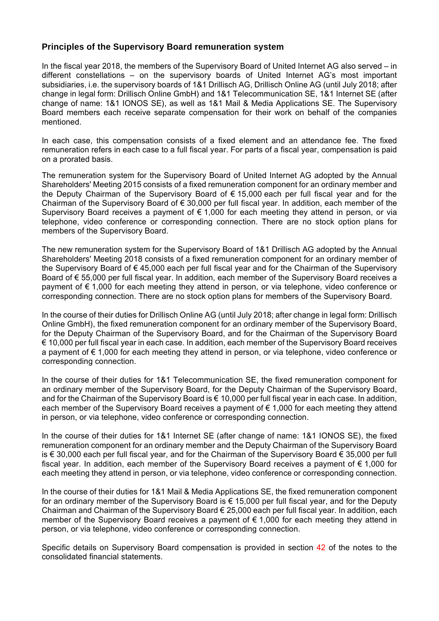# **Principles of the Supervisory Board remuneration system**

In the fiscal year 2018, the members of the Supervisory Board of United Internet AG also served – in different constellations – on the supervisory boards of United Internet AG's most important subsidiaries, i.e. the supervisory boards of 1&1 Drillisch AG, Drillisch Online AG (until July 2018; after change in legal form: Drillisch Online GmbH) and 1&1 Telecommunication SE, 1&1 Internet SE (after change of name: 1&1 IONOS SE), as well as 1&1 Mail & Media Applications SE. The Supervisory Board members each receive separate compensation for their work on behalf of the companies mentioned.

In each case, this compensation consists of a fixed element and an attendance fee. The fixed remuneration refers in each case to a full fiscal year. For parts of a fiscal year, compensation is paid on a prorated basis.

The remuneration system for the Supervisory Board of United Internet AG adopted by the Annual Shareholders' Meeting 2015 consists of a fixed remuneration component for an ordinary member and the Deputy Chairman of the Supervisory Board of € 15,000 each per full fiscal year and for the Chairman of the Supervisory Board of  $\epsilon$  30,000 per full fiscal year. In addition, each member of the Supervisory Board receives a payment of  $\epsilon$  1,000 for each meeting they attend in person, or via telephone, video conference or corresponding connection. There are no stock option plans for members of the Supervisory Board.

The new remuneration system for the Supervisory Board of 1&1 Drillisch AG adopted by the Annual Shareholders' Meeting 2018 consists of a fixed remuneration component for an ordinary member of the Supervisory Board of € 45,000 each per full fiscal year and for the Chairman of the Supervisory Board of € 55,000 per full fiscal year. In addition, each member of the Supervisory Board receives a payment of € 1,000 for each meeting they attend in person, or via telephone, video conference or corresponding connection. There are no stock option plans for members of the Supervisory Board.

In the course of their duties for Drillisch Online AG (until July 2018; after change in legal form: Drillisch Online GmbH), the fixed remuneration component for an ordinary member of the Supervisory Board, for the Deputy Chairman of the Supervisory Board, and for the Chairman of the Supervisory Board € 10,000 per full fiscal year in each case. In addition, each member of the Supervisory Board receives a payment of € 1,000 for each meeting they attend in person, or via telephone, video conference or corresponding connection.

In the course of their duties for 1&1 Telecommunication SE, the fixed remuneration component for an ordinary member of the Supervisory Board, for the Deputy Chairman of the Supervisory Board, and for the Chairman of the Supervisory Board is € 10,000 per full fiscal year in each case. In addition, each member of the Supervisory Board receives a payment of  $\epsilon$  1,000 for each meeting they attend in person, or via telephone, video conference or corresponding connection.

In the course of their duties for 1&1 Internet SE (after change of name: 1&1 IONOS SE), the fixed remuneration component for an ordinary member and the Deputy Chairman of the Supervisory Board is € 30,000 each per full fiscal year, and for the Chairman of the Supervisory Board € 35,000 per full fiscal year. In addition, each member of the Supervisory Board receives a payment of € 1,000 for each meeting they attend in person, or via telephone, video conference or corresponding connection.

In the course of their duties for 1&1 Mail & Media Applications SE, the fixed remuneration component for an ordinary member of the Supervisory Board is  $\epsilon$  15,000 per full fiscal year, and for the Deputy Chairman and Chairman of the Supervisory Board € 25,000 each per full fiscal year. In addition, each member of the Supervisory Board receives a payment of € 1,000 for each meeting they attend in person, or via telephone, video conference or corresponding connection.

Specific details on Supervisory Board compensation is provided in section 42 of the notes to the consolidated financial statements.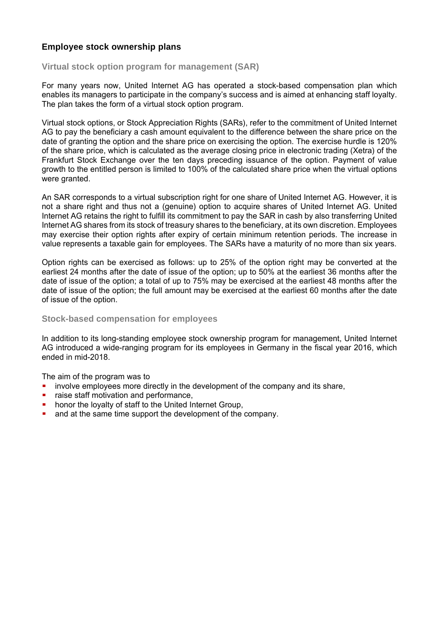# **Employee stock ownership plans**

# **Virtual stock option program for management (SAR)**

For many years now, United Internet AG has operated a stock-based compensation plan which enables its managers to participate in the company's success and is aimed at enhancing staff loyalty. The plan takes the form of a virtual stock option program.

Virtual stock options, or Stock Appreciation Rights (SARs), refer to the commitment of United Internet AG to pay the beneficiary a cash amount equivalent to the difference between the share price on the date of granting the option and the share price on exercising the option. The exercise hurdle is 120% of the share price, which is calculated as the average closing price in electronic trading (Xetra) of the Frankfurt Stock Exchange over the ten days preceding issuance of the option. Payment of value growth to the entitled person is limited to 100% of the calculated share price when the virtual options were granted.

An SAR corresponds to a virtual subscription right for one share of United Internet AG. However, it is not a share right and thus not a (genuine) option to acquire shares of United Internet AG. United Internet AG retains the right to fulfill its commitment to pay the SAR in cash by also transferring United Internet AG shares from its stock of treasury shares to the beneficiary, at its own discretion. Employees may exercise their option rights after expiry of certain minimum retention periods. The increase in value represents a taxable gain for employees. The SARs have a maturity of no more than six years.

Option rights can be exercised as follows: up to 25% of the option right may be converted at the earliest 24 months after the date of issue of the option; up to 50% at the earliest 36 months after the date of issue of the option; a total of up to 75% may be exercised at the earliest 48 months after the date of issue of the option; the full amount may be exercised at the earliest 60 months after the date of issue of the option.

# **Stock-based compensation for employees**

In addition to its long-standing employee stock ownership program for management, United Internet AG introduced a wide-ranging program for its employees in Germany in the fiscal year 2016, which ended in mid-2018.

The aim of the program was to

- involve employees more directly in the development of the company and its share,
- **F** raise staff motivation and performance,
- **hereof the loyalty of staff to the United Internet Group,**
- and at the same time support the development of the company.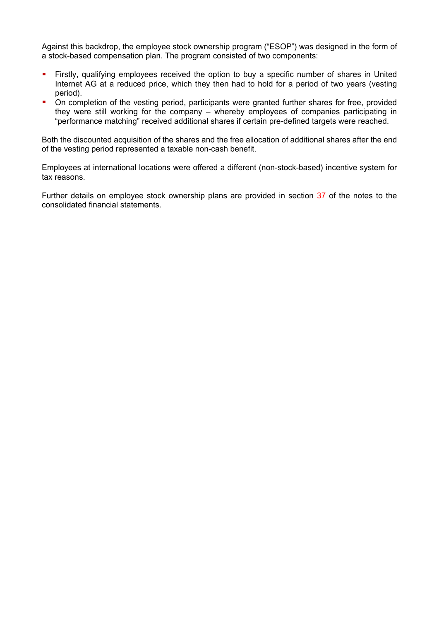Against this backdrop, the employee stock ownership program ("ESOP") was designed in the form of a stock-based compensation plan. The program consisted of two components:

- Firstly, qualifying employees received the option to buy a specific number of shares in United Internet AG at a reduced price, which they then had to hold for a period of two years (vesting period).
- On completion of the vesting period, participants were granted further shares for free, provided they were still working for the company – whereby employees of companies participating in "performance matching" received additional shares if certain pre-defined targets were reached.

Both the discounted acquisition of the shares and the free allocation of additional shares after the end of the vesting period represented a taxable non-cash benefit.

Employees at international locations were offered a different (non-stock-based) incentive system for tax reasons.

Further details on employee stock ownership plans are provided in section 37 of the notes to the consolidated financial statements.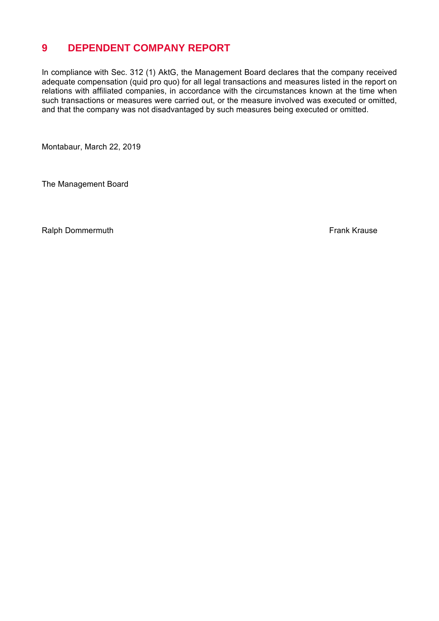# **9 DEPENDENT COMPANY REPORT**

In compliance with Sec. 312 (1) AktG, the Management Board declares that the company received adequate compensation (quid pro quo) for all legal transactions and measures listed in the report on relations with affiliated companies, in accordance with the circumstances known at the time when such transactions or measures were carried out, or the measure involved was executed or omitted, and that the company was not disadvantaged by such measures being executed or omitted.

Montabaur, March 22, 2019

The Management Board

Ralph Dommermuth **Frank Krause Frank Krause Frank Krause**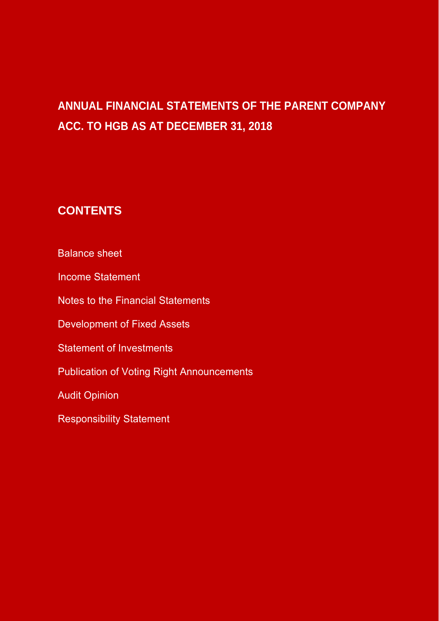# **ANNUAL FINANCIAL STATEMENTS OF THE PARENT COMPANY ACC. TO HGB AS AT DECEMBER 31, 2018**

# **CONTENTS**

Balance sheet

Income Statement

Notes to the Financial Statements

Development of Fixed Assets

Statement of Investments

Publication of Voting Right Announcements

Audit Opinion

Responsibility Statement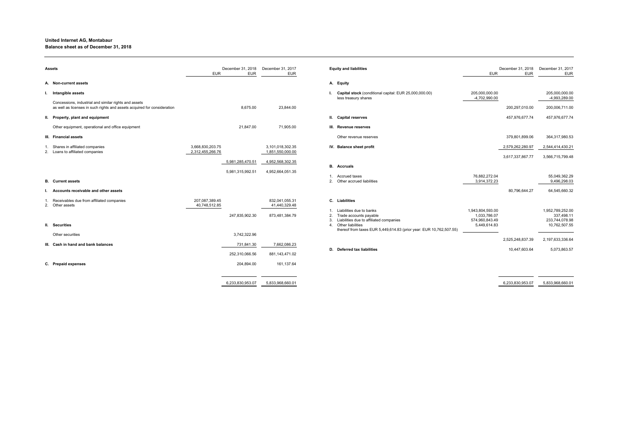| Assets                                                                                                                            | December 31, 2018<br><b>EUR</b><br><b>EUR</b> | December 31, 2017<br><b>EUR</b>      | <b>Equity and liabilities</b>                                                                                                | <b>EUR</b>                                                         | December 31, 2018<br><b>EUR</b> | December 31, 2017<br><b>EUR</b>                                   |
|-----------------------------------------------------------------------------------------------------------------------------------|-----------------------------------------------|--------------------------------------|------------------------------------------------------------------------------------------------------------------------------|--------------------------------------------------------------------|---------------------------------|-------------------------------------------------------------------|
| A. Non-current assets                                                                                                             |                                               |                                      | A. Equity                                                                                                                    |                                                                    |                                 |                                                                   |
| Intangible assets                                                                                                                 |                                               |                                      | Capital stock (conditional capital: EUR 25,000,000.00)<br>less treasury shares                                               | 205,000,000.00<br>-4,702,990.00                                    |                                 | 205,000,000.00<br>-4,993,289.00                                   |
| Concessions, industrial and similar rights and assets<br>as well as licenses in such rights and assets acquired for consideration | 8,675.00                                      | 23,844.00                            |                                                                                                                              |                                                                    | 200,297,010.00                  | 200,006,711.00                                                    |
| II. Property, plant and equipment                                                                                                 |                                               |                                      | II. Capital reserves                                                                                                         |                                                                    | 457,976,677.74                  | 457,976,677.74                                                    |
| Other equipment, operational and office equipment                                                                                 | 21,847.00                                     | 71,905.00                            | III. Revenue reserves                                                                                                        |                                                                    |                                 |                                                                   |
| III. Financial assets                                                                                                             |                                               |                                      | Other revenue reserves                                                                                                       |                                                                    | 379,801,899.06                  | 364,317,980.53                                                    |
| Shares in affiliated companies<br>2. Loans to affiliated companies                                                                | 3,668,830,203.75<br>2,312,455,266.76          | 3,101,018,302.35<br>1,851,550,000.00 | IV. Balance sheet profit                                                                                                     |                                                                    | 2,579,262,280.97                | 2,544,414,430.21                                                  |
|                                                                                                                                   | 5,981,285,470.51<br>5,981,315,992.51          | 4,952,568,302.35<br>4,952,664,051.35 | <b>B.</b> Accruals                                                                                                           |                                                                    | 3,617,337,867.77                | 3,566,715,799.48                                                  |
| <b>B.</b> Current assets                                                                                                          |                                               |                                      | Accrued taxes<br>2 <sub>1</sub><br>Other accrued liabilities                                                                 | 76,882,272.04<br>3,914,372.23                                      |                                 | 55,049,362.29<br>9,496,298.03                                     |
| Accounts receivable and other assets                                                                                              |                                               |                                      |                                                                                                                              |                                                                    | 80,796,644.27                   | 64,545,660.32                                                     |
| Receivables due from affiliated companies<br>2. Other assets                                                                      | 207,087,389.45<br>40,748,512.85               | 832,041,055.31<br>41,440,329.48      | C. Liabilities                                                                                                               |                                                                    |                                 |                                                                   |
| II. Securities                                                                                                                    | 247,835,902.30                                | 873,481,384.79                       | Liabilities due to banks<br>Trade accounts payable<br>Liabilities due to affiliated companies<br>3<br>Other liabilities<br>4 | 1,943,804,593.00<br>1,033,786.07<br>574,960,843.49<br>5,449,614.83 |                                 | 1,952,789,252.00<br>337,498.11<br>233,744,078.98<br>10,762,507.55 |
| Other securities                                                                                                                  | 3,742,322.96                                  |                                      | thereof from taxes EUR 5,449,614.83 (prior year: EUR 10,762,507.55)                                                          |                                                                    |                                 |                                                                   |
| III. Cash in hand and bank balances                                                                                               |                                               | 7,662,086.23                         |                                                                                                                              |                                                                    | 2,525,248,837.39                | 2,197,633,336.64                                                  |
|                                                                                                                                   | 731,841.30<br>252,310,066.56                  | 881,143,471.02                       | D. Deferred tax liabilities                                                                                                  |                                                                    | 10,447,603.64                   | 5,073,863.57                                                      |
| C. Prepaid expenses                                                                                                               | 204,894.00                                    | 161,137.64                           |                                                                                                                              |                                                                    |                                 |                                                                   |
|                                                                                                                                   | 6,233,830,953.07                              | 5,833,968,660.01                     |                                                                                                                              |                                                                    | 6,233,830,953.07                | 5,833,968,660.0                                                   |

# **United Internet AG, Montabaur Balance sheet as of December 31, 2018**

|                                                                       | <b>EUR</b>                                                         | December 31, 2018<br><b>EUR</b> | December 31, 2017<br><b>EUR</b>                                   |
|-----------------------------------------------------------------------|--------------------------------------------------------------------|---------------------------------|-------------------------------------------------------------------|
| onal capital: EUR 25,000,000.00)                                      | 205,000,000.00<br>$-4,702,990.00$                                  |                                 | 205,000,000.00<br>-4,993,289.00                                   |
|                                                                       |                                                                    | 200,297,010.00                  | 200,006,711.00                                                    |
|                                                                       |                                                                    | 457,976,677.74                  | 457,976,677.74                                                    |
| ١S                                                                    |                                                                    | 379,801,899.06                  | 364,317,980.53                                                    |
|                                                                       |                                                                    | 2,579,262,280.97                | 2,544,414,430.21                                                  |
|                                                                       |                                                                    | 3,617,337,867.77                | 3,566,715,799.48                                                  |
| s                                                                     | 76,882,272.04<br>3,914,372.23                                      | 80,796,644.27                   | 55,049,362.29<br>9,496,298.03<br>64,545,660.32                    |
| le<br>ted companies<br>R 5,449,614.83 (prior year: EUR 10,762,507.55) | 1,943,804,593.00<br>1,033,786.07<br>574,960,843.49<br>5,449,614.83 |                                 | 1,952,789,252.00<br>337,498.11<br>233,744,078.98<br>10,762,507.55 |
|                                                                       |                                                                    | 2,525,248,837.39                | 2,197,633,336.64                                                  |
| s                                                                     |                                                                    | 10,447,603.64                   | 5,073,863.57                                                      |
|                                                                       |                                                                    |                                 |                                                                   |
|                                                                       |                                                                    |                                 |                                                                   |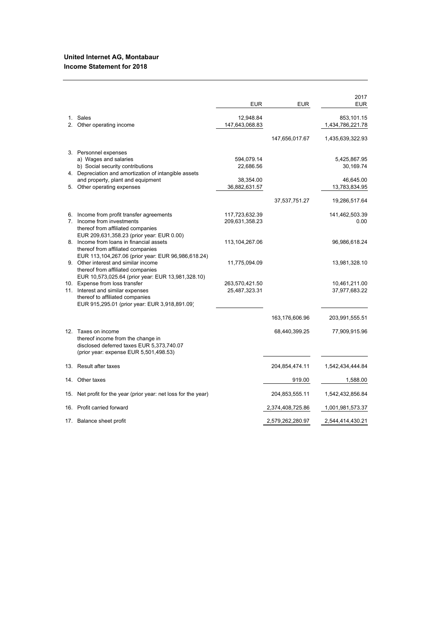### **United Internet AG, Montabaur Income Statement for 2018**

|         |                                                                                                                                                           | <b>EUR</b>                       | <b>EUR</b>       | 2017<br><b>EUR</b>             |
|---------|-----------------------------------------------------------------------------------------------------------------------------------------------------------|----------------------------------|------------------|--------------------------------|
| $1_{-}$ | Sales<br>2. Other operating income                                                                                                                        | 12,948.84<br>147,643,068.83      |                  | 853,101.15<br>1,434,786,221.78 |
|         |                                                                                                                                                           |                                  | 147,656,017.67   | 1,435,639,322.93               |
|         | 3. Personnel expenses<br>a) Wages and salaries<br>b) Social security contributions                                                                        | 594,079.14<br>22,686.56          |                  | 5,425,867.95<br>30,169.74      |
|         | 4. Depreciation and amortization of intangible assets<br>and property, plant and equipment                                                                | 38,354.00                        |                  | 46,645.00                      |
|         | 5. Other operating expenses                                                                                                                               | 36,882,631.57                    |                  | 13,783,834.95                  |
|         |                                                                                                                                                           |                                  | 37,537,751.27    | 19,286,517.64                  |
|         | 6. Income from profit transfer agreements<br>7. Income from investments<br>thereof from affiliated companies<br>EUR 209,631,358.23 (prior year: EUR 0.00) | 117,723,632.39<br>209,631,358.23 |                  | 141,462,503.39<br>0.00         |
|         | 8. Income from loans in financial assets<br>thereof from affiliated companies<br>EUR 113,104,267.06 (prior year: EUR 96,986,618.24)                       | 113,104,267.06                   |                  | 96,986,618.24                  |
|         | 9. Other interest and similar income<br>thereof from affiliated companies<br>EUR 10,573,025.64 (prior year: EUR 13,981,328.10)                            | 11,775,094.09                    |                  | 13,981,328.10                  |
|         | 10. Expense from loss transfer<br>11. Interest and similar expenses                                                                                       | 263,570,421.50<br>25,487,323.31  |                  | 10,461,211.00<br>37,977,683.22 |
|         | thereof to affiliated companies<br>EUR 915,295.01 (prior year: EUR 3,918,891.09)                                                                          |                                  |                  |                                |
|         |                                                                                                                                                           |                                  | 163,176,606.96   | 203,991,555.51                 |
|         | 12. Taxes on income<br>thereof income from the change in<br>disclosed deferred taxes EUR 5,373,740.07<br>(prior year: expense EUR 5,501,498.53)           |                                  | 68,440,399.25    | 77,909,915.96                  |
|         | 13. Result after taxes                                                                                                                                    |                                  | 204,854,474.11   | 1,542,434,444.84               |
|         | 14. Other taxes                                                                                                                                           |                                  | 919.00           | 1,588.00                       |
| 15.     | Net profit for the year (prior year: net loss for the year)                                                                                               |                                  | 204,853,555.11   | 1,542,432,856.84               |
| 16.     | Profit carried forward                                                                                                                                    |                                  | 2,374,408,725.86 | 1,001,981,573.37               |
|         | 17. Balance sheet profit                                                                                                                                  |                                  | 2,579,262,280.97 | 2,544,414,430.21               |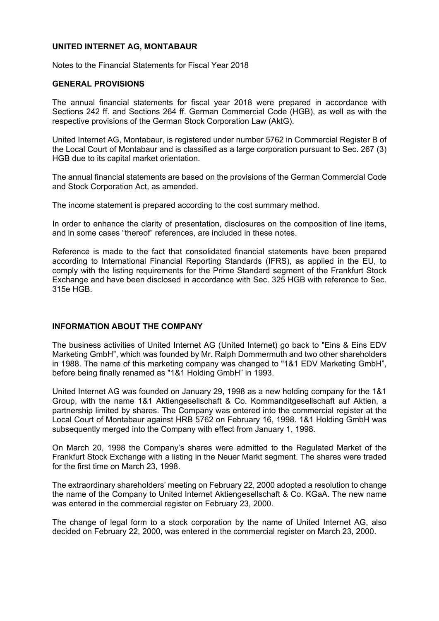# **UNITED INTERNET AG, MONTABAUR**

Notes to the Financial Statements for Fiscal Year 2018

### **GENERAL PROVISIONS**

The annual financial statements for fiscal year 2018 were prepared in accordance with Sections 242 ff. and Sections 264 ff. German Commercial Code (HGB), as well as with the respective provisions of the German Stock Corporation Law (AktG).

United Internet AG, Montabaur, is registered under number 5762 in Commercial Register B of the Local Court of Montabaur and is classified as a large corporation pursuant to Sec. 267 (3) HGB due to its capital market orientation.

The annual financial statements are based on the provisions of the German Commercial Code and Stock Corporation Act, as amended.

The income statement is prepared according to the cost summary method.

In order to enhance the clarity of presentation, disclosures on the composition of line items, and in some cases "thereof" references, are included in these notes.

Reference is made to the fact that consolidated financial statements have been prepared according to International Financial Reporting Standards (IFRS), as applied in the EU, to comply with the listing requirements for the Prime Standard segment of the Frankfurt Stock Exchange and have been disclosed in accordance with Sec. 325 HGB with reference to Sec. 315e HGB.

# **INFORMATION ABOUT THE COMPANY**

The business activities of United Internet AG (United Internet) go back to "Eins & Eins EDV Marketing GmbH", which was founded by Mr. Ralph Dommermuth and two other shareholders in 1988. The name of this marketing company was changed to "1&1 EDV Marketing GmbH", before being finally renamed as "1&1 Holding GmbH" in 1993.

United Internet AG was founded on January 29, 1998 as a new holding company for the 1&1 Group, with the name 1&1 Aktiengesellschaft & Co. Kommanditgesellschaft auf Aktien, a partnership limited by shares. The Company was entered into the commercial register at the Local Court of Montabaur against HRB 5762 on February 16, 1998. 1&1 Holding GmbH was subsequently merged into the Company with effect from January 1, 1998.

On March 20, 1998 the Company's shares were admitted to the Regulated Market of the Frankfurt Stock Exchange with a listing in the Neuer Markt segment. The shares were traded for the first time on March 23, 1998.

The extraordinary shareholders' meeting on February 22, 2000 adopted a resolution to change the name of the Company to United Internet Aktiengesellschaft & Co. KGaA. The new name was entered in the commercial register on February 23, 2000.

The change of legal form to a stock corporation by the name of United Internet AG, also decided on February 22, 2000, was entered in the commercial register on March 23, 2000.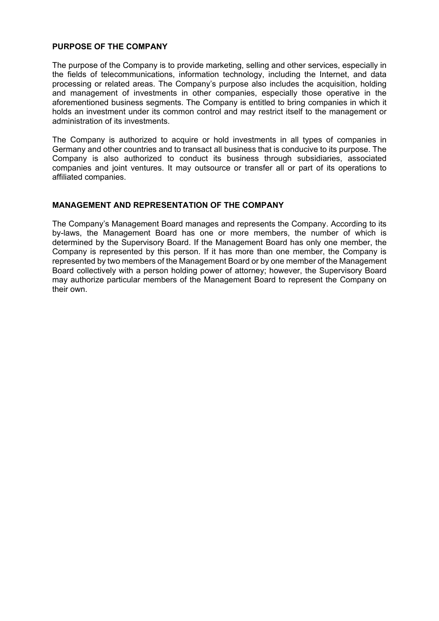# **PURPOSE OF THE COMPANY**

The purpose of the Company is to provide marketing, selling and other services, especially in the fields of telecommunications, information technology, including the Internet, and data processing or related areas. The Company's purpose also includes the acquisition, holding and management of investments in other companies, especially those operative in the aforementioned business segments. The Company is entitled to bring companies in which it holds an investment under its common control and may restrict itself to the management or administration of its investments.

The Company is authorized to acquire or hold investments in all types of companies in Germany and other countries and to transact all business that is conducive to its purpose. The Company is also authorized to conduct its business through subsidiaries, associated companies and joint ventures. It may outsource or transfer all or part of its operations to affiliated companies.

### **MANAGEMENT AND REPRESENTATION OF THE COMPANY**

The Company's Management Board manages and represents the Company. According to its by-laws, the Management Board has one or more members, the number of which is determined by the Supervisory Board. If the Management Board has only one member, the Company is represented by this person. If it has more than one member, the Company is represented by two members of the Management Board or by one member of the Management Board collectively with a person holding power of attorney; however, the Supervisory Board may authorize particular members of the Management Board to represent the Company on their own.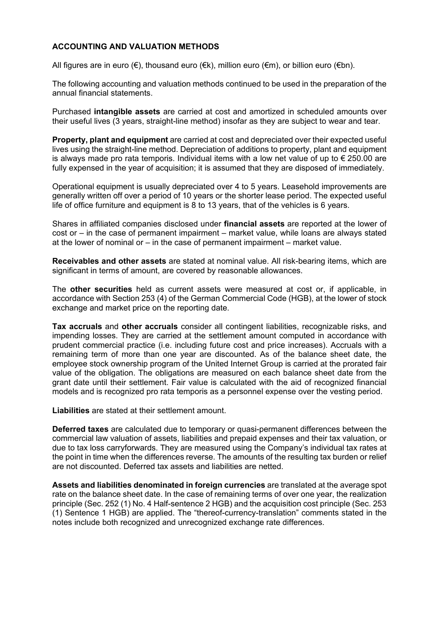# **ACCOUNTING AND VALUATION METHODS**

All figures are in euro (€), thousand euro (€k), million euro (€m), or billion euro (€bn).

The following accounting and valuation methods continued to be used in the preparation of the annual financial statements.

Purchased **intangible assets** are carried at cost and amortized in scheduled amounts over their useful lives (3 years, straight-line method) insofar as they are subject to wear and tear.

**Property, plant and equipment** are carried at cost and depreciated over their expected useful lives using the straight-line method. Depreciation of additions to property, plant and equipment is always made pro rata temporis. Individual items with a low net value of up to  $\epsilon$  250.00 are fully expensed in the year of acquisition; it is assumed that they are disposed of immediately.

Operational equipment is usually depreciated over 4 to 5 years. Leasehold improvements are generally written off over a period of 10 years or the shorter lease period. The expected useful life of office furniture and equipment is 8 to 13 years, that of the vehicles is 6 years.

Shares in affiliated companies disclosed under **financial assets** are reported at the lower of cost or – in the case of permanent impairment – market value, while loans are always stated at the lower of nominal or – in the case of permanent impairment – market value.

**Receivables and other assets** are stated at nominal value. All risk-bearing items, which are significant in terms of amount, are covered by reasonable allowances.

The **other securities** held as current assets were measured at cost or, if applicable, in accordance with Section 253 (4) of the German Commercial Code (HGB), at the lower of stock exchange and market price on the reporting date.

**Tax accruals** and **other accruals** consider all contingent liabilities, recognizable risks, and impending losses. They are carried at the settlement amount computed in accordance with prudent commercial practice (i.e. including future cost and price increases). Accruals with a remaining term of more than one year are discounted. As of the balance sheet date, the employee stock ownership program of the United Internet Group is carried at the prorated fair value of the obligation. The obligations are measured on each balance sheet date from the grant date until their settlement. Fair value is calculated with the aid of recognized financial models and is recognized pro rata temporis as a personnel expense over the vesting period.

**Liabilities** are stated at their settlement amount.

**Deferred taxes** are calculated due to temporary or quasi-permanent differences between the commercial law valuation of assets, liabilities and prepaid expenses and their tax valuation, or due to tax loss carryforwards. They are measured using the Company's individual tax rates at the point in time when the differences reverse. The amounts of the resulting tax burden or relief are not discounted. Deferred tax assets and liabilities are netted.

**Assets and liabilities denominated in foreign currencies** are translated at the average spot rate on the balance sheet date. In the case of remaining terms of over one year, the realization principle (Sec. 252 (1) No. 4 Half-sentence 2 HGB) and the acquisition cost principle (Sec. 253 (1) Sentence 1 HGB) are applied. The "thereof-currency-translation" comments stated in the notes include both recognized and unrecognized exchange rate differences.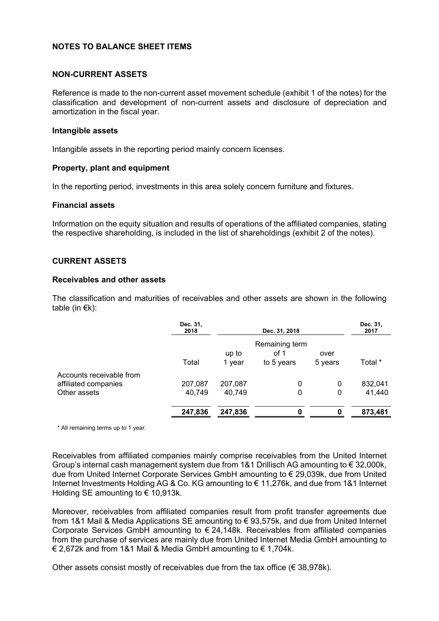# **NOTES TO BALANCE SHEET ITEMS**

### **NON-CURRENT ASSETS**

Reference is made to the non-current asset movement schedule (exhibit 1 of the notes) for the classification and development of non-current assets and disclosure of depreciation and amortization in the fiscal year.

### **Intangible assets**

Intangible assets in the reporting period mainly concern licenses.

### **Property, plant and equipment**

In the reporting period, investments in this area solely concern furniture and fixtures.

### **Financial assets**

Information on the equity situation and results of operations of the affiliated companies, stating the respective shareholding, is included in the list of shareholdings (exhibit 2 of the notes).

### **CURRENT ASSETS**

### **Receivables and other assets**

The classification and maturities of receivables and other assets are shown in the following table (in  $E(k)$ :

|                          | Dec. 31,<br>2018 |                 | Dec. 31, 2018                        |                 | Dec. 31,<br>2017 |
|--------------------------|------------------|-----------------|--------------------------------------|-----------------|------------------|
|                          | Total            | up to<br>1 year | Remaining term<br>of 1<br>to 5 years | over<br>5 years | Total *          |
| Accounts receivable from |                  |                 |                                      |                 |                  |
| affiliated companies     | 207,087          | 207,087         | 0                                    | 0               | 832,041          |
| Other assets             | 40,749           | 40,749          | 0                                    | 0               | 41,440           |
|                          | 247,836          | 247,836         | 0                                    |                 | 873,481          |

\* All remaining terms up to 1 year.

Receivables from affiliated companies mainly comprise receivables from the United Internet Group's internal cash management system due from 1&1 Drillisch AG amounting to € 32,000k, due from United Internet Corporate Services GmbH amounting to € 29,039k, due from United Internet Investments Holding AG & Co. KG amounting to € 11,276k, and due from 1&1 Internet Holding SE amounting to  $\epsilon$  10,913k.

Moreover, receivables from affiliated companies result from profit transfer agreements due from 1&1 Mail & Media Applications SE amounting to € 93,575k, and due from United Internet Corporate Services GmbH amounting to  $\epsilon$  24,148k. Receivables from affiliated companies from the purchase of services are mainly due from United Internet Media GmbH amounting to € 2,672k and from 1&1 Mail & Media GmbH amounting to  $€ 1,704$ k.

Other assets consist mostly of receivables due from the tax office ( $\epsilon$  38,978k).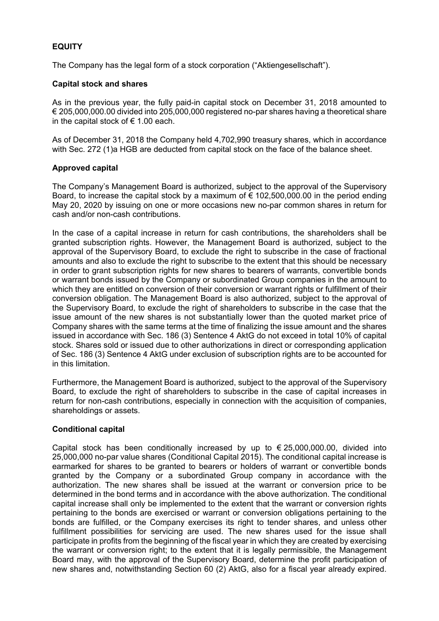# **EQUITY**

The Company has the legal form of a stock corporation ("Aktiengesellschaft").

# **Capital stock and shares**

As in the previous year, the fully paid-in capital stock on December 31, 2018 amounted to € 205,000,000.00 divided into 205,000,000 registered no-par shares having a theoretical share in the capital stock of  $\epsilon$  1.00 each.

As of December 31, 2018 the Company held 4,702,990 treasury shares, which in accordance with Sec. 272 (1)a HGB are deducted from capital stock on the face of the balance sheet.

# **Approved capital**

The Company's Management Board is authorized, subject to the approval of the Supervisory Board, to increase the capital stock by a maximum of  $\epsilon$  102,500,000.00 in the period ending May 20, 2020 by issuing on one or more occasions new no-par common shares in return for cash and/or non-cash contributions.

In the case of a capital increase in return for cash contributions, the shareholders shall be granted subscription rights. However, the Management Board is authorized, subject to the approval of the Supervisory Board, to exclude the right to subscribe in the case of fractional amounts and also to exclude the right to subscribe to the extent that this should be necessary in order to grant subscription rights for new shares to bearers of warrants, convertible bonds or warrant bonds issued by the Company or subordinated Group companies in the amount to which they are entitled on conversion of their conversion or warrant rights or fulfillment of their conversion obligation. The Management Board is also authorized, subject to the approval of the Supervisory Board, to exclude the right of shareholders to subscribe in the case that the issue amount of the new shares is not substantially lower than the quoted market price of Company shares with the same terms at the time of finalizing the issue amount and the shares issued in accordance with Sec. 186 (3) Sentence 4 AktG do not exceed in total 10% of capital stock. Shares sold or issued due to other authorizations in direct or corresponding application of Sec. 186 (3) Sentence 4 AktG under exclusion of subscription rights are to be accounted for in this limitation.

Furthermore, the Management Board is authorized, subject to the approval of the Supervisory Board, to exclude the right of shareholders to subscribe in the case of capital increases in return for non-cash contributions, especially in connection with the acquisition of companies, shareholdings or assets.

# **Conditional capital**

Capital stock has been conditionally increased by up to  $\epsilon$  25,000,000.00, divided into 25,000,000 no-par value shares (Conditional Capital 2015). The conditional capital increase is earmarked for shares to be granted to bearers or holders of warrant or convertible bonds granted by the Company or a subordinated Group company in accordance with the authorization. The new shares shall be issued at the warrant or conversion price to be determined in the bond terms and in accordance with the above authorization. The conditional capital increase shall only be implemented to the extent that the warrant or conversion rights pertaining to the bonds are exercised or warrant or conversion obligations pertaining to the bonds are fulfilled, or the Company exercises its right to tender shares, and unless other fulfillment possibilities for servicing are used. The new shares used for the issue shall participate in profits from the beginning of the fiscal year in which they are created by exercising the warrant or conversion right; to the extent that it is legally permissible, the Management Board may, with the approval of the Supervisory Board, determine the profit participation of new shares and, notwithstanding Section 60 (2) AktG, also for a fiscal year already expired.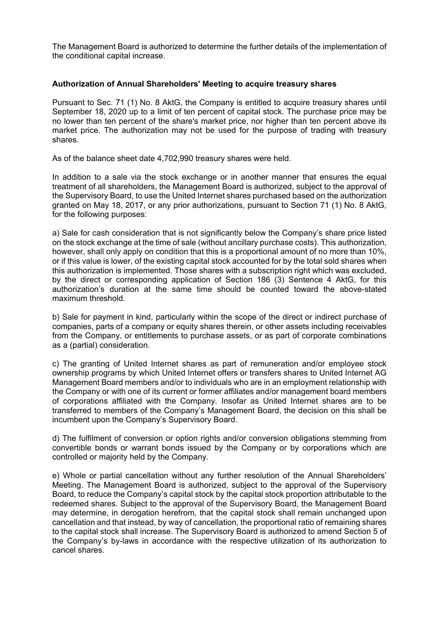The Management Board is authorized to determine the further details of the implementation of the conditional capital increase.

# **Authorization of Annual Shareholders' Meeting to acquire treasury shares**

Pursuant to Sec. 71 (1) No. 8 AktG, the Company is entitled to acquire treasury shares until September 18, 2020 up to a limit of ten percent of capital stock. The purchase price may be no lower than ten percent of the share's market price, nor higher than ten percent above its market price. The authorization may not be used for the purpose of trading with treasury shares.

As of the balance sheet date 4,702,990 treasury shares were held.

In addition to a sale via the stock exchange or in another manner that ensures the equal treatment of all shareholders, the Management Board is authorized, subject to the approval of the Supervisory Board, to use the United Internet shares purchased based on the authorization granted on May 18, 2017, or any prior authorizations, pursuant to Section 71 (1) No. 8 AktG, for the following purposes:

a) Sale for cash consideration that is not significantly below the Company's share price listed on the stock exchange at the time of sale (without ancillary purchase costs). This authorization, however, shall only apply on condition that this is a proportional amount of no more than 10%, or if this value is lower, of the existing capital stock accounted for by the total sold shares when this authorization is implemented. Those shares with a subscription right which was excluded, by the direct or corresponding application of Section 186 (3) Sentence 4 AktG, for this authorization's duration at the same time should be counted toward the above-stated maximum threshold.

b) Sale for payment in kind, particularly within the scope of the direct or indirect purchase of companies, parts of a company or equity shares therein, or other assets including receivables from the Company, or entitlements to purchase assets, or as part of corporate combinations as a (partial) consideration.

c) The granting of United Internet shares as part of remuneration and/or employee stock ownership programs by which United Internet offers or transfers shares to United Internet AG Management Board members and/or to individuals who are in an employment relationship with the Company or with one of its current or former affiliates and/or management board members of corporations affiliated with the Company. Insofar as United Internet shares are to be transferred to members of the Company's Management Board, the decision on this shall be incumbent upon the Company's Supervisory Board.

d) The fulfilment of conversion or option rights and/or conversion obligations stemming from convertible bonds or warrant bonds issued by the Company or by corporations which are controlled or majority held by the Company.

e) Whole or partial cancellation without any further resolution of the Annual Shareholders' Meeting. The Management Board is authorized, subject to the approval of the Supervisory Board, to reduce the Company's capital stock by the capital stock proportion attributable to the redeemed shares. Subject to the approval of the Supervisory Board, the Management Board may determine, in derogation herefrom, that the capital stock shall remain unchanged upon cancellation and that instead, by way of cancellation, the proportional ratio of remaining shares to the capital stock shall increase. The Supervisory Board is authorized to amend Section 5 of the Company's by-laws in accordance with the respective utilization of its authorization to cancel shares.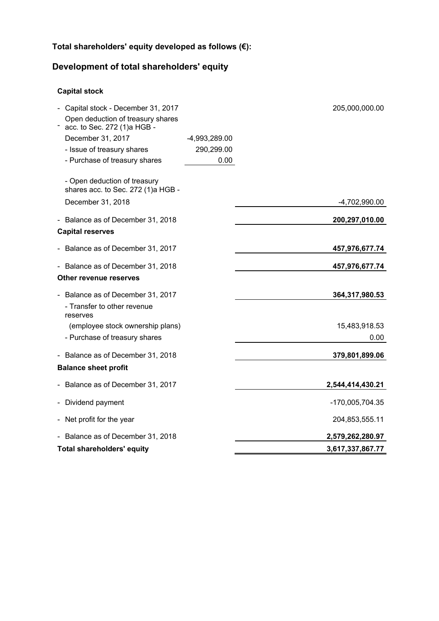# **Total shareholders' equity developed as follows (€):**

# **Development of total shareholders' equity**

# **Capital stock**

| Capital stock - December 31, 2017<br>Open deduction of treasury shares<br>acc. to Sec. 272 (1)a HGB - |               | 205,000,000.00   |
|-------------------------------------------------------------------------------------------------------|---------------|------------------|
| December 31, 2017                                                                                     | -4,993,289.00 |                  |
| - Issue of treasury shares                                                                            | 290,299.00    |                  |
| - Purchase of treasury shares                                                                         | 0.00          |                  |
| - Open deduction of treasury<br>shares acc. to Sec. 272 (1)a HGB -<br>December 31, 2018               |               | -4,702,990.00    |
| - Balance as of December 31, 2018                                                                     |               | 200,297,010.00   |
| <b>Capital reserves</b>                                                                               |               |                  |
|                                                                                                       |               |                  |
| Balance as of December 31, 2017                                                                       |               | 457,976,677.74   |
| Balance as of December 31, 2018                                                                       |               | 457,976,677.74   |
| Other revenue reserves                                                                                |               |                  |
| Balance as of December 31, 2017                                                                       |               | 364,317,980.53   |
| - Transfer to other revenue<br>reserves                                                               |               |                  |
| (employee stock ownership plans)                                                                      |               | 15,483,918.53    |
| - Purchase of treasury shares                                                                         |               | 0.00             |
| Balance as of December 31, 2018                                                                       |               | 379,801,899.06   |
| <b>Balance sheet profit</b>                                                                           |               |                  |
| Balance as of December 31, 2017                                                                       |               | 2,544,414,430.21 |
| Dividend payment                                                                                      |               | -170,005,704.35  |
| Net profit for the year                                                                               |               | 204,853,555.11   |
| - Balance as of December 31, 2018                                                                     |               | 2,579,262,280.97 |
| <b>Total shareholders' equity</b>                                                                     |               | 3,617,337,867.77 |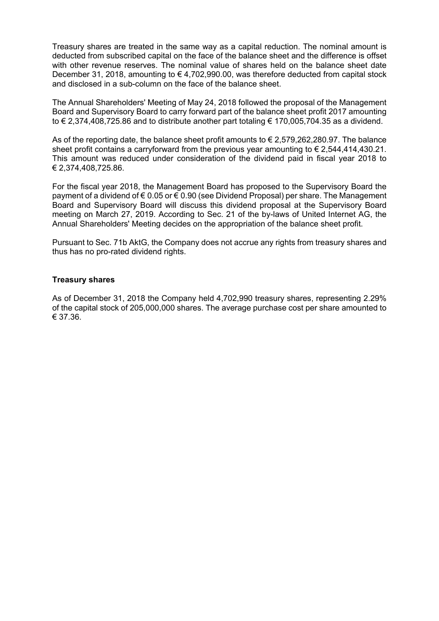Treasury shares are treated in the same way as a capital reduction. The nominal amount is deducted from subscribed capital on the face of the balance sheet and the difference is offset with other revenue reserves. The nominal value of shares held on the balance sheet date December 31, 2018, amounting to  $\epsilon$  4,702,990.00, was therefore deducted from capital stock and disclosed in a sub-column on the face of the balance sheet.

The Annual Shareholders' Meeting of May 24, 2018 followed the proposal of the Management Board and Supervisory Board to carry forward part of the balance sheet profit 2017 amounting to € 2,374,408,725.86 and to distribute another part totaling € 170,005,704.35 as a dividend.

As of the reporting date, the balance sheet profit amounts to  $\epsilon$  2,579,262,280.97. The balance sheet profit contains a carryforward from the previous year amounting to  $\epsilon$  2,544,414,430.21. This amount was reduced under consideration of the dividend paid in fiscal year 2018 to € 2,374,408,725.86.

For the fiscal year 2018, the Management Board has proposed to the Supervisory Board the payment of a dividend of  $\epsilon$  0.05 or  $\epsilon$  0.90 (see Dividend Proposal) per share. The Management Board and Supervisory Board will discuss this dividend proposal at the Supervisory Board meeting on March 27, 2019. According to Sec. 21 of the by-laws of United Internet AG, the Annual Shareholders' Meeting decides on the appropriation of the balance sheet profit.

Pursuant to Sec. 71b AktG, the Company does not accrue any rights from treasury shares and thus has no pro-rated dividend rights.

### **Treasury shares**

As of December 31, 2018 the Company held 4,702,990 treasury shares, representing 2.29% of the capital stock of 205,000,000 shares. The average purchase cost per share amounted to € 37.36.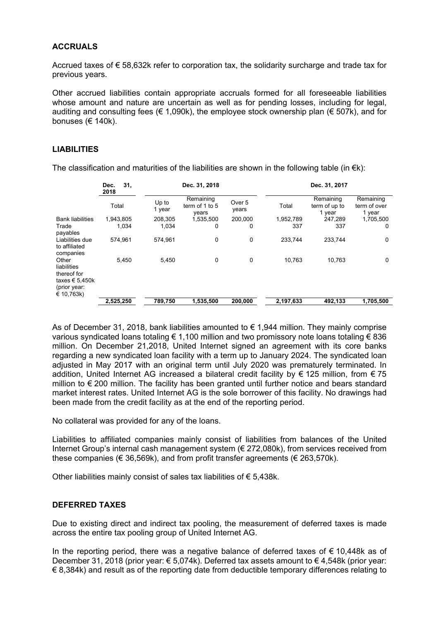# **ACCRUALS**

Accrued taxes of  $\epsilon$  58,632k refer to corporation tax, the solidarity surcharge and trade tax for previous years.

Other accrued liabilities contain appropriate accruals formed for all foreseeable liabilities whose amount and nature are uncertain as well as for pending losses, including for legal, auditing and consulting fees ( $\in$  1.090k), the employee stock ownership plan ( $\in$  507k), and for bonuses (€ 140k).

### **LIABILITIES**

The classification and maturities of the liabilities are shown in the following table (in  $\epsilon$ k):

|                                                                                     | 31,<br>Dec.<br>2018 |                 | Dec. 31, 2018                        |                 |           | Dec. 31, 2017                        |                                     |
|-------------------------------------------------------------------------------------|---------------------|-----------------|--------------------------------------|-----------------|-----------|--------------------------------------|-------------------------------------|
|                                                                                     | Total               | Up to<br>1 year | Remaining<br>term of 1 to 5<br>years | Over 5<br>years | Total     | Remaining<br>term of up to<br>1 year | Remaining<br>term of over<br>1 year |
| <b>Bank liabilities</b>                                                             | 1,943,805           | 208,305         | 1,535,500                            | 200,000         | 1,952,789 | 247,289                              | 1,705,500                           |
| Trade<br>payables                                                                   | 1.034               | 1.034           | 0                                    | 0               | 337       | 337                                  | 0                                   |
| Liabilities due<br>to affiliated<br>companies                                       | 574.961             | 574.961         | 0                                    | 0               | 233.744   | 233,744                              | $\mathbf 0$                         |
| Other<br>liabilities<br>thereof for<br>taxes € 5,450k<br>(prior year:<br>€ 10,763k) | 5,450               | 5,450           | 0                                    | 0               | 10,763    | 10,763                               | 0                                   |
|                                                                                     | 2,525,250           | 789.750         | 1.535.500                            | 200.000         | 2,197,633 | 492.133                              | 1,705,500                           |

As of December 31, 2018, bank liabilities amounted to € 1,944 million. They mainly comprise various syndicated loans totaling € 1,100 million and two promissory note loans totaling € 836 million. On December 21,2018, United Internet signed an agreement with its core banks regarding a new syndicated loan facility with a term up to January 2024. The syndicated loan adjusted in May 2017 with an original term until July 2020 was prematurely terminated. In addition, United Internet AG increased a bilateral credit facility by  $\epsilon$  125 million, from  $\epsilon$  75 million to € 200 million. The facility has been granted until further notice and bears standard market interest rates. United Internet AG is the sole borrower of this facility. No drawings had been made from the credit facility as at the end of the reporting period.

No collateral was provided for any of the loans.

Liabilities to affiliated companies mainly consist of liabilities from balances of the United Internet Group's internal cash management system (€ 272,080k), from services received from these companies ( $\in$  36,569k), and from profit transfer agreements ( $\in$  263,570k).

Other liabilities mainly consist of sales tax liabilities of € 5,438k.

### **DEFERRED TAXES**

Due to existing direct and indirect tax pooling, the measurement of deferred taxes is made across the entire tax pooling group of United Internet AG.

In the reporting period, there was a negative balance of deferred taxes of  $\epsilon$  10,448k as of December 31, 2018 (prior year: € 5,074k). Deferred tax assets amount to € 4,548k (prior year:  $\epsilon$  8,384k) and result as of the reporting date from deductible temporary differences relating to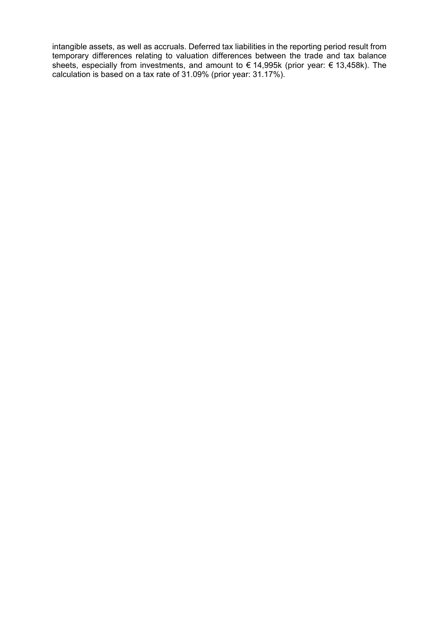intangible assets, as well as accruals. Deferred tax liabilities in the reporting period result from temporary differences relating to valuation differences between the trade and tax balance sheets, especially from investments, and amount to € 14,995k (prior year: € 13,458k). The calculation is based on a tax rate of 31.09% (prior year: 31.17%).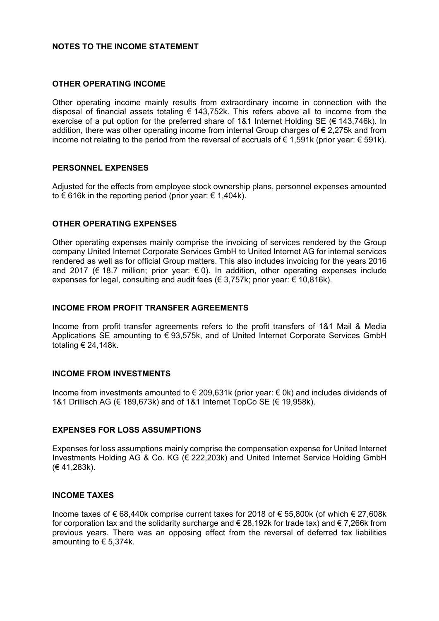# **NOTES TO THE INCOME STATEMENT**

### **OTHER OPERATING INCOME**

Other operating income mainly results from extraordinary income in connection with the disposal of financial assets totaling  $\epsilon$  143.752k. This refers above all to income from the exercise of a put option for the preferred share of 1&1 Internet Holding SE ( $\epsilon$  143,746k). In addition, there was other operating income from internal Group charges of € 2,275k and from income not relating to the period from the reversal of accruals of  $\epsilon$  1,591k (prior year:  $\epsilon$  591k).

### **PERSONNEL EXPENSES**

Adjusted for the effects from employee stock ownership plans, personnel expenses amounted to  $\epsilon$  616k in the reporting period (prior year:  $\epsilon$  1,404k).

### **OTHER OPERATING EXPENSES**

Other operating expenses mainly comprise the invoicing of services rendered by the Group company United Internet Corporate Services GmbH to United Internet AG for internal services rendered as well as for official Group matters. This also includes invoicing for the years 2016 and 2017 ( $\epsilon$  18.7 million; prior year:  $\epsilon$  0). In addition, other operating expenses include expenses for legal, consulting and audit fees ( $\in$  3,757k; prior year:  $\in$  10,816k).

### **INCOME FROM PROFIT TRANSFER AGREEMENTS**

Income from profit transfer agreements refers to the profit transfers of 1&1 Mail & Media Applications SE amounting to € 93,575k, and of United Internet Corporate Services GmbH totaling € 24,148k.

### **INCOME FROM INVESTMENTS**

Income from investments amounted to  $\epsilon$  209,631k (prior year:  $\epsilon$  0k) and includes dividends of 1&1 Drillisch AG (€ 189,673k) and of 1&1 Internet TopCo SE (€ 19,958k).

### **EXPENSES FOR LOSS ASSUMPTIONS**

Expenses for loss assumptions mainly comprise the compensation expense for United Internet Investments Holding AG & Co. KG (€ 222,203k) and United Internet Service Holding GmbH (€ 41,283k).

#### **INCOME TAXES**

Income taxes of € 68,440k comprise current taxes for 2018 of € 55,800k (of which € 27,608k for corporation tax and the solidarity surcharge and  $\in$  28,192k for trade tax) and  $\in$  7,266k from previous years. There was an opposing effect from the reversal of deferred tax liabilities amounting to  $\epsilon$  5,374k.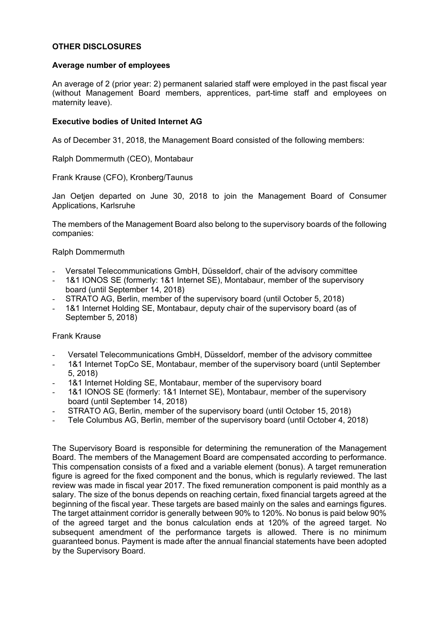# **OTHER DISCLOSURES**

# **Average number of employees**

An average of 2 (prior year: 2) permanent salaried staff were employed in the past fiscal year (without Management Board members, apprentices, part-time staff and employees on maternity leave).

# **Executive bodies of United Internet AG**

As of December 31, 2018, the Management Board consisted of the following members:

Ralph Dommermuth (CEO), Montabaur

Frank Krause (CFO), Kronberg/Taunus

Jan Oetjen departed on June 30, 2018 to join the Management Board of Consumer Applications, Karlsruhe

The members of the Management Board also belong to the supervisory boards of the following companies:

### Ralph Dommermuth

- Versatel Telecommunications GmbH, Düsseldorf, chair of the advisory committee
- 1&1 IONOS SE (formerly: 1&1 Internet SE), Montabaur, member of the supervisory board (until September 14, 2018)
- STRATO AG, Berlin, member of the supervisory board (until October 5, 2018)
- 1&1 Internet Holding SE, Montabaur, deputy chair of the supervisory board (as of September 5, 2018)

### Frank Krause

- Versatel Telecommunications GmbH, Düsseldorf, member of the advisory committee
- 1&1 Internet TopCo SE, Montabaur, member of the supervisory board (until September 5, 2018)
- 1&1 Internet Holding SE, Montabaur, member of the supervisory board
- 1&1 IONOS SE (formerly: 1&1 Internet SE), Montabaur, member of the supervisory board (until September 14, 2018)
- STRATO AG, Berlin, member of the supervisory board (until October 15, 2018)
- Tele Columbus AG, Berlin, member of the supervisory board (until October 4, 2018)

The Supervisory Board is responsible for determining the remuneration of the Management Board. The members of the Management Board are compensated according to performance. This compensation consists of a fixed and a variable element (bonus). A target remuneration figure is agreed for the fixed component and the bonus, which is regularly reviewed. The last review was made in fiscal year 2017. The fixed remuneration component is paid monthly as a salary. The size of the bonus depends on reaching certain, fixed financial targets agreed at the beginning of the fiscal year. These targets are based mainly on the sales and earnings figures. The target attainment corridor is generally between 90% to 120%. No bonus is paid below 90% of the agreed target and the bonus calculation ends at 120% of the agreed target. No subsequent amendment of the performance targets is allowed. There is no minimum guaranteed bonus. Payment is made after the annual financial statements have been adopted by the Supervisory Board.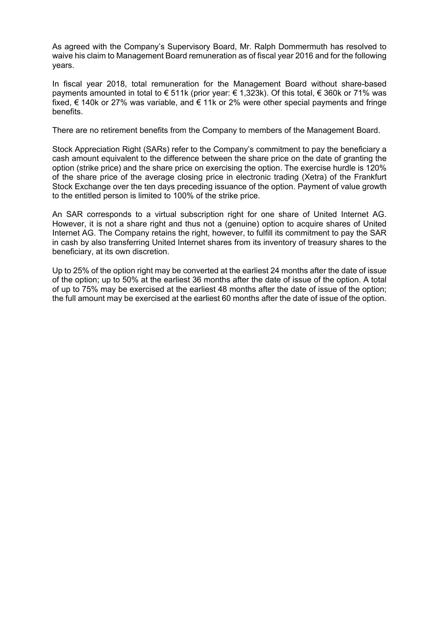As agreed with the Company's Supervisory Board, Mr. Ralph Dommermuth has resolved to waive his claim to Management Board remuneration as of fiscal year 2016 and for the following years.

In fiscal year 2018, total remuneration for the Management Board without share-based payments amounted in total to € 511k (prior year: € 1,323k). Of this total, € 360k or 71% was fixed, € 140k or 27% was variable, and € 11k or 2% were other special payments and fringe benefits.

There are no retirement benefits from the Company to members of the Management Board.

Stock Appreciation Right (SARs) refer to the Company's commitment to pay the beneficiary a cash amount equivalent to the difference between the share price on the date of granting the option (strike price) and the share price on exercising the option. The exercise hurdle is 120% of the share price of the average closing price in electronic trading (Xetra) of the Frankfurt Stock Exchange over the ten days preceding issuance of the option. Payment of value growth to the entitled person is limited to 100% of the strike price.

An SAR corresponds to a virtual subscription right for one share of United Internet AG. However, it is not a share right and thus not a (genuine) option to acquire shares of United Internet AG. The Company retains the right, however, to fulfill its commitment to pay the SAR in cash by also transferring United Internet shares from its inventory of treasury shares to the beneficiary, at its own discretion.

Up to 25% of the option right may be converted at the earliest 24 months after the date of issue of the option; up to 50% at the earliest 36 months after the date of issue of the option. A total of up to 75% may be exercised at the earliest 48 months after the date of issue of the option; the full amount may be exercised at the earliest 60 months after the date of issue of the option.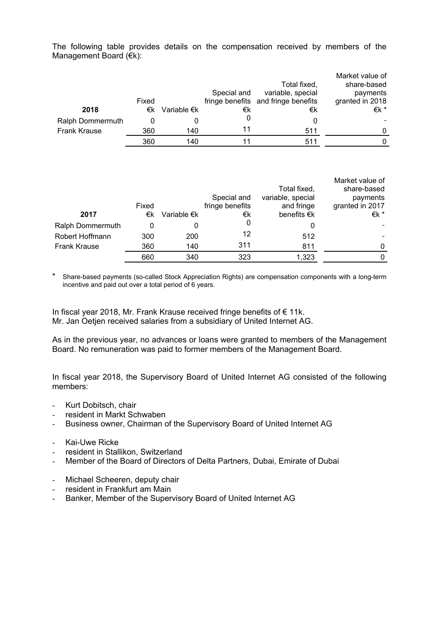The following table provides details on the compensation received by members of the Management Board (€k):

|                     |       |                       |             |                                     | Market value of |
|---------------------|-------|-----------------------|-------------|-------------------------------------|-----------------|
|                     |       |                       |             | Total fixed,                        | share-based     |
|                     |       |                       | Special and | variable, special                   | payments        |
|                     | Fixed |                       |             | fringe benefits and fringe benefits | granted in 2018 |
| 2018                | €k    | Variable $\epsilon$ k | €k          | €k                                  | €k *            |
| Ralph Dommermuth    |       |                       |             |                                     |                 |
| <b>Frank Krause</b> | 360   | 140                   | 11          | 511                                 |                 |
|                     | 360   | 140                   |             | 511                                 |                 |

|                  |       |                       |                 |                       | Market value of |
|------------------|-------|-----------------------|-----------------|-----------------------|-----------------|
|                  |       |                       |                 | Total fixed,          | share-based     |
|                  |       |                       | Special and     | variable, special     | payments        |
|                  | Fixed |                       | fringe benefits | and fringe            | granted in 2017 |
| 2017             | €k    | Variable $\epsilon$ k | €k              | benefits $\epsilon$ k | €k *            |
| Ralph Dommermuth |       |                       | 0               |                       |                 |
| Robert Hoffmann  | 300   | 200                   | 12              | 512                   |                 |
| Frank Krause     | 360   | 140                   | 311             | 811                   | 0               |
|                  | 660   | 340                   | 323             | 1,323                 | 0               |

Share-based payments (so-called Stock Appreciation Rights) are compensation components with a long-term incentive and paid out over a total period of 6 years.

In fiscal year 2018, Mr. Frank Krause received fringe benefits of € 11k. Mr. Jan Oetjen received salaries from a subsidiary of United Internet AG.

As in the previous year, no advances or loans were granted to members of the Management Board. No remuneration was paid to former members of the Management Board.

In fiscal year 2018, the Supervisory Board of United Internet AG consisted of the following members:

- Kurt Dobitsch, chair
- resident in Markt Schwaben
- Business owner, Chairman of the Supervisory Board of United Internet AG
- Kai-Uwe Ricke
- resident in Stallikon, Switzerland
- Member of the Board of Directors of Delta Partners, Dubai, Emirate of Dubai
- Michael Scheeren, deputy chair
- resident in Frankfurt am Main
- Banker, Member of the Supervisory Board of United Internet AG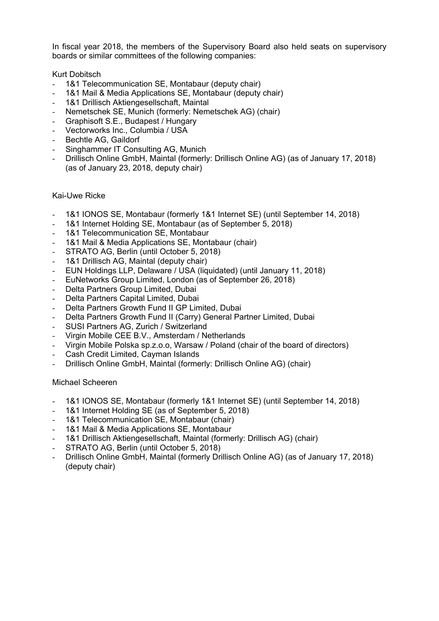In fiscal year 2018, the members of the Supervisory Board also held seats on supervisory boards or similar committees of the following companies:

Kurt Dobitsch

- 1&1 Telecommunication SE, Montabaur (deputy chair)
- 1&1 Mail & Media Applications SE, Montabaur (deputy chair)
- 1&1 Drillisch Aktiengesellschaft, Maintal
- Nemetschek SE, Munich (formerly: Nemetschek AG) (chair)
- Graphisoft S.E., Budapest / Hungary
- Vectorworks Inc., Columbia / USA
- Bechtle AG, Gaildorf
- Singhammer IT Consulting AG, Munich
- Drillisch Online GmbH, Maintal (formerly: Drillisch Online AG) (as of January 17, 2018) (as of January 23, 2018, deputy chair)

### Kai-Uwe Ricke

- 1&1 IONOS SE, Montabaur (formerly 1&1 Internet SE) (until September 14, 2018)
- 1&1 Internet Holding SE, Montabaur (as of September 5, 2018)
- 1&1 Telecommunication SE, Montabaur
- 1&1 Mail & Media Applications SE, Montabaur (chair)
- STRATO AG, Berlin (until October 5, 2018)
- 1&1 Drillisch AG, Maintal (deputy chair)
- EUN Holdings LLP, Delaware / USA (liquidated) (until January 11, 2018)
- EuNetworks Group Limited, London (as of September 26, 2018)
- Delta Partners Group Limited, Dubai
- Delta Partners Capital Limited, Dubai
- Delta Partners Growth Fund II GP Limited, Dubai
- Delta Partners Growth Fund II (Carry) General Partner Limited, Dubai
- SUSI Partners AG, Zurich / Switzerland
- Virgin Mobile CEE B.V., Amsterdam / Netherlands
- Virgin Mobile Polska sp.z.o.o, Warsaw / Poland (chair of the board of directors)
- Cash Credit Limited, Cayman Islands
- Drillisch Online GmbH, Maintal (formerly: Drillisch Online AG) (chair)

### Michael Scheeren

- 1&1 IONOS SE, Montabaur (formerly 1&1 Internet SE) (until September 14, 2018)
- 1&1 Internet Holding SE (as of September 5, 2018)
- 1&1 Telecommunication SE, Montabaur (chair)
- 1&1 Mail & Media Applications SE, Montabaur
- 1&1 Drillisch Aktiengesellschaft, Maintal (formerly: Drillisch AG) (chair)
- STRATO AG, Berlin (until October 5, 2018)
- Drillisch Online GmbH, Maintal (formerly Drillisch Online AG) (as of January 17, 2018) (deputy chair)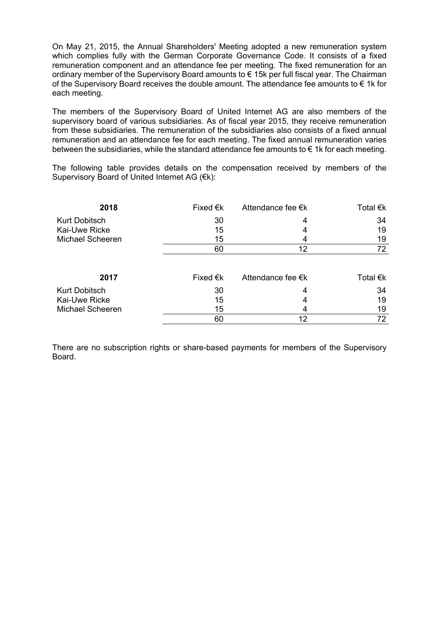On May 21, 2015, the Annual Shareholders' Meeting adopted a new remuneration system which complies fully with the German Corporate Governance Code. It consists of a fixed remuneration component and an attendance fee per meeting. The fixed remuneration for an ordinary member of the Supervisory Board amounts to € 15k per full fiscal year. The Chairman of the Supervisory Board receives the double amount. The attendance fee amounts to  $\epsilon$  1k for each meeting.

The members of the Supervisory Board of United Internet AG are also members of the supervisory board of various subsidiaries. As of fiscal year 2015, they receive remuneration from these subsidiaries. The remuneration of the subsidiaries also consists of a fixed annual remuneration and an attendance fee for each meeting. The fixed annual remuneration varies between the subsidiaries, while the standard attendance fee amounts to  $\epsilon$  1k for each meeting.

The following table provides details on the compensation received by members of the Supervisory Board of United Internet AG (€k):

| 2018                    | Fixed $\epsilon$ k | Attendance fee €k | Total €k                      |
|-------------------------|--------------------|-------------------|-------------------------------|
| <b>Kurt Dobitsch</b>    | 30                 | 4                 | 34                            |
| Kai-Uwe Ricke           | 15                 | 4                 | 19                            |
| <b>Michael Scheeren</b> | 15                 | 4                 | 19                            |
|                         | 60                 | 12                | 72                            |
| 2017                    | Fixed $\epsilon$ k | Attendance fee €k | Total $\epsilon$ <sub>k</sub> |
| <b>Kurt Dobitsch</b>    | 30                 | 4                 | 34                            |
| Kai-Uwe Ricke           | 15                 | 4                 | 19                            |
| <b>Michael Scheeren</b> | 15                 |                   | 19                            |
|                         | 60                 | 12                | 72                            |

There are no subscription rights or share-based payments for members of the Supervisory Board.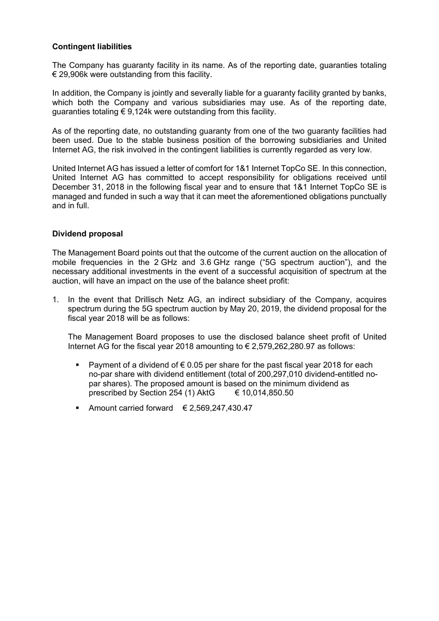# **Contingent liabilities**

The Company has guaranty facility in its name. As of the reporting date, guaranties totaling  $\epsilon$  29.906k were outstanding from this facility.

In addition, the Company is jointly and severally liable for a guaranty facility granted by banks, which both the Company and various subsidiaries may use. As of the reporting date, guaranties totaling € 9,124k were outstanding from this facility.

As of the reporting date, no outstanding guaranty from one of the two guaranty facilities had been used. Due to the stable business position of the borrowing subsidiaries and United Internet AG, the risk involved in the contingent liabilities is currently regarded as very low.

United Internet AG has issued a letter of comfort for 1&1 Internet TopCo SE. In this connection, United Internet AG has committed to accept responsibility for obligations received until December 31, 2018 in the following fiscal year and to ensure that 1&1 Internet TopCo SE is managed and funded in such a way that it can meet the aforementioned obligations punctually and in full.

# **Dividend proposal**

The Management Board points out that the outcome of the current auction on the allocation of mobile frequencies in the 2 GHz and 3.6 GHz range ("5G spectrum auction"), and the necessary additional investments in the event of a successful acquisition of spectrum at the auction, will have an impact on the use of the balance sheet profit:

1. In the event that Drillisch Netz AG, an indirect subsidiary of the Company, acquires spectrum during the 5G spectrum auction by May 20, 2019, the dividend proposal for the fiscal year 2018 will be as follows:

The Management Board proposes to use the disclosed balance sheet profit of United Internet AG for the fiscal year 2018 amounting to  $\epsilon$  2,579,262,280.97 as follows:

- **Payment of a dividend of**  $\epsilon$  **0.05 per share for the past fiscal year 2018 for each** no-par share with dividend entitlement (total of 200,297,010 dividend-entitled nopar shares). The proposed amount is based on the minimum dividend as prescribed by Section 254 (1) AktG  $\qquad \in 10,014,850.50$
- Amount carried forward  $\epsilon$  2,569,247,430.47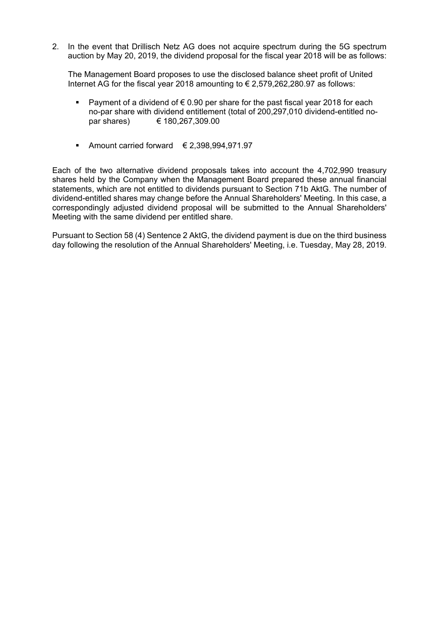2. In the event that Drillisch Netz AG does not acquire spectrum during the 5G spectrum auction by May 20, 2019, the dividend proposal for the fiscal year 2018 will be as follows:

The Management Board proposes to use the disclosed balance sheet profit of United Internet AG for the fiscal year 2018 amounting to  $\epsilon$  2,579,262,280.97 as follows:

- Payment of a dividend of  $\epsilon$  0.90 per share for the past fiscal year 2018 for each no-par share with dividend entitlement (total of 200,297,010 dividend-entitled nopar shares) € 180,267,309.00
- Amount carried forward  $\epsilon$  2,398,994,971.97

Each of the two alternative dividend proposals takes into account the 4,702,990 treasury shares held by the Company when the Management Board prepared these annual financial statements, which are not entitled to dividends pursuant to Section 71b AktG. The number of dividend-entitled shares may change before the Annual Shareholders' Meeting. In this case, a correspondingly adjusted dividend proposal will be submitted to the Annual Shareholders' Meeting with the same dividend per entitled share.

Pursuant to Section 58 (4) Sentence 2 AktG, the dividend payment is due on the third business day following the resolution of the Annual Shareholders' Meeting, i.e. Tuesday, May 28, 2019.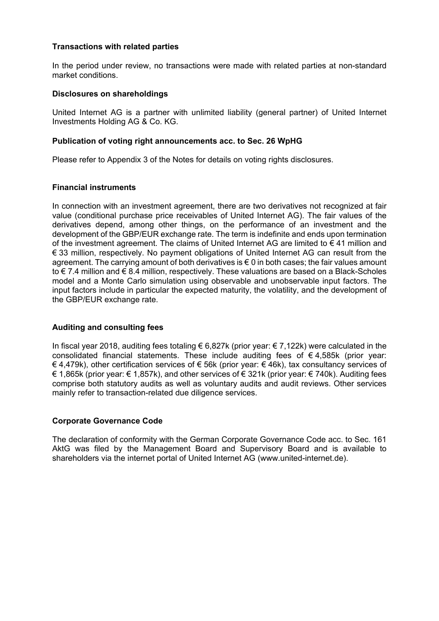# **Transactions with related parties**

In the period under review, no transactions were made with related parties at non-standard market conditions.

### **Disclosures on shareholdings**

United Internet AG is a partner with unlimited liability (general partner) of United Internet Investments Holding AG & Co. KG.

# **Publication of voting right announcements acc. to Sec. 26 WpHG**

Please refer to Appendix 3 of the Notes for details on voting rights disclosures.

### **Financial instruments**

In connection with an investment agreement, there are two derivatives not recognized at fair value (conditional purchase price receivables of United Internet AG). The fair values of the derivatives depend, among other things, on the performance of an investment and the development of the GBP/EUR exchange rate. The term is indefinite and ends upon termination of the investment agreement. The claims of United Internet AG are limited to  $\epsilon$  41 million and € 33 million, respectively. No payment obligations of United Internet AG can result from the agreement. The carrying amount of both derivatives is € 0 in both cases; the fair values amount to € 7.4 million and € 8.4 million, respectively. These valuations are based on a Black-Scholes model and a Monte Carlo simulation using observable and unobservable input factors. The input factors include in particular the expected maturity, the volatility, and the development of the GBP/EUR exchange rate.

# **Auditing and consulting fees**

In fiscal year 2018, auditing fees totaling € 6,827k (prior year: € 7,122k) were calculated in the consolidated financial statements. These include auditing fees of  $\epsilon$  4,585k (prior year: € 4,479k), other certification services of € 56k (prior year: € 46k), tax consultancy services of € 1,865k (prior year: € 1,857k), and other services of € 321k (prior year: € 740k). Auditing fees comprise both statutory audits as well as voluntary audits and audit reviews. Other services mainly refer to transaction-related due diligence services.

# **Corporate Governance Code**

The declaration of conformity with the German Corporate Governance Code acc. to Sec. 161 AktG was filed by the Management Board and Supervisory Board and is available to shareholders via the internet portal of United Internet AG (www.united-internet.de).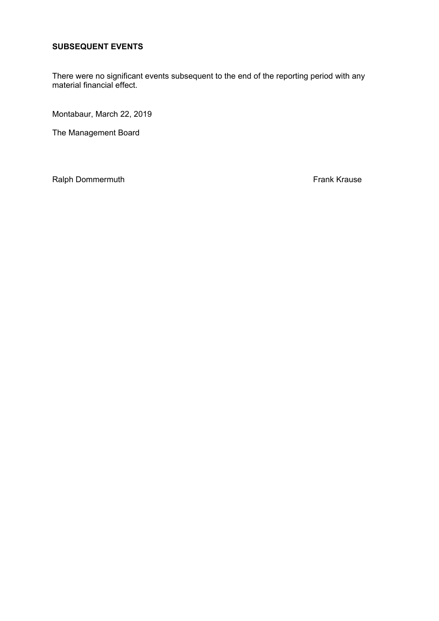# **SUBSEQUENT EVENTS**

There were no significant events subsequent to the end of the reporting period with any material financial effect.

Montabaur, March 22, 2019

The Management Board

Ralph Dommermuth **Frank Krause Frank Krause**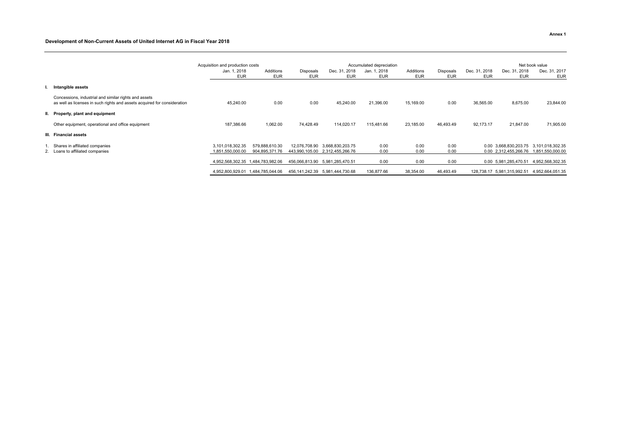### **Development of Non-Current Assets of United Internet AG in Fiscal Year 2018**

|    |                                                                                                                                   | Acquisition and production costs     |                                   | Accumulated depreciation |                                                     |                            |                         |                         | Net book value                  |                                                |                                      |
|----|-----------------------------------------------------------------------------------------------------------------------------------|--------------------------------------|-----------------------------------|--------------------------|-----------------------------------------------------|----------------------------|-------------------------|-------------------------|---------------------------------|------------------------------------------------|--------------------------------------|
|    |                                                                                                                                   | Jan. 1, 2018<br><b>EUR</b>           | Additions<br><b>EUR</b>           | Disposals<br><b>EUR</b>  | Dec. 31, 2018<br><b>EUR</b>                         | Jan. 1, 2018<br><b>EUR</b> | Additions<br><b>EUR</b> | Disposals<br><b>EUR</b> | . 2018<br>Dec. 31<br><b>EUR</b> | Dec. 31, 2018<br>EUR                           | Dec. 31, 2017<br>EUR                 |
| ъ. | Intangible assets                                                                                                                 |                                      |                                   |                          |                                                     |                            |                         |                         |                                 |                                                |                                      |
|    | Concessions, industrial and similar rights and assets<br>as well as licenses in such rights and assets acquired for consideration | 45.240.00                            | 0.00                              | 0.00                     | 45,240.00                                           | 21,396.00                  | 15,169.00               | 0.00                    | 36,565.00                       | 8,675.00                                       | 23,844.00                            |
|    | II. Property, plant and equipment                                                                                                 |                                      |                                   |                          |                                                     |                            |                         |                         |                                 |                                                |                                      |
|    | Other equipment, operational and office equipment                                                                                 | 187,386.66                           | 1,062.00                          | 74,428.49                | 114,020.17                                          | 115,481.66                 | 23,185.00               | 46,493.49               | 92,173.17                       | 21,847.00                                      | 71,905.00                            |
|    | III. Financial assets                                                                                                             |                                      |                                   |                          |                                                     |                            |                         |                         |                                 |                                                |                                      |
|    | Shares in affiliated companies<br>2. Loans to affiliated companies                                                                | 3,101,018,302.35<br>1,851,550,000.00 | 579,888,610.30<br>904,895,371.76  | 12,076,708.90            | 3,668,830,203.75<br>443,990,105.00 2,312,455,266.76 | 0.00<br>0.00               | 0.00<br>0.00            | 0.00<br>0.00            |                                 | 0.00 3.668,830,203.75<br>0.00 2,312,455,266.76 | 3,101,018,302.35<br>1,851,550,000.00 |
|    |                                                                                                                                   |                                      | 4,952,568,302.35 1,484,783,982.06 |                          | 456,066,813.90 5,981,285,470.51                     | 0.00                       | 0.00                    | 0.00                    |                                 | 0.00 5.981,285,470.51                          | 4,952,568,302.35                     |
|    |                                                                                                                                   |                                      | 4,952,800,929.01 1,484,785,044.06 | 456,141,242.39           | 5,981,444,730.68                                    | 136,877.66                 | 38,354.00               | 46,493.49               |                                 | 128,738.17 5,981,315,992.51                    | 4,952,664,051.35                     |

**Annex 1**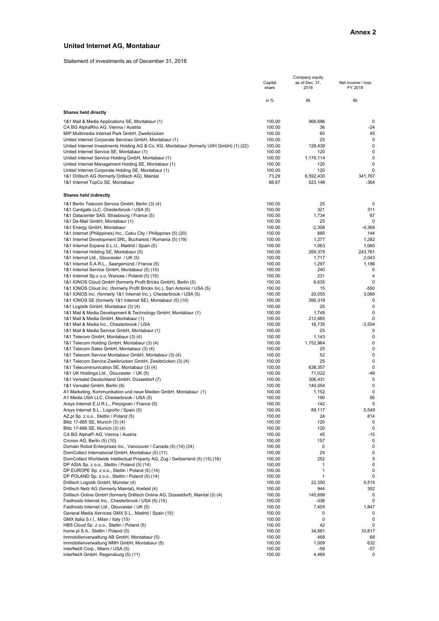### **United Internet AG, Montabaur**

Statement of investments as of December 31, 2018

|                                                                                          |                  | Company equity         |                              |
|------------------------------------------------------------------------------------------|------------------|------------------------|------------------------------|
|                                                                                          | Capital<br>share | as of Dec. 31,<br>2018 | Net income / loss<br>FY 2018 |
|                                                                                          | in %             | €k                     | €k                           |
| Shares held directly                                                                     |                  |                        |                              |
| 1&1 Mail & Media Applications SE, Montabaur (1)                                          | 100.00           | 968,686                | 0                            |
| CA BG AlphaRho AG, Vienna / Austria                                                      | 100.00           | 36                     | -24                          |
| MIP Multimedia Internet Park GmbH, Zweibrücken                                           | 100.00           | 60                     | 45                           |
| United Internet Corporate Services GmbH, Montabaur (1)                                   | 100.00           | 25                     | 0                            |
| United Internet Investments Holding AG & Co. KG, Montabaur (formerly UIIH GmbH) (1) (22) | 100.00           | 128,439                | 0                            |
| United Internet Service SE, Montabaur (1)                                                | 100.00           | 120                    | 0                            |
| United Internet Service Holding GmbH, Montabaur (1)                                      | 100.00           | 1,176,114              | 0                            |
| United Internet Management Holding SE, Montabaur (1)                                     | 100.00           | 120                    | 0                            |
| United Internet Corporate Holding SE, Montabaur (1)                                      | 100.00           | 120                    | 0                            |
| 1&1 Drillisch AG (formerly Drillisch AG), Maintal                                        | 73.29            | 6,592,430              | 341,767                      |
| 1&1 Internet TopCo SE, Montabaur                                                         | 66.67            | 523,148                | -364                         |
| Shares held indirectly                                                                   |                  |                        |                              |
| 1&1 Berlin Telecom Service GmbH, Berlin (3) (4)                                          | 100.00           | 25                     | 0                            |
| 1&1 Cardgate LLC, Chesterbrook / USA (5)                                                 | 100.00           | 321                    | 311                          |
| 1&1 Datacenter SAS, Strasbourg / France (5)                                              | 100.00           | 1,734                  | 67                           |
| 1&1 De-Mail GmbH, Montabaur (1)                                                          | 100.00           | 25                     | 0                            |
| 1&1 Energy GmbH, Montabaur                                                               | 100.00           | $-2,308$               | $-4,368$                     |
| 1&1 Internet (Philippines) Inc., Cebu City / Philippines (5) (20)                        | 100.00           | 885                    | 144                          |
| 1&1 Internet Development SRL, Bucharest / Romania (5) (19)                               | 100.00           | 1,277                  | 1,282                        |
| 1&1 Internet Espana S.L.U., Madrid / Spain (5)                                           | 100.00           | 1,063                  | 1,060                        |
| 1&1 Internet Holding SE, Montabaur (5)                                                   | 100.00           | 269,375                | 243,761                      |
| 1&1 Internet Ltd., Gloucester / UK (5)                                                   | 100.00           | 1,717                  | 2,043                        |
| 1&1 Internet S.A.R.L., Saargemünd / France (5)                                           | 100.00           | 1,297                  | 1,186                        |
| 1&1 Internet Service GmbH, Montabaur (5) (10)                                            | 100.00           | 240                    | 0                            |
| 1&1 Internet Sp.z o.o, Warsaw / Poland (5) (15)                                          | 100.00           | 231                    | 4                            |
| 1&1 IONOS Cloud GmbH (formerly Profit Bricks GmbH), Berlin (5)                           | 100.00           | 6,635                  | 0                            |
| 1&1 IONOS Cloud Inc. (formerly Profit Bricks Inc.), San Antonio / USA (5)                | 100.00           | 15                     | -550                         |
| 1&1 IONOS Inc. (formerly 1&1 Internet Inc.), Chesterbrook / USA (5)                      | 100.00           | 20,055                 | 3,066                        |
| 1&1 IONOS SE (formerly 1&1 Internet SE), Montabaur (5) (10)                              | 100.00           | 390,319                | 0                            |
| 1&1 Logistik GmbH, Montabaur (3) (4)                                                     | 100.00           | 25                     | 0                            |
| 1&1 Mail & Media Development & Technology GmbH, Montabaur (1)                            | 100.00           | 1,748                  | 0                            |
| 1&1 Mail & Media GmbH, Montabaur (1)                                                     | 100.00           | 212,665                | 0                            |
| 1&1 Mail & Media Inc., Chesterbrook / USA                                                | 100.00           | 16,735                 | $-3,554$                     |
| 1&1 Mail & Media Service GmbH, Montabaur (1)                                             | 100.00           | 25                     | 0                            |
|                                                                                          | 100.00           | 1,143                  | 0                            |
| 1&1 Telecom GmbH, Montabaur (3) (4)                                                      |                  |                        | 0                            |
| 1&1 Telecom Holding GmbH, Montabaur (3) (4)                                              | 100.00           | 1,752,964              | 0                            |
| 1&1 Telecom Sales GmbH, Montabaur (3) (4)                                                | 100.00           | 25                     |                              |
| 1&1 Telecom Service Montabaur GmbH, Montabaur (3) (4)                                    | 100.00           | 52                     | 0                            |
| 1&1 Telecom Service Zweibrücken GmbH, Zweibrücken (3) (4)                                | 100.00           | 25                     | 0                            |
| 1&1 Telecommunication SE, Montabaur (3) (4)                                              | 100.00           | 638,357                | 0                            |
| 1&1 UK Holdings Ltd., Gloucester / UK (5)                                                | 100.00           | 71,022                 | $-49$                        |
| 1&1 Versatel Deutschland GmbH, Düsseldorf (7)                                            | 100.00           | 306,431                | 0                            |
| 1&1 Versatel GmbH, Berlin (8)                                                            | 100.00           | 140,054                | 0                            |
| A1 Marketing, Kommunikation und neue Medien GmbH, Montabaur (1)                          | 100.00           | 1,152                  | 0                            |
| A1 Media USA LLC, Chesterbrook / USA (5)                                                 | 100.00           | 190                    | 56                           |
| Arsys Internet E.U.R.L., Perpignan / France (5)                                          | 100.00           | 142                    |                              |
| Arsys Internet S.L., Logroño / Spain (5)                                                 | 100.00           | 89,117                 | 5,549                        |
| AZ.pl Sp. z o.o., Stettin / Poland (5)                                                   | 100.00           | 24                     | 814                          |
| Blitz 17-665 SE, Munich (3) (4)                                                          | 100.00           | 120                    | 0                            |
| Blitz 17-666 SE, Munich (3) (4)                                                          | 100.00           | 120                    | 0                            |
| CA BG AlphaPi AG, Vienna / Austria                                                       | 100.00           | 45                     | $-15$                        |
| Cronon AG, Berlin (5) (10)                                                               | 100.00           | 157                    | 0                            |
| Domain Robot Enterprises Inc., Vancouver / Canada (5) (14) (24)                          | 100.00           | 0                      | 0                            |
| DomCollect International GmbH, Montabaur (5) (11)                                        | 100.00           | 25                     | 0                            |
| DomCollect Worldwide Intellectual Property AG, Zug / Switzerland (5) (15) (18)           | 100.00           | 252                    | 5                            |
| DP ASIA Sp. z o.o., Stettin / Poland (5) (14)                                            | 100.00           | 1                      | 0                            |
| DP EUROPE Sp. z o.o., Stettin / Poland (5) (14)                                          | 100.00           | 1                      | 0                            |
| DP POLAND Sp. z o.o., Stettin / Poland (5) (14)                                          | 100.00           | 1                      | 0                            |
| Drillisch Logistik GmbH, Münster (4)                                                     | 100.00           | 22,350                 | 5,515                        |
| Drillisch Netz AG (formerly Maintal), Krefeld (4)                                        | 100.00           | 944                    | 302                          |
| Drillisch Online GmbH (formerly Drillisch Online AG, Düsseldorf), Maintal (3) (4)        | 100.00           | 145,699                | 0                            |
| Fasthosts Internet Inc., Chesterbrook / USA (5) (15)                                     | 100.00           | $-336$                 | 0                            |
| Fasthosts Internet Ltd., Gloucester / UK (5)                                             | 100.00           | 7,405                  | 1,847                        |
| General Media Xervices GMX S.L., Madrid / Spain (15)                                     | 100.00           | 0                      |                              |
| GMX Italia S.r.l., Milan / Italy (15)                                                    | 100.00           | 0                      | 0                            |
| HBS Cloud Sp. z o.o., Stettin / Poland (5)                                               | 100.00           | 42                     |                              |
| home.pl S.A., Stettin / Poland (5)                                                       | 100.00           | 34,881                 | 10,817                       |
| Immobilienverwaltung AB GmbH, Montabaur (5)                                              | 100.00           | 468                    | 68                           |
| Immobilienverwaltung NMH GmbH, Montabaur (5)                                             | 100.00           | 1,009                  | 632                          |
| InterNetX Corp., Miami / USA (5)                                                         | 100.00           | $-59$                  | -57                          |
| InterNetX GmbH, Regensburg (5) (11)                                                      | 100.00           | 4,469                  | 0                            |
|                                                                                          |                  |                        |                              |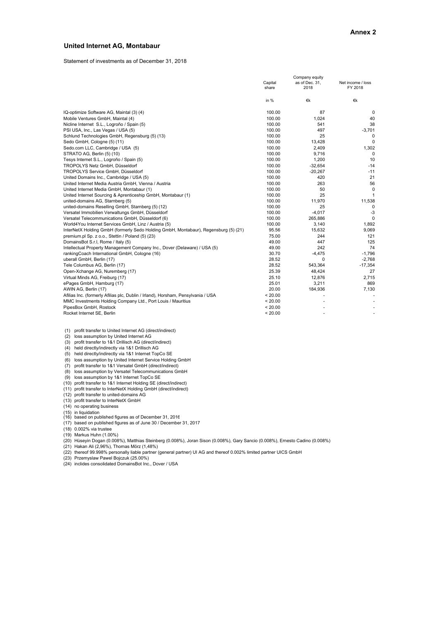#### **United Internet AG, Montabaur**

Statement of investments as of December 31, 2018

|                                                                                     | Company equity   |                        |                              |  |
|-------------------------------------------------------------------------------------|------------------|------------------------|------------------------------|--|
|                                                                                     | Capital<br>share | as of Dec. 31,<br>2018 | Net income / loss<br>FY 2018 |  |
|                                                                                     | in %             | €k                     | €k                           |  |
| IQ-optimize Software AG, Maintal (3) (4)                                            | 100.00           | 87                     | 0                            |  |
| Mobile Ventures GmbH, Maintal (4)                                                   | 100.00           | 1,024                  | 40                           |  |
| Nicline Internet S.L., Logroño / Spain (5)                                          | 100.00           | 541                    | 38                           |  |
| PSI USA, Inc., Las Vegas / USA (5)                                                  | 100.00           | 497                    | $-3,701$                     |  |
| Schlund Technologies GmbH, Regensburg (5) (13)                                      | 100.00           | 25                     | 0                            |  |
| Sedo GmbH, Cologne (5) (11)                                                         | 100.00           | 13,428                 | 0                            |  |
| Sedo.com LLC, Cambridge / USA (5)                                                   | 100.00           | 2,409                  | 1,302                        |  |
| STRATO AG, Berlin (5) (10)                                                          | 100.00           | 9,716                  | 0                            |  |
| Tesys Internet S.L., Logroño / Spain (5)                                            | 100.00           | 1,200                  | 10                           |  |
| TROPOLYS Netz GmbH, Düsseldorf                                                      | 100.00           | $-32,654$              | $-14$                        |  |
| TROPOLYS Service GmbH, Düsseldorf                                                   | 100.00           | $-20,267$              | $-11$                        |  |
| United Domains Inc., Cambridge / USA (5)                                            | 100.00           | 420                    | 21                           |  |
| United Internet Media Austria GmbH, Vienna / Austria                                | 100.00           | 263                    | 56                           |  |
| United Internet Media GmbH, Montabaur (1)                                           | 100.00           | 50                     | $\mathbf 0$                  |  |
| United Internet Sourcing & Aprenticeship GmbH, Montabaur (1)                        | 100.00           | 25                     | $\mathbf{1}$                 |  |
| united-domains AG, Starnberg (5)                                                    | 100.00           | 11,970                 | 11,538                       |  |
| united-domains Reselling GmbH, Starnberg (5) (12)                                   | 100.00           | 25                     | 0                            |  |
| Versatel Immobilien Verwaltungs GmbH, Düsseldorf                                    | 100.00           | $-4,017$               | $-3$                         |  |
| Versatel Telecommunications GmbH, Düsseldorf (6)                                    | 100.00           | 265,886                | 0                            |  |
| World4You Internet Services GmbH, Linz / Austria (5)                                | 100.00           | 3,140                  | 1,892                        |  |
| InterNetX Holding GmbH (formerly Sedo Holding GmbH, Montabaur), Regensburg (5) (21) | 95.56            | 15,632                 | 9,069                        |  |
| premium.pl Sp. z o.o., Stettin / Poland (5) (23)                                    | 75.00            | 244                    | 121                          |  |
| DomainsBot S.r.I, Rome / Italy (5)                                                  | 49.00            | 447                    | 125                          |  |
| Intellectual Property Management Company Inc., Dover (Delaware) / USA (5)           | 49.00            | 242                    | 74                           |  |
| rankingCoach International GmbH, Cologne (16)                                       | 30.70            | $-4,475$               | $-1,796$                     |  |
| uberall GmbH, Berlin (17)                                                           | 28.52            | $\Omega$               | $-2,768$                     |  |
| Tele Columbus AG, Berlin (17)                                                       | 28.52            | 543,364                | $-17,354$                    |  |
| Open-Xchange AG, Nuremberg (17)                                                     | 25.39            | 48,424                 | 27                           |  |
| Virtual Minds AG, Freiburg (17)                                                     | 25.10            | 12,876                 | 2,715                        |  |
| ePages GmbH, Hamburg (17)                                                           | 25.01            | 3,211                  | 869                          |  |
| AWIN AG, Berlin (17)                                                                | 20.00            | 184,936                | 7,130                        |  |
| Afilias Inc. (formerly Afilias plc, Dublin / Irland), Horsham, Pensylvania / USA    | < 20.00          |                        |                              |  |
| MMC Investments Holding Company Ltd., Port Louis / Mauritius                        | < 20.00          |                        |                              |  |
| PipesBox GmbH, Rostock                                                              | < 20.00          |                        |                              |  |
| Rocket Internet SE, Berlin                                                          | < 20.00          |                        | ٠                            |  |

(1) profit transfer to United Internet AG (direct/indirect)

(2) loss assumption by United Internet AG (3) profit transfer to 1&1 Drillisch AG (direct/indirect)

 (4) held directly/indirectly via 1&1 Drillisch AG (5) held directly/indirectly via 1&1 Internet TopCo SE

(6) loss assumption by United Internet Service Holding GmbH

(7) profit transfer to 1&1 Versatel GmbH (direct/indirect)

(8) loss assumption by Versatel Telecommunications GmbH (9) loss assumption by 1&1 Internet TopCo SE

(10) profit transfer to 1&1 Internet Holding SE (direct/indirect)

(11) profit transfer to InterNetX Holding GmbH (direct/indirect)

(12) profit transfer to united-domains AG

(13) profit transfer to InterNetX GmbH (14) no operating business

(15) in liquidation (16) based on published figures as of December 31, 2016 (17) based on published figures as of June 30 / December 31, 2017

(18) 0.002% via trustee

(19) Markus Huhn (1.00%)

(20) Hùseyin Dogan (0.008%), Matthias Steinberg (0.008%), Joran Sison (0.008%), Gary Sancio (0.008%), Ernesto Cadino (0.008%)

(21) Hakan Ali (2,96%), Thomas Mörz (1,48%)

(22) thereof 99.998% personally liable partner (general partner) UI AG and thereof 0.002% limited partner UICS GmbH (23) Przemyslaw Pawel Bojczuk (25.00%)

(24) inclides consolidated DomainsBot Inc., Dover / USA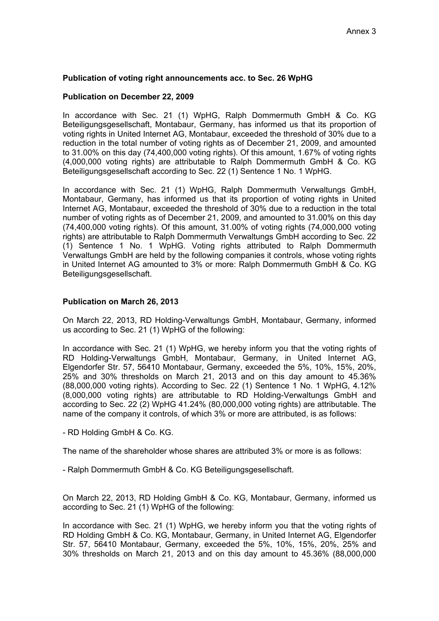# **Publication of voting right announcements acc. to Sec. 26 WpHG**

### **Publication on December 22, 2009**

In accordance with Sec. 21 (1) WpHG, Ralph Dommermuth GmbH & Co. KG Beteiligungsgesellschaft, Montabaur, Germany, has informed us that its proportion of voting rights in United Internet AG, Montabaur, exceeded the threshold of 30% due to a reduction in the total number of voting rights as of December 21, 2009, and amounted to 31.00% on this day (74,400,000 voting rights). Of this amount, 1.67% of voting rights (4,000,000 voting rights) are attributable to Ralph Dommermuth GmbH & Co. KG Beteiligungsgesellschaft according to Sec. 22 (1) Sentence 1 No. 1 WpHG.

In accordance with Sec. 21 (1) WpHG, Ralph Dommermuth Verwaltungs GmbH, Montabaur, Germany, has informed us that its proportion of voting rights in United Internet AG, Montabaur, exceeded the threshold of 30% due to a reduction in the total number of voting rights as of December 21, 2009, and amounted to 31.00% on this day (74,400,000 voting rights). Of this amount, 31.00% of voting rights (74,000,000 voting rights) are attributable to Ralph Dommermuth Verwaltungs GmbH according to Sec. 22 (1) Sentence 1 No. 1 WpHG. Voting rights attributed to Ralph Dommermuth Verwaltungs GmbH are held by the following companies it controls, whose voting rights in United Internet AG amounted to 3% or more: Ralph Dommermuth GmbH & Co. KG Beteiligungsgesellschaft.

# **Publication on March 26, 2013**

On March 22, 2013, RD Holding-Verwaltungs GmbH, Montabaur, Germany, informed us according to Sec. 21 (1) WpHG of the following:

In accordance with Sec. 21 (1) WpHG, we hereby inform you that the voting rights of RD Holding-Verwaltungs GmbH, Montabaur, Germany, in United Internet AG, Elgendorfer Str. 57, 56410 Montabaur, Germany, exceeded the 5%, 10%, 15%, 20%, 25% and 30% thresholds on March 21, 2013 and on this day amount to 45.36% (88,000,000 voting rights). According to Sec. 22 (1) Sentence 1 No. 1 WpHG, 4.12% (8,000,000 voting rights) are attributable to RD Holding-Verwaltungs GmbH and according to Sec. 22 (2) WpHG 41.24% (80,000,000 voting rights) are attributable. The name of the company it controls, of which 3% or more are attributed, is as follows:

- RD Holding GmbH & Co. KG.

The name of the shareholder whose shares are attributed 3% or more is as follows:

- Ralph Dommermuth GmbH & Co. KG Beteiligungsgesellschaft.

On March 22, 2013, RD Holding GmbH & Co. KG, Montabaur, Germany, informed us according to Sec. 21 (1) WpHG of the following:

In accordance with Sec. 21 (1) WpHG, we hereby inform you that the voting rights of RD Holding GmbH & Co. KG, Montabaur, Germany, in United Internet AG, Elgendorfer Str. 57, 56410 Montabaur, Germany, exceeded the 5%, 10%, 15%, 20%, 25% and 30% thresholds on March 21, 2013 and on this day amount to 45.36% (88,000,000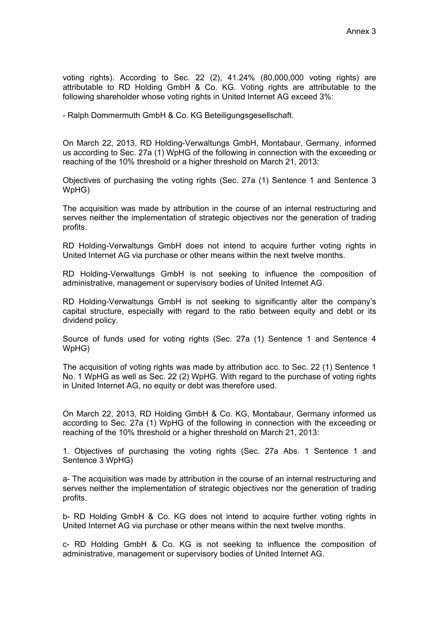voting rights). According to Sec. 22 (2), 41.24% (80,000,000 voting rights) are attributable to RD Holding GmbH & Co. KG. Voting rights are attributable to the following shareholder whose voting rights in United Internet AG exceed 3%:

- Ralph Dommermuth GmbH & Co. KG Beteiligungsgesellschaft.

On March 22, 2013, RD Holding-Verwaltungs GmbH, Montabaur, Germany, informed us according to Sec. 27a (1) WpHG of the following in connection with the exceeding or reaching of the 10% threshold or a higher threshold on March 21, 2013:

Objectives of purchasing the voting rights (Sec. 27a (1) Sentence 1 and Sentence 3 WpHG)

The acquisition was made by attribution in the course of an internal restructuring and serves neither the implementation of strategic objectives nor the generation of trading profits.

RD Holding-Verwaltungs GmbH does not intend to acquire further voting rights in United Internet AG via purchase or other means within the next twelve months.

RD Holding-Verwaltungs GmbH is not seeking to influence the composition of administrative, management or supervisory bodies of United Internet AG.

RD Holding-Verwaltungs GmbH is not seeking to significantly alter the company's capital structure, especially with regard to the ratio between equity and debt or its dividend policy.

Source of funds used for voting rights (Sec. 27a (1) Sentence 1 and Sentence 4 WpHG)

The acquisition of voting rights was made by attribution acc. to Sec. 22 (1) Sentence 1 No. 1 WpHG as well as Sec. 22 (2) WpHG. With regard to the purchase of voting rights in United Internet AG, no equity or debt was therefore used.

On March 22, 2013, RD Holding GmbH & Co. KG, Montabaur, Germany informed us according to Sec. 27a (1) WpHG of the following in connection with the exceeding or reaching of the 10% threshold or a higher threshold on March 21, 2013:

1. Objectives of purchasing the voting rights (Sec. 27a Abs. 1 Sentence 1 and Sentence 3 WpHG)

a- The acquisition was made by attribution in the course of an internal restructuring and serves neither the implementation of strategic objectives nor the generation of trading profits.

b- RD Holding GmbH & Co. KG does not intend to acquire further voting rights in United Internet AG via purchase or other means within the next twelve months.

c- RD Holding GmbH & Co. KG is not seeking to influence the composition of administrative, management or supervisory bodies of United Internet AG.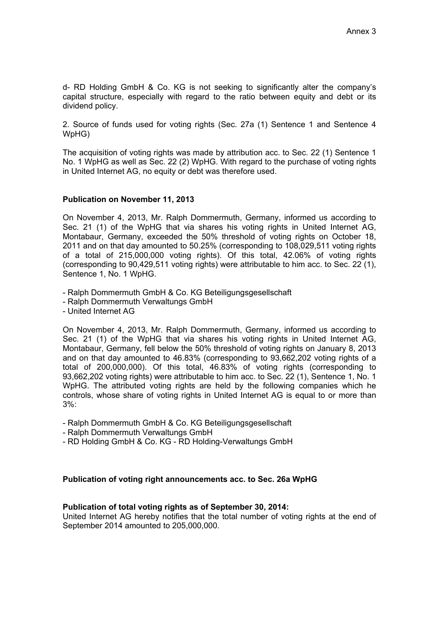d- RD Holding GmbH & Co. KG is not seeking to significantly alter the company's capital structure, especially with regard to the ratio between equity and debt or its dividend policy.

2. Source of funds used for voting rights (Sec. 27a (1) Sentence 1 and Sentence 4 WpHG)

The acquisition of voting rights was made by attribution acc. to Sec. 22 (1) Sentence 1 No. 1 WpHG as well as Sec. 22 (2) WpHG. With regard to the purchase of voting rights in United Internet AG, no equity or debt was therefore used.

#### **Publication on November 11, 2013**

On November 4, 2013, Mr. Ralph Dommermuth, Germany, informed us according to Sec. 21 (1) of the WpHG that via shares his voting rights in United Internet AG, Montabaur, Germany, exceeded the 50% threshold of voting rights on October 18, 2011 and on that day amounted to 50.25% (corresponding to 108,029,511 voting rights of a total of 215,000,000 voting rights). Of this total, 42.06% of voting rights (corresponding to 90,429,511 voting rights) were attributable to him acc. to Sec. 22 (1), Sentence 1, No. 1 WpHG.

- Ralph Dommermuth GmbH & Co. KG Beteiligungsgesellschaft

- Ralph Dommermuth Verwaltungs GmbH

- United Internet AG

On November 4, 2013, Mr. Ralph Dommermuth, Germany, informed us according to Sec. 21 (1) of the WpHG that via shares his voting rights in United Internet AG, Montabaur, Germany, fell below the 50% threshold of voting rights on January 8, 2013 and on that day amounted to 46.83% (corresponding to 93,662,202 voting rights of a total of 200,000,000). Of this total, 46.83% of voting rights (corresponding to 93,662,202 voting rights) were attributable to him acc. to Sec. 22 (1), Sentence 1, No. 1 WpHG. The attributed voting rights are held by the following companies which he controls, whose share of voting rights in United Internet AG is equal to or more than 3%:

- Ralph Dommermuth GmbH & Co. KG Beteiligungsgesellschaft
- Ralph Dommermuth Verwaltungs GmbH
- RD Holding GmbH & Co. KG RD Holding-Verwaltungs GmbH

#### **Publication of voting right announcements acc. to Sec. 26a WpHG**

#### **Publication of total voting rights as of September 30, 2014:**

United Internet AG hereby notifies that the total number of voting rights at the end of September 2014 amounted to 205,000,000.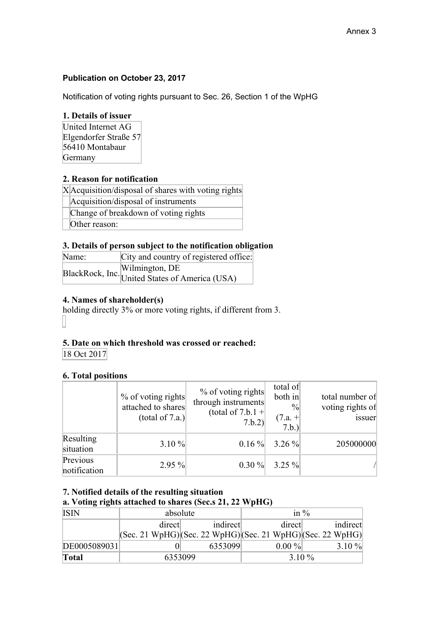# **Publication on October 23, 2017**

Notification of voting rights pursuant to Sec. 26, Section 1 of the WpHG

# **1. Details of issuer**

United Internet AG Elgendorfer Straße 57 56410 Montabaur Germany

# **2. Reason for notification**

X Acquisition/disposal of shares with voting rights

Acquisition/disposal of instruments

Change of breakdown of voting rights

Other reason:

# **3. Details of person subject to the notification obligation**

| Name: | City and country of registered office:                           |
|-------|------------------------------------------------------------------|
|       | BlackRock, Inc. Wilmington, DE<br>United States of America (USA) |
|       |                                                                  |

# **4. Names of shareholder(s)**

holding directly 3% or more voting rights, if different from 3. 

# **5. Date on which threshold was crossed or reached:**

18 Oct 2017

# **6. Total positions**

|                          | $%$ of voting rights<br>attached to shares<br>(total of 7.a.) | $%$ of voting rights<br>through instruments<br>(total of 7.b.1 +<br>7.b.2) | total of<br>both in<br>$\frac{0}{0}$<br>$(7.a. +$<br>7.b.) | total number of<br>voting rights of<br>issuer |
|--------------------------|---------------------------------------------------------------|----------------------------------------------------------------------------|------------------------------------------------------------|-----------------------------------------------|
| Resulting<br>situation   | $3.10 \%$                                                     |                                                                            | $0.16\%$ 3.26 %                                            | 205000000                                     |
| Previous<br>notification | $2.95\%$                                                      | $0.30 \%$                                                                  | $3.25 \%$                                                  |                                               |

**7. Notified details of the resulting situation**

# **a. Voting rights attached to shares (Sec.s 21, 22 WpHG)**

| <b>ISIN</b>  | absolute                                                                                |          | in $\%$  |          |  |
|--------------|-----------------------------------------------------------------------------------------|----------|----------|----------|--|
|              | direct                                                                                  | indirect | direct   | indirect |  |
|              | $ ({\rm Sec. 21 WpHG}) ({\rm Sec. 22 WpHG}) ({\rm Sec. 21 WpHG}) ({\rm Sec. 22 WpHG}) $ |          |          |          |  |
| DE0005089031 |                                                                                         | 6353099  | $0.00\%$ | 3.10 $%$ |  |
| <b>Total</b> | 6353099                                                                                 |          | $3.10\%$ |          |  |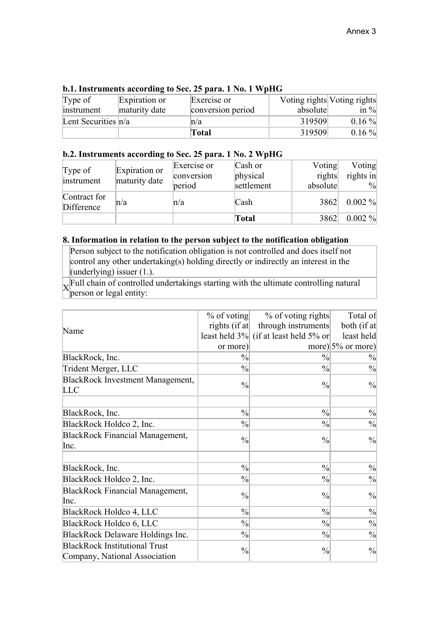| Type of               | Expiration or | Exercise or       |          | Voting rights Voting rights |
|-----------------------|---------------|-------------------|----------|-----------------------------|
| instrument            | maturity date | conversion period | absolute | in $\%$                     |
| Lent Securities $n/a$ |               | ln/a              | 319509   | $0.16\%$                    |
|                       |               | <b>Total</b>      | 319509   | $0.16\%$                    |

### **b.1. Instruments according to Sec. 25 para. 1 No. 1 WpHG**

#### **b.2. Instruments according to Sec. 25 para. 1 No. 2 WpHG**

 $\overline{\phantom{a}}$ 

| Type of<br>instrument      | Expiration or<br>maturity date | Exercise or<br>conversion<br>period | Cash or<br>physical<br>settlement | Voting<br>rights<br>absolute | Voting<br>rights in<br>$\frac{0}{0}$ |
|----------------------------|--------------------------------|-------------------------------------|-----------------------------------|------------------------------|--------------------------------------|
| Contract for<br>Difference | n/a                            | n/a                                 | Cash                              | 3862                         | $0.002\%$                            |
|                            |                                |                                     | Total                             | 3862                         | $0.002\%$                            |

### **8. Information in relation to the person subject to the notification obligation**

Person subject to the notification obligation is not controlled and does itself not control any other undertaking(s) holding directly or indirectly an interest in the (underlying) issuer  $(1)$ .

 $\overline{X}$  Full chain of controlled undertakings starting with the ultimate controlling natural person or legal entity:

|                                                                       | $%$ of voting | % of voting rights                    | Total of             |
|-----------------------------------------------------------------------|---------------|---------------------------------------|----------------------|
| Name                                                                  | rights (if at | through instruments                   | both (if at          |
|                                                                       |               | least held 3% (if at least held 5% or | least held           |
|                                                                       | or more)      |                                       | more) $5\%$ or more) |
| BlackRock, Inc.                                                       | $\frac{0}{0}$ | $\frac{0}{0}$                         | $\frac{0}{0}$        |
| Trident Merger, LLC                                                   | $\frac{0}{0}$ | $\frac{0}{0}$                         | $\frac{0}{0}$        |
| BlackRock Investment Management,<br><b>LLC</b>                        | $\frac{0}{0}$ | $\frac{0}{0}$                         | $\frac{0}{0}$        |
|                                                                       |               |                                       |                      |
| BlackRock, Inc.                                                       | $\frac{0}{0}$ | $\frac{0}{0}$                         | $\frac{0}{0}$        |
| BlackRock Holdco 2, Inc.                                              | $\frac{0}{0}$ | $\frac{0}{0}$                         | $\frac{0}{0}$        |
| <b>BlackRock Financial Management,</b>                                | $\frac{0}{0}$ | $\frac{0}{0}$                         | $\frac{0}{0}$        |
| Inc.                                                                  |               |                                       |                      |
| BlackRock, Inc.                                                       | $\frac{0}{0}$ | $\frac{0}{0}$                         | $\frac{0}{0}$        |
| BlackRock Holdco 2, Inc.                                              | $\frac{0}{0}$ | $\frac{0}{0}$                         | $\frac{0}{0}$        |
| <b>BlackRock Financial Management,</b><br>Inc.                        | $\frac{0}{0}$ | $\frac{0}{0}$                         | $\frac{0}{0}$        |
| BlackRock Holdco 4, LLC                                               | $\frac{0}{0}$ | $\frac{0}{0}$                         | $\frac{0}{0}$        |
| BlackRock Holdco 6, LLC                                               | $\frac{0}{0}$ | $\frac{0}{0}$                         | $\frac{0}{0}$        |
| BlackRock Delaware Holdings Inc.                                      | $\frac{0}{0}$ | $\frac{0}{0}$                         | $\frac{0}{0}$        |
| <b>BlackRock Institutional Trust</b><br>Company, National Association | $\frac{0}{0}$ | $\frac{0}{0}$                         | $\frac{0}{0}$        |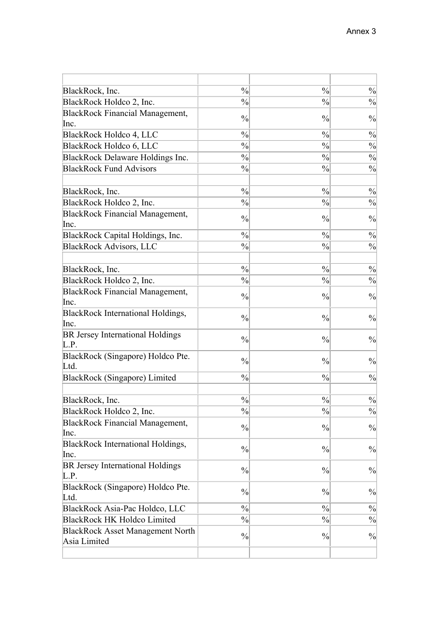| $\frac{0}{0}$<br>$\frac{0}{0}$<br>BlackRock, Inc.<br>BlackRock Holdco 2, Inc.<br>$\frac{0}{0}$<br>$\frac{0}{0}$<br>$\frac{0}{0}$<br>$\frac{0}{0}$<br>$\frac{0}{0}$<br>$\frac{0}{0}$<br>$\frac{0}{0}$<br>$\frac{0}{0}$<br>$\frac{0}{0}$<br>$\frac{0}{0}$<br>$\frac{0}{0}$<br>$\frac{0}{0}$<br>$\frac{0}{0}$<br>$\frac{0}{0}$<br>$\frac{0}{0}$<br>$\frac{0}{0}$ |               |               |               |
|---------------------------------------------------------------------------------------------------------------------------------------------------------------------------------------------------------------------------------------------------------------------------------------------------------------------------------------------------------------|---------------|---------------|---------------|
|                                                                                                                                                                                                                                                                                                                                                               |               |               | $\frac{0}{0}$ |
| <b>BlackRock Financial Management,</b><br>Inc.                                                                                                                                                                                                                                                                                                                |               |               | $\frac{0}{0}$ |
| BlackRock Holdco 4, LLC<br>BlackRock Holdco 6, LLC<br>BlackRock Delaware Holdings Inc.<br><b>BlackRock Fund Advisors</b><br>BlackRock, Inc.<br>BlackRock Holdco 2, Inc.<br><b>BlackRock Financial Management,</b>                                                                                                                                             |               |               | $\frac{0}{0}$ |
|                                                                                                                                                                                                                                                                                                                                                               |               |               |               |
|                                                                                                                                                                                                                                                                                                                                                               |               |               | $\frac{0}{0}$ |
|                                                                                                                                                                                                                                                                                                                                                               |               |               | $\frac{0}{0}$ |
|                                                                                                                                                                                                                                                                                                                                                               |               |               | $\frac{0}{0}$ |
|                                                                                                                                                                                                                                                                                                                                                               |               |               | $\frac{0}{0}$ |
|                                                                                                                                                                                                                                                                                                                                                               |               |               |               |
|                                                                                                                                                                                                                                                                                                                                                               |               |               | $\frac{0}{0}$ |
|                                                                                                                                                                                                                                                                                                                                                               |               |               | $\frac{0}{0}$ |
|                                                                                                                                                                                                                                                                                                                                                               | $\frac{0}{0}$ | $\frac{0}{0}$ | $\frac{0}{0}$ |
| Inc.                                                                                                                                                                                                                                                                                                                                                          |               |               |               |
| BlackRock Capital Holdings, Inc.<br>$\frac{0}{0}$<br>$\frac{0}{0}$                                                                                                                                                                                                                                                                                            |               |               | $\frac{0}{0}$ |
| $\frac{0}{0}$<br><b>BlackRock Advisors, LLC</b><br>$\frac{0}{0}$                                                                                                                                                                                                                                                                                              |               |               | $\frac{0}{0}$ |
|                                                                                                                                                                                                                                                                                                                                                               |               |               |               |
| $\frac{0}{0}$<br>BlackRock, Inc.<br>$\frac{0}{0}$                                                                                                                                                                                                                                                                                                             |               |               | $\frac{0}{0}$ |
| $\frac{0}{0}$<br>BlackRock Holdco 2, Inc.<br>$\frac{0}{0}$                                                                                                                                                                                                                                                                                                    |               |               | $\frac{0}{0}$ |
| <b>BlackRock Financial Management,</b><br>$\frac{0}{0}$<br>$\frac{0}{0}$                                                                                                                                                                                                                                                                                      |               |               | $\frac{0}{0}$ |
| Inc.                                                                                                                                                                                                                                                                                                                                                          |               |               |               |
| <b>BlackRock International Holdings,</b><br>$\frac{0}{0}$<br>$\frac{0}{0}$                                                                                                                                                                                                                                                                                    |               |               | $\frac{0}{0}$ |
| Inc.                                                                                                                                                                                                                                                                                                                                                          |               |               |               |
| BR Jersey International Holdings<br>$\frac{0}{0}$<br>$\frac{0}{0}$                                                                                                                                                                                                                                                                                            |               |               | $\frac{0}{0}$ |
| L.P.                                                                                                                                                                                                                                                                                                                                                          |               |               |               |
| BlackRock (Singapore) Holdco Pte.<br>$\frac{0}{0}$<br>$\frac{0}{0}$                                                                                                                                                                                                                                                                                           |               |               | $\frac{0}{0}$ |
| Ltd.                                                                                                                                                                                                                                                                                                                                                          |               |               |               |
| BlackRock (Singapore) Limited<br>$\frac{0}{0}$<br>$\frac{0}{0}$                                                                                                                                                                                                                                                                                               |               |               | $\frac{0}{0}$ |
|                                                                                                                                                                                                                                                                                                                                                               |               |               |               |
| $\frac{0}{0}$<br>$\frac{0}{0}$<br>BlackRock, Inc.                                                                                                                                                                                                                                                                                                             |               |               | $\frac{0}{0}$ |
| $\frac{0}{0}$<br>$\frac{0}{0}$<br>BlackRock Holdco 2, Inc.                                                                                                                                                                                                                                                                                                    |               |               | $\frac{0}{0}$ |
| <b>BlackRock Financial Management,</b><br>$\frac{0}{0}$<br>$\frac{0}{0}$<br>Inc.                                                                                                                                                                                                                                                                              |               |               | $\frac{0}{0}$ |
| <b>BlackRock International Holdings,</b>                                                                                                                                                                                                                                                                                                                      |               |               |               |
| $\frac{0}{0}$<br>$\frac{0}{0}$<br>Inc.                                                                                                                                                                                                                                                                                                                        |               |               | $\frac{0}{0}$ |
| BR Jersey International Holdings                                                                                                                                                                                                                                                                                                                              |               |               |               |
| $\frac{0}{0}$<br>$\frac{0}{0}$<br>L.P.                                                                                                                                                                                                                                                                                                                        |               |               | $\frac{0}{0}$ |
| BlackRock (Singapore) Holdco Pte.                                                                                                                                                                                                                                                                                                                             |               |               |               |
| $\frac{0}{0}$<br>$\frac{0}{0}$<br>Ltd.                                                                                                                                                                                                                                                                                                                        |               |               | $\frac{0}{0}$ |
| $\frac{0}{0}$<br>$\frac{0}{0}$<br>BlackRock Asia-Pac Holdco, LLC                                                                                                                                                                                                                                                                                              |               |               | $\frac{0}{0}$ |
| <b>BlackRock HK Holdco Limited</b><br>$\frac{0}{0}$<br>$\frac{0}{0}$                                                                                                                                                                                                                                                                                          |               |               | $\frac{0}{0}$ |
| <b>BlackRock Asset Management North</b>                                                                                                                                                                                                                                                                                                                       |               |               |               |
| $\frac{0}{0}$<br>$\frac{0}{0}$<br>Asia Limited                                                                                                                                                                                                                                                                                                                |               |               | $\frac{0}{0}$ |
|                                                                                                                                                                                                                                                                                                                                                               |               |               |               |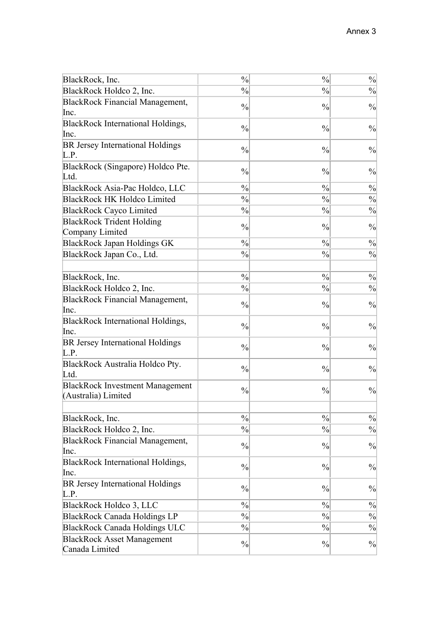| BlackRock, Inc.                                               | $\frac{0}{0}$ | $\frac{0}{0}$ | $\frac{0}{0}$ |
|---------------------------------------------------------------|---------------|---------------|---------------|
| BlackRock Holdco 2, Inc.                                      | $\frac{0}{0}$ | $\frac{0}{0}$ | $\frac{0}{0}$ |
| <b>BlackRock Financial Management,</b><br>Inc.                | $\frac{0}{0}$ | $\frac{0}{0}$ | $\frac{0}{0}$ |
| BlackRock International Holdings,<br>Inc.                     | $\frac{0}{0}$ | $\frac{0}{0}$ | $\frac{0}{0}$ |
| BR Jersey International Holdings<br>L.P.                      | $\frac{0}{0}$ | $\frac{0}{0}$ | $\frac{0}{0}$ |
| BlackRock (Singapore) Holdco Pte.<br>Ltd.                     | $\frac{0}{0}$ | $\frac{0}{0}$ | $\frac{0}{0}$ |
| BlackRock Asia-Pac Holdco, LLC                                | $\frac{0}{0}$ | $\frac{0}{0}$ | $\frac{0}{0}$ |
| <b>BlackRock HK Holdco Limited</b>                            | $\frac{0}{0}$ | $\frac{0}{0}$ | $\frac{0}{0}$ |
| <b>BlackRock Cayco Limited</b>                                | $\frac{0}{0}$ | $\frac{0}{0}$ | $\frac{0}{0}$ |
| <b>BlackRock Trident Holding</b><br>Company Limited           | $\frac{0}{0}$ | $\frac{0}{0}$ | $\frac{0}{0}$ |
| <b>BlackRock Japan Holdings GK</b>                            | $\frac{0}{0}$ | $\frac{0}{0}$ | $\frac{0}{0}$ |
| BlackRock Japan Co., Ltd.                                     | $\frac{0}{0}$ | $\frac{0}{0}$ | $\frac{0}{0}$ |
|                                                               |               |               |               |
| BlackRock, Inc.                                               | $\frac{0}{0}$ | $\frac{0}{0}$ | $\frac{0}{0}$ |
| BlackRock Holdco 2, Inc.                                      | $\frac{0}{0}$ | $\frac{0}{0}$ | $\frac{0}{0}$ |
| <b>BlackRock Financial Management,</b><br>Inc.                | $\frac{0}{0}$ | $\frac{0}{0}$ | $\frac{0}{0}$ |
| <b>BlackRock International Holdings,</b><br>Inc.              | $\frac{0}{0}$ | $\frac{0}{0}$ | $\frac{0}{0}$ |
| BR Jersey International Holdings<br>L.P.                      | $\frac{0}{0}$ | $\frac{0}{0}$ | $\frac{0}{0}$ |
| BlackRock Australia Holdco Pty.<br>Ltd.                       | $\frac{0}{0}$ | $\frac{0}{0}$ | $\frac{0}{0}$ |
| <b>BlackRock Investment Management</b><br>(Australia) Limited | $\frac{0}{0}$ | $\frac{0}{0}$ | $\frac{0}{0}$ |
|                                                               |               |               |               |
| BlackRock, Inc.                                               | $\frac{0}{0}$ | $\frac{0}{0}$ | $\frac{0}{0}$ |
| BlackRock Holdco 2, Inc.                                      | $\frac{0}{0}$ | $\frac{0}{0}$ | $\frac{0}{0}$ |
| <b>BlackRock Financial Management,</b><br>Inc.                | $\frac{0}{0}$ | $\frac{0}{0}$ | $\frac{0}{0}$ |
| BlackRock International Holdings,<br>Inc.                     | $\frac{0}{0}$ | $\frac{0}{0}$ | $\frac{0}{0}$ |
| BR Jersey International Holdings<br>L.P.                      | $\frac{0}{0}$ | $\frac{0}{0}$ | $\frac{0}{0}$ |
| BlackRock Holdco 3, LLC                                       | $\frac{0}{0}$ | $\frac{0}{0}$ | $\frac{0}{0}$ |
| <b>BlackRock Canada Holdings LP</b>                           | $\frac{0}{0}$ | $\frac{0}{0}$ | $\frac{0}{0}$ |
| <b>BlackRock Canada Holdings ULC</b>                          | $\frac{0}{0}$ | $\frac{0}{0}$ | $\frac{0}{0}$ |
| <b>BlackRock Asset Management</b><br>Canada Limited           | $\frac{0}{0}$ | $\frac{0}{0}$ | $\frac{0}{0}$ |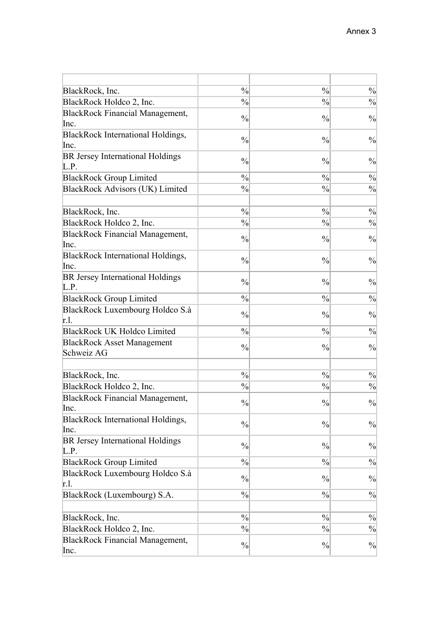| BlackRock, Inc.                                                    | $\frac{0}{0}$ | $\frac{0}{0}$ | $\frac{0}{0}$ |
|--------------------------------------------------------------------|---------------|---------------|---------------|
| BlackRock Holdco 2, Inc.                                           | $\frac{0}{0}$ | $\frac{0}{0}$ | $\frac{0}{0}$ |
| <b>BlackRock Financial Management,</b><br>Inc.                     | $\frac{0}{0}$ | $\frac{0}{0}$ | $\frac{0}{0}$ |
| BlackRock International Holdings,<br>Inc.                          | $\frac{0}{0}$ | $\frac{0}{0}$ | $\frac{0}{0}$ |
| BR Jersey International Holdings<br>L.P.                           | $\frac{0}{0}$ | $\frac{0}{0}$ | $\frac{0}{0}$ |
| <b>BlackRock Group Limited</b>                                     | $\frac{0}{0}$ | $\frac{0}{0}$ | $\frac{0}{0}$ |
| BlackRock Advisors (UK) Limited                                    | $\frac{0}{0}$ | $\frac{0}{0}$ | $\frac{0}{0}$ |
| BlackRock, Inc.                                                    | $\frac{0}{0}$ | $\frac{0}{0}$ | $\frac{0}{0}$ |
|                                                                    | $\frac{0}{0}$ | $\frac{0}{0}$ | $\frac{0}{0}$ |
| BlackRock Holdco 2, Inc.<br><b>BlackRock Financial Management,</b> |               |               |               |
| Inc.                                                               | $\frac{0}{0}$ | $\frac{0}{0}$ | $\frac{0}{0}$ |
| BlackRock International Holdings,<br>Inc.                          | $\frac{0}{0}$ | $\frac{0}{0}$ | $\frac{0}{0}$ |
| BR Jersey International Holdings<br>L.P.                           | $\frac{0}{0}$ | $\frac{0}{0}$ | $\frac{0}{0}$ |
| <b>BlackRock Group Limited</b>                                     | $\frac{0}{0}$ | $\frac{0}{0}$ | $\frac{0}{0}$ |
| BlackRock Luxembourg Holdco S.à<br>r.l.                            | $\frac{0}{0}$ | $\frac{0}{0}$ | $\frac{0}{0}$ |
| <b>BlackRock UK Holdco Limited</b>                                 | $\frac{0}{0}$ | $\frac{0}{0}$ | $\frac{0}{0}$ |
| <b>BlackRock Asset Management</b><br>Schweiz AG                    | $\frac{0}{0}$ | $\frac{0}{0}$ | $\frac{0}{0}$ |
|                                                                    |               |               |               |
| BlackRock, Inc.                                                    | $\frac{0}{0}$ | $\frac{0}{0}$ | $\frac{0}{0}$ |
| BlackRock Holdco 2, Inc.                                           | $\frac{0}{0}$ | $\frac{0}{0}$ | $\frac{0}{0}$ |
| <b>BlackRock Financial Management,</b><br>Inc.                     | $\frac{0}{0}$ | $\frac{0}{0}$ | $\frac{0}{0}$ |
| BlackRock International Holdings,<br>Inc.                          | $\frac{0}{0}$ | $\frac{0}{0}$ | $\frac{0}{0}$ |
| BR Jersey International Holdings<br>L.P.                           | $\frac{0}{0}$ | $\frac{0}{0}$ | $\frac{0}{0}$ |
| <b>BlackRock Group Limited</b>                                     | $\frac{0}{0}$ | $\frac{0}{0}$ | $\frac{0}{0}$ |
| BlackRock Luxembourg Holdco S.à<br>r.l.                            | $\frac{0}{0}$ | $\frac{0}{0}$ | $\frac{0}{0}$ |
| BlackRock (Luxembourg) S.A.                                        | $\frac{0}{0}$ | $\frac{0}{0}$ | $\frac{0}{0}$ |
|                                                                    |               |               |               |
| BlackRock, Inc.                                                    | $\frac{0}{0}$ | $\frac{0}{0}$ | $\frac{0}{0}$ |
| BlackRock Holdco 2, Inc.                                           | $\frac{0}{0}$ | $\frac{0}{0}$ | $\frac{0}{0}$ |
| <b>BlackRock Financial Management,</b><br>Inc.                     | $\frac{0}{0}$ | $\frac{0}{0}$ | $\frac{0}{0}$ |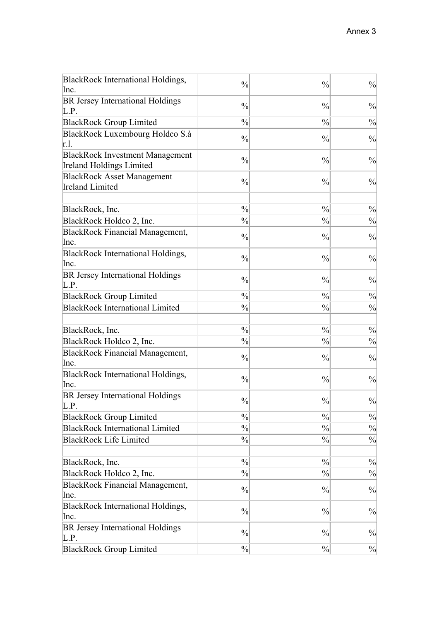| BlackRock International Holdings,         | $\frac{0}{0}$ | $\frac{0}{0}$ | $\frac{0}{0}$ |
|-------------------------------------------|---------------|---------------|---------------|
| Inc.                                      |               |               |               |
| BR Jersey International Holdings<br>L.P.  | $\frac{0}{0}$ | $\frac{0}{0}$ | $\frac{0}{0}$ |
| <b>BlackRock Group Limited</b>            | $\frac{0}{0}$ | $\frac{0}{0}$ | $\frac{0}{0}$ |
| BlackRock Luxembourg Holdco S.à           | $\frac{0}{0}$ | $\frac{0}{0}$ | $\frac{0}{0}$ |
| r.l.                                      |               |               |               |
| <b>BlackRock Investment Management</b>    | $\frac{0}{0}$ | $\frac{0}{0}$ | $\frac{0}{0}$ |
| <b>Ireland Holdings Limited</b>           |               |               |               |
| <b>BlackRock Asset Management</b>         | $\frac{0}{0}$ | $\frac{0}{0}$ | $\frac{0}{0}$ |
| <b>Ireland Limited</b>                    |               |               |               |
|                                           |               |               |               |
| BlackRock, Inc.                           | $\frac{0}{0}$ | $\frac{0}{0}$ | $\frac{0}{0}$ |
| BlackRock Holdco 2, Inc.                  | $\frac{0}{0}$ | $\frac{0}{0}$ | $\frac{0}{0}$ |
| <b>BlackRock Financial Management,</b>    | $\frac{0}{0}$ | $\frac{0}{0}$ | $\frac{0}{0}$ |
| Inc.                                      |               |               |               |
| BlackRock International Holdings,<br>Inc. | $\frac{0}{0}$ | $\frac{0}{0}$ | $\frac{0}{0}$ |
|                                           |               |               |               |
| BR Jersey International Holdings<br>L.P.  | $\frac{0}{0}$ | $\frac{0}{0}$ | $\frac{0}{0}$ |
| <b>BlackRock Group Limited</b>            | $\frac{0}{0}$ | $\frac{0}{0}$ | $\frac{0}{0}$ |
| <b>BlackRock International Limited</b>    | $\frac{0}{0}$ | $\frac{0}{0}$ | $\frac{0}{0}$ |
|                                           |               |               |               |
| BlackRock, Inc.                           | $\frac{0}{0}$ | $\frac{0}{0}$ | $\frac{0}{0}$ |
| BlackRock Holdco 2, Inc.                  | $\frac{0}{0}$ | $\frac{0}{0}$ | $\frac{0}{0}$ |
| <b>BlackRock Financial Management,</b>    |               |               |               |
| Inc.                                      | $\frac{0}{0}$ | $\frac{0}{0}$ | $\frac{0}{0}$ |
| BlackRock International Holdings,         | $\frac{0}{0}$ | $\frac{0}{0}$ | $\frac{0}{0}$ |
| Inc.                                      |               |               |               |
| <b>BR Jersey International Holdings</b>   | $\frac{0}{0}$ | $\frac{0}{0}$ | $\frac{0}{0}$ |
| L.P.                                      |               |               |               |
| <b>BlackRock Group Limited</b>            | $\frac{0}{0}$ | $\frac{0}{0}$ | $\frac{0}{0}$ |
| <b>BlackRock International Limited</b>    | $\frac{0}{0}$ | $\frac{0}{0}$ | $\frac{0}{0}$ |
| <b>BlackRock Life Limited</b>             | $\frac{0}{0}$ | $\frac{0}{0}$ | $\frac{0}{0}$ |
|                                           |               |               |               |
| BlackRock, Inc.                           | $\frac{0}{0}$ | $\frac{0}{0}$ | $\frac{0}{0}$ |
| BlackRock Holdco 2, Inc.                  | $\frac{0}{0}$ | $\frac{0}{0}$ | $\frac{0}{0}$ |
| <b>BlackRock Financial Management,</b>    | $\frac{0}{0}$ | $\frac{0}{0}$ | $\frac{0}{0}$ |
| Inc.                                      |               |               |               |
| BlackRock International Holdings,         | $\frac{0}{0}$ | $\frac{0}{0}$ | $\frac{0}{0}$ |
| Inc.                                      |               |               |               |
| BR Jersey International Holdings          | $\frac{0}{0}$ | $\frac{0}{0}$ | $\frac{0}{0}$ |
| L.P.                                      |               |               |               |
| <b>BlackRock Group Limited</b>            | $\frac{0}{0}$ | $\frac{0}{0}$ | $\frac{0}{0}$ |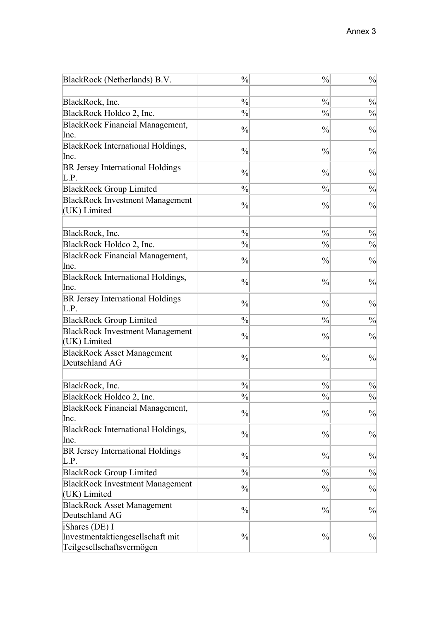| BlackRock (Netherlands) B.V.                                                    | $\frac{0}{0}$                  | $\frac{0}{0}$                  | $\frac{0}{0}$ |
|---------------------------------------------------------------------------------|--------------------------------|--------------------------------|---------------|
|                                                                                 |                                |                                |               |
| BlackRock, Inc.                                                                 | $\frac{0}{0}$<br>$\frac{0}{0}$ | $\frac{0}{0}$<br>$\frac{0}{0}$ | $\frac{0}{0}$ |
| BlackRock Holdco 2, Inc.                                                        |                                |                                | $\frac{0}{0}$ |
| <b>BlackRock Financial Management,</b><br>Inc.                                  | $\frac{0}{0}$                  | $\frac{0}{0}$                  | $\frac{0}{0}$ |
| BlackRock International Holdings,                                               | $\frac{0}{0}$                  | $\frac{0}{0}$                  | $\frac{0}{0}$ |
| Inc.                                                                            |                                |                                |               |
| BR Jersey International Holdings<br>L.P.                                        | $\frac{0}{0}$                  | $\frac{0}{0}$                  | $\frac{0}{0}$ |
| <b>BlackRock Group Limited</b>                                                  | $\frac{0}{0}$                  | $\frac{0}{0}$                  | $\frac{0}{0}$ |
| <b>BlackRock Investment Management</b><br>(UK) Limited                          | $\frac{0}{0}$                  | $\frac{0}{0}$                  | $\frac{0}{0}$ |
|                                                                                 |                                |                                |               |
| BlackRock, Inc.                                                                 | $\frac{0}{0}$                  | $\frac{0}{0}$                  | $\frac{0}{0}$ |
| BlackRock Holdco 2, Inc.                                                        | $\frac{0}{0}$                  | $\frac{0}{0}$                  | $\frac{0}{0}$ |
| <b>BlackRock Financial Management,</b>                                          |                                |                                |               |
| Inc.                                                                            | $\frac{0}{0}$                  | $\frac{0}{0}$                  | $\frac{0}{0}$ |
| <b>BlackRock International Holdings,</b>                                        |                                |                                |               |
| Inc.                                                                            | $\frac{0}{0}$                  | $\frac{0}{0}$                  | $\frac{0}{0}$ |
| BR Jersey International Holdings<br>L.P.                                        | $\frac{0}{0}$                  | $\frac{0}{0}$                  | $\frac{0}{0}$ |
| <b>BlackRock Group Limited</b>                                                  | $\frac{0}{0}$                  | $\frac{0}{0}$                  | $\frac{0}{0}$ |
| <b>BlackRock Investment Management</b>                                          |                                |                                |               |
| (UK) Limited                                                                    | $\frac{0}{0}$                  | $\frac{0}{0}$                  | $\frac{0}{0}$ |
| <b>BlackRock Asset Management</b>                                               |                                |                                |               |
| Deutschland AG                                                                  | $\frac{0}{0}$                  | $\frac{0}{0}$                  | $\frac{0}{0}$ |
|                                                                                 |                                |                                |               |
| BlackRock, Inc.                                                                 | $\frac{0}{0}$                  | $\frac{0}{0}$                  | $\frac{0}{0}$ |
| BlackRock Holdco 2, Inc.                                                        | $\frac{0}{0}$                  | $\frac{0}{0}$                  | $\frac{0}{0}$ |
| <b>BlackRock Financial Management,</b>                                          | $\frac{0}{0}$                  | $\frac{0}{0}$                  | $\frac{0}{0}$ |
| Inc.                                                                            |                                |                                |               |
| BlackRock International Holdings,                                               | $\frac{0}{0}$                  | $\frac{0}{0}$                  | $\frac{0}{0}$ |
| Inc.                                                                            |                                |                                |               |
| BR Jersey International Holdings<br>L.P.                                        | $\frac{0}{0}$                  | $\frac{0}{0}$                  | $\frac{0}{0}$ |
| <b>BlackRock Group Limited</b>                                                  | $\frac{0}{0}$                  | $\frac{0}{0}$                  | $\frac{0}{0}$ |
| <b>BlackRock Investment Management</b><br>(UK) Limited                          | $\frac{0}{0}$                  | $\frac{0}{0}$                  | $\frac{0}{0}$ |
| <b>BlackRock Asset Management</b>                                               |                                |                                |               |
| Deutschland AG                                                                  | $\frac{0}{0}$                  | $\frac{0}{0}$                  | $\frac{0}{0}$ |
| iShares (DE) I<br>Investmentaktiengesellschaft mit<br>Teilgesellschaftsvermögen | $\frac{0}{0}$                  | $\frac{0}{0}$                  | $\frac{0}{0}$ |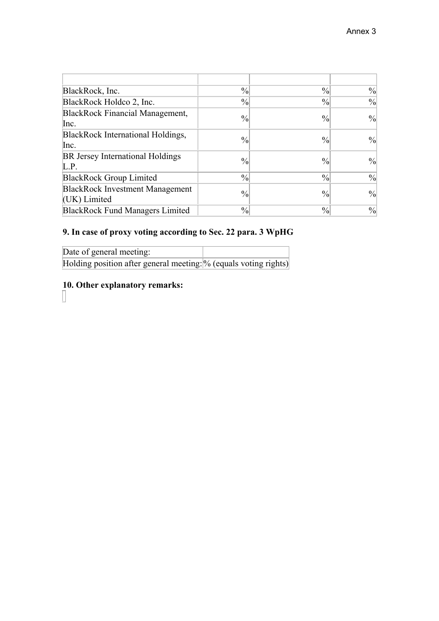| BlackRock, Inc.                                        | $\frac{0}{0}$ | $\frac{0}{0}$ | $\frac{0}{0}$ |
|--------------------------------------------------------|---------------|---------------|---------------|
| BlackRock Holdco 2, Inc.                               | $\frac{0}{0}$ | $\frac{0}{0}$ | $\frac{0}{0}$ |
| BlackRock Financial Management,<br>Inc.                | $\frac{0}{0}$ | $\frac{0}{0}$ | $\frac{0}{0}$ |
| BlackRock International Holdings,<br>Inc.              | $\frac{0}{0}$ | $\frac{0}{0}$ | $\frac{0}{0}$ |
| BR Jersey International Holdings<br>L.P.               | $\frac{0}{0}$ | $\frac{0}{0}$ | $\frac{0}{0}$ |
| <b>BlackRock Group Limited</b>                         | $\frac{0}{0}$ | $\frac{0}{0}$ | $\frac{0}{0}$ |
| <b>BlackRock Investment Management</b><br>(UK) Limited | $\frac{0}{0}$ | $\frac{0}{0}$ | $\frac{0}{0}$ |
| <b>BlackRock Fund Managers Limited</b>                 | $\frac{0}{0}$ | $\frac{0}{0}$ | $\frac{0}{0}$ |

# **9. In case of proxy voting according to Sec. 22 para. 3 WpHG**

| Date of general meeting:                                         |  |
|------------------------------------------------------------------|--|
| Holding position after general meeting: % (equals voting rights) |  |

# **10. Other explanatory remarks:**

 $\Box$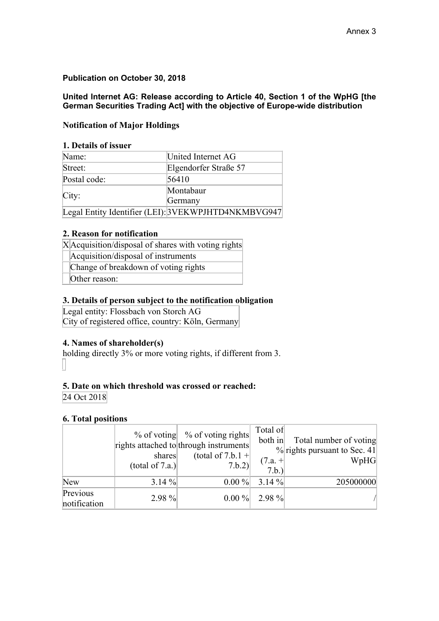# **Publication on October 30, 2018**

**United Internet AG: Release according to Article 40, Section 1 of the WpHG [the German Securities Trading Act] with the objective of Europe-wide distribution** 

# **Notification of Major Holdings**

### **1. Details of issuer**

| Name:        | United Internet AG                                  |  |  |
|--------------|-----------------------------------------------------|--|--|
| Street:      | Elgendorfer Straße 57                               |  |  |
| Postal code: | 56410                                               |  |  |
|              | Montabaur                                           |  |  |
| City:        | Germany                                             |  |  |
|              | Legal Entity Identifier (LEI): 3VEKWPJHTD4NKMBVG947 |  |  |

### **2. Reason for notification**

| $X$ Acquisition/disposal of shares with voting rights |  |
|-------------------------------------------------------|--|
| Acquisition/disposal of instruments                   |  |
| Change of breakdown of voting rights                  |  |

Other reason:

### **3. Details of person subject to the notification obligation**

Legal entity: Flossbach von Storch AG City of registered office, country: Köln, Germany

### **4. Names of shareholder(s)**

holding directly 3% or more voting rights, if different from 3. П

# **5. Date on which threshold was crossed or reached:**

24 Oct 2018

### **6. Total positions**

|                          | shares<br>(total of 7.a.) | $%$ of voting $%$ of voting rights<br>rights attached to through instruments<br>(total of 7.b.1 +<br>7.b.2) | Total of<br>both in<br>$(7.a. +$<br>7.b.) | Total number of voting<br>$\%$ rights pursuant to Sec. 41<br>WpHG |
|--------------------------|---------------------------|-------------------------------------------------------------------------------------------------------------|-------------------------------------------|-------------------------------------------------------------------|
| <b>New</b>               | $3.14 \%$                 | $0.00\%$                                                                                                    | $3.14 \%$                                 | 205000000                                                         |
| Previous<br>notification | $2.98\%$                  | $0.00\%$                                                                                                    | $2.98\%$                                  |                                                                   |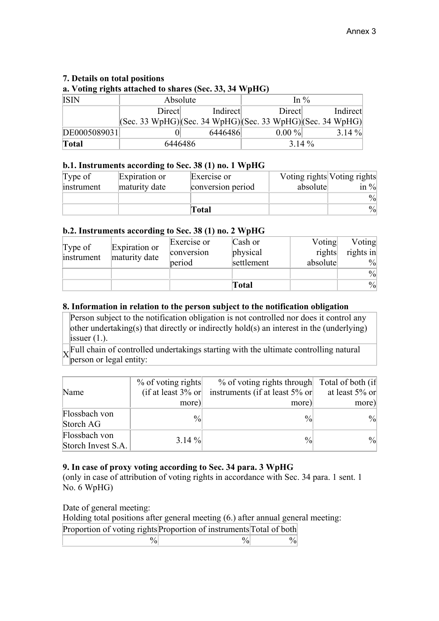# **7. Details on total positions**

**a. Voting rights attached to shares (Sec. 33, 34 WpHG)**

| <b>ISIN</b>  | Absolute                                                                                |          | In $\%$  |           |
|--------------|-----------------------------------------------------------------------------------------|----------|----------|-----------|
|              | Direct                                                                                  | Indirect | Direct   | Indirect  |
|              | $ ({\rm Sec. 33 WpHG}) ({\rm Sec. 34 WpHG}) ({\rm Sec. 33 WpHG}) ({\rm Sec. 34 WpHG}) $ |          |          |           |
| DE0005089031 |                                                                                         | 6446486  | $0.00\%$ | $3.14 \%$ |
| <b>Total</b> | 6446486                                                                                 |          | $3.14\%$ |           |

### **b.1. Instruments according to Sec. 38 (1) no. 1 WpHG**

| Type of    | Expiration or | Exercise or       |          | Voting rights Voting rights |
|------------|---------------|-------------------|----------|-----------------------------|
| instrument | maturity date | conversion period | absolute | in $\frac{9}{8}$            |
|            |               |                   |          | $\frac{0}{0}$               |
|            |               | Total             |          | $\frac{9}{0}$               |

### **b.2. Instruments according to Sec. 38 (1) no. 2 WpHG**

|            |               | Exercise or | Cash or    | Voting   | Voting        |
|------------|---------------|-------------|------------|----------|---------------|
| Type of    | Expiration or | conversion  | physical   | rights   | rights in     |
| instrument | maturity date | period      | settlement | absolute | $\frac{9}{0}$ |
|            |               |             |            |          | $\frac{0}{0}$ |
|            |               |             | Total      |          | $\frac{0}{0}$ |

### **8. Information in relation to the person subject to the notification obligation**

Person subject to the notification obligation is not controlled nor does it control any other undertaking(s) that directly or indirectly hold(s) an interest in the (underlying) issuer  $(1)$ .

Full chain of controlled undertakings starting with the ultimate controlling natural person or legal entity:

|                    | $%$ of voting rights | $%$ of voting rights through                            | Total of both (if |
|--------------------|----------------------|---------------------------------------------------------|-------------------|
| Name               |                      | (if at least $3\%$ or instruments (if at least $5\%$ or | at least 5% or    |
|                    | more)                | more)                                                   | more)             |
| Flossbach von      | $\frac{0}{0}$        | $\frac{0}{0}$                                           | $\frac{0}{0}$     |
| Storch AG          |                      |                                                         |                   |
| Flossbach von      | $3.14 \%$            | $\frac{0}{0}$                                           | $\frac{0}{0}$     |
| Storch Invest S.A. |                      |                                                         |                   |

# **9. In case of proxy voting according to Sec. 34 para. 3 WpHG**

(only in case of attribution of voting rights in accordance with Sec. 34 para. 1 sent. 1 No. 6 WpHG)

Date of general meeting:

 $\overline{\phantom{a}}$ 

Holding total positions after general meeting (6.) after annual general meeting:

| Proportion of voting rights Proportion of instruments Total of both |  |
|---------------------------------------------------------------------|--|
|                                                                     |  |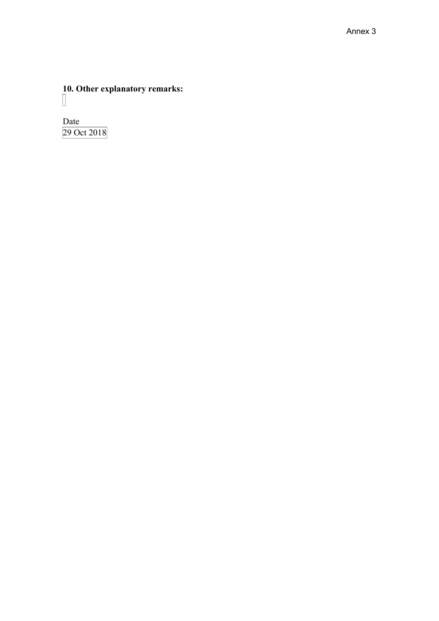**10. Other explanatory remarks:**

Date 29 Oct 2018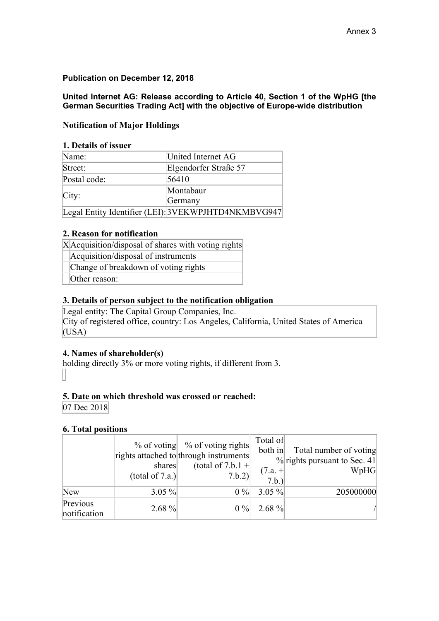# **Publication on December 12, 2018**

**United Internet AG: Release according to Article 40, Section 1 of the WpHG [the German Securities Trading Act] with the objective of Europe-wide distribution** 

# **Notification of Major Holdings**

### **1. Details of issuer**

| Name:        | United Internet AG                                  |
|--------------|-----------------------------------------------------|
| Street:      | Elgendorfer Straße 57                               |
| Postal code: | 56410                                               |
|              | Montabaur                                           |
| City:        | Germany                                             |
|              | Legal Entity Identifier (LEI): 3VEKWPJHTD4NKMBVG947 |

#### **2. Reason for notification**

| X Acquisition/disposal of shares with voting rights |  |  |  |  |  |  |  |  |  |  |  |  |  |  |  |  |  |  |  |  |  |  |  |  |
|-----------------------------------------------------|--|--|--|--|--|--|--|--|--|--|--|--|--|--|--|--|--|--|--|--|--|--|--|--|
|-----------------------------------------------------|--|--|--|--|--|--|--|--|--|--|--|--|--|--|--|--|--|--|--|--|--|--|--|--|

Acquisition/disposal of instruments

Change of breakdown of voting rights

Other reason:

### **3. Details of person subject to the notification obligation**

Legal entity: The Capital Group Companies, Inc. City of registered office, country: Los Angeles, California, United States of America (USA)

### **4. Names of shareholder(s)**

holding directly 3% or more voting rights, if different from 3.

### **5. Date on which threshold was crossed or reached:**

07 Dec 2018

### **6. Total positions**

|                          | shares<br>(total of 7.a.) | $%$ of voting $%$ of voting rights<br>rights attached to through instruments<br>(total of 7.b.1 +<br>7.b.2) | Total of<br>both in<br>$(7.a. +$<br>7.b.) | Total number of voting<br>$%$ rights pursuant to Sec. 41<br>WpHG |
|--------------------------|---------------------------|-------------------------------------------------------------------------------------------------------------|-------------------------------------------|------------------------------------------------------------------|
| New                      | $3.05 \%$                 | 0%                                                                                                          | $3.05 \%$                                 | 205000000                                                        |
| Previous<br>notification | $2.68\%$                  | $0\%$                                                                                                       | $2.68\%$                                  |                                                                  |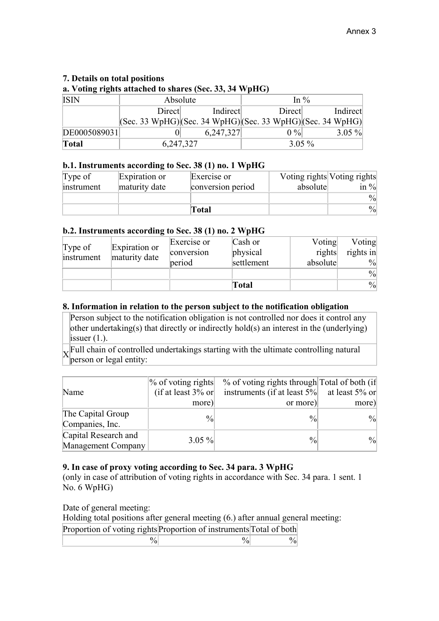# **7. Details on total positions**

**a. Voting rights attached to shares (Sec. 33, 34 WpHG)**

| <b>ISIN</b>  | Absolute                                                                                |           | In $\%$  |           |  |
|--------------|-----------------------------------------------------------------------------------------|-----------|----------|-----------|--|
|              | Direct                                                                                  | Indirect  | Direct   | Indirect  |  |
|              | $ ({\rm Sec. 33 WpHG}) ({\rm Sec. 34 WpHG}) ({\rm Sec. 33 WpHG}) ({\rm Sec. 34 WpHG}) $ |           |          |           |  |
| DE0005089031 |                                                                                         | 6,247,327 | $0\%$    | $3.05 \%$ |  |
| <b>Total</b> | 6,247,327                                                                               |           | $3.05\%$ |           |  |

### **b.1. Instruments according to Sec. 38 (1) no. 1 WpHG**

| Type of    | Expiration or | Exercise or       |          | Voting rights Voting rights |
|------------|---------------|-------------------|----------|-----------------------------|
| instrument | maturity date | conversion period | absolute | in $\frac{9}{8}$            |
|            |               |                   |          | $\frac{0}{0}$               |
|            |               | Total             |          | $\frac{9}{0}$               |

### **b.2. Instruments according to Sec. 38 (1) no. 2 WpHG**

|            |               |             | Total      |          | $\frac{0}{0}$ |
|------------|---------------|-------------|------------|----------|---------------|
|            |               |             |            |          | $\frac{0}{0}$ |
| instrument | maturity date | period      | settlement | absolute | $\frac{9}{0}$ |
| Type of    | Expiration or | conversion  | physical   | rights   | rights in     |
|            |               | Exercise or | Cash or    | Voting   | Voting        |

### **8. Information in relation to the person subject to the notification obligation**

Person subject to the notification obligation is not controlled nor does it control any other undertaking(s) that directly or indirectly hold(s) an interest in the (underlying) issuer  $(1)$ .

Full chain of controlled undertakings starting with the ultimate controlling natural person or legal entity:

|                      | $%$ of voting rights  | % of voting rights through Total of both (if |               |
|----------------------|-----------------------|----------------------------------------------|---------------|
| Name                 | (if at least $3\%$ or | instruments (if at least 5%) at least 5% or  |               |
|                      | more)                 | or more)                                     | more)         |
| The Capital Group    | $\frac{0}{0}$         | $\frac{0}{0}$                                | $\frac{0}{0}$ |
| Companies, Inc.      |                       |                                              |               |
| Capital Research and | $3.05 \%$             | $\frac{0}{0}$                                | $\frac{0}{0}$ |
| Management Company   |                       |                                              |               |

# **9. In case of proxy voting according to Sec. 34 para. 3 WpHG**

(only in case of attribution of voting rights in accordance with Sec. 34 para. 1 sent. 1 No. 6 WpHG)

Date of general meeting:

 $\overline{\phantom{a}}$ 

Holding total positions after general meeting (6.) after annual general meeting:

| Proportion of voting rights Proportion of instruments Total of both |  |
|---------------------------------------------------------------------|--|
|                                                                     |  |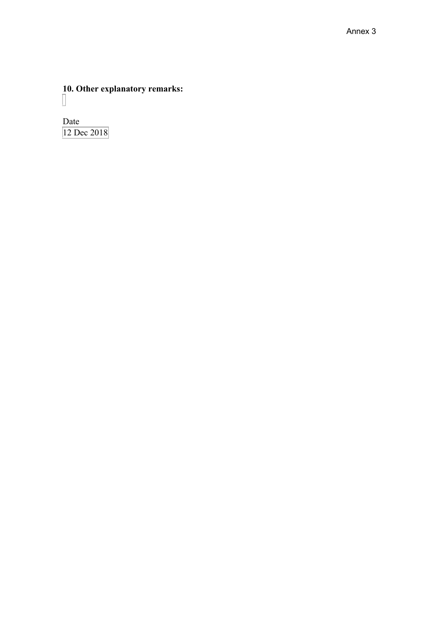**10. Other explanatory remarks:**

Date 12 Dec 2018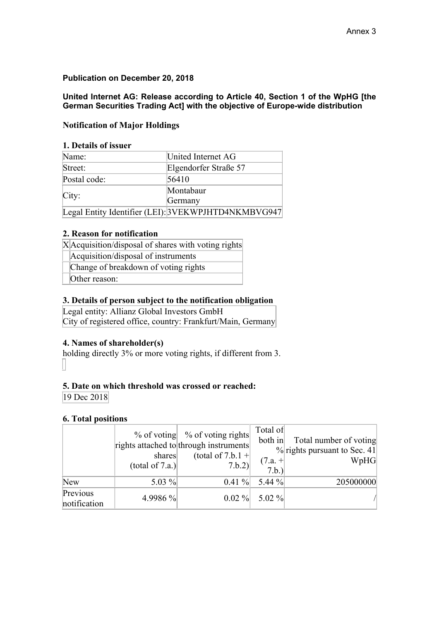# **Publication on December 20, 2018**

**United Internet AG: Release according to Article 40, Section 1 of the WpHG [the German Securities Trading Act] with the objective of Europe-wide distribution** 

# **Notification of Major Holdings**

### **1. Details of issuer**

| Name:        | United Internet AG                                  |
|--------------|-----------------------------------------------------|
| Street:      | Elgendorfer Straße 57                               |
| Postal code: | 56410                                               |
|              | Montabaur                                           |
| City:        | Germany                                             |
|              | Legal Entity Identifier (LEI): 3VEKWPJHTD4NKMBVG947 |

### **2. Reason for notification**

|  |  |  |  |  | XAcquisition/disposal of shares with voting rights |  |
|--|--|--|--|--|----------------------------------------------------|--|
|  |  |  |  |  |                                                    |  |

Acquisition/disposal of instruments

Change of breakdown of voting rights

Other reason:

# **3. Details of person subject to the notification obligation**

Legal entity: Allianz Global Investors GmbH City of registered office, country: Frankfurt/Main, Germany

# **4. Names of shareholder(s)**

holding directly 3% or more voting rights, if different from 3. П

# **5. Date on which threshold was crossed or reached:**

19 Dec 2018

# **6. Total positions**

|                          | shares<br>(total of 7.a.) | $%$ of voting $%$ of voting rights<br>rights attached to through instruments<br>(total of 7.b.1 +<br>7.b.2) | Total of<br>both in<br>$(7.a. +$<br>7.b.) | Total number of voting<br>$\%$ rights pursuant to Sec. 41<br>WpHG |
|--------------------------|---------------------------|-------------------------------------------------------------------------------------------------------------|-------------------------------------------|-------------------------------------------------------------------|
| <b>New</b>               | 5.03 $%$                  | $0.41 \%$                                                                                                   | 5.44 $\%$                                 | 205000000                                                         |
| Previous<br>notification | 4.9986 %                  | $0.02\%$                                                                                                    | $5.02\%$                                  |                                                                   |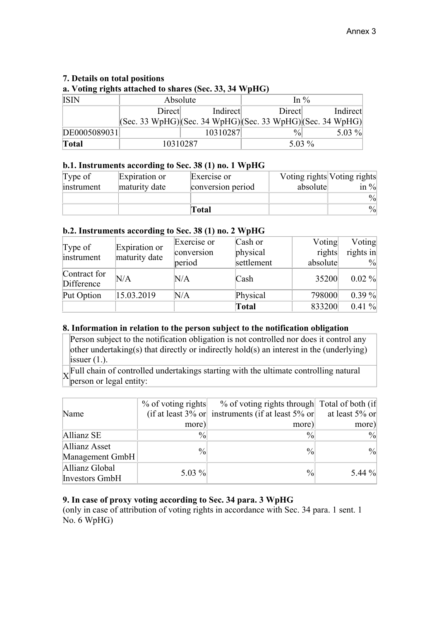# **7. Details on total positions**

 $\overline{\phantom{a}}$ 

**a. Voting rights attached to shares (Sec. 33, 34 WpHG)**

| <b>ISIN</b>  | Absolute |          | In $\%$       |                                                                                         |  |
|--------------|----------|----------|---------------|-----------------------------------------------------------------------------------------|--|
|              | Direct   | Indirect | Direct        | Indirect                                                                                |  |
|              |          |          |               | $ ({\rm Sec. 33 WpHG}) ({\rm Sec. 34 WpHG}) ({\rm Sec. 33 WpHG}) ({\rm Sec. 34 WpHG}) $ |  |
| DE0005089031 |          | 10310287 | $\frac{0}{0}$ | 5.03 $%$                                                                                |  |
| <b>Total</b> |          | 10310287 |               | 5.03 $%$                                                                                |  |

# **b.1. Instruments according to Sec. 38 (1) no. 1 WpHG**

| Type of    | Expiration or | Exercise or       | Voting rights Voting rights |                  |
|------------|---------------|-------------------|-----------------------------|------------------|
| instrument | maturity date | conversion period | absolute                    | in $\frac{9}{8}$ |
|            |               |                   |                             | $\frac{0}{0}$    |
|            |               | Total             |                             | $\frac{0}{0}$    |

# **b.2. Instruments according to Sec. 38 (1) no. 2 WpHG**

| Type of                    | Expiration or | Exercise or | Cash or      | Voting   | Voting        |
|----------------------------|---------------|-------------|--------------|----------|---------------|
|                            |               | conversion  | physical     | rights   | rights in     |
| instrument                 | maturity date | period      | settlement   | absolute | $\frac{9}{0}$ |
| Contract for<br>Difference | $\rm N/A$     | N/A         | Cash         | 35200    | $0.02 \%$     |
| Put Option                 | 15.03.2019    | N/A         | Physical     | 798000   | 0.39%         |
|                            |               |             | <b>Total</b> | 833200   | $0.41 \%$     |

# **8. Information in relation to the person subject to the notification obligation**

Person subject to the notification obligation is not controlled nor does it control any other undertaking(s) that directly or indirectly hold(s) an interest in the (underlying) issuer  $(1)$ .

 $\overline{X}$  Full chain of controlled undertakings starting with the ultimate controlling natural person or legal entity:

| Name                                    | $%$ of voting rights | % of voting rights through Total of both (if<br>(if at least $3\%$ or instruments (if at least $5\%$ or | at least 5% or |
|-----------------------------------------|----------------------|---------------------------------------------------------------------------------------------------------|----------------|
|                                         | more)                | more)                                                                                                   | more)          |
| Allianz SE                              | $\frac{0}{0}$        | $\frac{0}{0}$                                                                                           | $\frac{0}{0}$  |
| Allianz Asset<br>Management GmbH        | $\frac{0}{0}$        | $\frac{0}{0}$                                                                                           | $\frac{0}{0}$  |
| Allianz Global<br><b>Investors GmbH</b> | 5.03 $%$             | $\frac{0}{0}$                                                                                           | 5.44 $%$       |

# **9. In case of proxy voting according to Sec. 34 para. 3 WpHG**

(only in case of attribution of voting rights in accordance with Sec. 34 para. 1 sent. 1 No. 6 WpHG)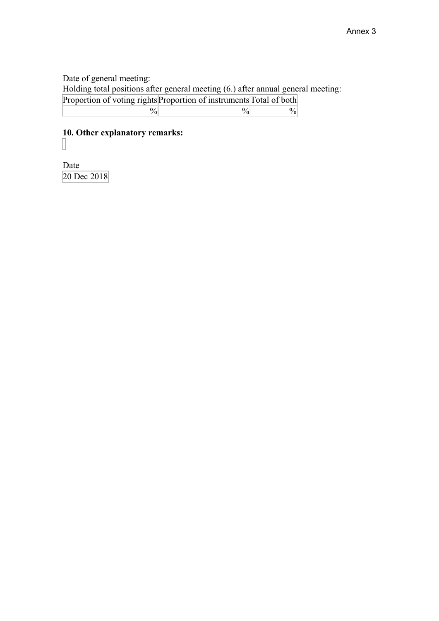Date of general meeting:

Holding total positions after general meeting (6.) after annual general meeting:

| Proportion of voting rights Proportion of instruments Total of both |  |
|---------------------------------------------------------------------|--|
|                                                                     |  |

# **10. Other explanatory remarks:**  $\prod$

Date 20 Dec 2018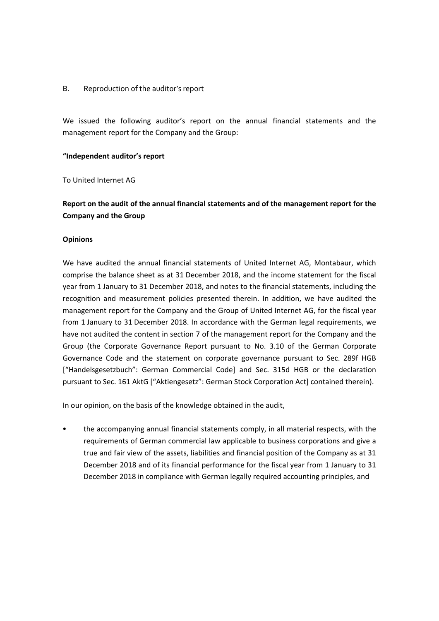#### B. Reproduction of the auditor's report

We issued the following auditor's report on the annual financial statements and the management report for the Company and the Group:

#### **"Independent auditor's report**

To United Internet AG

# **Report on the audit of the annual financial statements and of the management report for the Company and the Group**

#### **Opinions**

We have audited the annual financial statements of United Internet AG, Montabaur, which comprise the balance sheet as at 31 December 2018, and the income statement for the fiscal year from 1 January to 31 December 2018, and notes to the financial statements, including the recognition and measurement policies presented therein. In addition, we have audited the management report for the Company and the Group of United Internet AG, for the fiscal year from 1 January to 31 December 2018. In accordance with the German legal requirements, we have not audited the content in section 7 of the management report for the Company and the Group (the Corporate Governance Report pursuant to No. 3.10 of the German Corporate Governance Code and the statement on corporate governance pursuant to Sec. 289f HGB ["Handelsgesetzbuch": German Commercial Code] and Sec. 315d HGB or the declaration pursuant to Sec. 161 AktG ["Aktiengesetz": German Stock Corporation Act] contained therein).

In our opinion, on the basis of the knowledge obtained in the audit,

• the accompanying annual financial statements comply, in all material respects, with the requirements of German commercial law applicable to business corporations and give a true and fair view of the assets, liabilities and financial position of the Company as at 31 December 2018 and of its financial performance for the fiscal year from 1 January to 31 December 2018 in compliance with German legally required accounting principles, and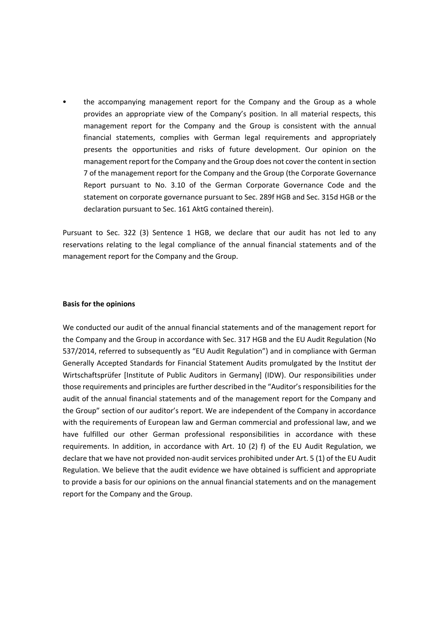• the accompanying management report for the Company and the Group as a whole provides an appropriate view of the Company's position. In all material respects, this management report for the Company and the Group is consistent with the annual financial statements, complies with German legal requirements and appropriately presents the opportunities and risks of future development. Our opinion on the management report for the Company and the Group does not cover the content in section 7 of the management report for the Company and the Group (the Corporate Governance Report pursuant to No. 3.10 of the German Corporate Governance Code and the statement on corporate governance pursuant to Sec. 289f HGB and Sec. 315d HGB or the declaration pursuant to Sec. 161 AktG contained therein).

Pursuant to Sec. 322 (3) Sentence 1 HGB, we declare that our audit has not led to any reservations relating to the legal compliance of the annual financial statements and of the management report for the Company and the Group.

#### **Basis for the opinions**

We conducted our audit of the annual financial statements and of the management report for the Company and the Group in accordance with Sec. 317 HGB and the EU Audit Regulation (No 537/2014, referred to subsequently as "EU Audit Regulation") and in compliance with German Generally Accepted Standards for Financial Statement Audits promulgated by the Institut der Wirtschaftsprüfer [Institute of Public Auditors in Germany] (IDW). Our responsibilities under those requirements and principles are further described in the "Auditor's responsibilities for the audit of the annual financial statements and of the management report for the Company and the Group" section of our auditor's report. We are independent of the Company in accordance with the requirements of European law and German commercial and professional law, and we have fulfilled our other German professional responsibilities in accordance with these requirements. In addition, in accordance with Art. 10 (2) f) of the EU Audit Regulation, we declare that we have not provided non‐audit services prohibited under Art. 5 (1) of the EU Audit Regulation. We believe that the audit evidence we have obtained is sufficient and appropriate to provide a basis for our opinions on the annual financial statements and on the management report for the Company and the Group.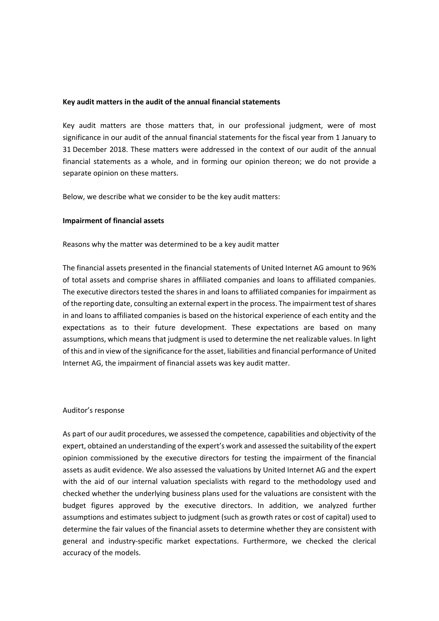#### **Key audit matters in the audit of the annual financial statements**

Key audit matters are those matters that, in our professional judgment, were of most significance in our audit of the annual financial statements for the fiscal year from 1 January to 31 December 2018. These matters were addressed in the context of our audit of the annual financial statements as a whole, and in forming our opinion thereon; we do not provide a separate opinion on these matters.

Below, we describe what we consider to be the key audit matters:

#### **Impairment of financial assets**

Reasons why the matter was determined to be a key audit matter

The financial assets presented in the financial statements of United Internet AG amount to 96% of total assets and comprise shares in affiliated companies and loans to affiliated companies. The executive directors tested the shares in and loans to affiliated companies for impairment as of the reporting date, consulting an external expert in the process. The impairment test of shares in and loans to affiliated companies is based on the historical experience of each entity and the expectations as to their future development. These expectations are based on many assumptions, which means that judgment is used to determine the net realizable values. In light of this and in view of the significance for the asset, liabilities and financial performance of United Internet AG, the impairment of financial assets was key audit matter.

#### Auditor's response

As part of our audit procedures, we assessed the competence, capabilities and objectivity of the expert, obtained an understanding of the expert's work and assessed the suitability of the expert opinion commissioned by the executive directors for testing the impairment of the financial assets as audit evidence. We also assessed the valuations by United Internet AG and the expert with the aid of our internal valuation specialists with regard to the methodology used and checked whether the underlying business plans used for the valuations are consistent with the budget figures approved by the executive directors. In addition, we analyzed further assumptions and estimates subject to judgment (such as growth rates or cost of capital) used to determine the fair values of the financial assets to determine whether they are consistent with general and industry‐specific market expectations. Furthermore, we checked the clerical accuracy of the models.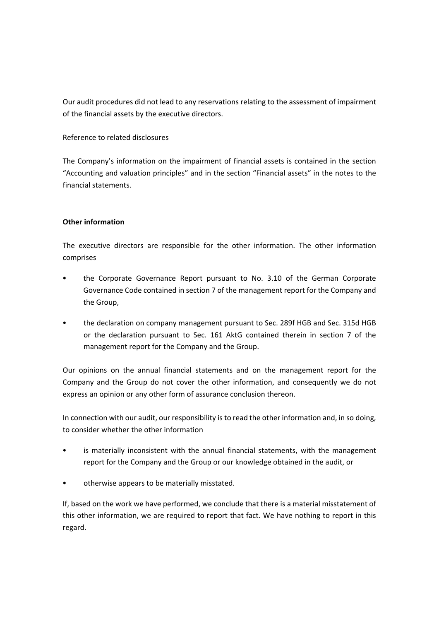Our audit procedures did not lead to any reservations relating to the assessment of impairment of the financial assets by the executive directors.

#### Reference to related disclosures

The Company's information on the impairment of financial assets is contained in the section "Accounting and valuation principles" and in the section "Financial assets" in the notes to the financial statements.

#### **Other information**

The executive directors are responsible for the other information. The other information comprises

- the Corporate Governance Report pursuant to No. 3.10 of the German Corporate Governance Code contained in section 7 of the management report for the Company and the Group,
- the declaration on company management pursuant to Sec. 289f HGB and Sec. 315d HGB or the declaration pursuant to Sec. 161 AktG contained therein in section 7 of the management report for the Company and the Group.

Our opinions on the annual financial statements and on the management report for the Company and the Group do not cover the other information, and consequently we do not express an opinion or any other form of assurance conclusion thereon.

In connection with our audit, our responsibility is to read the other information and, in so doing, to consider whether the other information

- is materially inconsistent with the annual financial statements, with the management report for the Company and the Group or our knowledge obtained in the audit, or
- otherwise appears to be materially misstated.

If, based on the work we have performed, we conclude that there is a material misstatement of this other information, we are required to report that fact. We have nothing to report in this regard.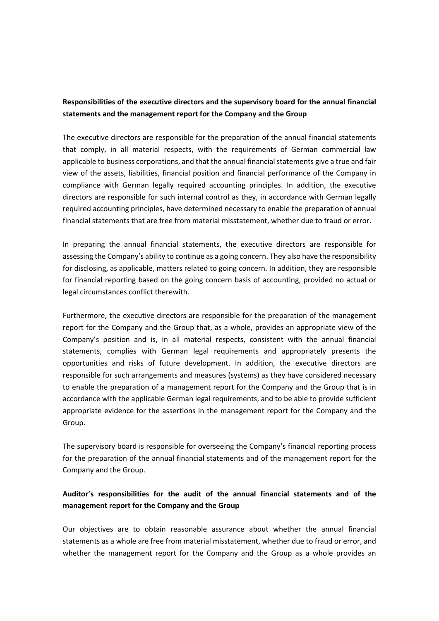# **Responsibilities of the executive directors and the supervisory board for the annual financial statements and the management report for the Company and the Group**

The executive directors are responsible for the preparation of the annual financial statements that comply, in all material respects, with the requirements of German commercial law applicable to business corporations, and that the annual financial statements give a true and fair view of the assets, liabilities, financial position and financial performance of the Company in compliance with German legally required accounting principles. In addition, the executive directors are responsible for such internal control as they, in accordance with German legally required accounting principles, have determined necessary to enable the preparation of annual financial statements that are free from material misstatement, whether due to fraud or error.

In preparing the annual financial statements, the executive directors are responsible for assessing the Company's ability to continue as a going concern. They also have the responsibility for disclosing, as applicable, matters related to going concern. In addition, they are responsible for financial reporting based on the going concern basis of accounting, provided no actual or legal circumstances conflict therewith.

Furthermore, the executive directors are responsible for the preparation of the management report for the Company and the Group that, as a whole, provides an appropriate view of the Company's position and is, in all material respects, consistent with the annual financial statements, complies with German legal requirements and appropriately presents the opportunities and risks of future development. In addition, the executive directors are responsible for such arrangements and measures (systems) as they have considered necessary to enable the preparation of a management report for the Company and the Group that is in accordance with the applicable German legal requirements, and to be able to provide sufficient appropriate evidence for the assertions in the management report for the Company and the Group.

The supervisory board is responsible for overseeing the Company's financial reporting process for the preparation of the annual financial statements and of the management report for the Company and the Group.

# **Auditor's responsibilities for the audit of the annual financial statements and of the management report for the Company and the Group**

Our objectives are to obtain reasonable assurance about whether the annual financial statements as a whole are free from material misstatement, whether due to fraud or error, and whether the management report for the Company and the Group as a whole provides an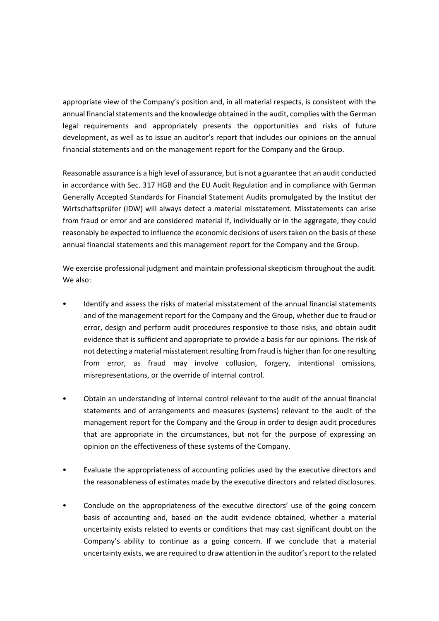appropriate view of the Company's position and, in all material respects, is consistent with the annual financial statements and the knowledge obtained in the audit, complies with the German legal requirements and appropriately presents the opportunities and risks of future development, as well as to issue an auditor's report that includes our opinions on the annual financial statements and on the management report for the Company and the Group.

Reasonable assurance is a high level of assurance, but is not a guarantee that an audit conducted in accordance with Sec. 317 HGB and the EU Audit Regulation and in compliance with German Generally Accepted Standards for Financial Statement Audits promulgated by the Institut der Wirtschaftsprüfer (IDW) will always detect a material misstatement. Misstatements can arise from fraud or error and are considered material if, individually or in the aggregate, they could reasonably be expected to influence the economic decisions of users taken on the basis of these annual financial statements and this management report for the Company and the Group.

We exercise professional judgment and maintain professional skepticism throughout the audit. We also:

- Identify and assess the risks of material misstatement of the annual financial statements and of the management report for the Company and the Group, whether due to fraud or error, design and perform audit procedures responsive to those risks, and obtain audit evidence that is sufficient and appropriate to provide a basis for our opinions. The risk of not detecting a material misstatement resulting from fraud is higher than for one resulting from error, as fraud may involve collusion, forgery, intentional omissions, misrepresentations, or the override of internal control.
- Obtain an understanding of internal control relevant to the audit of the annual financial statements and of arrangements and measures (systems) relevant to the audit of the management report for the Company and the Group in order to design audit procedures that are appropriate in the circumstances, but not for the purpose of expressing an opinion on the effectiveness of these systems of the Company.
- Evaluate the appropriateness of accounting policies used by the executive directors and the reasonableness of estimates made by the executive directors and related disclosures.
- Conclude on the appropriateness of the executive directors' use of the going concern basis of accounting and, based on the audit evidence obtained, whether a material uncertainty exists related to events or conditions that may cast significant doubt on the Company's ability to continue as a going concern. If we conclude that a material uncertainty exists, we are required to draw attention in the auditor's report to the related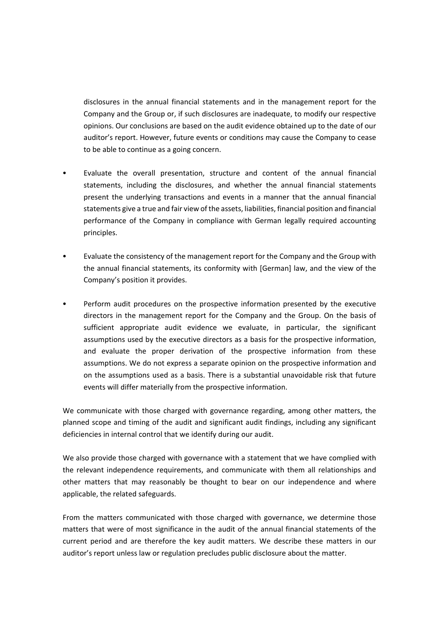disclosures in the annual financial statements and in the management report for the Company and the Group or, if such disclosures are inadequate, to modify our respective opinions. Our conclusions are based on the audit evidence obtained up to the date of our auditor's report. However, future events or conditions may cause the Company to cease to be able to continue as a going concern.

- Evaluate the overall presentation, structure and content of the annual financial statements, including the disclosures, and whether the annual financial statements present the underlying transactions and events in a manner that the annual financial statements give a true and fair view of the assets, liabilities, financial position and financial performance of the Company in compliance with German legally required accounting principles.
- Evaluate the consistency of the management report for the Company and the Group with the annual financial statements, its conformity with [German] law, and the view of the Company's position it provides.
- Perform audit procedures on the prospective information presented by the executive directors in the management report for the Company and the Group. On the basis of sufficient appropriate audit evidence we evaluate, in particular, the significant assumptions used by the executive directors as a basis for the prospective information, and evaluate the proper derivation of the prospective information from these assumptions. We do not express a separate opinion on the prospective information and on the assumptions used as a basis. There is a substantial unavoidable risk that future events will differ materially from the prospective information.

We communicate with those charged with governance regarding, among other matters, the planned scope and timing of the audit and significant audit findings, including any significant deficiencies in internal control that we identify during our audit.

We also provide those charged with governance with a statement that we have complied with the relevant independence requirements, and communicate with them all relationships and other matters that may reasonably be thought to bear on our independence and where applicable, the related safeguards.

From the matters communicated with those charged with governance, we determine those matters that were of most significance in the audit of the annual financial statements of the current period and are therefore the key audit matters. We describe these matters in our auditor's report unless law or regulation precludes public disclosure about the matter.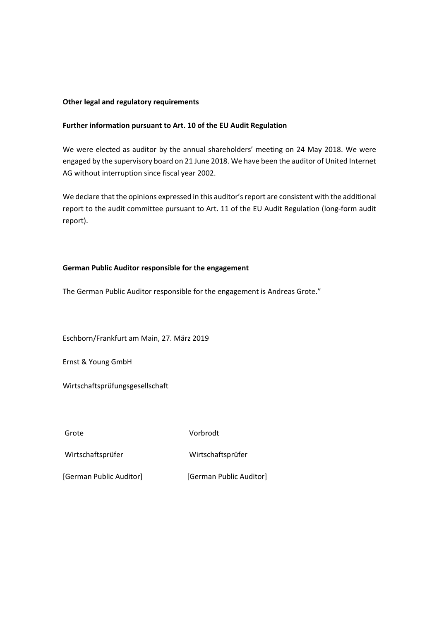#### **Other legal and regulatory requirements**

#### **Further information pursuant to Art. 10 of the EU Audit Regulation**

We were elected as auditor by the annual shareholders' meeting on 24 May 2018. We were engaged by the supervisory board on 21 June 2018. We have been the auditor of United Internet AG without interruption since fiscal year 2002.

We declare that the opinions expressed in this auditor's report are consistent with the additional report to the audit committee pursuant to Art. 11 of the EU Audit Regulation (long‐form audit report).

#### **German Public Auditor responsible for the engagement**

The German Public Auditor responsible for the engagement is Andreas Grote."

Eschborn/Frankfurt am Main, 27. März 2019

Ernst & Young GmbH

Wirtschaftsprüfungsgesellschaft

Grote Vorbrodt

Wirtschaftsprüfer Wirtschaftsprüfer

[German Public Auditor] [German Public Auditor]